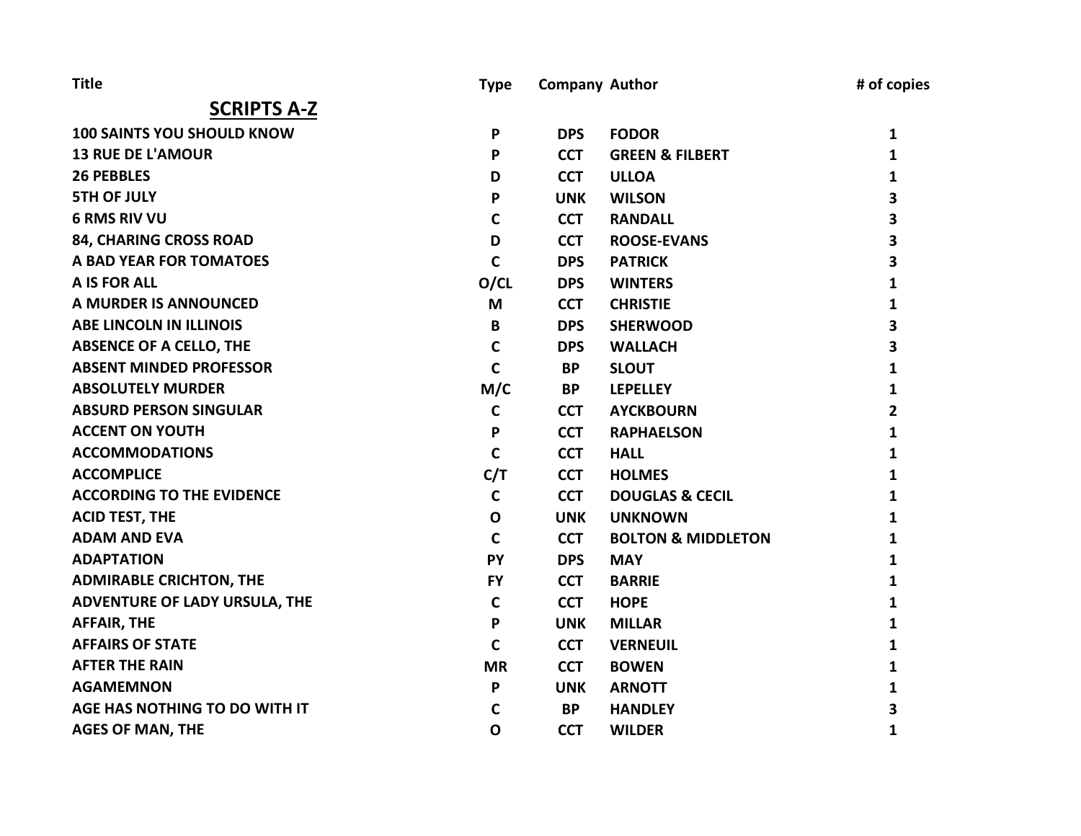| <b>Title</b>                      | <b>Type</b>  | <b>Company Author</b> |                               | # of copies |
|-----------------------------------|--------------|-----------------------|-------------------------------|-------------|
| <b>SCRIPTS A-Z</b>                |              |                       |                               |             |
| <b>100 SAINTS YOU SHOULD KNOW</b> | P            | <b>DPS</b>            | <b>FODOR</b>                  | 1           |
| <b>13 RUE DE L'AMOUR</b>          | P            | <b>CCT</b>            | <b>GREEN &amp; FILBERT</b>    | 1           |
| <b>26 PEBBLES</b>                 | D            | <b>CCT</b>            | <b>ULLOA</b>                  | 1           |
| <b>5TH OF JULY</b>                | P            | <b>UNK</b>            | <b>WILSON</b>                 | 3           |
| <b>6 RMS RIV VU</b>               | C            | <b>CCT</b>            | <b>RANDALL</b>                | 3           |
| 84, CHARING CROSS ROAD            | D            | <b>CCT</b>            | <b>ROOSE-EVANS</b>            | 3           |
| A BAD YEAR FOR TOMATOES           | $\mathsf{C}$ | <b>DPS</b>            | <b>PATRICK</b>                | 3           |
| A IS FOR ALL                      | O/CL         | <b>DPS</b>            | <b>WINTERS</b>                | 1           |
| A MURDER IS ANNOUNCED             | M            | <b>CCT</b>            | <b>CHRISTIE</b>               | 1           |
| <b>ABE LINCOLN IN ILLINOIS</b>    | B            | <b>DPS</b>            | <b>SHERWOOD</b>               | 3           |
| <b>ABSENCE OF A CELLO, THE</b>    | C            | <b>DPS</b>            | <b>WALLACH</b>                | 3           |
| <b>ABSENT MINDED PROFESSOR</b>    | $\mathbf C$  | <b>BP</b>             | <b>SLOUT</b>                  | 1           |
| <b>ABSOLUTELY MURDER</b>          | M/C          | <b>BP</b>             | <b>LEPELLEY</b>               | 1           |
| <b>ABSURD PERSON SINGULAR</b>     | $\mathbf c$  | <b>CCT</b>            | <b>AYCKBOURN</b>              | 2           |
| <b>ACCENT ON YOUTH</b>            | P            | <b>CCT</b>            | <b>RAPHAELSON</b>             | 1           |
| <b>ACCOMMODATIONS</b>             | $\mathsf{C}$ | <b>CCT</b>            | <b>HALL</b>                   | 1           |
| <b>ACCOMPLICE</b>                 | C/T          | <b>CCT</b>            | <b>HOLMES</b>                 | 1           |
| <b>ACCORDING TO THE EVIDENCE</b>  | $\mathbf c$  | <b>CCT</b>            | <b>DOUGLAS &amp; CECIL</b>    | 1           |
| <b>ACID TEST, THE</b>             | $\mathbf{o}$ | <b>UNK</b>            | <b>UNKNOWN</b>                | 1           |
| <b>ADAM AND EVA</b>               | C            | <b>CCT</b>            | <b>BOLTON &amp; MIDDLETON</b> | 1           |
| <b>ADAPTATION</b>                 | PY           | <b>DPS</b>            | <b>MAY</b>                    | 1           |
| <b>ADMIRABLE CRICHTON, THE</b>    | <b>FY</b>    | <b>CCT</b>            | <b>BARRIE</b>                 | 1           |
| ADVENTURE OF LADY URSULA, THE     | $\mathbf C$  | <b>CCT</b>            | <b>HOPE</b>                   | 1           |
| <b>AFFAIR, THE</b>                | P            | <b>UNK</b>            | <b>MILLAR</b>                 | 1           |
| <b>AFFAIRS OF STATE</b>           | C            | <b>CCT</b>            | <b>VERNEUIL</b>               | 1           |
| <b>AFTER THE RAIN</b>             | <b>MR</b>    | <b>CCT</b>            | <b>BOWEN</b>                  | 1           |
| <b>AGAMEMNON</b>                  | P            | <b>UNK</b>            | <b>ARNOTT</b>                 | 1           |
| AGE HAS NOTHING TO DO WITH IT     | C            | <b>BP</b>             | <b>HANDLEY</b>                | 3           |
| <b>AGES OF MAN, THE</b>           | $\mathbf 0$  | <b>CCT</b>            | <b>WILDER</b>                 | 1           |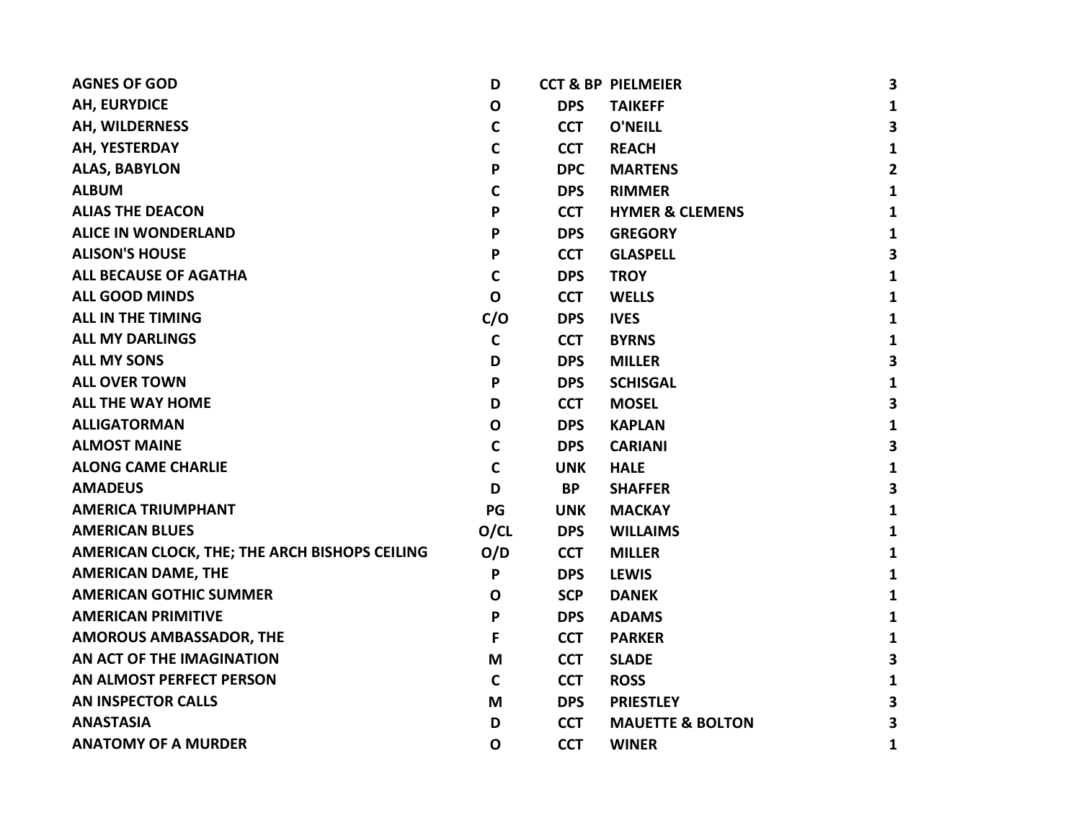| <b>AGNES OF GOD</b>                           | D           |            | <b>CCT &amp; BP PIELMEIER</b> | 3                       |
|-----------------------------------------------|-------------|------------|-------------------------------|-------------------------|
| <b>AH, EURYDICE</b>                           | $\mathbf O$ | <b>DPS</b> | <b>TAIKEFF</b>                | 1                       |
| AH, WILDERNESS                                | $\mathbf C$ | <b>CCT</b> | <b>O'NEILL</b>                | $\overline{\mathbf{3}}$ |
| AH, YESTERDAY                                 | $\mathbf C$ | <b>CCT</b> | <b>REACH</b>                  | $\mathbf{1}$            |
| <b>ALAS, BABYLON</b>                          | P           | <b>DPC</b> | <b>MARTENS</b>                | $\mathbf{2}$            |
| <b>ALBUM</b>                                  | C           | <b>DPS</b> | <b>RIMMER</b>                 | $\mathbf{1}$            |
| <b>ALIAS THE DEACON</b>                       | P           | <b>CCT</b> | <b>HYMER &amp; CLEMENS</b>    | $\mathbf{1}$            |
| <b>ALICE IN WONDERLAND</b>                    | P           | <b>DPS</b> | <b>GREGORY</b>                | $\mathbf{1}$            |
| <b>ALISON'S HOUSE</b>                         | P           | <b>CCT</b> | <b>GLASPELL</b>               | 3                       |
| <b>ALL BECAUSE OF AGATHA</b>                  | $\mathbf c$ | <b>DPS</b> | <b>TROY</b>                   | $\mathbf{1}$            |
| <b>ALL GOOD MINDS</b>                         | $\mathbf O$ | <b>CCT</b> | <b>WELLS</b>                  | 1                       |
| <b>ALL IN THE TIMING</b>                      | C/O         | <b>DPS</b> | <b>IVES</b>                   | 1                       |
| <b>ALL MY DARLINGS</b>                        | $\mathbf C$ | <b>CCT</b> | <b>BYRNS</b>                  | 1                       |
| <b>ALL MY SONS</b>                            | D           | <b>DPS</b> | <b>MILLER</b>                 | 3                       |
| <b>ALL OVER TOWN</b>                          | P           | <b>DPS</b> | <b>SCHISGAL</b>               | $\mathbf{1}$            |
| <b>ALL THE WAY HOME</b>                       | D           | <b>CCT</b> | <b>MOSEL</b>                  | 3                       |
| <b>ALLIGATORMAN</b>                           | $\mathbf O$ | <b>DPS</b> | <b>KAPLAN</b>                 | $\mathbf{1}$            |
| <b>ALMOST MAINE</b>                           | $\mathbf C$ | <b>DPS</b> | <b>CARIANI</b>                | 3                       |
| <b>ALONG CAME CHARLIE</b>                     | $\mathbf C$ | <b>UNK</b> | <b>HALE</b>                   | $\mathbf{1}$            |
| <b>AMADEUS</b>                                | D           | <b>BP</b>  | <b>SHAFFER</b>                | 3                       |
| <b>AMERICA TRIUMPHANT</b>                     | PG          | <b>UNK</b> | <b>MACKAY</b>                 | $\mathbf{1}$            |
| <b>AMERICAN BLUES</b>                         | O/CL        | <b>DPS</b> | <b>WILLAIMS</b>               | $\mathbf{1}$            |
| AMERICAN CLOCK, THE; THE ARCH BISHOPS CEILING | O/D         | <b>CCT</b> | <b>MILLER</b>                 | $\mathbf{1}$            |
| <b>AMERICAN DAME, THE</b>                     | P           | <b>DPS</b> | <b>LEWIS</b>                  | $\mathbf{1}$            |
| <b>AMERICAN GOTHIC SUMMER</b>                 | 0           | <b>SCP</b> | <b>DANEK</b>                  | $\mathbf{1}$            |
| <b>AMERICAN PRIMITIVE</b>                     | P           | <b>DPS</b> | <b>ADAMS</b>                  | $\mathbf{1}$            |
| <b>AMOROUS AMBASSADOR, THE</b>                | F           | <b>CCT</b> | <b>PARKER</b>                 | $\mathbf{1}$            |
| AN ACT OF THE IMAGINATION                     | M           | <b>CCT</b> | <b>SLADE</b>                  | 3                       |
| AN ALMOST PERFECT PERSON                      | $\mathbf c$ | <b>CCT</b> | <b>ROSS</b>                   | 1                       |
| <b>AN INSPECTOR CALLS</b>                     | M           | <b>DPS</b> | <b>PRIESTLEY</b>              | 3                       |
| <b>ANASTASIA</b>                              | D           | <b>CCT</b> | <b>MAUETTE &amp; BOLTON</b>   | $\overline{\mathbf{3}}$ |
| <b>ANATOMY OF A MURDER</b>                    | $\mathbf O$ | <b>CCT</b> | <b>WINER</b>                  | $\mathbf{1}$            |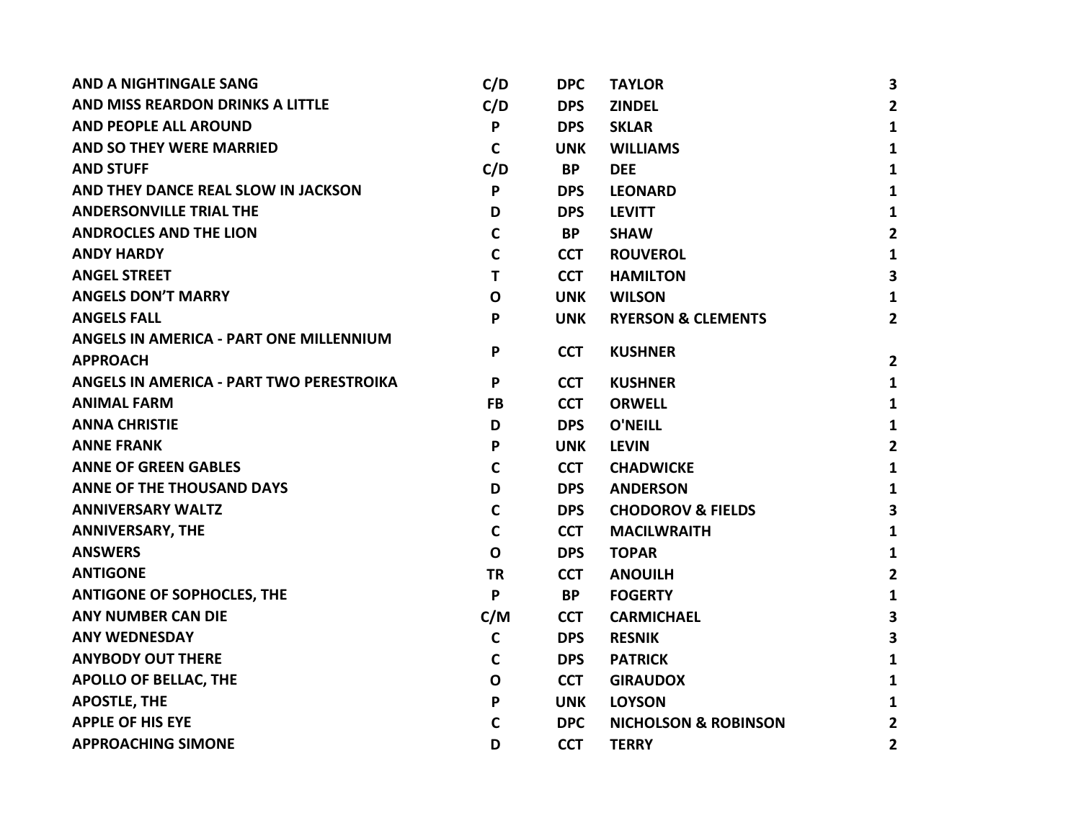| <b>AND A NIGHTINGALE SANG</b>            | C/D          | <b>DPC</b> | <b>TAYLOR</b>                   | 3                       |
|------------------------------------------|--------------|------------|---------------------------------|-------------------------|
| AND MISS REARDON DRINKS A LITTLE         | C/D          | <b>DPS</b> | <b>ZINDEL</b>                   | $\overline{2}$          |
| <b>AND PEOPLE ALL AROUND</b>             | P            | <b>DPS</b> | <b>SKLAR</b>                    | $\mathbf{1}$            |
| <b>AND SO THEY WERE MARRIED</b>          | $\mathbf C$  | <b>UNK</b> | <b>WILLIAMS</b>                 | $\mathbf{1}$            |
| <b>AND STUFF</b>                         | C/D          | <b>BP</b>  | <b>DEE</b>                      | 1                       |
| AND THEY DANCE REAL SLOW IN JACKSON      | P            | <b>DPS</b> | <b>LEONARD</b>                  | $\mathbf{1}$            |
| <b>ANDERSONVILLE TRIAL THE</b>           | D            | <b>DPS</b> | <b>LEVITT</b>                   | $\mathbf{1}$            |
| <b>ANDROCLES AND THE LION</b>            | C            | <b>BP</b>  | <b>SHAW</b>                     | $\mathbf{2}$            |
| <b>ANDY HARDY</b>                        | $\mathsf{C}$ | <b>CCT</b> | <b>ROUVEROL</b>                 | $\mathbf{1}$            |
| <b>ANGEL STREET</b>                      | T            | <b>CCT</b> | <b>HAMILTON</b>                 | $\overline{\mathbf{3}}$ |
| <b>ANGELS DON'T MARRY</b>                | $\mathbf O$  | <b>UNK</b> | <b>WILSON</b>                   | $\mathbf{1}$            |
| <b>ANGELS FALL</b>                       | P            | <b>UNK</b> | <b>RYERSON &amp; CLEMENTS</b>   | $\overline{2}$          |
| ANGELS IN AMERICA - PART ONE MILLENNIUM  |              |            |                                 |                         |
| <b>APPROACH</b>                          | P            | <b>CCT</b> | <b>KUSHNER</b>                  | $\overline{2}$          |
| ANGELS IN AMERICA - PART TWO PERESTROIKA | P            | <b>CCT</b> | <b>KUSHNER</b>                  | $\mathbf{1}$            |
| <b>ANIMAL FARM</b>                       | <b>FB</b>    | <b>CCT</b> | <b>ORWELL</b>                   | $\mathbf{1}$            |
| <b>ANNA CHRISTIE</b>                     | D            | <b>DPS</b> | <b>O'NEILL</b>                  | $\mathbf{1}$            |
| <b>ANNE FRANK</b>                        | P            | <b>UNK</b> | <b>LEVIN</b>                    | $\overline{2}$          |
| <b>ANNE OF GREEN GABLES</b>              | $\mathbf C$  | <b>CCT</b> | <b>CHADWICKE</b>                | $\mathbf{1}$            |
| <b>ANNE OF THE THOUSAND DAYS</b>         | D            | <b>DPS</b> | <b>ANDERSON</b>                 | $\mathbf{1}$            |
| <b>ANNIVERSARY WALTZ</b>                 | $\mathbf c$  | <b>DPS</b> | <b>CHODOROV &amp; FIELDS</b>    | 3                       |
| <b>ANNIVERSARY, THE</b>                  | $\mathbf C$  | <b>CCT</b> | <b>MACILWRAITH</b>              | $\mathbf{1}$            |
| <b>ANSWERS</b>                           | $\mathbf O$  | <b>DPS</b> | <b>TOPAR</b>                    | $\mathbf{1}$            |
| <b>ANTIGONE</b>                          | <b>TR</b>    | <b>CCT</b> | <b>ANOUILH</b>                  | $\overline{2}$          |
| <b>ANTIGONE OF SOPHOCLES, THE</b>        | P            | <b>BP</b>  | <b>FOGERTY</b>                  | $\mathbf{1}$            |
| <b>ANY NUMBER CAN DIE</b>                | C/M          | <b>CCT</b> | <b>CARMICHAEL</b>               | 3                       |
| <b>ANY WEDNESDAY</b>                     | $\mathbf c$  | <b>DPS</b> | <b>RESNIK</b>                   | 3                       |
| <b>ANYBODY OUT THERE</b>                 | $\mathbf c$  | <b>DPS</b> | <b>PATRICK</b>                  | $\mathbf{1}$            |
| <b>APOLLO OF BELLAC, THE</b>             | $\mathbf O$  | <b>CCT</b> | <b>GIRAUDOX</b>                 | 1                       |
| <b>APOSTLE, THE</b>                      | P            | <b>UNK</b> | <b>LOYSON</b>                   | $\mathbf{1}$            |
| <b>APPLE OF HIS EYE</b>                  | C            | <b>DPC</b> | <b>NICHOLSON &amp; ROBINSON</b> | $\mathbf{2}$            |
| <b>APPROACHING SIMONE</b>                | D            | <b>CCT</b> | <b>TERRY</b>                    | $\overline{\mathbf{2}}$ |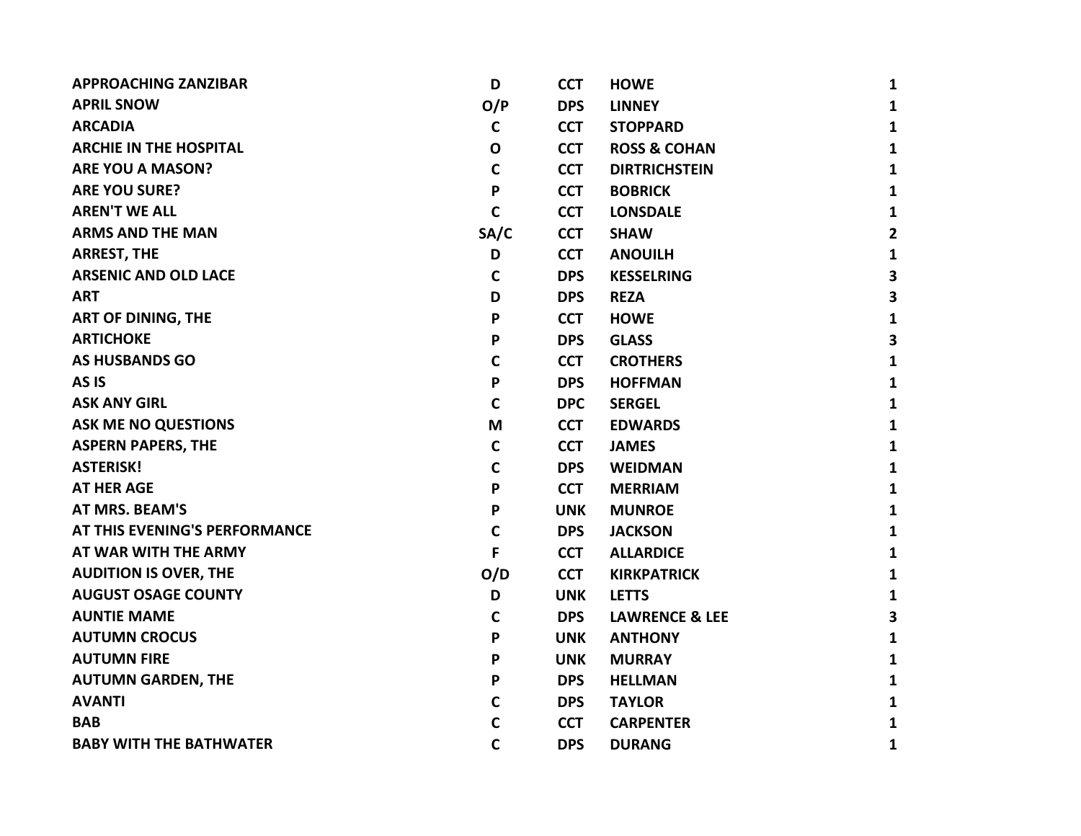| <b>APPROACHING ZANZIBAR</b>    | D            | <b>CCT</b> | <b>HOWE</b>               | $\mathbf{1}$            |
|--------------------------------|--------------|------------|---------------------------|-------------------------|
| <b>APRIL SNOW</b>              | O/P          | <b>DPS</b> | <b>LINNEY</b>             | $\mathbf{1}$            |
| <b>ARCADIA</b>                 | $\mathbf C$  | <b>CCT</b> | <b>STOPPARD</b>           | $\mathbf{1}$            |
| <b>ARCHIE IN THE HOSPITAL</b>  | $\mathbf{o}$ | <b>CCT</b> | <b>ROSS &amp; COHAN</b>   | $\mathbf{1}$            |
| <b>ARE YOU A MASON?</b>        | $\mathsf{C}$ | <b>CCT</b> | <b>DIRTRICHSTEIN</b>      | $\mathbf{1}$            |
| <b>ARE YOU SURE?</b>           | P            | <b>CCT</b> | <b>BOBRICK</b>            | $\mathbf{1}$            |
| <b>AREN'T WE ALL</b>           | $\mathbf c$  | <b>CCT</b> | <b>LONSDALE</b>           | $\mathbf{1}$            |
| <b>ARMS AND THE MAN</b>        | SA/C         | <b>CCT</b> | <b>SHAW</b>               | $\overline{2}$          |
| <b>ARREST, THE</b>             | D            | <b>CCT</b> | <b>ANOUILH</b>            | $\mathbf{1}$            |
| <b>ARSENIC AND OLD LACE</b>    | $\mathsf{C}$ | <b>DPS</b> | <b>KESSELRING</b>         | $\overline{\mathbf{3}}$ |
| <b>ART</b>                     | D            | <b>DPS</b> | <b>REZA</b>               | 3                       |
| <b>ART OF DINING, THE</b>      | P            | <b>CCT</b> | <b>HOWE</b>               | $\mathbf{1}$            |
| <b>ARTICHOKE</b>               | P            | <b>DPS</b> | <b>GLASS</b>              | $\overline{\mathbf{3}}$ |
| <b>AS HUSBANDS GO</b>          | $\mathbf C$  | <b>CCT</b> | <b>CROTHERS</b>           | $\mathbf{1}$            |
| AS <sub>IS</sub>               | P            | <b>DPS</b> | <b>HOFFMAN</b>            | $\mathbf{1}$            |
| <b>ASK ANY GIRL</b>            | $\mathbf C$  | <b>DPC</b> | <b>SERGEL</b>             | $\mathbf{1}$            |
| <b>ASK ME NO QUESTIONS</b>     | M            | <b>CCT</b> | <b>EDWARDS</b>            | $\mathbf{1}$            |
| <b>ASPERN PAPERS, THE</b>      | $\mathbf C$  | <b>CCT</b> | <b>JAMES</b>              | $\mathbf{1}$            |
| <b>ASTERISK!</b>               | $\mathsf{C}$ | <b>DPS</b> | <b>WEIDMAN</b>            | $\mathbf{1}$            |
| <b>AT HER AGE</b>              | P            | <b>CCT</b> | <b>MERRIAM</b>            | $\mathbf{1}$            |
| <b>AT MRS. BEAM'S</b>          | P            | <b>UNK</b> | <b>MUNROE</b>             | $\mathbf{1}$            |
| AT THIS EVENING'S PERFORMANCE  | $\mathsf{C}$ | <b>DPS</b> | <b>JACKSON</b>            | $\mathbf{1}$            |
| AT WAR WITH THE ARMY           | F            | <b>CCT</b> | <b>ALLARDICE</b>          | $\mathbf{1}$            |
| <b>AUDITION IS OVER, THE</b>   | O/D          | <b>CCT</b> | <b>KIRKPATRICK</b>        | $\mathbf{1}$            |
| <b>AUGUST OSAGE COUNTY</b>     | D            | <b>UNK</b> | <b>LETTS</b>              | $\mathbf{1}$            |
| <b>AUNTIE MAME</b>             | $\mathbf C$  | <b>DPS</b> | <b>LAWRENCE &amp; LEE</b> | 3                       |
| <b>AUTUMN CROCUS</b>           | P            | <b>UNK</b> | <b>ANTHONY</b>            | $\mathbf{1}$            |
| <b>AUTUMN FIRE</b>             | P            | <b>UNK</b> | <b>MURRAY</b>             | $\mathbf{1}$            |
| <b>AUTUMN GARDEN, THE</b>      | P            | <b>DPS</b> | <b>HELLMAN</b>            | $\mathbf{1}$            |
| <b>AVANTI</b>                  | $\mathbf C$  | <b>DPS</b> | <b>TAYLOR</b>             | $\mathbf{1}$            |
| <b>BAB</b>                     | C            | <b>CCT</b> | <b>CARPENTER</b>          | $\mathbf{1}$            |
| <b>BABY WITH THE BATHWATER</b> | $\mathbf C$  | <b>DPS</b> | <b>DURANG</b>             | $\mathbf{1}$            |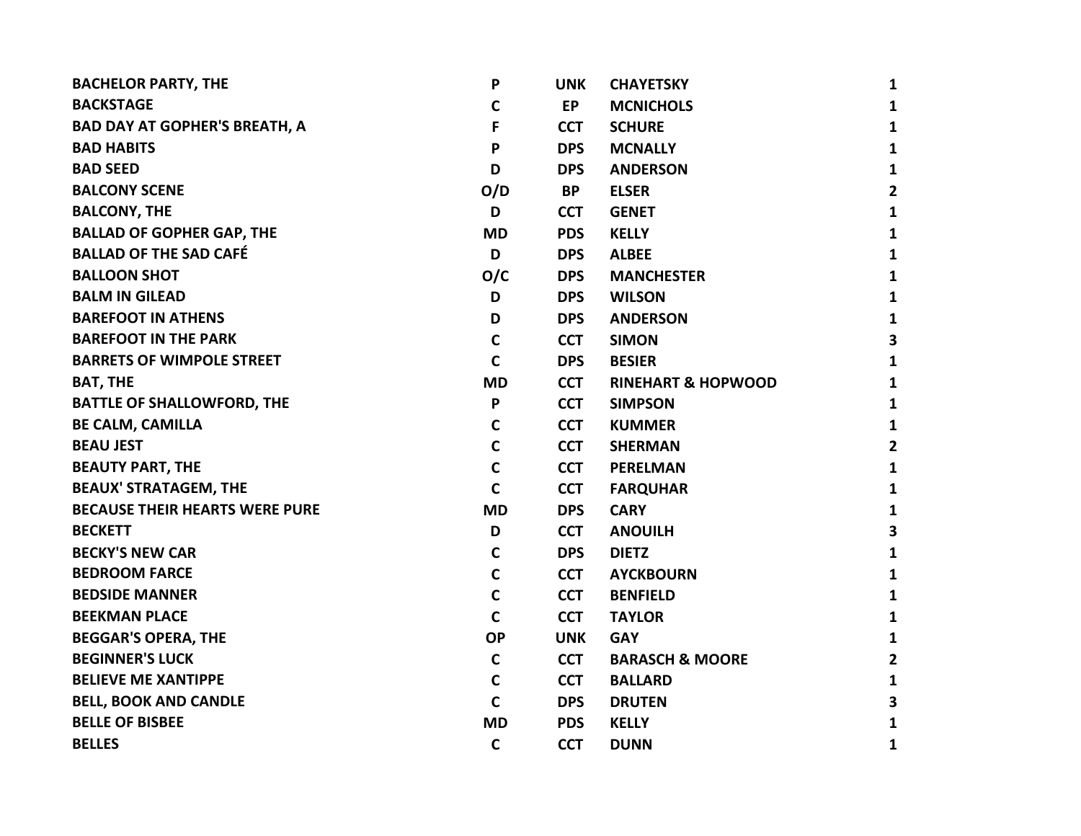| <b>BACHELOR PARTY, THE</b>            | P           | <b>UNK</b> | <b>CHAYETSKY</b>              | 1                       |
|---------------------------------------|-------------|------------|-------------------------------|-------------------------|
| <b>BACKSTAGE</b>                      | C           | <b>EP</b>  | <b>MCNICHOLS</b>              | $\mathbf{1}$            |
| <b>BAD DAY AT GOPHER'S BREATH, A</b>  | F           | <b>CCT</b> | <b>SCHURE</b>                 | $\mathbf{1}$            |
| <b>BAD HABITS</b>                     | P           | <b>DPS</b> | <b>MCNALLY</b>                | $\mathbf{1}$            |
| <b>BAD SEED</b>                       | D           | <b>DPS</b> | <b>ANDERSON</b>               | $\mathbf{1}$            |
| <b>BALCONY SCENE</b>                  | O/D         | <b>BP</b>  | <b>ELSER</b>                  | $\overline{2}$          |
| <b>BALCONY, THE</b>                   | D           | <b>CCT</b> | <b>GENET</b>                  | $\mathbf{1}$            |
| <b>BALLAD OF GOPHER GAP, THE</b>      | <b>MD</b>   | <b>PDS</b> | <b>KELLY</b>                  | $\mathbf{1}$            |
| <b>BALLAD OF THE SAD CAFÉ</b>         | D           | <b>DPS</b> | <b>ALBEE</b>                  | $\mathbf{1}$            |
| <b>BALLOON SHOT</b>                   | O/C         | <b>DPS</b> | <b>MANCHESTER</b>             | $\mathbf{1}$            |
| <b>BALM IN GILEAD</b>                 | D           | <b>DPS</b> | <b>WILSON</b>                 | $\mathbf{1}$            |
| <b>BAREFOOT IN ATHENS</b>             | D           | <b>DPS</b> | <b>ANDERSON</b>               | $\mathbf{1}$            |
| <b>BAREFOOT IN THE PARK</b>           | $\mathbf c$ | <b>CCT</b> | <b>SIMON</b>                  | $\overline{\mathbf{3}}$ |
| <b>BARRETS OF WIMPOLE STREET</b>      | $\mathbf c$ | <b>DPS</b> | <b>BESIER</b>                 | $\mathbf{1}$            |
| <b>BAT, THE</b>                       | <b>MD</b>   | <b>CCT</b> | <b>RINEHART &amp; HOPWOOD</b> | $\mathbf{1}$            |
| <b>BATTLE OF SHALLOWFORD, THE</b>     | P           | <b>CCT</b> | <b>SIMPSON</b>                | $\mathbf{1}$            |
| <b>BE CALM, CAMILLA</b>               | $\mathbf c$ | <b>CCT</b> | <b>KUMMER</b>                 | $\mathbf{1}$            |
| <b>BEAU JEST</b>                      | $\mathbf C$ | <b>CCT</b> | <b>SHERMAN</b>                | $\overline{\mathbf{2}}$ |
| <b>BEAUTY PART, THE</b>               | $\mathbf C$ | <b>CCT</b> | <b>PERELMAN</b>               | $\mathbf{1}$            |
| <b>BEAUX' STRATAGEM, THE</b>          | $\mathbf C$ | <b>CCT</b> | <b>FARQUHAR</b>               | $\mathbf{1}$            |
| <b>BECAUSE THEIR HEARTS WERE PURE</b> | <b>MD</b>   | <b>DPS</b> | <b>CARY</b>                   | $\mathbf{1}$            |
| <b>BECKETT</b>                        | D           | <b>CCT</b> | <b>ANOUILH</b>                | 3                       |
| <b>BECKY'S NEW CAR</b>                | $\mathbf c$ | <b>DPS</b> | <b>DIETZ</b>                  | $\mathbf{1}$            |
| <b>BEDROOM FARCE</b>                  | $\mathbf C$ | <b>CCT</b> | <b>AYCKBOURN</b>              | $\mathbf{1}$            |
| <b>BEDSIDE MANNER</b>                 | $\mathbf C$ | <b>CCT</b> | <b>BENFIELD</b>               | $\mathbf{1}$            |
| <b>BEEKMAN PLACE</b>                  | $\mathbf C$ | <b>CCT</b> | <b>TAYLOR</b>                 | $\mathbf{1}$            |
| <b>BEGGAR'S OPERA, THE</b>            | <b>OP</b>   | <b>UNK</b> | <b>GAY</b>                    | $\mathbf{1}$            |
| <b>BEGINNER'S LUCK</b>                | $\mathbf C$ | <b>CCT</b> | <b>BARASCH &amp; MOORE</b>    | $\overline{\mathbf{2}}$ |
| <b>BELIEVE ME XANTIPPE</b>            | $\mathbf C$ | <b>CCT</b> | <b>BALLARD</b>                | $\mathbf{1}$            |
| <b>BELL, BOOK AND CANDLE</b>          | $\mathbf C$ | <b>DPS</b> | <b>DRUTEN</b>                 | $\overline{\mathbf{3}}$ |
| <b>BELLE OF BISBEE</b>                | <b>MD</b>   | <b>PDS</b> | <b>KELLY</b>                  | $\mathbf{1}$            |
| <b>BELLES</b>                         | $\mathbf C$ | <b>CCT</b> | <b>DUNN</b>                   | 1                       |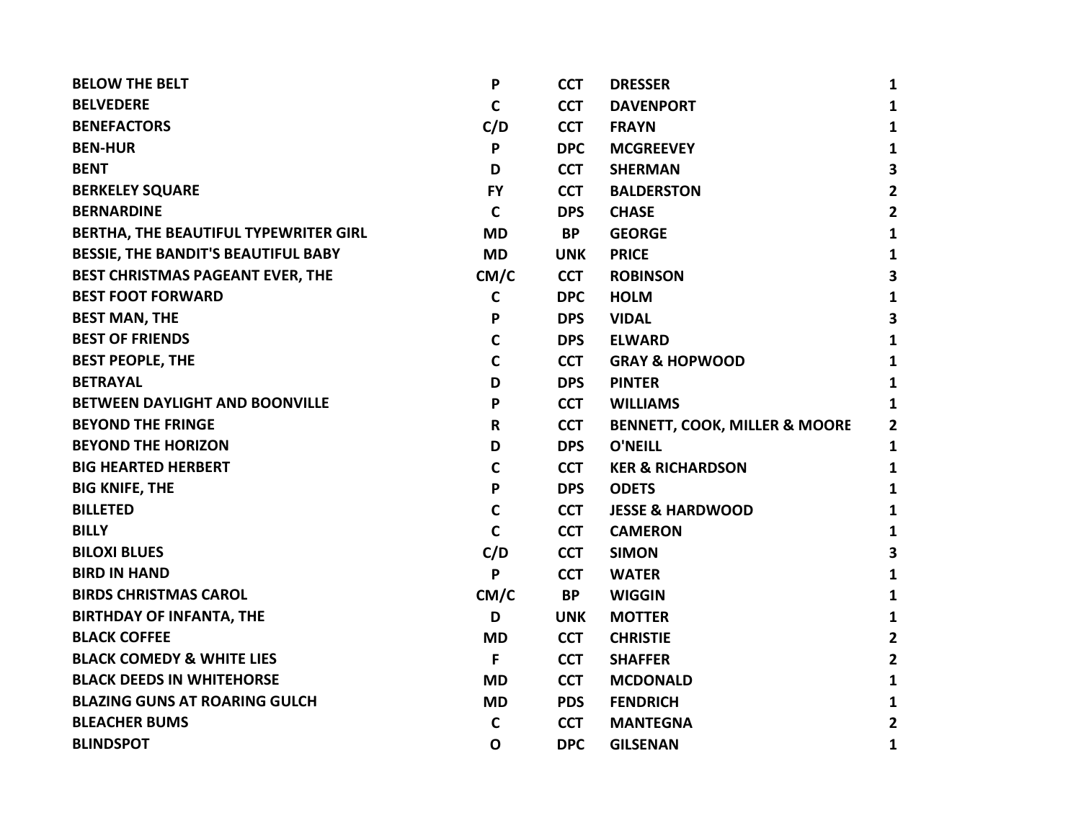| <b>BELOW THE BELT</b>                      | P            | <b>CCT</b> | <b>DRESSER</b>                           | 1                       |
|--------------------------------------------|--------------|------------|------------------------------------------|-------------------------|
| <b>BELVEDERE</b>                           | C            | <b>CCT</b> | <b>DAVENPORT</b>                         | 1                       |
| <b>BENEFACTORS</b>                         | C/D          | <b>CCT</b> | <b>FRAYN</b>                             | 1                       |
| <b>BEN-HUR</b>                             | P            | <b>DPC</b> | <b>MCGREEVEY</b>                         | $\mathbf{1}$            |
| <b>BENT</b>                                | D            | <b>CCT</b> | <b>SHERMAN</b>                           | 3                       |
| <b>BERKELEY SQUARE</b>                     | <b>FY</b>    | <b>CCT</b> | <b>BALDERSTON</b>                        | $\mathbf{2}$            |
| <b>BERNARDINE</b>                          | $\mathsf{C}$ | <b>DPS</b> | <b>CHASE</b>                             | $\mathbf{2}$            |
| BERTHA, THE BEAUTIFUL TYPEWRITER GIRL      | <b>MD</b>    | <b>BP</b>  | <b>GEORGE</b>                            | 1                       |
| <b>BESSIE, THE BANDIT'S BEAUTIFUL BABY</b> | <b>MD</b>    | <b>UNK</b> | <b>PRICE</b>                             | 1                       |
| BEST CHRISTMAS PAGEANT EVER, THE           | CM/C         | <b>CCT</b> | <b>ROBINSON</b>                          | $\overline{\mathbf{3}}$ |
| <b>BEST FOOT FORWARD</b>                   | $\mathsf{C}$ | <b>DPC</b> | <b>HOLM</b>                              | 1                       |
| <b>BEST MAN, THE</b>                       | P            | <b>DPS</b> | <b>VIDAL</b>                             | 3                       |
| <b>BEST OF FRIENDS</b>                     | $\mathsf{C}$ | <b>DPS</b> | <b>ELWARD</b>                            | $\mathbf{1}$            |
| <b>BEST PEOPLE, THE</b>                    | $\mathsf{C}$ | <b>CCT</b> | <b>GRAY &amp; HOPWOOD</b>                | $\mathbf{1}$            |
| <b>BETRAYAL</b>                            | D            | <b>DPS</b> | <b>PINTER</b>                            | 1                       |
| BETWEEN DAYLIGHT AND BOONVILLE             | P            | <b>CCT</b> | <b>WILLIAMS</b>                          | 1                       |
| <b>BEYOND THE FRINGE</b>                   | R            | <b>CCT</b> | <b>BENNETT, COOK, MILLER &amp; MOORE</b> | 2                       |
| <b>BEYOND THE HORIZON</b>                  | D            | <b>DPS</b> | <b>O'NEILL</b>                           | 1                       |
| <b>BIG HEARTED HERBERT</b>                 | C            | <b>CCT</b> | <b>KER &amp; RICHARDSON</b>              | 1                       |
| <b>BIG KNIFE, THE</b>                      | P            | <b>DPS</b> | <b>ODETS</b>                             | $\mathbf{1}$            |
| <b>BILLETED</b>                            | $\mathbf C$  | <b>CCT</b> | <b>JESSE &amp; HARDWOOD</b>              | 1                       |
| <b>BILLY</b>                               | $\mathbf C$  | <b>CCT</b> | <b>CAMERON</b>                           | 1                       |
| <b>BILOXI BLUES</b>                        | C/D          | <b>CCT</b> | <b>SIMON</b>                             | 3                       |
| <b>BIRD IN HAND</b>                        | P            | <b>CCT</b> | <b>WATER</b>                             | 1                       |
| <b>BIRDS CHRISTMAS CAROL</b>               | CM/C         | <b>BP</b>  | <b>WIGGIN</b>                            | 1                       |
| <b>BIRTHDAY OF INFANTA, THE</b>            | D            | <b>UNK</b> | <b>MOTTER</b>                            | 1                       |
| <b>BLACK COFFEE</b>                        | <b>MD</b>    | <b>CCT</b> | <b>CHRISTIE</b>                          | $\overline{2}$          |
| <b>BLACK COMEDY &amp; WHITE LIES</b>       | F            | <b>CCT</b> | <b>SHAFFER</b>                           | $\mathbf{2}$            |
| <b>BLACK DEEDS IN WHITEHORSE</b>           | <b>MD</b>    | <b>CCT</b> | <b>MCDONALD</b>                          | 1                       |
| <b>BLAZING GUNS AT ROARING GULCH</b>       | <b>MD</b>    | <b>PDS</b> | <b>FENDRICH</b>                          | 1                       |
| <b>BLEACHER BUMS</b>                       | $\mathsf{C}$ | <b>CCT</b> | <b>MANTEGNA</b>                          | $\mathbf{2}$            |
| <b>BLINDSPOT</b>                           | $\mathbf O$  | <b>DPC</b> | <b>GILSENAN</b>                          | 1                       |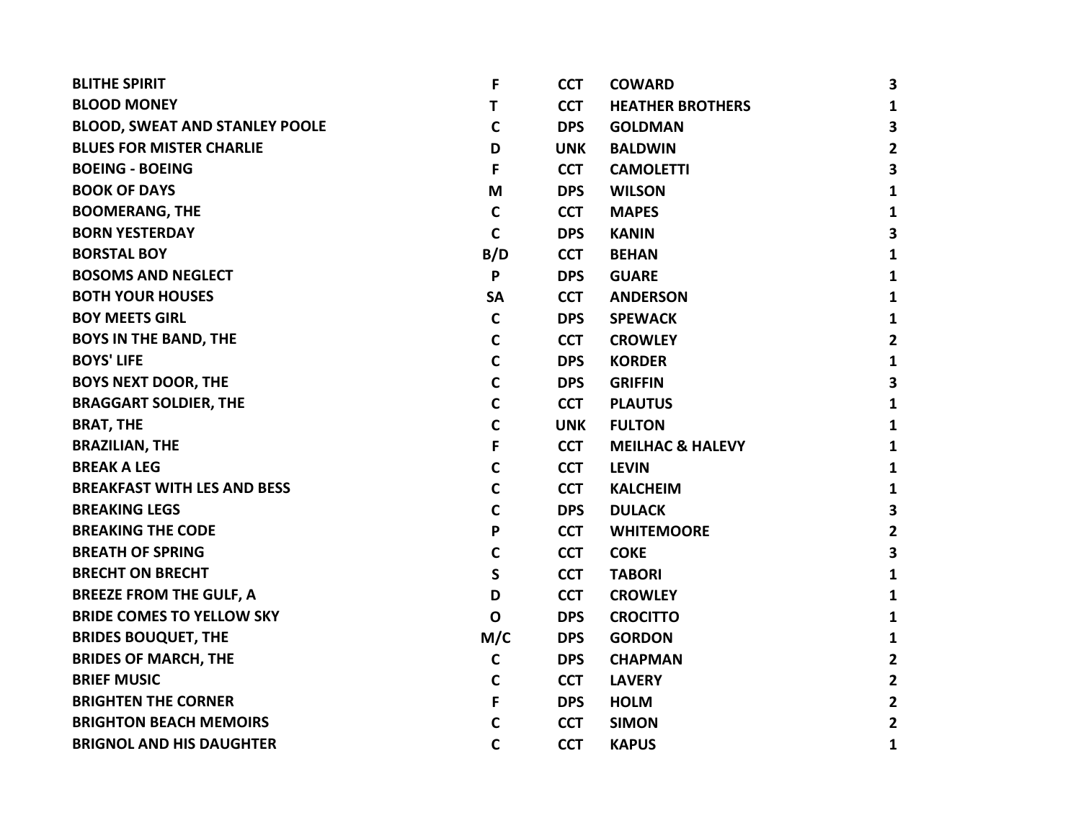| <b>BLITHE SPIRIT</b>                  | F            | <b>CCT</b> | <b>COWARD</b>               | 3                       |
|---------------------------------------|--------------|------------|-----------------------------|-------------------------|
| <b>BLOOD MONEY</b>                    | Τ            | <b>CCT</b> | <b>HEATHER BROTHERS</b>     | $\mathbf{1}$            |
| <b>BLOOD, SWEAT AND STANLEY POOLE</b> | $\mathsf{C}$ | <b>DPS</b> | <b>GOLDMAN</b>              | 3                       |
| <b>BLUES FOR MISTER CHARLIE</b>       | D            | <b>UNK</b> | <b>BALDWIN</b>              | $\mathbf{2}$            |
| <b>BOEING - BOEING</b>                | F            | <b>CCT</b> | <b>CAMOLETTI</b>            | 3                       |
| <b>BOOK OF DAYS</b>                   | M            | <b>DPS</b> | <b>WILSON</b>               | $\mathbf{1}$            |
| <b>BOOMERANG, THE</b>                 | $\mathbf C$  | <b>CCT</b> | <b>MAPES</b>                | $\mathbf{1}$            |
| <b>BORN YESTERDAY</b>                 | C            | <b>DPS</b> | <b>KANIN</b>                | 3                       |
| <b>BORSTAL BOY</b>                    | B/D          | <b>CCT</b> | <b>BEHAN</b>                | $\mathbf{1}$            |
| <b>BOSOMS AND NEGLECT</b>             | P            | <b>DPS</b> | <b>GUARE</b>                | $\mathbf{1}$            |
| <b>BOTH YOUR HOUSES</b>               | <b>SA</b>    | <b>CCT</b> | <b>ANDERSON</b>             | 1                       |
| <b>BOY MEETS GIRL</b>                 | $\mathbf C$  | <b>DPS</b> | <b>SPEWACK</b>              | $\mathbf{1}$            |
| <b>BOYS IN THE BAND, THE</b>          | C            | <b>CCT</b> | <b>CROWLEY</b>              | $\overline{2}$          |
| <b>BOYS' LIFE</b>                     | C            | <b>DPS</b> | <b>KORDER</b>               | $\mathbf{1}$            |
| <b>BOYS NEXT DOOR, THE</b>            | C            | <b>DPS</b> | <b>GRIFFIN</b>              | $\overline{\mathbf{3}}$ |
| <b>BRAGGART SOLDIER, THE</b>          | C            | <b>CCT</b> | <b>PLAUTUS</b>              | $\mathbf{1}$            |
| <b>BRAT, THE</b>                      | C            | <b>UNK</b> | <b>FULTON</b>               | $\mathbf{1}$            |
| <b>BRAZILIAN, THE</b>                 | F            | <b>CCT</b> | <b>MEILHAC &amp; HALEVY</b> | $\mathbf{1}$            |
| <b>BREAK A LEG</b>                    | C            | <b>CCT</b> | <b>LEVIN</b>                | $\mathbf{1}$            |
| <b>BREAKFAST WITH LES AND BESS</b>    | C            | <b>CCT</b> | <b>KALCHEIM</b>             | $\mathbf{1}$            |
| <b>BREAKING LEGS</b>                  | C            | <b>DPS</b> | <b>DULACK</b>               | 3                       |
| <b>BREAKING THE CODE</b>              | P            | <b>CCT</b> | <b>WHITEMOORE</b>           | $\overline{2}$          |
| <b>BREATH OF SPRING</b>               | C            | <b>CCT</b> | <b>COKE</b>                 | 3                       |
| <b>BRECHT ON BRECHT</b>               | S            | <b>CCT</b> | <b>TABORI</b>               | $\mathbf{1}$            |
| <b>BREEZE FROM THE GULF, A</b>        | D            | <b>CCT</b> | <b>CROWLEY</b>              | $\mathbf{1}$            |
| <b>BRIDE COMES TO YELLOW SKY</b>      | $\mathbf O$  | <b>DPS</b> | <b>CROCITTO</b>             | $\mathbf{1}$            |
| <b>BRIDES BOUQUET, THE</b>            | M/C          | <b>DPS</b> | <b>GORDON</b>               | $\mathbf{1}$            |
| <b>BRIDES OF MARCH, THE</b>           | $\mathbf C$  | <b>DPS</b> | <b>CHAPMAN</b>              | $\overline{2}$          |
| <b>BRIEF MUSIC</b>                    | C            | <b>CCT</b> | <b>LAVERY</b>               | $\mathbf{2}$            |
| <b>BRIGHTEN THE CORNER</b>            | F            | <b>DPS</b> | <b>HOLM</b>                 | $\mathbf{2}$            |
| <b>BRIGHTON BEACH MEMOIRS</b>         | C            | <b>CCT</b> | <b>SIMON</b>                | $\mathbf{2}$            |
| <b>BRIGNOL AND HIS DAUGHTER</b>       | C            | <b>CCT</b> | <b>KAPUS</b>                | 1                       |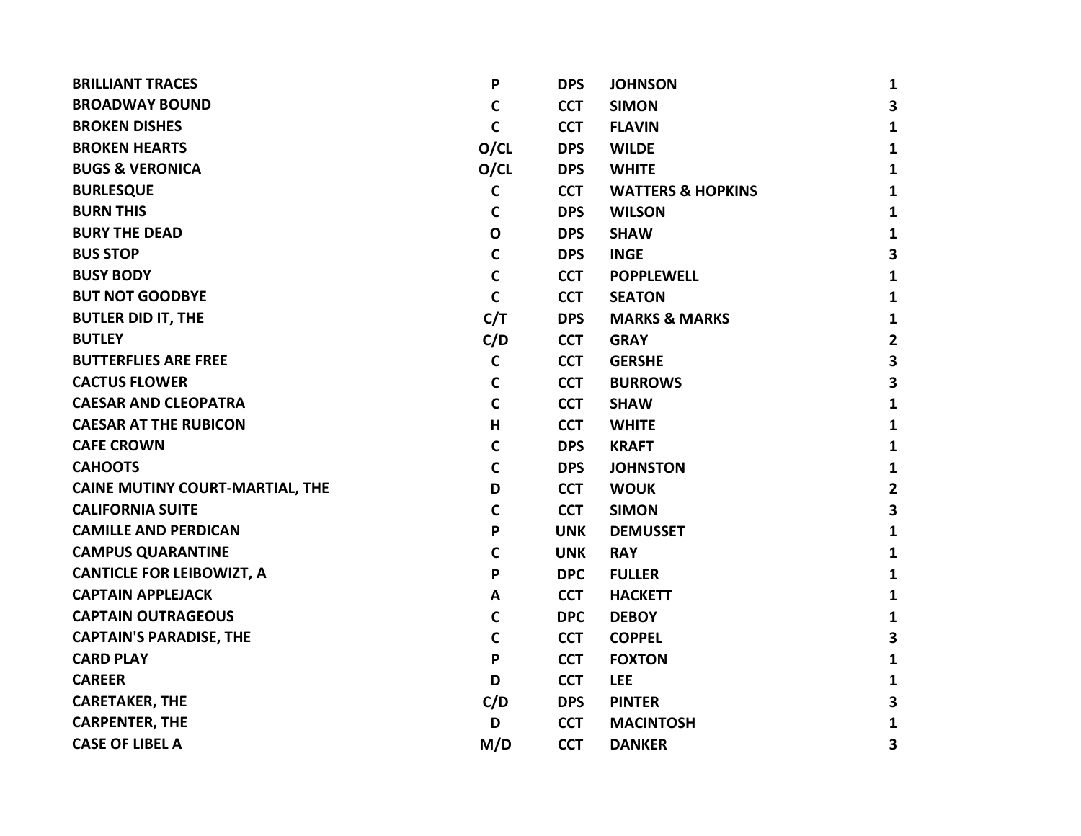| <b>BRILLIANT TRACES</b>                | P            | <b>DPS</b> | <b>JOHNSON</b>               | 1                       |
|----------------------------------------|--------------|------------|------------------------------|-------------------------|
| <b>BROADWAY BOUND</b>                  | C            | <b>CCT</b> | <b>SIMON</b>                 | 3                       |
| <b>BROKEN DISHES</b>                   | $\mathbf C$  | <b>CCT</b> | <b>FLAVIN</b>                | $\mathbf{1}$            |
| <b>BROKEN HEARTS</b>                   | O/CL         | <b>DPS</b> | <b>WILDE</b>                 | $\mathbf{1}$            |
| <b>BUGS &amp; VERONICA</b>             | O/CL         | <b>DPS</b> | <b>WHITE</b>                 | $\mathbf{1}$            |
| <b>BURLESQUE</b>                       | $\mathbf C$  | <b>CCT</b> | <b>WATTERS &amp; HOPKINS</b> | $\mathbf{1}$            |
| <b>BURN THIS</b>                       | C            | <b>DPS</b> | <b>WILSON</b>                | $\mathbf{1}$            |
| <b>BURY THE DEAD</b>                   | $\mathbf 0$  | <b>DPS</b> | <b>SHAW</b>                  | $\mathbf{1}$            |
| <b>BUS STOP</b>                        | $\mathsf{C}$ | <b>DPS</b> | <b>INGE</b>                  | $\overline{\mathbf{3}}$ |
| <b>BUSY BODY</b>                       | $\mathsf{C}$ | <b>CCT</b> | <b>POPPLEWELL</b>            | $\mathbf{1}$            |
| <b>BUT NOT GOODBYE</b>                 | $\mathbf C$  | <b>CCT</b> | <b>SEATON</b>                | $\mathbf{1}$            |
| <b>BUTLER DID IT, THE</b>              | C/T          | <b>DPS</b> | <b>MARKS &amp; MARKS</b>     | $\mathbf{1}$            |
| <b>BUTLEY</b>                          | C/D          | <b>CCT</b> | <b>GRAY</b>                  | $\mathbf{2}$            |
| <b>BUTTERFLIES ARE FREE</b>            | $\mathbf C$  | <b>CCT</b> | <b>GERSHE</b>                | 3                       |
| <b>CACTUS FLOWER</b>                   | $\mathbf C$  | <b>CCT</b> | <b>BURROWS</b>               | $\overline{\mathbf{3}}$ |
| <b>CAESAR AND CLEOPATRA</b>            | $\mathbf C$  | <b>CCT</b> | <b>SHAW</b>                  | $\mathbf{1}$            |
| <b>CAESAR AT THE RUBICON</b>           | н            | <b>CCT</b> | <b>WHITE</b>                 | $\mathbf{1}$            |
| <b>CAFE CROWN</b>                      | C            | <b>DPS</b> | <b>KRAFT</b>                 | $\mathbf{1}$            |
| <b>CAHOOTS</b>                         | $\mathbf C$  | <b>DPS</b> | <b>JOHNSTON</b>              | $\mathbf{1}$            |
| <b>CAINE MUTINY COURT-MARTIAL, THE</b> | D            | <b>CCT</b> | <b>WOUK</b>                  | $\mathbf{2}$            |
| <b>CALIFORNIA SUITE</b>                | C            | <b>CCT</b> | <b>SIMON</b>                 | $\overline{\mathbf{3}}$ |
| <b>CAMILLE AND PERDICAN</b>            | P            | <b>UNK</b> | <b>DEMUSSET</b>              | $\mathbf{1}$            |
| <b>CAMPUS QUARANTINE</b>               | C            | <b>UNK</b> | <b>RAY</b>                   | $\mathbf{1}$            |
| <b>CANTICLE FOR LEIBOWIZT, A</b>       | P            | <b>DPC</b> | <b>FULLER</b>                | $\mathbf{1}$            |
| <b>CAPTAIN APPLEJACK</b>               | A            | <b>CCT</b> | <b>HACKETT</b>               | $\mathbf{1}$            |
| <b>CAPTAIN OUTRAGEOUS</b>              | $\mathbf C$  | <b>DPC</b> | <b>DEBOY</b>                 | $\mathbf{1}$            |
| <b>CAPTAIN'S PARADISE, THE</b>         | $\mathsf{C}$ | <b>CCT</b> | <b>COPPEL</b>                | $\overline{\mathbf{3}}$ |
| <b>CARD PLAY</b>                       | P            | <b>CCT</b> | <b>FOXTON</b>                | $\mathbf{1}$            |
| <b>CAREER</b>                          | D            | <b>CCT</b> | <b>LEE</b>                   | $\mathbf{1}$            |
| <b>CARETAKER, THE</b>                  | C/D          | <b>DPS</b> | <b>PINTER</b>                | 3                       |
| <b>CARPENTER, THE</b>                  | D            | <b>CCT</b> | <b>MACINTOSH</b>             | 1                       |
| <b>CASE OF LIBEL A</b>                 | M/D          | <b>CCT</b> | <b>DANKER</b>                | 3                       |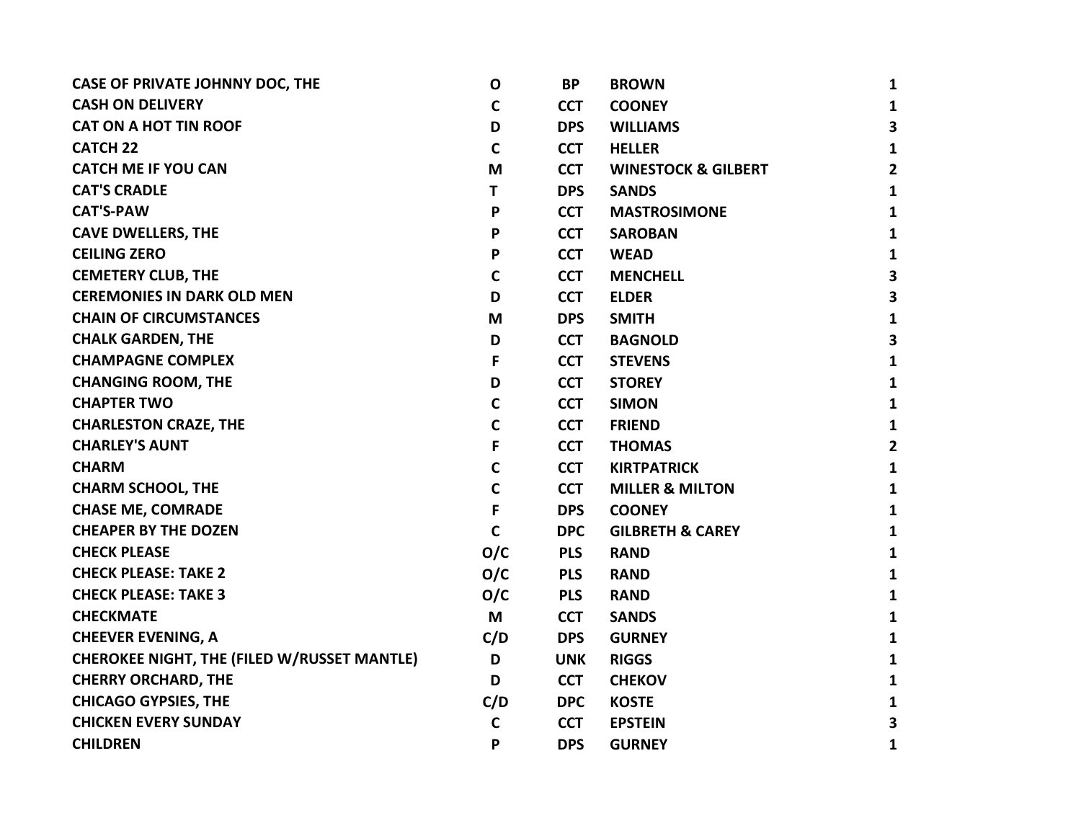| <b>CASE OF PRIVATE JOHNNY DOC, THE</b>             | $\mathbf O$  | <b>BP</b>  | <b>BROWN</b>                   | $\mathbf{1}$            |
|----------------------------------------------------|--------------|------------|--------------------------------|-------------------------|
| <b>CASH ON DELIVERY</b>                            | $\mathbf c$  | <b>CCT</b> | <b>COONEY</b>                  | $\mathbf{1}$            |
| <b>CAT ON A HOT TIN ROOF</b>                       | D            | <b>DPS</b> | <b>WILLIAMS</b>                | $\overline{\mathbf{3}}$ |
| <b>CATCH 22</b>                                    | $\mathbf c$  | <b>CCT</b> | <b>HELLER</b>                  | $\mathbf{1}$            |
| <b>CATCH ME IF YOU CAN</b>                         | M            | <b>CCT</b> | <b>WINESTOCK &amp; GILBERT</b> | $\overline{2}$          |
| <b>CAT'S CRADLE</b>                                | T            | <b>DPS</b> | <b>SANDS</b>                   | $\mathbf{1}$            |
| <b>CAT'S-PAW</b>                                   | P            | <b>CCT</b> | <b>MASTROSIMONE</b>            | $\mathbf{1}$            |
| <b>CAVE DWELLERS, THE</b>                          | P            | <b>CCT</b> | <b>SAROBAN</b>                 | $\mathbf{1}$            |
| <b>CEILING ZERO</b>                                | P            | <b>CCT</b> | <b>WEAD</b>                    | $\mathbf{1}$            |
| <b>CEMETERY CLUB, THE</b>                          | $\mathbf c$  | <b>CCT</b> | <b>MENCHELL</b>                | $\overline{\mathbf{3}}$ |
| <b>CEREMONIES IN DARK OLD MEN</b>                  | D            | <b>CCT</b> | <b>ELDER</b>                   | 3                       |
| <b>CHAIN OF CIRCUMSTANCES</b>                      | M            | <b>DPS</b> | <b>SMITH</b>                   | $\mathbf{1}$            |
| <b>CHALK GARDEN, THE</b>                           | D            | <b>CCT</b> | <b>BAGNOLD</b>                 | $\overline{\mathbf{3}}$ |
| <b>CHAMPAGNE COMPLEX</b>                           | F            | <b>CCT</b> | <b>STEVENS</b>                 | $\mathbf{1}$            |
| <b>CHANGING ROOM, THE</b>                          | D            | <b>CCT</b> | <b>STOREY</b>                  | $\mathbf{1}$            |
| <b>CHAPTER TWO</b>                                 | $\mathbf c$  | <b>CCT</b> | <b>SIMON</b>                   | $\mathbf{1}$            |
| <b>CHARLESTON CRAZE, THE</b>                       | C            | <b>CCT</b> | <b>FRIEND</b>                  | $\mathbf{1}$            |
| <b>CHARLEY'S AUNT</b>                              | F            | <b>CCT</b> | <b>THOMAS</b>                  | $\overline{2}$          |
| <b>CHARM</b>                                       | $\mathsf{C}$ | <b>CCT</b> | <b>KIRTPATRICK</b>             | $\mathbf{1}$            |
| <b>CHARM SCHOOL, THE</b>                           | $\mathbf c$  | <b>CCT</b> | <b>MILLER &amp; MILTON</b>     | $\mathbf{1}$            |
| <b>CHASE ME, COMRADE</b>                           | F            | <b>DPS</b> | <b>COONEY</b>                  | $\mathbf{1}$            |
| <b>CHEAPER BY THE DOZEN</b>                        | $\mathbf C$  | <b>DPC</b> | <b>GILBRETH &amp; CAREY</b>    | $\mathbf{1}$            |
| <b>CHECK PLEASE</b>                                | O/C          | <b>PLS</b> | <b>RAND</b>                    | $\mathbf{1}$            |
| <b>CHECK PLEASE: TAKE 2</b>                        | O/C          | <b>PLS</b> | <b>RAND</b>                    | $\mathbf{1}$            |
| <b>CHECK PLEASE: TAKE 3</b>                        | O/C          | <b>PLS</b> | <b>RAND</b>                    | $\mathbf{1}$            |
| <b>CHECKMATE</b>                                   | M            | <b>CCT</b> | <b>SANDS</b>                   | $\mathbf{1}$            |
| <b>CHEEVER EVENING, A</b>                          | C/D          | <b>DPS</b> | <b>GURNEY</b>                  | $\mathbf{1}$            |
| <b>CHEROKEE NIGHT, THE (FILED W/RUSSET MANTLE)</b> | D            | <b>UNK</b> | <b>RIGGS</b>                   | $\mathbf{1}$            |
| <b>CHERRY ORCHARD, THE</b>                         | D            | <b>CCT</b> | <b>CHEKOV</b>                  | $\mathbf{1}$            |
| <b>CHICAGO GYPSIES, THE</b>                        | C/D          | <b>DPC</b> | <b>KOSTE</b>                   | $\mathbf{1}$            |
| <b>CHICKEN EVERY SUNDAY</b>                        | $\mathbf c$  | <b>CCT</b> | <b>EPSTEIN</b>                 | 3                       |
| <b>CHILDREN</b>                                    | P            | <b>DPS</b> | <b>GURNEY</b>                  | 1                       |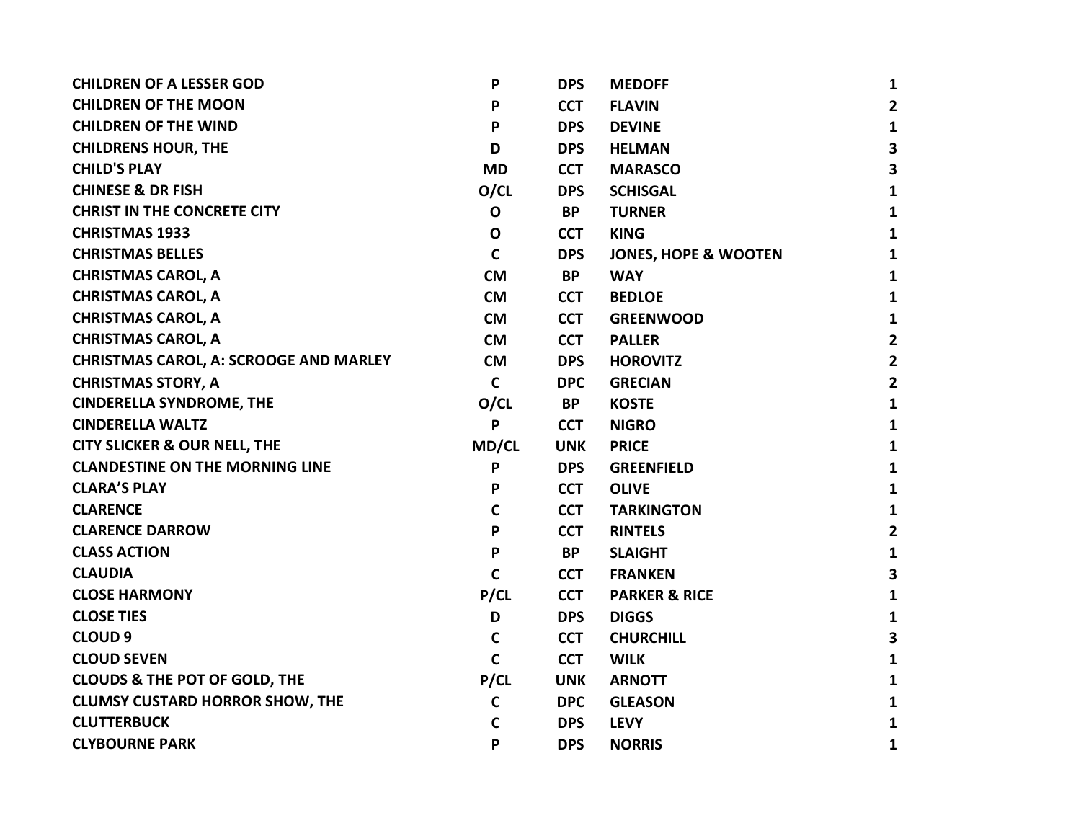| <b>CHILDREN OF A LESSER GOD</b>               | P            | <b>DPS</b> | <b>MEDOFF</b>                   | $\mathbf{1}$            |
|-----------------------------------------------|--------------|------------|---------------------------------|-------------------------|
| <b>CHILDREN OF THE MOON</b>                   | P            | <b>CCT</b> | <b>FLAVIN</b>                   | $\overline{2}$          |
| <b>CHILDREN OF THE WIND</b>                   | P            | <b>DPS</b> | <b>DEVINE</b>                   | $\mathbf{1}$            |
| <b>CHILDRENS HOUR, THE</b>                    | D            | <b>DPS</b> | <b>HELMAN</b>                   | $\overline{\mathbf{3}}$ |
| <b>CHILD'S PLAY</b>                           | <b>MD</b>    | <b>CCT</b> | <b>MARASCO</b>                  | $\overline{\mathbf{3}}$ |
| <b>CHINESE &amp; DR FISH</b>                  | O/CL         | <b>DPS</b> | <b>SCHISGAL</b>                 | $\mathbf{1}$            |
| <b>CHRIST IN THE CONCRETE CITY</b>            | $\mathbf{o}$ | <b>BP</b>  | <b>TURNER</b>                   | $\mathbf{1}$            |
| <b>CHRISTMAS 1933</b>                         | $\mathbf 0$  | <b>CCT</b> | <b>KING</b>                     | $\mathbf{1}$            |
| <b>CHRISTMAS BELLES</b>                       | $\mathbf C$  | <b>DPS</b> | <b>JONES, HOPE &amp; WOOTEN</b> | $\mathbf{1}$            |
| <b>CHRISTMAS CAROL, A</b>                     | <b>CM</b>    | <b>BP</b>  | <b>WAY</b>                      | $\mathbf{1}$            |
| <b>CHRISTMAS CAROL, A</b>                     | <b>CM</b>    | <b>CCT</b> | <b>BEDLOE</b>                   | $\mathbf{1}$            |
| <b>CHRISTMAS CAROL, A</b>                     | <b>CM</b>    | <b>CCT</b> | <b>GREENWOOD</b>                | $\mathbf{1}$            |
| <b>CHRISTMAS CAROL, A</b>                     | <b>CM</b>    | <b>CCT</b> | <b>PALLER</b>                   | $\overline{2}$          |
| <b>CHRISTMAS CAROL, A: SCROOGE AND MARLEY</b> | <b>CM</b>    | <b>DPS</b> | <b>HOROVITZ</b>                 | $\mathbf{2}$            |
| <b>CHRISTMAS STORY, A</b>                     | $\mathsf{C}$ | <b>DPC</b> | <b>GRECIAN</b>                  | $\overline{2}$          |
| <b>CINDERELLA SYNDROME, THE</b>               | O/CL         | <b>BP</b>  | <b>KOSTE</b>                    | $\mathbf{1}$            |
| <b>CINDERELLA WALTZ</b>                       | P            | <b>CCT</b> | <b>NIGRO</b>                    | $\mathbf{1}$            |
| <b>CITY SLICKER &amp; OUR NELL, THE</b>       | <b>MD/CL</b> | <b>UNK</b> | <b>PRICE</b>                    | $\mathbf{1}$            |
| <b>CLANDESTINE ON THE MORNING LINE</b>        | P            | <b>DPS</b> | <b>GREENFIELD</b>               | $\mathbf{1}$            |
| <b>CLARA'S PLAY</b>                           | P            | <b>CCT</b> | <b>OLIVE</b>                    | $\mathbf{1}$            |
| <b>CLARENCE</b>                               | $\mathbf C$  | <b>CCT</b> | <b>TARKINGTON</b>               | $\mathbf{1}$            |
| <b>CLARENCE DARROW</b>                        | P            | <b>CCT</b> | <b>RINTELS</b>                  | $\overline{2}$          |
| <b>CLASS ACTION</b>                           | P            | <b>BP</b>  | <b>SLAIGHT</b>                  | $\mathbf{1}$            |
| <b>CLAUDIA</b>                                | $\mathbf C$  | <b>CCT</b> | <b>FRANKEN</b>                  | $\overline{\mathbf{3}}$ |
| <b>CLOSE HARMONY</b>                          | P/CL         | <b>CCT</b> | <b>PARKER &amp; RICE</b>        | $\mathbf{1}$            |
| <b>CLOSE TIES</b>                             | D            | <b>DPS</b> | <b>DIGGS</b>                    | $\mathbf{1}$            |
| <b>CLOUD 9</b>                                | $\mathbf c$  | <b>CCT</b> | <b>CHURCHILL</b>                | $\overline{\mathbf{3}}$ |
| <b>CLOUD SEVEN</b>                            | $\mathbf c$  | <b>CCT</b> | <b>WILK</b>                     | $\mathbf{1}$            |
| <b>CLOUDS &amp; THE POT OF GOLD, THE</b>      | P/CL         | <b>UNK</b> | <b>ARNOTT</b>                   | $\mathbf{1}$            |
| <b>CLUMSY CUSTARD HORROR SHOW, THE</b>        | C            | <b>DPC</b> | <b>GLEASON</b>                  | $\mathbf{1}$            |
| <b>CLUTTERBUCK</b>                            | C            | <b>DPS</b> | <b>LEVY</b>                     | $\mathbf{1}$            |
| <b>CLYBOURNE PARK</b>                         | P            | <b>DPS</b> | <b>NORRIS</b>                   | 1                       |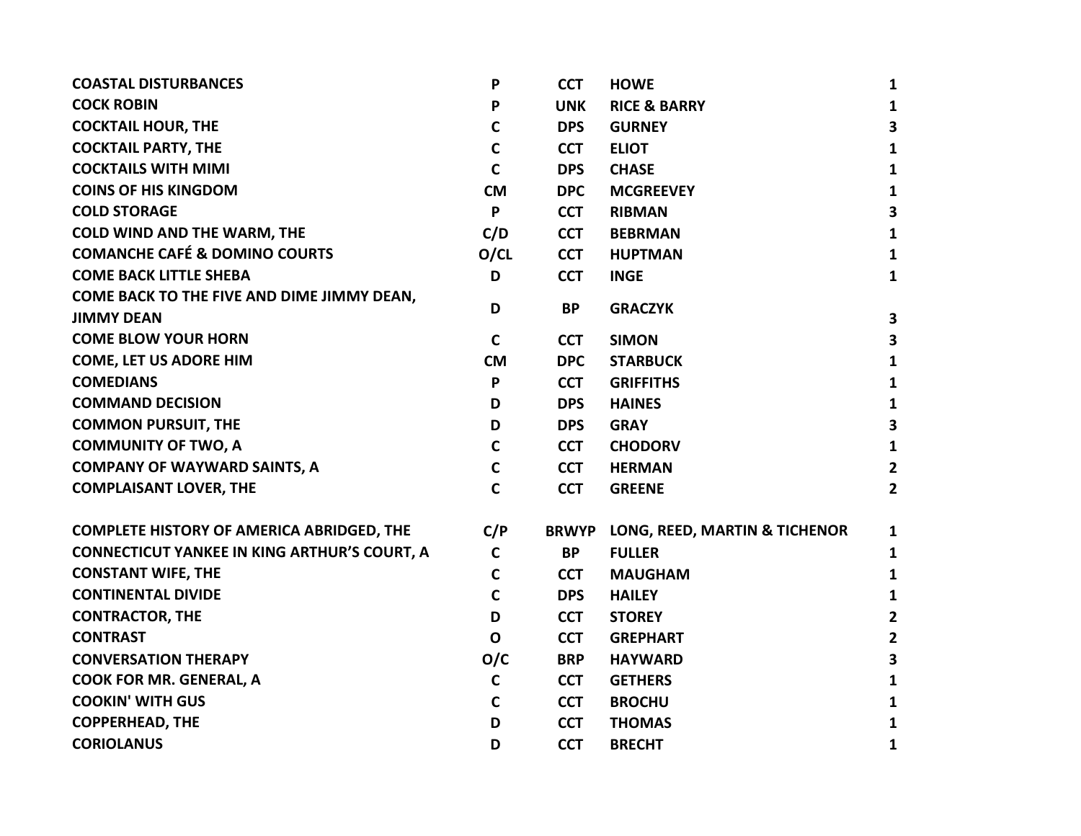| <b>COASTAL DISTURBANCES</b>                                     | P            | <b>CCT</b>   | <b>HOWE</b>                   | 1                       |
|-----------------------------------------------------------------|--------------|--------------|-------------------------------|-------------------------|
| <b>COCK ROBIN</b>                                               | P            | <b>UNK</b>   | <b>RICE &amp; BARRY</b>       | 1                       |
| <b>COCKTAIL HOUR, THE</b>                                       | $\mathsf{C}$ | <b>DPS</b>   | <b>GURNEY</b>                 | 3                       |
| <b>COCKTAIL PARTY, THE</b>                                      | $\mathbf C$  | <b>CCT</b>   | <b>ELIOT</b>                  | 1                       |
| <b>COCKTAILS WITH MIMI</b>                                      | $\mathbf C$  | <b>DPS</b>   | <b>CHASE</b>                  | 1                       |
| <b>COINS OF HIS KINGDOM</b>                                     | <b>CM</b>    | <b>DPC</b>   | <b>MCGREEVEY</b>              | 1                       |
| <b>COLD STORAGE</b>                                             | P            | <b>CCT</b>   | <b>RIBMAN</b>                 | $\overline{\mathbf{3}}$ |
| <b>COLD WIND AND THE WARM, THE</b>                              | C/D          | <b>CCT</b>   | <b>BEBRMAN</b>                | 1                       |
| <b>COMANCHE CAFÉ &amp; DOMINO COURTS</b>                        | O/CL         | <b>CCT</b>   | <b>HUPTMAN</b>                | $\mathbf{1}$            |
| <b>COME BACK LITTLE SHEBA</b>                                   | D            | <b>CCT</b>   | <b>INGE</b>                   | 1                       |
| COME BACK TO THE FIVE AND DIME JIMMY DEAN,<br><b>JIMMY DEAN</b> | D            | <b>BP</b>    | <b>GRACZYK</b>                | $\overline{\mathbf{3}}$ |
| <b>COME BLOW YOUR HORN</b>                                      | $\mathsf{C}$ | <b>CCT</b>   | <b>SIMON</b>                  | 3                       |
| <b>COME, LET US ADORE HIM</b>                                   | <b>CM</b>    | <b>DPC</b>   | <b>STARBUCK</b>               | 1                       |
| <b>COMEDIANS</b>                                                | P            | <b>CCT</b>   | <b>GRIFFITHS</b>              | $\mathbf{1}$            |
| <b>COMMAND DECISION</b>                                         | D            | <b>DPS</b>   | <b>HAINES</b>                 | 1                       |
| <b>COMMON PURSUIT, THE</b>                                      | D            | <b>DPS</b>   | <b>GRAY</b>                   | 3                       |
| <b>COMMUNITY OF TWO, A</b>                                      | $\mathsf{C}$ | <b>CCT</b>   | <b>CHODORV</b>                | 1                       |
| <b>COMPANY OF WAYWARD SAINTS, A</b>                             | $\mathsf{C}$ | <b>CCT</b>   | <b>HERMAN</b>                 | $\mathbf{2}$            |
| <b>COMPLAISANT LOVER, THE</b>                                   | $\mathbf C$  | <b>CCT</b>   | <b>GREENE</b>                 | $\mathbf{2}$            |
| <b>COMPLETE HISTORY OF AMERICA ABRIDGED, THE</b>                | C/P          | <b>BRWYP</b> | LONG, REED, MARTIN & TICHENOR | 1                       |
| <b>CONNECTICUT YANKEE IN KING ARTHUR'S COURT, A</b>             | $\mathsf{C}$ | <b>BP</b>    | <b>FULLER</b>                 | 1                       |
| <b>CONSTANT WIFE, THE</b>                                       | $\mathbf C$  | <b>CCT</b>   | <b>MAUGHAM</b>                | $\mathbf{1}$            |
| <b>CONTINENTAL DIVIDE</b>                                       | $\mathbf C$  | <b>DPS</b>   | <b>HAILEY</b>                 | $\mathbf{1}$            |
| <b>CONTRACTOR, THE</b>                                          | D            | <b>CCT</b>   | <b>STOREY</b>                 | $\mathbf{2}$            |
| <b>CONTRAST</b>                                                 | $\mathbf{o}$ | <b>CCT</b>   | <b>GREPHART</b>               | $\mathbf{2}$            |
| <b>CONVERSATION THERAPY</b>                                     | O/C          | <b>BRP</b>   | <b>HAYWARD</b>                | 3                       |
| <b>COOK FOR MR. GENERAL, A</b>                                  | $\mathbf C$  | <b>CCT</b>   | <b>GETHERS</b>                | 1                       |
| <b>COOKIN' WITH GUS</b>                                         | $\mathsf{C}$ | <b>CCT</b>   | <b>BROCHU</b>                 | 1                       |
| <b>COPPERHEAD, THE</b>                                          | D            | <b>CCT</b>   | <b>THOMAS</b>                 | 1                       |
| <b>CORIOLANUS</b>                                               | D            | <b>CCT</b>   | <b>BRECHT</b>                 | 1                       |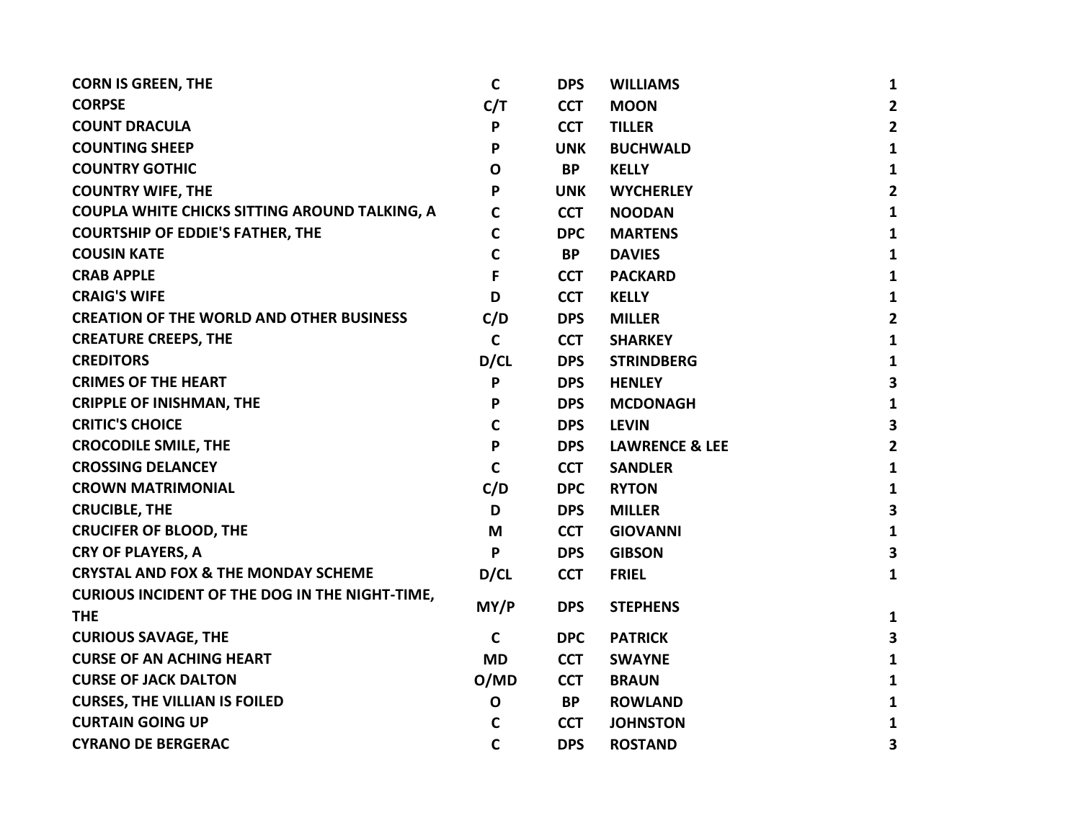| <b>CORN IS GREEN, THE</b>                             | $\mathbf C$  | <b>DPS</b> | <b>WILLIAMS</b>           | 1                       |
|-------------------------------------------------------|--------------|------------|---------------------------|-------------------------|
| <b>CORPSE</b>                                         | C/T          | <b>CCT</b> | <b>MOON</b>               | $\overline{2}$          |
| <b>COUNT DRACULA</b>                                  | P            | <b>CCT</b> | <b>TILLER</b>             | $\overline{2}$          |
| <b>COUNTING SHEEP</b>                                 | P            | <b>UNK</b> | <b>BUCHWALD</b>           | $\mathbf{1}$            |
| <b>COUNTRY GOTHIC</b>                                 | $\mathbf{o}$ | <b>BP</b>  | <b>KELLY</b>              | 1                       |
| <b>COUNTRY WIFE, THE</b>                              | P            | <b>UNK</b> | <b>WYCHERLEY</b>          | $\overline{2}$          |
| COUPLA WHITE CHICKS SITTING AROUND TALKING, A         | $\mathbf C$  | <b>CCT</b> | <b>NOODAN</b>             | $\mathbf{1}$            |
| <b>COURTSHIP OF EDDIE'S FATHER, THE</b>               | $\mathsf{C}$ | <b>DPC</b> | <b>MARTENS</b>            | 1                       |
| <b>COUSIN KATE</b>                                    | $\mathsf{C}$ | <b>BP</b>  | <b>DAVIES</b>             | $\mathbf{1}$            |
| <b>CRAB APPLE</b>                                     | F            | <b>CCT</b> | <b>PACKARD</b>            | $\mathbf{1}$            |
| <b>CRAIG'S WIFE</b>                                   | D            | <b>CCT</b> | <b>KELLY</b>              | $\mathbf{1}$            |
| <b>CREATION OF THE WORLD AND OTHER BUSINESS</b>       | C/D          | <b>DPS</b> | <b>MILLER</b>             | $\overline{2}$          |
| <b>CREATURE CREEPS, THE</b>                           | $\mathbf C$  | <b>CCT</b> | <b>SHARKEY</b>            | $\mathbf{1}$            |
| <b>CREDITORS</b>                                      | D/CL         | <b>DPS</b> | <b>STRINDBERG</b>         | $\mathbf{1}$            |
| <b>CRIMES OF THE HEART</b>                            | P            | <b>DPS</b> | <b>HENLEY</b>             | $\overline{\mathbf{3}}$ |
| <b>CRIPPLE OF INISHMAN, THE</b>                       | P            | <b>DPS</b> | <b>MCDONAGH</b>           | $\mathbf{1}$            |
| <b>CRITIC'S CHOICE</b>                                | $\mathbf c$  | <b>DPS</b> | <b>LEVIN</b>              | 3                       |
| <b>CROCODILE SMILE, THE</b>                           | P            | <b>DPS</b> | <b>LAWRENCE &amp; LEE</b> | $\overline{2}$          |
| <b>CROSSING DELANCEY</b>                              | $\mathbf C$  | <b>CCT</b> | <b>SANDLER</b>            | $\mathbf{1}$            |
| <b>CROWN MATRIMONIAL</b>                              | C/D          | <b>DPC</b> | <b>RYTON</b>              | $\mathbf{1}$            |
| <b>CRUCIBLE, THE</b>                                  | D            | <b>DPS</b> | <b>MILLER</b>             | $\mathbf{3}$            |
| <b>CRUCIFER OF BLOOD, THE</b>                         | M            | <b>CCT</b> | <b>GIOVANNI</b>           | $\mathbf{1}$            |
| <b>CRY OF PLAYERS, A</b>                              | P            | <b>DPS</b> | <b>GIBSON</b>             | $\overline{\mathbf{3}}$ |
| <b>CRYSTAL AND FOX &amp; THE MONDAY SCHEME</b>        | D/CL         | <b>CCT</b> | <b>FRIEL</b>              | 1                       |
| <b>CURIOUS INCIDENT OF THE DOG IN THE NIGHT-TIME,</b> |              |            |                           |                         |
| <b>THE</b>                                            | MY/P         | <b>DPS</b> | <b>STEPHENS</b>           | $\mathbf{1}$            |
| <b>CURIOUS SAVAGE, THE</b>                            | $\mathbf C$  | <b>DPC</b> | <b>PATRICK</b>            | $\mathbf{3}$            |
| <b>CURSE OF AN ACHING HEART</b>                       | <b>MD</b>    | <b>CCT</b> | <b>SWAYNE</b>             | 1                       |
| <b>CURSE OF JACK DALTON</b>                           | O/MD         | <b>CCT</b> | <b>BRAUN</b>              | $\mathbf{1}$            |
| <b>CURSES, THE VILLIAN IS FOILED</b>                  | $\mathbf{o}$ | <b>BP</b>  | <b>ROWLAND</b>            | 1                       |
| <b>CURTAIN GOING UP</b>                               | $\mathbf c$  | <b>CCT</b> | <b>JOHNSTON</b>           | $\mathbf{1}$            |
| <b>CYRANO DE BERGERAC</b>                             | $\mathbf C$  | <b>DPS</b> | <b>ROSTAND</b>            | 3                       |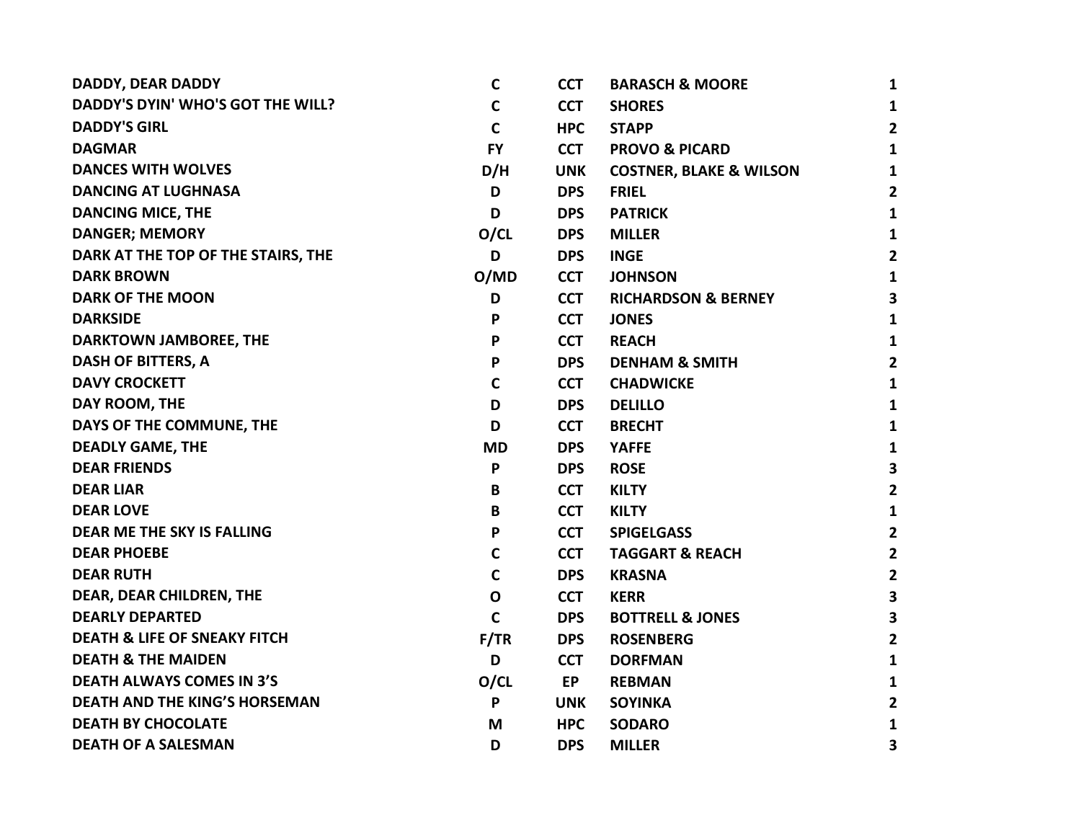| DADDY, DEAR DADDY                        | $\mathsf{C}$ | <b>CCT</b> | <b>BARASCH &amp; MOORE</b>         | 1              |
|------------------------------------------|--------------|------------|------------------------------------|----------------|
| <b>DADDY'S DYIN' WHO'S GOT THE WILL?</b> | $\mathsf{C}$ | <b>CCT</b> | <b>SHORES</b>                      | 1              |
| <b>DADDY'S GIRL</b>                      | $\mathsf{C}$ | <b>HPC</b> | <b>STAPP</b>                       | $2^{\circ}$    |
| <b>DAGMAR</b>                            | <b>FY</b>    | <b>CCT</b> | <b>PROVO &amp; PICARD</b>          | $\mathbf{1}$   |
| <b>DANCES WITH WOLVES</b>                | D/H          | <b>UNK</b> | <b>COSTNER, BLAKE &amp; WILSON</b> | 1              |
| <b>DANCING AT LUGHNASA</b>               | D            | <b>DPS</b> | <b>FRIEL</b>                       | 2              |
| <b>DANCING MICE, THE</b>                 | D            | <b>DPS</b> | <b>PATRICK</b>                     | 1              |
| <b>DANGER; MEMORY</b>                    | O/CL         | <b>DPS</b> | <b>MILLER</b>                      | 1              |
| DARK AT THE TOP OF THE STAIRS, THE       | D            | <b>DPS</b> | <b>INGE</b>                        | $\mathbf{2}$   |
| <b>DARK BROWN</b>                        | O/MD         | <b>CCT</b> | <b>JOHNSON</b>                     | $\mathbf{1}$   |
| <b>DARK OF THE MOON</b>                  | D            | <b>CCT</b> | <b>RICHARDSON &amp; BERNEY</b>     | 3              |
| <b>DARKSIDE</b>                          | P            | <b>CCT</b> | <b>JONES</b>                       | 1              |
| DARKTOWN JAMBOREE, THE                   | P            | <b>CCT</b> | <b>REACH</b>                       | 1              |
| <b>DASH OF BITTERS, A</b>                | P            | <b>DPS</b> | <b>DENHAM &amp; SMITH</b>          | $\mathbf{2}$   |
| <b>DAVY CROCKETT</b>                     | $\mathsf{C}$ | <b>CCT</b> | <b>CHADWICKE</b>                   | $\mathbf{1}$   |
| DAY ROOM, THE                            | D            | <b>DPS</b> | <b>DELILLO</b>                     | $\mathbf{1}$   |
| DAYS OF THE COMMUNE, THE                 | D            | <b>CCT</b> | <b>BRECHT</b>                      | 1              |
| <b>DEADLY GAME, THE</b>                  | <b>MD</b>    | <b>DPS</b> | <b>YAFFE</b>                       | 1              |
| <b>DEAR FRIENDS</b>                      | P            | <b>DPS</b> | <b>ROSE</b>                        | 3              |
| <b>DEAR LIAR</b>                         | B            | <b>CCT</b> | <b>KILTY</b>                       | $\mathbf{2}$   |
| <b>DEAR LOVE</b>                         | B            | <b>CCT</b> | <b>KILTY</b>                       | 1              |
| <b>DEAR ME THE SKY IS FALLING</b>        | P            | <b>CCT</b> | <b>SPIGELGASS</b>                  | $\mathbf{2}$   |
| <b>DEAR PHOEBE</b>                       | $\mathbf C$  | <b>CCT</b> | <b>TAGGART &amp; REACH</b>         | $\overline{2}$ |
| <b>DEAR RUTH</b>                         | $\mathsf{C}$ | <b>DPS</b> | <b>KRASNA</b>                      | $\overline{2}$ |
| DEAR, DEAR CHILDREN, THE                 | $\mathbf o$  | <b>CCT</b> | <b>KERR</b>                        | 3              |
| <b>DEARLY DEPARTED</b>                   | $\mathsf{C}$ | <b>DPS</b> | <b>BOTTRELL &amp; JONES</b>        | 3              |
| <b>DEATH &amp; LIFE OF SNEAKY FITCH</b>  | F/TR         | <b>DPS</b> | <b>ROSENBERG</b>                   | $\mathbf{2}$   |
| <b>DEATH &amp; THE MAIDEN</b>            | D            | <b>CCT</b> | <b>DORFMAN</b>                     | $\mathbf{1}$   |
| <b>DEATH ALWAYS COMES IN 3'S</b>         | O/CL         | <b>EP</b>  | <b>REBMAN</b>                      | 1              |
| <b>DEATH AND THE KING'S HORSEMAN</b>     | P            | <b>UNK</b> | <b>SOYINKA</b>                     | 2              |
| <b>DEATH BY CHOCOLATE</b>                | M            | <b>HPC</b> | <b>SODARO</b>                      | 1              |
| <b>DEATH OF A SALESMAN</b>               | D            | <b>DPS</b> | <b>MILLER</b>                      | 3              |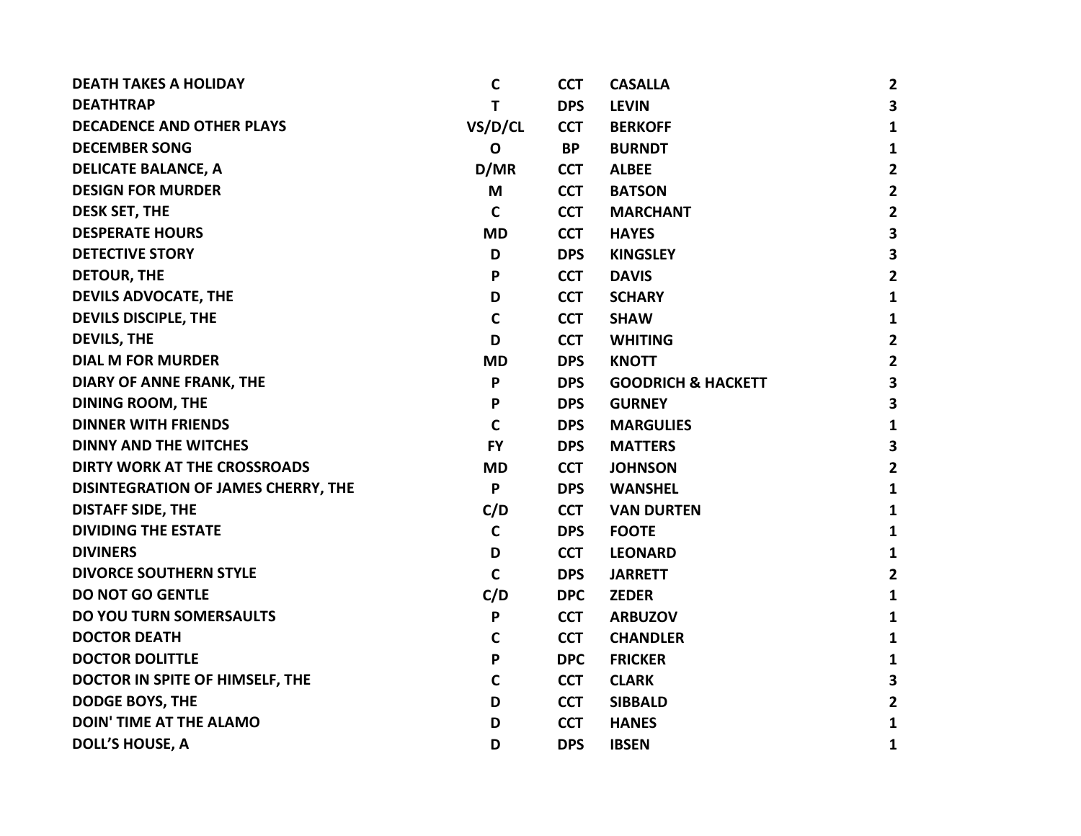| <b>DEATH TAKES A HOLIDAY</b>        | C            | <b>CCT</b> | <b>CASALLA</b>                | $\overline{2}$          |
|-------------------------------------|--------------|------------|-------------------------------|-------------------------|
| <b>DEATHTRAP</b>                    | т            | <b>DPS</b> | <b>LEVIN</b>                  | $\overline{\mathbf{3}}$ |
| <b>DECADENCE AND OTHER PLAYS</b>    | VS/D/CL      | <b>CCT</b> | <b>BERKOFF</b>                | $\mathbf{1}$            |
| <b>DECEMBER SONG</b>                | $\mathbf 0$  | <b>BP</b>  | <b>BURNDT</b>                 | $\mathbf{1}$            |
| <b>DELICATE BALANCE, A</b>          | D/MR         | <b>CCT</b> | <b>ALBEE</b>                  | $\overline{2}$          |
| <b>DESIGN FOR MURDER</b>            | M            | <b>CCT</b> | <b>BATSON</b>                 | $\mathbf{2}$            |
| <b>DESK SET, THE</b>                | C            | <b>CCT</b> | <b>MARCHANT</b>               | $\overline{2}$          |
| <b>DESPERATE HOURS</b>              | <b>MD</b>    | <b>CCT</b> | <b>HAYES</b>                  | $\overline{\mathbf{3}}$ |
| <b>DETECTIVE STORY</b>              | D            | <b>DPS</b> | <b>KINGSLEY</b>               | $\overline{\mathbf{3}}$ |
| <b>DETOUR, THE</b>                  | P            | <b>CCT</b> | <b>DAVIS</b>                  | $\overline{2}$          |
| <b>DEVILS ADVOCATE, THE</b>         | D            | <b>CCT</b> | <b>SCHARY</b>                 | $\mathbf{1}$            |
| <b>DEVILS DISCIPLE, THE</b>         | $\mathbf C$  | <b>CCT</b> | <b>SHAW</b>                   | $\mathbf{1}$            |
| <b>DEVILS, THE</b>                  | D            | <b>CCT</b> | <b>WHITING</b>                | $\overline{2}$          |
| <b>DIAL M FOR MURDER</b>            | <b>MD</b>    | <b>DPS</b> | <b>KNOTT</b>                  | $\overline{2}$          |
| DIARY OF ANNE FRANK, THE            | P            | <b>DPS</b> | <b>GOODRICH &amp; HACKETT</b> | $\mathbf{3}$            |
| <b>DINING ROOM, THE</b>             | P            | <b>DPS</b> | <b>GURNEY</b>                 | $\overline{\mathbf{3}}$ |
| <b>DINNER WITH FRIENDS</b>          | $\mathsf{C}$ | <b>DPS</b> | <b>MARGULIES</b>              | 1                       |
| <b>DINNY AND THE WITCHES</b>        | <b>FY</b>    | <b>DPS</b> | <b>MATTERS</b>                | $\mathbf{3}$            |
| DIRTY WORK AT THE CROSSROADS        | <b>MD</b>    | <b>CCT</b> | <b>JOHNSON</b>                | $\overline{2}$          |
| DISINTEGRATION OF JAMES CHERRY, THE | P            | <b>DPS</b> | <b>WANSHEL</b>                | 1                       |
| <b>DISTAFF SIDE, THE</b>            | C/D          | <b>CCT</b> | <b>VAN DURTEN</b>             | 1                       |
| <b>DIVIDING THE ESTATE</b>          | $\mathbf C$  | <b>DPS</b> | <b>FOOTE</b>                  | 1                       |
| <b>DIVINERS</b>                     | D            | <b>CCT</b> | <b>LEONARD</b>                | 1                       |
| <b>DIVORCE SOUTHERN STYLE</b>       | $\mathbf C$  | <b>DPS</b> | <b>JARRETT</b>                | $\overline{2}$          |
| <b>DO NOT GO GENTLE</b>             | C/D          | <b>DPC</b> | <b>ZEDER</b>                  | 1                       |
| <b>DO YOU TURN SOMERSAULTS</b>      | P            | <b>CCT</b> | <b>ARBUZOV</b>                | 1                       |
| <b>DOCTOR DEATH</b>                 | $\mathbf C$  | <b>CCT</b> | <b>CHANDLER</b>               | 1                       |
| <b>DOCTOR DOLITTLE</b>              | P            | <b>DPC</b> | <b>FRICKER</b>                | 1                       |
| DOCTOR IN SPITE OF HIMSELF, THE     | $\mathbf C$  | <b>CCT</b> | <b>CLARK</b>                  | 3                       |
| <b>DODGE BOYS, THE</b>              | D            | <b>CCT</b> | <b>SIBBALD</b>                | $\overline{2}$          |
| <b>DOIN' TIME AT THE ALAMO</b>      | D            | <b>CCT</b> | <b>HANES</b>                  | 1                       |
| <b>DOLL'S HOUSE, A</b>              | D            | <b>DPS</b> | <b>IBSEN</b>                  | 1                       |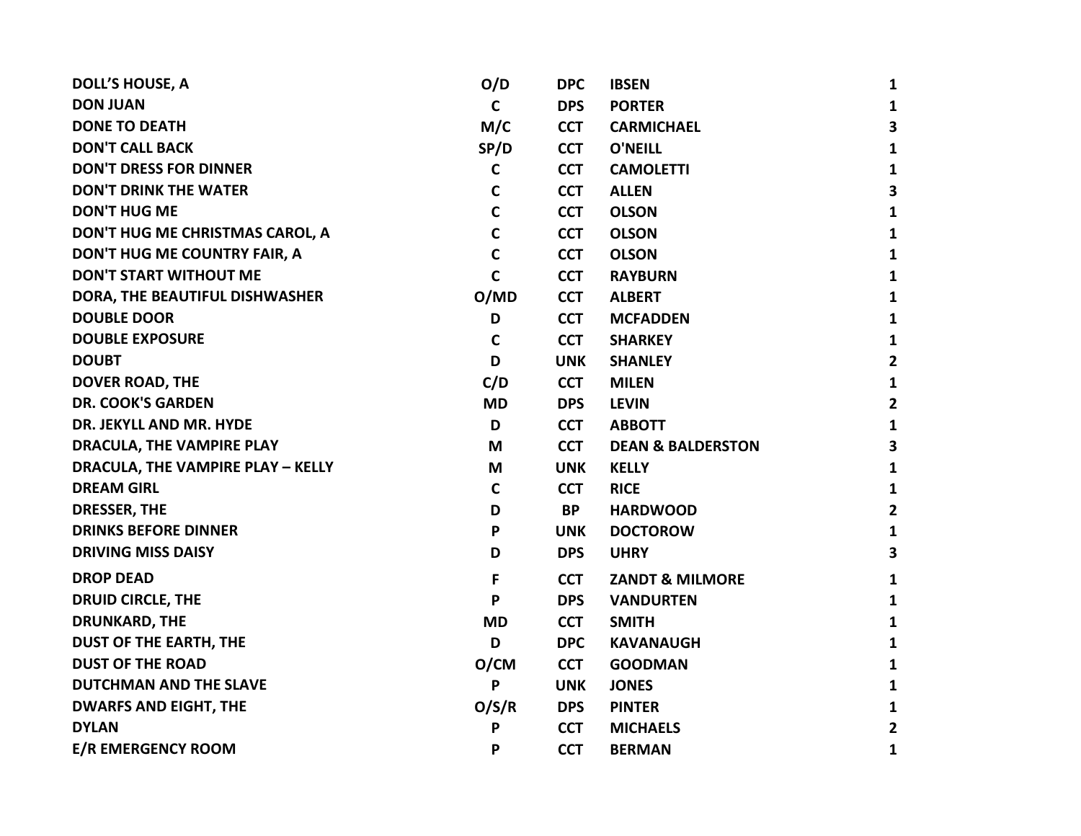| <b>DOLL'S HOUSE, A</b>            | O/D         | <b>DPC</b> | <b>IBSEN</b>                 | 1              |
|-----------------------------------|-------------|------------|------------------------------|----------------|
| <b>DON JUAN</b>                   | C           | <b>DPS</b> | <b>PORTER</b>                | 1              |
| <b>DONE TO DEATH</b>              | M/C         | <b>CCT</b> | <b>CARMICHAEL</b>            | 3              |
| <b>DON'T CALL BACK</b>            | SP/D        | <b>CCT</b> | <b>O'NEILL</b>               | $\mathbf{1}$   |
| <b>DON'T DRESS FOR DINNER</b>     | $\mathbf c$ | <b>CCT</b> | <b>CAMOLETTI</b>             | 1              |
| <b>DON'T DRINK THE WATER</b>      | $\mathbf C$ | <b>CCT</b> | <b>ALLEN</b>                 | 3              |
| <b>DON'T HUG ME</b>               | $\mathbf C$ | <b>CCT</b> | <b>OLSON</b>                 | 1              |
| DON'T HUG ME CHRISTMAS CAROL, A   | $\mathbf c$ | <b>CCT</b> | <b>OLSON</b>                 | 1              |
| DON'T HUG ME COUNTRY FAIR, A      | $\mathbf C$ | <b>CCT</b> | <b>OLSON</b>                 | 1              |
| <b>DON'T START WITHOUT ME</b>     | $\mathbf C$ | <b>CCT</b> | <b>RAYBURN</b>               | 1              |
| DORA, THE BEAUTIFUL DISHWASHER    | O/MD        | <b>CCT</b> | <b>ALBERT</b>                | 1              |
| <b>DOUBLE DOOR</b>                | D           | <b>CCT</b> | <b>MCFADDEN</b>              | 1              |
| <b>DOUBLE EXPOSURE</b>            | $\mathbf c$ | <b>CCT</b> | <b>SHARKEY</b>               | 1              |
| <b>DOUBT</b>                      | D           | <b>UNK</b> | <b>SHANLEY</b>               | $\overline{2}$ |
| DOVER ROAD, THE                   | C/D         | <b>CCT</b> | <b>MILEN</b>                 | $\mathbf{1}$   |
| <b>DR. COOK'S GARDEN</b>          | <b>MD</b>   | <b>DPS</b> | <b>LEVIN</b>                 | $\mathbf{2}$   |
| DR. JEKYLL AND MR. HYDE           | D           | <b>CCT</b> | <b>ABBOTT</b>                | 1              |
| DRACULA, THE VAMPIRE PLAY         | M           | <b>CCT</b> | <b>DEAN &amp; BALDERSTON</b> | 3              |
| DRACULA, THE VAMPIRE PLAY - KELLY | M           | <b>UNK</b> | <b>KELLY</b>                 | 1              |
| <b>DREAM GIRL</b>                 | $\mathbf C$ | <b>CCT</b> | <b>RICE</b>                  | 1              |
| DRESSER, THE                      | D           | <b>BP</b>  | <b>HARDWOOD</b>              | $\overline{2}$ |
| <b>DRINKS BEFORE DINNER</b>       | P           | <b>UNK</b> | <b>DOCTOROW</b>              | 1              |
| <b>DRIVING MISS DAISY</b>         | D           | <b>DPS</b> | <b>UHRY</b>                  | 3              |
| <b>DROP DEAD</b>                  | F           | <b>CCT</b> | <b>ZANDT &amp; MILMORE</b>   | 1              |
| <b>DRUID CIRCLE, THE</b>          | P           | <b>DPS</b> | <b>VANDURTEN</b>             | $\mathbf{1}$   |
| <b>DRUNKARD, THE</b>              | <b>MD</b>   | <b>CCT</b> | <b>SMITH</b>                 | $\mathbf{1}$   |
| <b>DUST OF THE EARTH, THE</b>     | D           | <b>DPC</b> | <b>KAVANAUGH</b>             | 1              |
| <b>DUST OF THE ROAD</b>           | O/CM        | <b>CCT</b> | <b>GOODMAN</b>               | 1              |
| <b>DUTCHMAN AND THE SLAVE</b>     | P           | <b>UNK</b> | <b>JONES</b>                 | 1              |
| <b>DWARFS AND EIGHT, THE</b>      | O/S/R       | <b>DPS</b> | <b>PINTER</b>                | 1              |
| <b>DYLAN</b>                      | P           | <b>CCT</b> | <b>MICHAELS</b>              | $\mathbf{2}$   |
| <b>E/R EMERGENCY ROOM</b>         | P           | <b>CCT</b> | <b>BERMAN</b>                | 1              |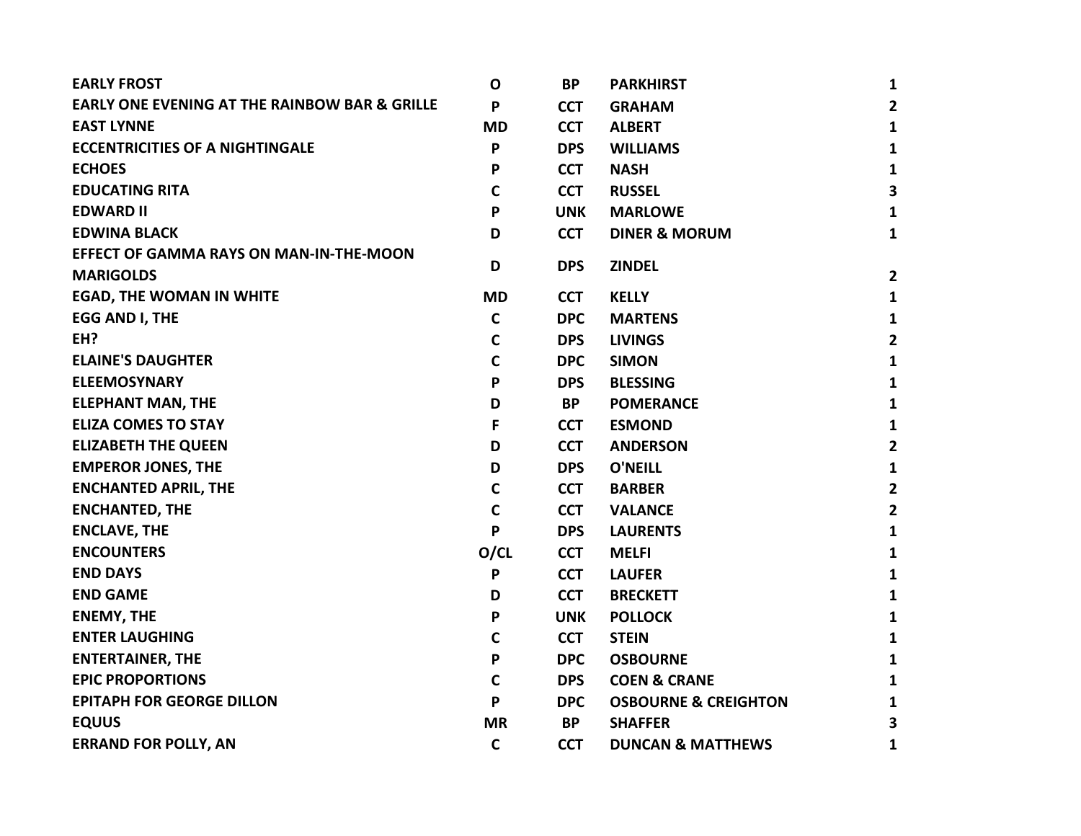| <b>EARLY FROST</b>                                       | $\mathbf 0$  | <b>BP</b>  | <b>PARKHIRST</b>                | $\mathbf{1}$            |
|----------------------------------------------------------|--------------|------------|---------------------------------|-------------------------|
| <b>EARLY ONE EVENING AT THE RAINBOW BAR &amp; GRILLE</b> | P            | <b>CCT</b> | <b>GRAHAM</b>                   | $\mathbf{2}$            |
| <b>EAST LYNNE</b>                                        | <b>MD</b>    | <b>CCT</b> | <b>ALBERT</b>                   | $\mathbf{1}$            |
| <b>ECCENTRICITIES OF A NIGHTINGALE</b>                   | P            | <b>DPS</b> | <b>WILLIAMS</b>                 | $\mathbf{1}$            |
| <b>ECHOES</b>                                            | P            | <b>CCT</b> | <b>NASH</b>                     | $\mathbf{1}$            |
| <b>EDUCATING RITA</b>                                    | $\mathbf C$  | <b>CCT</b> | <b>RUSSEL</b>                   | 3                       |
| <b>EDWARD II</b>                                         | P            | <b>UNK</b> | <b>MARLOWE</b>                  | $\mathbf{1}$            |
| <b>EDWINA BLACK</b>                                      | D            | <b>CCT</b> | <b>DINER &amp; MORUM</b>        | $\mathbf{1}$            |
| <b>EFFECT OF GAMMA RAYS ON MAN-IN-THE-MOON</b>           |              |            |                                 |                         |
| <b>MARIGOLDS</b>                                         | D            | <b>DPS</b> | <b>ZINDEL</b>                   | $\overline{2}$          |
| <b>EGAD, THE WOMAN IN WHITE</b>                          | <b>MD</b>    | <b>CCT</b> | <b>KELLY</b>                    | $\mathbf{1}$            |
| <b>EGG AND I, THE</b>                                    | $\mathbf C$  | <b>DPC</b> | <b>MARTENS</b>                  | $\mathbf{1}$            |
| EH?                                                      | C            | <b>DPS</b> | <b>LIVINGS</b>                  | $\overline{\mathbf{2}}$ |
| <b>ELAINE'S DAUGHTER</b>                                 | $\mathbf C$  | <b>DPC</b> | <b>SIMON</b>                    | $\mathbf{1}$            |
| <b>ELEEMOSYNARY</b>                                      | P            | <b>DPS</b> | <b>BLESSING</b>                 | $\mathbf{1}$            |
| <b>ELEPHANT MAN, THE</b>                                 | D            | <b>BP</b>  | <b>POMERANCE</b>                | $\mathbf{1}$            |
| <b>ELIZA COMES TO STAY</b>                               | F            | <b>CCT</b> | <b>ESMOND</b>                   | $\mathbf{1}$            |
| <b>ELIZABETH THE QUEEN</b>                               | D            | <b>CCT</b> | <b>ANDERSON</b>                 | $\overline{2}$          |
| <b>EMPEROR JONES, THE</b>                                | D            | <b>DPS</b> | <b>O'NEILL</b>                  | $\mathbf{1}$            |
| <b>ENCHANTED APRIL, THE</b>                              | $\mathbf C$  | <b>CCT</b> | <b>BARBER</b>                   | $\mathbf{2}$            |
| <b>ENCHANTED, THE</b>                                    | $\mathbf C$  | <b>CCT</b> | <b>VALANCE</b>                  | $\overline{2}$          |
| <b>ENCLAVE, THE</b>                                      | P            | <b>DPS</b> | <b>LAURENTS</b>                 | $\mathbf{1}$            |
| <b>ENCOUNTERS</b>                                        | O/CL         | <b>CCT</b> | <b>MELFI</b>                    | $\mathbf{1}$            |
| <b>END DAYS</b>                                          | P            | <b>CCT</b> | <b>LAUFER</b>                   | $\mathbf{1}$            |
| <b>END GAME</b>                                          | D            | <b>CCT</b> | <b>BRECKETT</b>                 | 1                       |
| <b>ENEMY, THE</b>                                        | P            | <b>UNK</b> | <b>POLLOCK</b>                  | $\mathbf{1}$            |
| <b>ENTER LAUGHING</b>                                    | $\mathbf C$  | <b>CCT</b> | <b>STEIN</b>                    | $\mathbf{1}$            |
| <b>ENTERTAINER, THE</b>                                  | P            | <b>DPC</b> | <b>OSBOURNE</b>                 | $\mathbf{1}$            |
| <b>EPIC PROPORTIONS</b>                                  | $\mathsf{C}$ | <b>DPS</b> | <b>COEN &amp; CRANE</b>         | 1                       |
| <b>EPITAPH FOR GEORGE DILLON</b>                         | P            | <b>DPC</b> | <b>OSBOURNE &amp; CREIGHTON</b> | $\mathbf{1}$            |
| <b>EQUUS</b>                                             | <b>MR</b>    | <b>BP</b>  | <b>SHAFFER</b>                  | 3                       |
| <b>ERRAND FOR POLLY, AN</b>                              | $\mathbf C$  | <b>CCT</b> | <b>DUNCAN &amp; MATTHEWS</b>    | 1                       |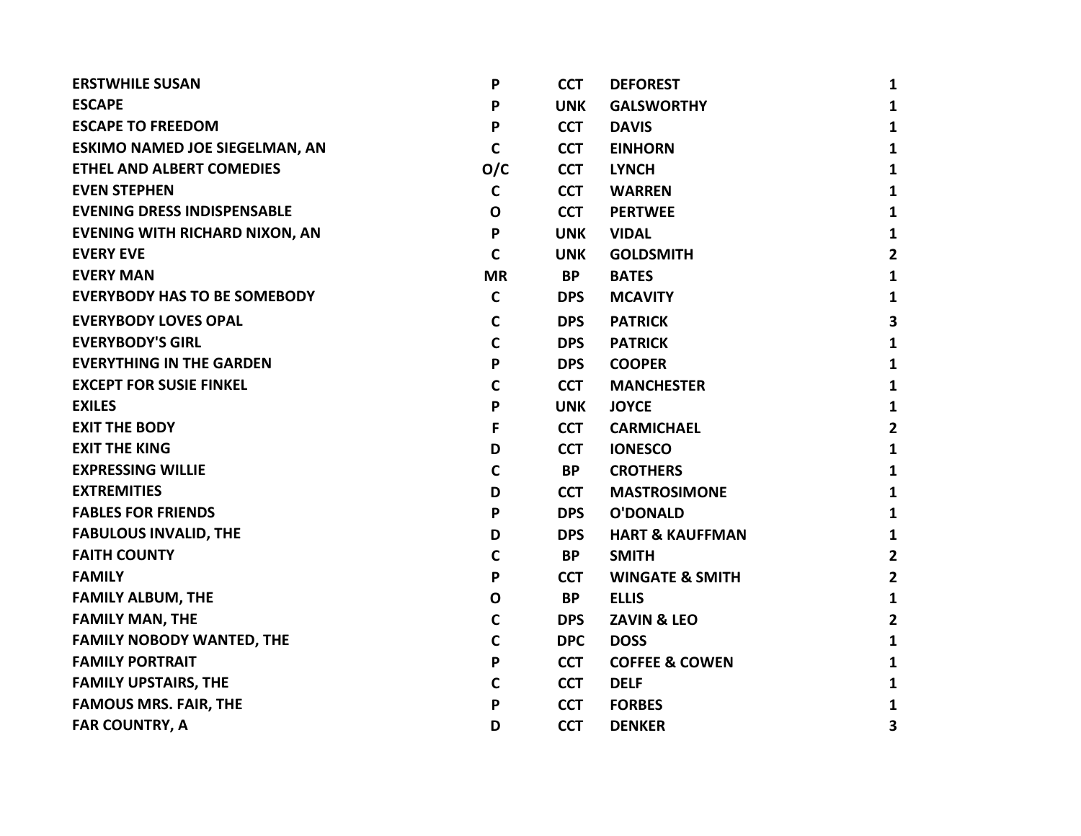| <b>ERSTWHILE SUSAN</b>                | P            | <b>CCT</b> | <b>DEFOREST</b>            | 1              |
|---------------------------------------|--------------|------------|----------------------------|----------------|
| <b>ESCAPE</b>                         | P            | <b>UNK</b> | <b>GALSWORTHY</b>          | $\mathbf{1}$   |
| <b>ESCAPE TO FREEDOM</b>              | P            | <b>CCT</b> | <b>DAVIS</b>               | 1              |
| <b>ESKIMO NAMED JOE SIEGELMAN, AN</b> | $\mathbf C$  | <b>CCT</b> | <b>EINHORN</b>             | $\mathbf{1}$   |
| <b>ETHEL AND ALBERT COMEDIES</b>      | O/C          | <b>CCT</b> | <b>LYNCH</b>               | 1              |
| <b>EVEN STEPHEN</b>                   | $\mathbf c$  | <b>CCT</b> | <b>WARREN</b>              | 1              |
| <b>EVENING DRESS INDISPENSABLE</b>    | $\mathbf 0$  | <b>CCT</b> | <b>PERTWEE</b>             | 1              |
| <b>EVENING WITH RICHARD NIXON, AN</b> | $\mathsf{P}$ | <b>UNK</b> | <b>VIDAL</b>               | 1              |
| <b>EVERY EVE</b>                      | $\mathbf C$  | <b>UNK</b> | <b>GOLDSMITH</b>           | $\overline{2}$ |
| <b>EVERY MAN</b>                      | <b>MR</b>    | <b>BP</b>  | <b>BATES</b>               | $\mathbf{1}$   |
| <b>EVERYBODY HAS TO BE SOMEBODY</b>   | $\mathbf c$  | <b>DPS</b> | <b>MCAVITY</b>             | 1              |
| <b>EVERYBODY LOVES OPAL</b>           | $\mathbf C$  | <b>DPS</b> | <b>PATRICK</b>             | 3              |
| <b>EVERYBODY'S GIRL</b>               | $\mathbf C$  | <b>DPS</b> | <b>PATRICK</b>             | $\mathbf{1}$   |
| <b>EVERYTHING IN THE GARDEN</b>       | P            | <b>DPS</b> | <b>COOPER</b>              | 1              |
| <b>EXCEPT FOR SUSIE FINKEL</b>        | $\mathbf C$  | <b>CCT</b> | <b>MANCHESTER</b>          | 1              |
| <b>EXILES</b>                         | P            | <b>UNK</b> | <b>JOYCE</b>               | 1              |
| <b>EXIT THE BODY</b>                  | F            | <b>CCT</b> | <b>CARMICHAEL</b>          | $\overline{2}$ |
| <b>EXIT THE KING</b>                  | D            | <b>CCT</b> | <b>IONESCO</b>             | $\mathbf{1}$   |
| <b>EXPRESSING WILLIE</b>              | $\mathbf C$  | BP         | <b>CROTHERS</b>            | 1              |
| <b>EXTREMITIES</b>                    | D            | <b>CCT</b> | <b>MASTROSIMONE</b>        | 1              |
| <b>FABLES FOR FRIENDS</b>             | $\mathsf{P}$ | <b>DPS</b> | <b>O'DONALD</b>            | 1              |
| <b>FABULOUS INVALID, THE</b>          | D            | <b>DPS</b> | <b>HART &amp; KAUFFMAN</b> | 1              |
| <b>FAITH COUNTY</b>                   | $\mathbf C$  | <b>BP</b>  | <b>SMITH</b>               | $\overline{2}$ |
| <b>FAMILY</b>                         | P            | <b>CCT</b> | <b>WINGATE &amp; SMITH</b> | $\overline{2}$ |
| <b>FAMILY ALBUM, THE</b>              | $\mathbf{o}$ | <b>BP</b>  | <b>ELLIS</b>               | 1              |
| <b>FAMILY MAN, THE</b>                | $\mathbf c$  | <b>DPS</b> | <b>ZAVIN &amp; LEO</b>     | $\mathbf{2}$   |
| <b>FAMILY NOBODY WANTED, THE</b>      | $\mathbf C$  | <b>DPC</b> | <b>DOSS</b>                | 1              |
| <b>FAMILY PORTRAIT</b>                | P            | <b>CCT</b> | <b>COFFEE &amp; COWEN</b>  | $\mathbf{1}$   |
| <b>FAMILY UPSTAIRS, THE</b>           | $\mathbf c$  | <b>CCT</b> | <b>DELF</b>                | 1              |
| <b>FAMOUS MRS. FAIR, THE</b>          | P            | <b>CCT</b> | <b>FORBES</b>              | 1              |
| <b>FAR COUNTRY, A</b>                 | D            | <b>CCT</b> | <b>DENKER</b>              | 3              |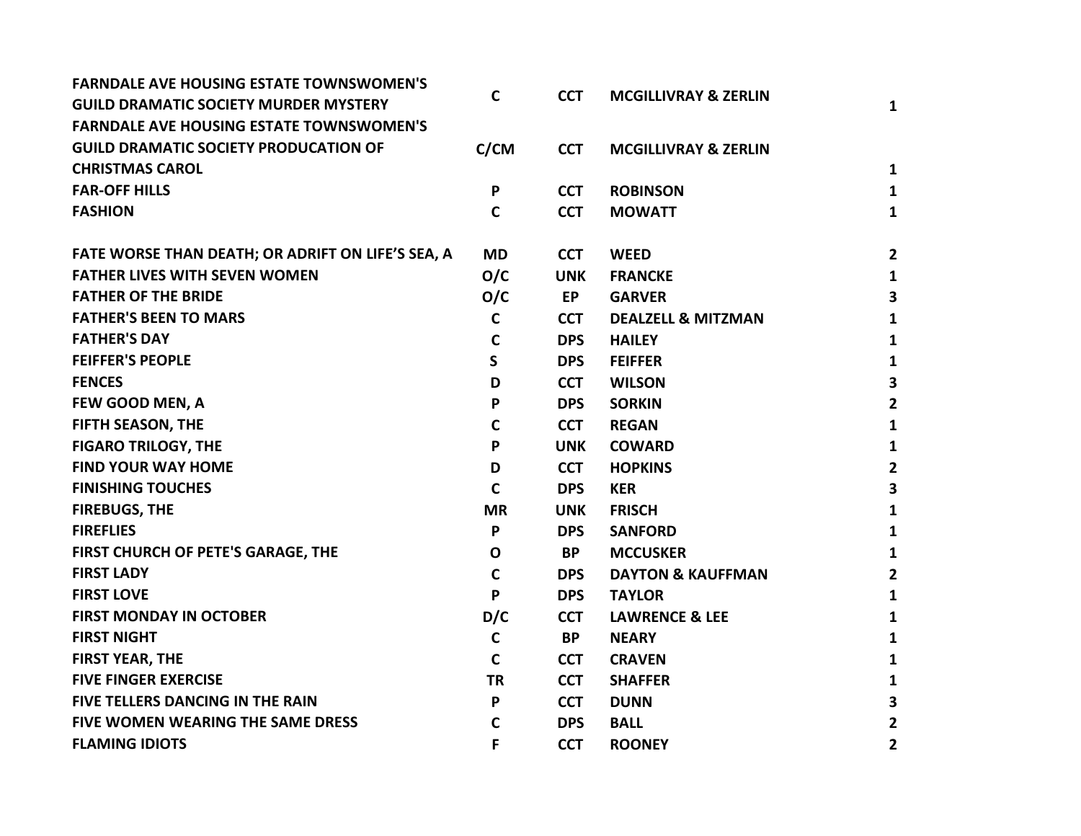| <b>FARNDALE AVE HOUSING ESTATE TOWNSWOMEN'S</b>   | $\mathbf C$ | <b>CCT</b> | <b>MCGILLIVRAY &amp; ZERLIN</b> |                |
|---------------------------------------------------|-------------|------------|---------------------------------|----------------|
| <b>GUILD DRAMATIC SOCIETY MURDER MYSTERY</b>      |             |            |                                 | $\mathbf{1}$   |
| <b>FARNDALE AVE HOUSING ESTATE TOWNSWOMEN'S</b>   |             |            |                                 |                |
| <b>GUILD DRAMATIC SOCIETY PRODUCATION OF</b>      | C/CM        | <b>CCT</b> | <b>MCGILLIVRAY &amp; ZERLIN</b> |                |
| <b>CHRISTMAS CAROL</b>                            |             |            |                                 | 1              |
| <b>FAR-OFF HILLS</b>                              | P           | <b>CCT</b> | <b>ROBINSON</b>                 | 1              |
| <b>FASHION</b>                                    | $\mathbf C$ | <b>CCT</b> | <b>MOWATT</b>                   | $\mathbf{1}$   |
| FATE WORSE THAN DEATH; OR ADRIFT ON LIFE'S SEA, A | <b>MD</b>   | <b>CCT</b> | <b>WEED</b>                     | $\mathbf{2}$   |
| <b>FATHER LIVES WITH SEVEN WOMEN</b>              | O/C         | <b>UNK</b> | <b>FRANCKE</b>                  | $\mathbf{1}$   |
| <b>FATHER OF THE BRIDE</b>                        | O/C         | <b>EP</b>  | <b>GARVER</b>                   | 3              |
| <b>FATHER'S BEEN TO MARS</b>                      | $\mathbf c$ | <b>CCT</b> | <b>DEALZELL &amp; MITZMAN</b>   | $\mathbf{1}$   |
| <b>FATHER'S DAY</b>                               | $\mathbf C$ | <b>DPS</b> | <b>HAILEY</b>                   | 1              |
| <b>FEIFFER'S PEOPLE</b>                           | S.          | <b>DPS</b> | <b>FEIFFER</b>                  | $\mathbf{1}$   |
| <b>FENCES</b>                                     | D           | <b>CCT</b> | <b>WILSON</b>                   | 3              |
| FEW GOOD MEN, A                                   | P           | <b>DPS</b> | <b>SORKIN</b>                   | $\overline{2}$ |
| FIFTH SEASON, THE                                 | $\mathbf C$ | <b>CCT</b> | <b>REGAN</b>                    | 1              |
| <b>FIGARO TRILOGY, THE</b>                        | P           | <b>UNK</b> | <b>COWARD</b>                   | $\mathbf{1}$   |
| <b>FIND YOUR WAY HOME</b>                         | D           | <b>CCT</b> | <b>HOPKINS</b>                  | $\mathbf{2}$   |
| <b>FINISHING TOUCHES</b>                          | $\mathbf C$ | <b>DPS</b> | <b>KER</b>                      | 3              |
| <b>FIREBUGS, THE</b>                              | <b>MR</b>   | <b>UNK</b> | <b>FRISCH</b>                   | $\mathbf{1}$   |
| <b>FIREFLIES</b>                                  | P           | <b>DPS</b> | <b>SANFORD</b>                  | 1              |
| FIRST CHURCH OF PETE'S GARAGE, THE                | $\mathbf O$ | <b>BP</b>  | <b>MCCUSKER</b>                 | $\mathbf{1}$   |
| <b>FIRST LADY</b>                                 | $\mathbf c$ | <b>DPS</b> | <b>DAYTON &amp; KAUFFMAN</b>    | $\overline{2}$ |
| <b>FIRST LOVE</b>                                 | P           | <b>DPS</b> | <b>TAYLOR</b>                   | $\mathbf{1}$   |
| <b>FIRST MONDAY IN OCTOBER</b>                    | D/C         | <b>CCT</b> | <b>LAWRENCE &amp; LEE</b>       | $\mathbf{1}$   |
| <b>FIRST NIGHT</b>                                | $\mathbf C$ | <b>BP</b>  | <b>NEARY</b>                    | $\mathbf{1}$   |
| <b>FIRST YEAR, THE</b>                            | $\mathbf C$ | <b>CCT</b> | <b>CRAVEN</b>                   | $\mathbf{1}$   |
| <b>FIVE FINGER EXERCISE</b>                       | <b>TR</b>   | <b>CCT</b> | <b>SHAFFER</b>                  | 1              |
| FIVE TELLERS DANCING IN THE RAIN                  | P           | <b>CCT</b> | <b>DUNN</b>                     | 3              |
| FIVE WOMEN WEARING THE SAME DRESS                 | C           | <b>DPS</b> | <b>BALL</b>                     | $\mathbf{2}$   |
| <b>FLAMING IDIOTS</b>                             | F           | <b>CCT</b> | <b>ROONEY</b>                   | $\overline{2}$ |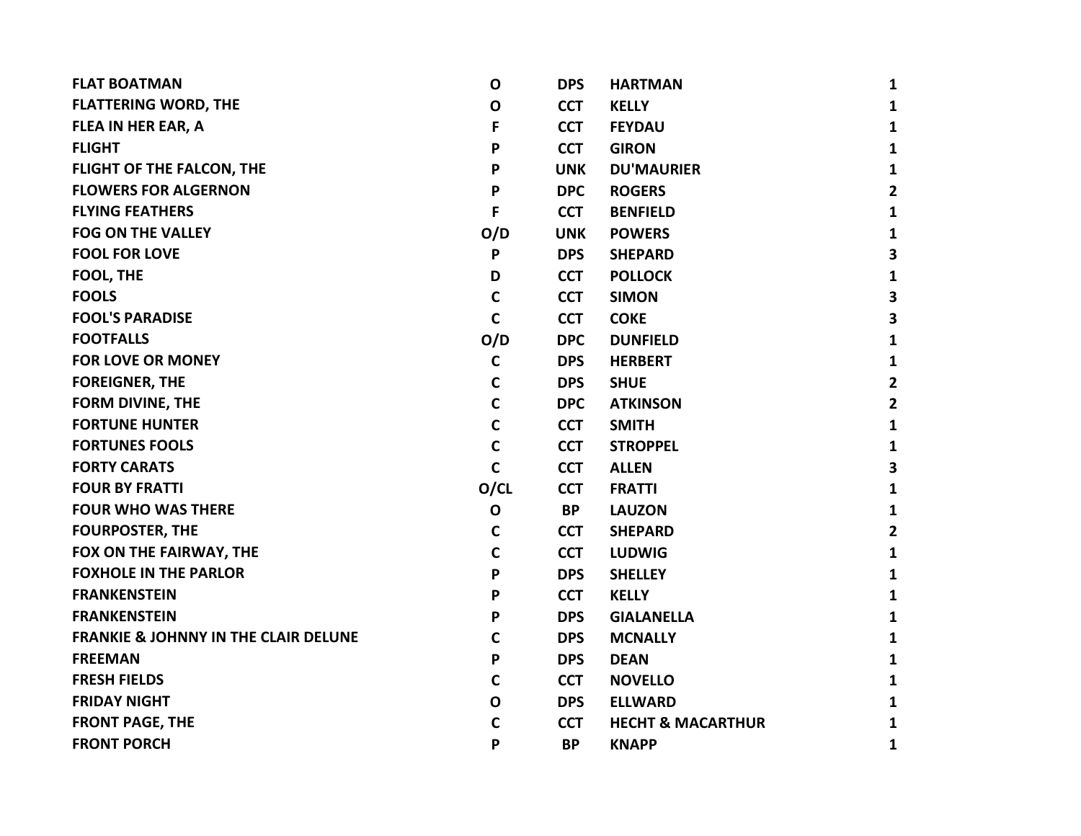| <b>FLAT BOATMAN</b>                             | $\mathbf 0$  | <b>DPS</b> | <b>HARTMAN</b>               | 1                       |
|-------------------------------------------------|--------------|------------|------------------------------|-------------------------|
| <b>FLATTERING WORD, THE</b>                     | $\mathbf 0$  | <b>CCT</b> | <b>KELLY</b>                 | 1                       |
| <b>FLEA IN HER EAR, A</b>                       | F            | <b>CCT</b> | <b>FEYDAU</b>                | 1                       |
| <b>FLIGHT</b>                                   | P            | <b>CCT</b> | <b>GIRON</b>                 | 1                       |
| FLIGHT OF THE FALCON, THE                       | P            | <b>UNK</b> | <b>DU'MAURIER</b>            | 1                       |
| <b>FLOWERS FOR ALGERNON</b>                     | P            | <b>DPC</b> | <b>ROGERS</b>                | $\overline{2}$          |
| <b>FLYING FEATHERS</b>                          | F            | <b>CCT</b> | <b>BENFIELD</b>              | 1                       |
| <b>FOG ON THE VALLEY</b>                        | O/D          | <b>UNK</b> | <b>POWERS</b>                | 1                       |
| <b>FOOL FOR LOVE</b>                            | P            | <b>DPS</b> | <b>SHEPARD</b>               | $\overline{\mathbf{3}}$ |
| <b>FOOL, THE</b>                                | D            | <b>CCT</b> | <b>POLLOCK</b>               | 1                       |
| <b>FOOLS</b>                                    | C            | <b>CCT</b> | <b>SIMON</b>                 | 3                       |
| <b>FOOL'S PARADISE</b>                          | $\mathbf c$  | <b>CCT</b> | <b>COKE</b>                  | 3                       |
| <b>FOOTFALLS</b>                                | O/D          | <b>DPC</b> | <b>DUNFIELD</b>              | 1                       |
| <b>FOR LOVE OR MONEY</b>                        | $\mathbf c$  | <b>DPS</b> | <b>HERBERT</b>               | 1                       |
| <b>FOREIGNER, THE</b>                           | $\mathbf C$  | <b>DPS</b> | <b>SHUE</b>                  | $\overline{2}$          |
| <b>FORM DIVINE, THE</b>                         | $\mathbf c$  | <b>DPC</b> | <b>ATKINSON</b>              | $\overline{2}$          |
| <b>FORTUNE HUNTER</b>                           | $\mathbf C$  | <b>CCT</b> | <b>SMITH</b>                 | 1                       |
| <b>FORTUNES FOOLS</b>                           | $\mathbf C$  | <b>CCT</b> | <b>STROPPEL</b>              | 1                       |
| <b>FORTY CARATS</b>                             | $\mathbf c$  | <b>CCT</b> | <b>ALLEN</b>                 | 3                       |
| <b>FOUR BY FRATTI</b>                           | O/CL         | <b>CCT</b> | <b>FRATTI</b>                | 1                       |
| <b>FOUR WHO WAS THERE</b>                       | $\mathbf{o}$ | <b>BP</b>  | <b>LAUZON</b>                | 1                       |
| <b>FOURPOSTER, THE</b>                          | $\mathbf c$  | <b>CCT</b> | <b>SHEPARD</b>               | $\mathbf{2}$            |
| FOX ON THE FAIRWAY, THE                         | $\mathsf{C}$ | <b>CCT</b> | <b>LUDWIG</b>                | 1                       |
| <b>FOXHOLE IN THE PARLOR</b>                    | P            | <b>DPS</b> | <b>SHELLEY</b>               | 1                       |
| <b>FRANKENSTEIN</b>                             | P            | <b>CCT</b> | <b>KELLY</b>                 | 1                       |
| <b>FRANKENSTEIN</b>                             | P            | <b>DPS</b> | <b>GIALANELLA</b>            | $\mathbf{1}$            |
| <b>FRANKIE &amp; JOHNNY IN THE CLAIR DELUNE</b> | $\mathbf c$  | <b>DPS</b> | <b>MCNALLY</b>               | 1                       |
| <b>FREEMAN</b>                                  | P            | <b>DPS</b> | <b>DEAN</b>                  | 1                       |
| <b>FRESH FIELDS</b>                             | $\mathbf C$  | <b>CCT</b> | <b>NOVELLO</b>               | 1                       |
| <b>FRIDAY NIGHT</b>                             | O            | <b>DPS</b> | <b>ELLWARD</b>               | 1                       |
| <b>FRONT PAGE, THE</b>                          | C            | <b>CCT</b> | <b>HECHT &amp; MACARTHUR</b> | 1                       |
| <b>FRONT PORCH</b>                              | P            | <b>BP</b>  | <b>KNAPP</b>                 | 1                       |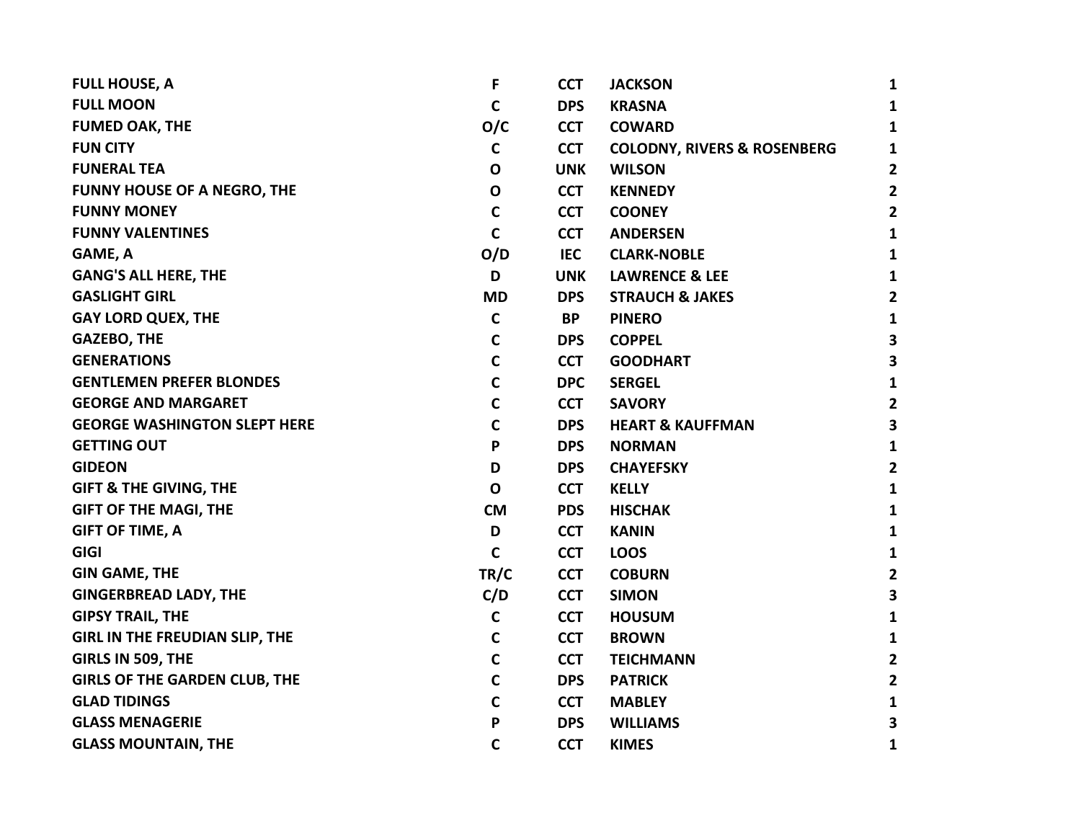| <b>FULL HOUSE, A</b>                  | F            | <b>CCT</b> | <b>JACKSON</b>                         | $\mathbf{1}$            |
|---------------------------------------|--------------|------------|----------------------------------------|-------------------------|
| <b>FULL MOON</b>                      | $\mathbf c$  | <b>DPS</b> | <b>KRASNA</b>                          | $\mathbf{1}$            |
| <b>FUMED OAK, THE</b>                 | O/C          | <b>CCT</b> | <b>COWARD</b>                          | $\mathbf{1}$            |
| <b>FUN CITY</b>                       | $\mathbf C$  | <b>CCT</b> | <b>COLODNY, RIVERS &amp; ROSENBERG</b> | $\mathbf{1}$            |
| <b>FUNERAL TEA</b>                    | $\mathbf{o}$ | <b>UNK</b> | <b>WILSON</b>                          | $\overline{\mathbf{2}}$ |
| <b>FUNNY HOUSE OF A NEGRO, THE</b>    | O            | <b>CCT</b> | <b>KENNEDY</b>                         | $\overline{2}$          |
| <b>FUNNY MONEY</b>                    | $\mathbf C$  | <b>CCT</b> | <b>COONEY</b>                          | $\overline{2}$          |
| <b>FUNNY VALENTINES</b>               | $\mathbf C$  | <b>CCT</b> | <b>ANDERSEN</b>                        | $\mathbf{1}$            |
| GAME, A                               | O/D          | <b>IEC</b> | <b>CLARK-NOBLE</b>                     | $\mathbf{1}$            |
| <b>GANG'S ALL HERE, THE</b>           | D            | <b>UNK</b> | <b>LAWRENCE &amp; LEE</b>              | $\mathbf{1}$            |
| <b>GASLIGHT GIRL</b>                  | <b>MD</b>    | <b>DPS</b> | <b>STRAUCH &amp; JAKES</b>             | $\overline{2}$          |
| <b>GAY LORD QUEX, THE</b>             | $\mathbf c$  | <b>BP</b>  | <b>PINERO</b>                          | $\mathbf{1}$            |
| <b>GAZEBO, THE</b>                    | $\mathbf c$  | <b>DPS</b> | <b>COPPEL</b>                          | $\overline{\mathbf{3}}$ |
| <b>GENERATIONS</b>                    | $\mathbf c$  | <b>CCT</b> | <b>GOODHART</b>                        | $\overline{\mathbf{3}}$ |
| <b>GENTLEMEN PREFER BLONDES</b>       | $\mathbf C$  | <b>DPC</b> | <b>SERGEL</b>                          | $\mathbf{1}$            |
| <b>GEORGE AND MARGARET</b>            | $\mathbf C$  | <b>CCT</b> | <b>SAVORY</b>                          | $\overline{2}$          |
| <b>GEORGE WASHINGTON SLEPT HERE</b>   | $\mathsf{C}$ | <b>DPS</b> | <b>HEART &amp; KAUFFMAN</b>            | 3                       |
| <b>GETTING OUT</b>                    | P            | <b>DPS</b> | <b>NORMAN</b>                          | $\mathbf{1}$            |
| <b>GIDEON</b>                         | D            | <b>DPS</b> | <b>CHAYEFSKY</b>                       | $\overline{2}$          |
| <b>GIFT &amp; THE GIVING, THE</b>     | $\mathbf 0$  | <b>CCT</b> | <b>KELLY</b>                           | $\mathbf{1}$            |
| <b>GIFT OF THE MAGI, THE</b>          | <b>CM</b>    | <b>PDS</b> | <b>HISCHAK</b>                         | $\mathbf{1}$            |
| <b>GIFT OF TIME, A</b>                | D            | <b>CCT</b> | <b>KANIN</b>                           | $\mathbf{1}$            |
| <b>GIGI</b>                           | $\mathbf C$  | <b>CCT</b> | <b>LOOS</b>                            | $\mathbf{1}$            |
| <b>GIN GAME, THE</b>                  | TR/C         | <b>CCT</b> | <b>COBURN</b>                          | $\overline{\mathbf{2}}$ |
| <b>GINGERBREAD LADY, THE</b>          | C/D          | <b>CCT</b> | <b>SIMON</b>                           | $\overline{\mathbf{3}}$ |
| <b>GIPSY TRAIL, THE</b>               | $\mathsf C$  | <b>CCT</b> | <b>HOUSUM</b>                          | $\mathbf{1}$            |
| <b>GIRL IN THE FREUDIAN SLIP, THE</b> | $\mathbf c$  | <b>CCT</b> | <b>BROWN</b>                           | $\mathbf{1}$            |
| GIRLS IN 509, THE                     | $\mathbf C$  | <b>CCT</b> | <b>TEICHMANN</b>                       | $\overline{2}$          |
| <b>GIRLS OF THE GARDEN CLUB, THE</b>  | $\mathbf C$  | <b>DPS</b> | <b>PATRICK</b>                         | $\mathbf{2}$            |
| <b>GLAD TIDINGS</b>                   | $\mathbf C$  | <b>CCT</b> | <b>MABLEY</b>                          | $\mathbf{1}$            |
| <b>GLASS MENAGERIE</b>                | P            | <b>DPS</b> | <b>WILLIAMS</b>                        | $\overline{\mathbf{3}}$ |
| <b>GLASS MOUNTAIN, THE</b>            | $\mathbf C$  | <b>CCT</b> | <b>KIMES</b>                           | 1                       |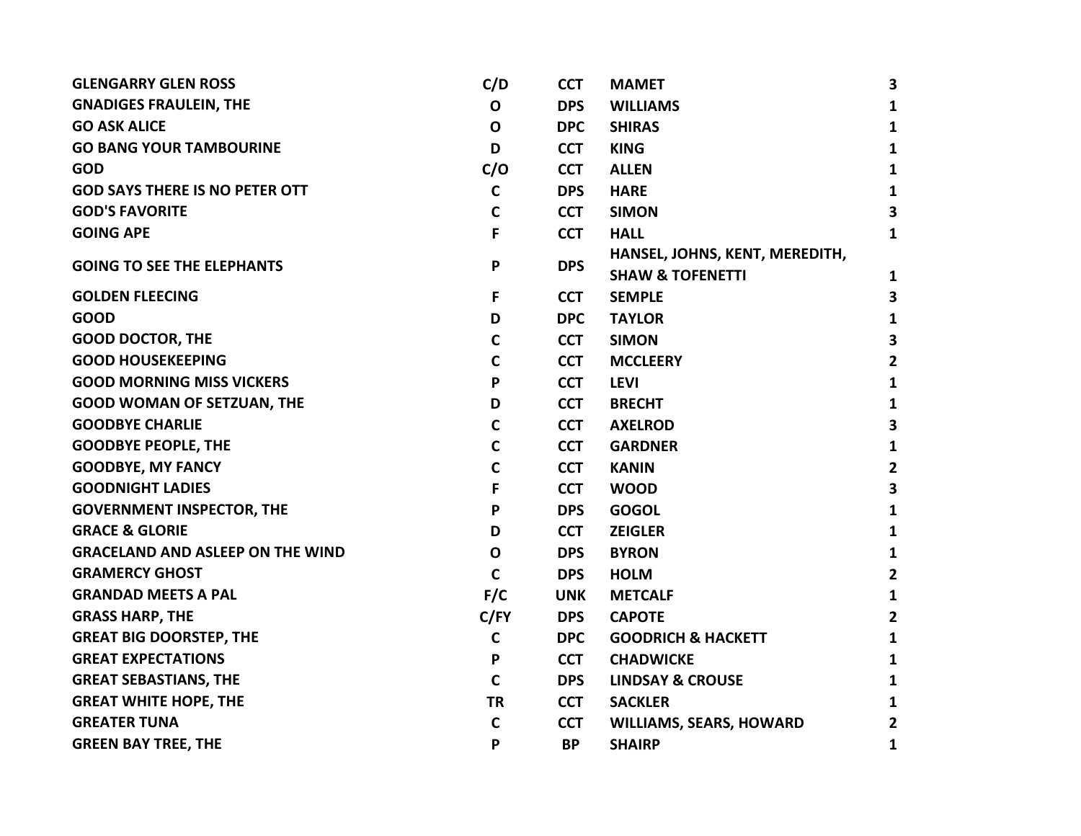| <b>GLENGARRY GLEN ROSS</b>              | C/D          | <b>CCT</b> | <b>MAMET</b>                                                  | 3                       |
|-----------------------------------------|--------------|------------|---------------------------------------------------------------|-------------------------|
| <b>GNADIGES FRAULEIN, THE</b>           | $\mathbf 0$  | <b>DPS</b> | <b>WILLIAMS</b>                                               | 1                       |
| <b>GO ASK ALICE</b>                     | O            | <b>DPC</b> | <b>SHIRAS</b>                                                 | $\mathbf{1}$            |
| <b>GO BANG YOUR TAMBOURINE</b>          | D            | <b>CCT</b> | <b>KING</b>                                                   | $\mathbf{1}$            |
| <b>GOD</b>                              | C/O          | <b>CCT</b> | <b>ALLEN</b>                                                  | 1                       |
| <b>GOD SAYS THERE IS NO PETER OTT</b>   | $\mathbf c$  | <b>DPS</b> | <b>HARE</b>                                                   | 1                       |
| <b>GOD'S FAVORITE</b>                   | $\mathbf C$  | <b>CCT</b> | <b>SIMON</b>                                                  | 3                       |
| <b>GOING APE</b>                        | F            | <b>CCT</b> | <b>HALL</b>                                                   | 1                       |
| <b>GOING TO SEE THE ELEPHANTS</b>       | P            | <b>DPS</b> | HANSEL, JOHNS, KENT, MEREDITH,<br><b>SHAW &amp; TOFENETTI</b> | 1                       |
| <b>GOLDEN FLEECING</b>                  | F            | <b>CCT</b> | <b>SEMPLE</b>                                                 | 3                       |
| <b>GOOD</b>                             | D            | <b>DPC</b> | <b>TAYLOR</b>                                                 | 1                       |
| <b>GOOD DOCTOR, THE</b>                 | $\mathbf C$  | <b>CCT</b> | <b>SIMON</b>                                                  | 3                       |
| <b>GOOD HOUSEKEEPING</b>                | C            | <b>CCT</b> | <b>MCCLEERY</b>                                               | $\mathbf{2}$            |
| <b>GOOD MORNING MISS VICKERS</b>        | P            | <b>CCT</b> | <b>LEVI</b>                                                   | 1                       |
| <b>GOOD WOMAN OF SETZUAN, THE</b>       | D            | <b>CCT</b> | <b>BRECHT</b>                                                 | 1                       |
| <b>GOODBYE CHARLIE</b>                  | $\mathsf{C}$ | <b>CCT</b> | <b>AXELROD</b>                                                | 3                       |
| <b>GOODBYE PEOPLE, THE</b>              | $\mathbf c$  | <b>CCT</b> | <b>GARDNER</b>                                                | 1                       |
| <b>GOODBYE, MY FANCY</b>                | $\mathbf C$  | <b>CCT</b> | <b>KANIN</b>                                                  | $\overline{2}$          |
| <b>GOODNIGHT LADIES</b>                 | F            | <b>CCT</b> | <b>WOOD</b>                                                   | $\overline{\mathbf{3}}$ |
| <b>GOVERNMENT INSPECTOR, THE</b>        | P            | <b>DPS</b> | <b>GOGOL</b>                                                  | $\mathbf{1}$            |
| <b>GRACE &amp; GLORIE</b>               | D            | <b>CCT</b> | <b>ZEIGLER</b>                                                | $\mathbf{1}$            |
| <b>GRACELAND AND ASLEEP ON THE WIND</b> | $\mathbf{o}$ | <b>DPS</b> | <b>BYRON</b>                                                  | $\mathbf{1}$            |
| <b>GRAMERCY GHOST</b>                   | $\mathsf{C}$ | <b>DPS</b> | <b>HOLM</b>                                                   | $\overline{2}$          |
| <b>GRANDAD MEETS A PAL</b>              | F/C          | UNK.       | <b>METCALF</b>                                                | 1                       |
| <b>GRASS HARP, THE</b>                  | C/FY         | <b>DPS</b> | <b>CAPOTE</b>                                                 | $\mathbf{2}$            |
| <b>GREAT BIG DOORSTEP, THE</b>          | $\mathbf c$  | <b>DPC</b> | <b>GOODRICH &amp; HACKETT</b>                                 | 1                       |
| <b>GREAT EXPECTATIONS</b>               | P            | <b>CCT</b> | <b>CHADWICKE</b>                                              | 1                       |
| <b>GREAT SEBASTIANS, THE</b>            | $\mathbf C$  | <b>DPS</b> | <b>LINDSAY &amp; CROUSE</b>                                   | 1                       |
| <b>GREAT WHITE HOPE, THE</b>            | <b>TR</b>    | <b>CCT</b> | <b>SACKLER</b>                                                | 1                       |
| <b>GREATER TUNA</b>                     | $\mathbf c$  | <b>CCT</b> | <b>WILLIAMS, SEARS, HOWARD</b>                                | $\overline{2}$          |
| <b>GREEN BAY TREE, THE</b>              | P            | <b>BP</b>  | <b>SHAIRP</b>                                                 | 1                       |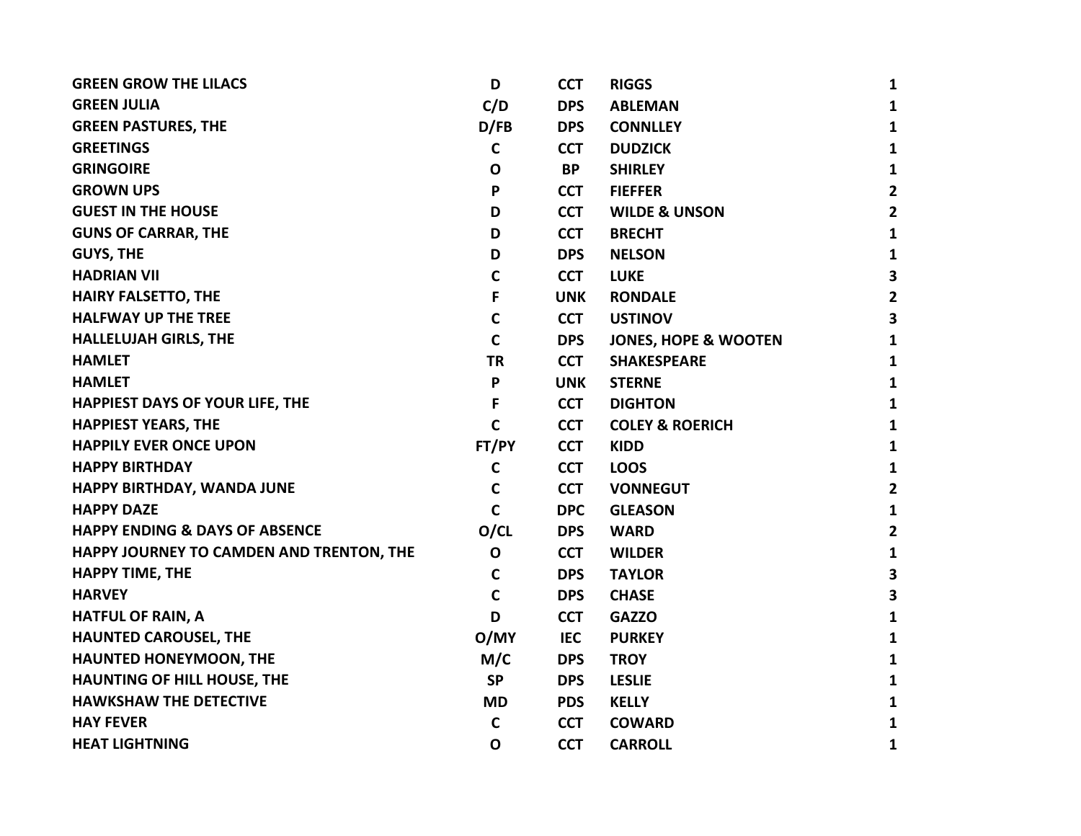| D            | <b>CCT</b> | <b>RIGGS</b>                    | $\mathbf{1}$            |
|--------------|------------|---------------------------------|-------------------------|
| C/D          | <b>DPS</b> | <b>ABLEMAN</b>                  | $\mathbf{1}$            |
| D/FB         | <b>DPS</b> | <b>CONNLLEY</b>                 | $\mathbf{1}$            |
| $\mathbf c$  | <b>CCT</b> | <b>DUDZICK</b>                  | $\mathbf{1}$            |
| $\mathbf{o}$ | <b>BP</b>  | <b>SHIRLEY</b>                  | $\mathbf{1}$            |
| P            | <b>CCT</b> | <b>FIEFFER</b>                  | $\overline{2}$          |
| D            | <b>CCT</b> | <b>WILDE &amp; UNSON</b>        | $\overline{2}$          |
| D            | <b>CCT</b> | <b>BRECHT</b>                   | $\mathbf{1}$            |
| D            | <b>DPS</b> | <b>NELSON</b>                   | $\mathbf{1}$            |
| $\mathbf C$  | <b>CCT</b> | <b>LUKE</b>                     | $\overline{\mathbf{3}}$ |
| F            | <b>UNK</b> | <b>RONDALE</b>                  | $\overline{2}$          |
| $\mathbf C$  | <b>CCT</b> | <b>USTINOV</b>                  | $\overline{\mathbf{3}}$ |
| $\mathbf C$  | <b>DPS</b> | <b>JONES, HOPE &amp; WOOTEN</b> | $\mathbf{1}$            |
| <b>TR</b>    | <b>CCT</b> | <b>SHAKESPEARE</b>              | $\mathbf{1}$            |
| P            | <b>UNK</b> | <b>STERNE</b>                   | $\mathbf{1}$            |
| F            | <b>CCT</b> | <b>DIGHTON</b>                  | $\mathbf{1}$            |
| $\mathbf C$  | <b>CCT</b> | <b>COLEY &amp; ROERICH</b>      | $\mathbf{1}$            |
| FT/PY        | <b>CCT</b> | <b>KIDD</b>                     | $\mathbf{1}$            |
| $\mathbf c$  | <b>CCT</b> | <b>LOOS</b>                     | $\mathbf{1}$            |
| $\mathbf c$  | <b>CCT</b> | <b>VONNEGUT</b>                 | $\overline{\mathbf{2}}$ |
| $\mathbf C$  | <b>DPC</b> | <b>GLEASON</b>                  | $\mathbf{1}$            |
| O/CL         | <b>DPS</b> | <b>WARD</b>                     | $\overline{2}$          |
| $\mathbf{o}$ | <b>CCT</b> | <b>WILDER</b>                   | $\mathbf{1}$            |
| $\mathbf C$  | <b>DPS</b> | <b>TAYLOR</b>                   | 3                       |
| $\mathbf C$  | <b>DPS</b> | <b>CHASE</b>                    | $\overline{\mathbf{3}}$ |
| D            | <b>CCT</b> | <b>GAZZO</b>                    | $\mathbf{1}$            |
| O/MY         | IEC        | <b>PURKEY</b>                   | $\mathbf{1}$            |
| M/C          | <b>DPS</b> | <b>TROY</b>                     | $\mathbf{1}$            |
| <b>SP</b>    | <b>DPS</b> | <b>LESLIE</b>                   | $\mathbf{1}$            |
| <b>MD</b>    | <b>PDS</b> | <b>KELLY</b>                    | $\mathbf{1}$            |
| $\mathbf c$  | <b>CCT</b> | <b>COWARD</b>                   | $\mathbf{1}$            |
| $\mathbf 0$  | <b>CCT</b> | <b>CARROLL</b>                  | $\mathbf{1}$            |
|              |            |                                 |                         |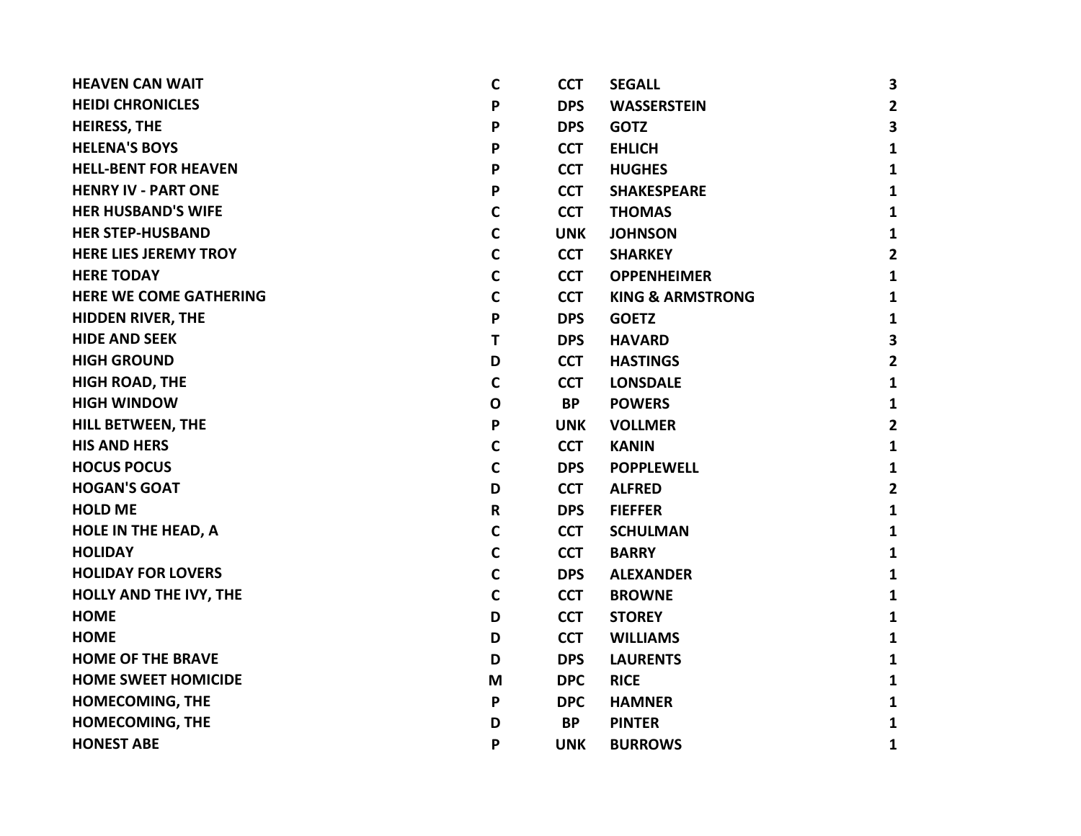| <b>HEAVEN CAN WAIT</b>        | C            | <b>CCT</b> | <b>SEGALL</b>               | 3                       |
|-------------------------------|--------------|------------|-----------------------------|-------------------------|
| <b>HEIDI CHRONICLES</b>       | P            | <b>DPS</b> | <b>WASSERSTEIN</b>          | $\overline{2}$          |
| <b>HEIRESS, THE</b>           | P            | <b>DPS</b> | <b>GOTZ</b>                 | 3                       |
| <b>HELENA'S BOYS</b>          | P            | <b>CCT</b> | <b>EHLICH</b>               | $\mathbf{1}$            |
| <b>HELL-BENT FOR HEAVEN</b>   | P            | <b>CCT</b> | <b>HUGHES</b>               | $\mathbf{1}$            |
| <b>HENRY IV - PART ONE</b>    | P            | <b>CCT</b> | <b>SHAKESPEARE</b>          | $\mathbf{1}$            |
| <b>HER HUSBAND'S WIFE</b>     | $\mathsf{C}$ | <b>CCT</b> | <b>THOMAS</b>               | $\mathbf{1}$            |
| <b>HER STEP-HUSBAND</b>       | $\mathbf C$  | <b>UNK</b> | <b>JOHNSON</b>              | $\mathbf{1}$            |
| <b>HERE LIES JEREMY TROY</b>  | C            | <b>CCT</b> | <b>SHARKEY</b>              | $\mathbf{2}$            |
| <b>HERE TODAY</b>             | C            | <b>CCT</b> | <b>OPPENHEIMER</b>          | $\mathbf{1}$            |
| <b>HERE WE COME GATHERING</b> | C            | <b>CCT</b> | <b>KING &amp; ARMSTRONG</b> | $\mathbf{1}$            |
| <b>HIDDEN RIVER, THE</b>      | P            | <b>DPS</b> | <b>GOETZ</b>                | $\mathbf{1}$            |
| <b>HIDE AND SEEK</b>          | T            | <b>DPS</b> | <b>HAVARD</b>               | 3                       |
| <b>HIGH GROUND</b>            | D            | <b>CCT</b> | <b>HASTINGS</b>             | $\mathbf{2}$            |
| <b>HIGH ROAD, THE</b>         | $\mathbf C$  | <b>CCT</b> | <b>LONSDALE</b>             | $\mathbf{1}$            |
| <b>HIGH WINDOW</b>            | $\mathbf O$  | <b>BP</b>  | <b>POWERS</b>               | $\mathbf{1}$            |
| <b>HILL BETWEEN, THE</b>      | P            | <b>UNK</b> | <b>VOLLMER</b>              | $\overline{\mathbf{2}}$ |
| <b>HIS AND HERS</b>           | $\mathbf C$  | <b>CCT</b> | <b>KANIN</b>                | $\mathbf{1}$            |
| <b>HOCUS POCUS</b>            | $\mathbf C$  | <b>DPS</b> | <b>POPPLEWELL</b>           | $\mathbf{1}$            |
| <b>HOGAN'S GOAT</b>           | D            | <b>CCT</b> | <b>ALFRED</b>               | $\mathbf{2}$            |
| <b>HOLD ME</b>                | $\mathsf R$  | <b>DPS</b> | <b>FIEFFER</b>              | $\mathbf{1}$            |
| <b>HOLE IN THE HEAD, A</b>    | C            | <b>CCT</b> | <b>SCHULMAN</b>             | $\mathbf{1}$            |
| <b>HOLIDAY</b>                | C            | <b>CCT</b> | <b>BARRY</b>                | $\mathbf{1}$            |
| <b>HOLIDAY FOR LOVERS</b>     | $\mathsf{C}$ | <b>DPS</b> | <b>ALEXANDER</b>            | $\mathbf{1}$            |
| <b>HOLLY AND THE IVY, THE</b> | $\mathsf{C}$ | <b>CCT</b> | <b>BROWNE</b>               | $\mathbf{1}$            |
| <b>HOME</b>                   | D            | <b>CCT</b> | <b>STOREY</b>               | $\mathbf{1}$            |
| <b>HOME</b>                   | D            | <b>CCT</b> | <b>WILLIAMS</b>             | $\mathbf{1}$            |
| <b>HOME OF THE BRAVE</b>      | D            | <b>DPS</b> | <b>LAURENTS</b>             | $\mathbf{1}$            |
| <b>HOME SWEET HOMICIDE</b>    | M            | <b>DPC</b> | <b>RICE</b>                 | $\mathbf{1}$            |
| HOMECOMING, THE               | P            | <b>DPC</b> | <b>HAMNER</b>               | $\mathbf{1}$            |
| <b>HOMECOMING, THE</b>        | D            | <b>BP</b>  | <b>PINTER</b>               | $\mathbf{1}$            |
| <b>HONEST ABE</b>             | P            | <b>UNK</b> | <b>BURROWS</b>              | 1                       |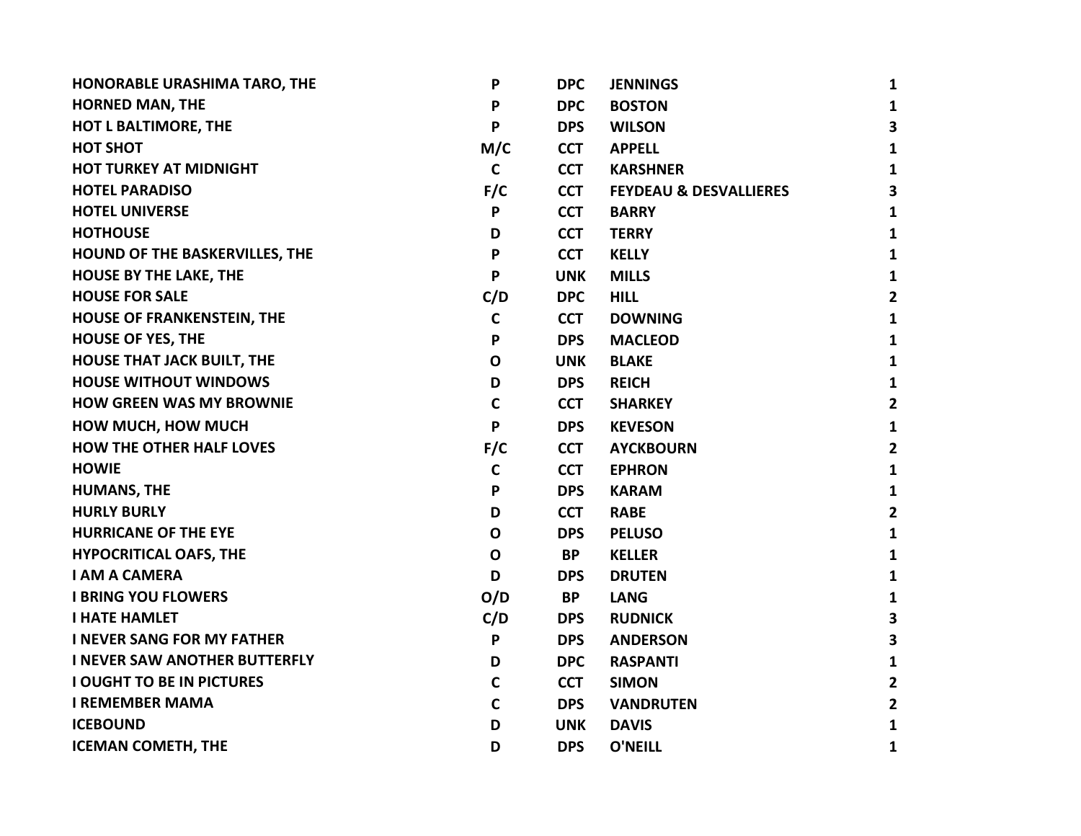| HONORABLE URASHIMA TARO, THE          | P            | <b>DPC</b> | <b>JENNINGS</b>                   | 1              |
|---------------------------------------|--------------|------------|-----------------------------------|----------------|
| <b>HORNED MAN, THE</b>                | P            | <b>DPC</b> | <b>BOSTON</b>                     | 1              |
| <b>HOT L BALTIMORE, THE</b>           | P            | <b>DPS</b> | <b>WILSON</b>                     | 3              |
| <b>HOT SHOT</b>                       | M/C          | <b>CCT</b> | <b>APPELL</b>                     | 1              |
| <b>HOT TURKEY AT MIDNIGHT</b>         | $\mathbf C$  | <b>CCT</b> | <b>KARSHNER</b>                   | 1              |
| <b>HOTEL PARADISO</b>                 | F/C          | <b>CCT</b> | <b>FEYDEAU &amp; DESVALLIERES</b> | 3              |
| <b>HOTEL UNIVERSE</b>                 | P            | <b>CCT</b> | <b>BARRY</b>                      | 1              |
| <b>HOTHOUSE</b>                       | D            | <b>CCT</b> | <b>TERRY</b>                      | 1              |
| <b>HOUND OF THE BASKERVILLES, THE</b> | P            | <b>CCT</b> | <b>KELLY</b>                      | $\mathbf{1}$   |
| <b>HOUSE BY THE LAKE, THE</b>         | P            | <b>UNK</b> | <b>MILLS</b>                      | 1              |
| <b>HOUSE FOR SALE</b>                 | C/D          | <b>DPC</b> | <b>HILL</b>                       | $\mathbf{2}$   |
| HOUSE OF FRANKENSTEIN, THE            | $\mathbf C$  | <b>CCT</b> | <b>DOWNING</b>                    | $\mathbf{1}$   |
| <b>HOUSE OF YES, THE</b>              | P            | <b>DPS</b> | <b>MACLEOD</b>                    | 1              |
| <b>HOUSE THAT JACK BUILT, THE</b>     | $\mathbf O$  | <b>UNK</b> | <b>BLAKE</b>                      | 1              |
| <b>HOUSE WITHOUT WINDOWS</b>          | D            | <b>DPS</b> | <b>REICH</b>                      | 1              |
| <b>HOW GREEN WAS MY BROWNIE</b>       | $\mathbf C$  | <b>CCT</b> | <b>SHARKEY</b>                    | $\mathbf{2}$   |
| <b>HOW MUCH, HOW MUCH</b>             | P            | <b>DPS</b> | <b>KEVESON</b>                    | 1              |
| <b>HOW THE OTHER HALF LOVES</b>       | F/C          | <b>CCT</b> | <b>AYCKBOURN</b>                  | 2              |
| <b>HOWIE</b>                          | $\mathbf c$  | <b>CCT</b> | <b>EPHRON</b>                     | 1              |
| <b>HUMANS, THE</b>                    | P            | <b>DPS</b> | <b>KARAM</b>                      | $\mathbf{1}$   |
| <b>HURLY BURLY</b>                    | D            | <b>CCT</b> | <b>RABE</b>                       | $\overline{2}$ |
| <b>HURRICANE OF THE EYE</b>           | $\mathbf 0$  | <b>DPS</b> | <b>PELUSO</b>                     | 1              |
| <b>HYPOCRITICAL OAFS, THE</b>         | $\mathbf O$  | <b>BP</b>  | <b>KELLER</b>                     | 1              |
| <b>I AM A CAMERA</b>                  | D            | <b>DPS</b> | <b>DRUTEN</b>                     | 1              |
| <b>I BRING YOU FLOWERS</b>            | O/D          | BP         | <b>LANG</b>                       | 1              |
| <b>I HATE HAMLET</b>                  | C/D          | <b>DPS</b> | <b>RUDNICK</b>                    | 3              |
| <b>I NEVER SANG FOR MY FATHER</b>     | P            | <b>DPS</b> | <b>ANDERSON</b>                   | 3              |
| <b>I NEVER SAW ANOTHER BUTTERFLY</b>  | D            | <b>DPC</b> | <b>RASPANTI</b>                   | 1              |
| <b>I OUGHT TO BE IN PICTURES</b>      | $\mathsf{C}$ | <b>CCT</b> | <b>SIMON</b>                      | $\overline{2}$ |
| <b>I REMEMBER MAMA</b>                | $\mathbf C$  | <b>DPS</b> | <b>VANDRUTEN</b>                  | 2              |
| <b>ICEBOUND</b>                       | D            | <b>UNK</b> | <b>DAVIS</b>                      | 1              |
| <b>ICEMAN COMETH, THE</b>             | D            | <b>DPS</b> | O'NEILL                           | 1              |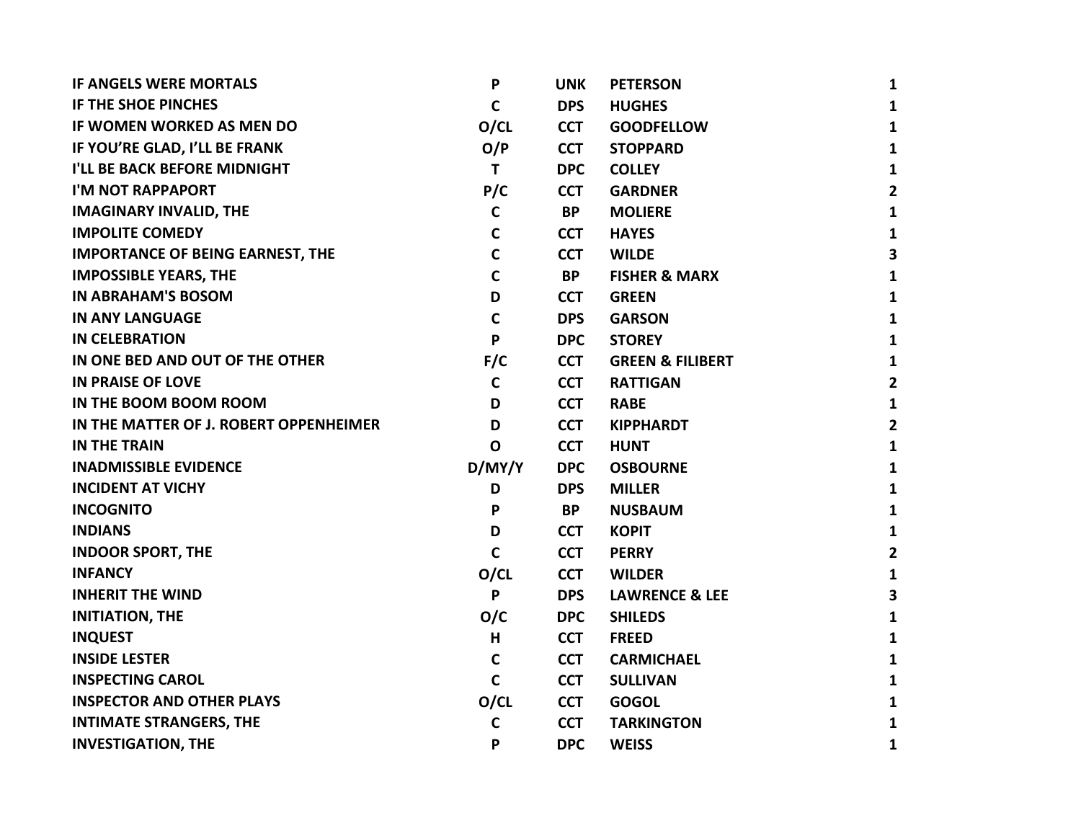| <b>IF ANGELS WERE MORTALS</b>           | $\mathsf{P}$ | <b>UNK</b> | <b>PETERSON</b>             | 1                       |
|-----------------------------------------|--------------|------------|-----------------------------|-------------------------|
| IF THE SHOE PINCHES                     | $\mathbf c$  | <b>DPS</b> | <b>HUGHES</b>               | $\mathbf{1}$            |
| IF WOMEN WORKED AS MEN DO               | O/CL         | <b>CCT</b> | <b>GOODFELLOW</b>           | 1                       |
| IF YOU'RE GLAD, I'LL BE FRANK           | O/P          | <b>CCT</b> | <b>STOPPARD</b>             | 1                       |
| I'LL BE BACK BEFORE MIDNIGHT            | T            | <b>DPC</b> | <b>COLLEY</b>               | 1                       |
| I'M NOT RAPPAPORT                       | P/C          | <b>CCT</b> | <b>GARDNER</b>              | $\mathbf{2}$            |
| <b>IMAGINARY INVALID, THE</b>           | $\mathsf{C}$ | <b>BP</b>  | <b>MOLIERE</b>              | $\mathbf{1}$            |
| <b>IMPOLITE COMEDY</b>                  | C            | <b>CCT</b> | <b>HAYES</b>                | $\mathbf{1}$            |
| <b>IMPORTANCE OF BEING EARNEST, THE</b> | $\mathsf{C}$ | <b>CCT</b> | <b>WILDE</b>                | $\overline{\mathbf{3}}$ |
| <b>IMPOSSIBLE YEARS, THE</b>            | $\mathbf c$  | <b>BP</b>  | <b>FISHER &amp; MARX</b>    | $\mathbf{1}$            |
| <b>IN ABRAHAM'S BOSOM</b>               | D            | <b>CCT</b> | <b>GREEN</b>                | 1                       |
| <b>IN ANY LANGUAGE</b>                  | $\mathbf C$  | <b>DPS</b> | <b>GARSON</b>               | $\mathbf{1}$            |
| <b>IN CELEBRATION</b>                   | P            | <b>DPC</b> | <b>STOREY</b>               | $\mathbf{1}$            |
| IN ONE BED AND OUT OF THE OTHER         | F/C          | <b>CCT</b> | <b>GREEN &amp; FILIBERT</b> | $\mathbf{1}$            |
| <b>IN PRAISE OF LOVE</b>                | $\mathbf c$  | <b>CCT</b> | <b>RATTIGAN</b>             | $\overline{2}$          |
| IN THE BOOM BOOM ROOM                   | D            | <b>CCT</b> | <b>RABE</b>                 | $\mathbf{1}$            |
| IN THE MATTER OF J. ROBERT OPPENHEIMER  | D            | <b>CCT</b> | <b>KIPPHARDT</b>            | 2                       |
| <b>IN THE TRAIN</b>                     | $\mathbf 0$  | <b>CCT</b> | <b>HUNT</b>                 | $\mathbf{1}$            |
| <b>INADMISSIBLE EVIDENCE</b>            | D/MY/Y       | <b>DPC</b> | <b>OSBOURNE</b>             | $\mathbf{1}$            |
| <b>INCIDENT AT VICHY</b>                | D            | <b>DPS</b> | <b>MILLER</b>               | $\mathbf{1}$            |
| <b>INCOGNITO</b>                        | P            | <b>BP</b>  | <b>NUSBAUM</b>              | $\mathbf{1}$            |
| <b>INDIANS</b>                          | D            | <b>CCT</b> | <b>KOPIT</b>                | 1                       |
| <b>INDOOR SPORT, THE</b>                | $\mathsf{C}$ | <b>CCT</b> | <b>PERRY</b>                | $\mathbf{2}$            |
| <b>INFANCY</b>                          | O/CL         | <b>CCT</b> | <b>WILDER</b>               | $\mathbf{1}$            |
| <b>INHERIT THE WIND</b>                 | P            | <b>DPS</b> | <b>LAWRENCE &amp; LEE</b>   | 3                       |
| <b>INITIATION, THE</b>                  | O/C          | <b>DPC</b> | <b>SHILEDS</b>              | 1                       |
| <b>INQUEST</b>                          | H            | <b>CCT</b> | <b>FREED</b>                | 1                       |
| <b>INSIDE LESTER</b>                    | $\mathbf c$  | <b>CCT</b> | <b>CARMICHAEL</b>           | 1                       |
| <b>INSPECTING CAROL</b>                 | $\mathbf C$  | <b>CCT</b> | <b>SULLIVAN</b>             | 1                       |
| <b>INSPECTOR AND OTHER PLAYS</b>        | O/CL         | <b>CCT</b> | <b>GOGOL</b>                | 1                       |
| <b>INTIMATE STRANGERS, THE</b>          | C            | <b>CCT</b> | <b>TARKINGTON</b>           | 1                       |
| <b>INVESTIGATION, THE</b>               | P            | <b>DPC</b> | <b>WEISS</b>                | 1                       |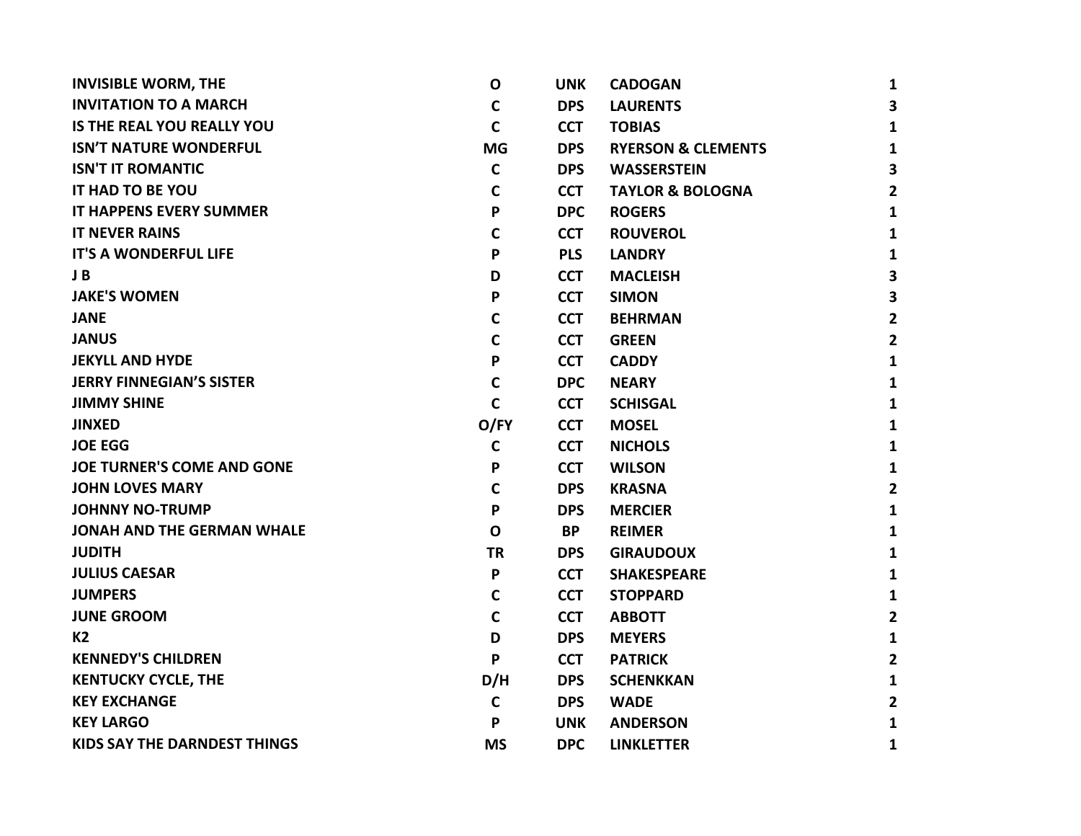| <b>INVISIBLE WORM, THE</b>          | $\mathbf O$  | <b>UNK</b> | <b>CADOGAN</b>                | 1              |
|-------------------------------------|--------------|------------|-------------------------------|----------------|
| <b>INVITATION TO A MARCH</b>        | C            | <b>DPS</b> | <b>LAURENTS</b>               | 3              |
| <b>IS THE REAL YOU REALLY YOU</b>   | $\mathbf C$  | <b>CCT</b> | <b>TOBIAS</b>                 | 1              |
| <b>ISN'T NATURE WONDERFUL</b>       | <b>MG</b>    | <b>DPS</b> | <b>RYERSON &amp; CLEMENTS</b> | 1              |
| <b>ISN'T IT ROMANTIC</b>            | $\mathsf{C}$ | <b>DPS</b> | <b>WASSERSTEIN</b>            | 3              |
| IT HAD TO BE YOU                    | $\mathbf C$  | <b>CCT</b> | <b>TAYLOR &amp; BOLOGNA</b>   | $\mathbf{2}$   |
| <b>IT HAPPENS EVERY SUMMER</b>      | P            | <b>DPC</b> | <b>ROGERS</b>                 | 1              |
| <b>IT NEVER RAINS</b>               | $\mathsf{C}$ | <b>CCT</b> | <b>ROUVEROL</b>               | 1              |
| <b>IT'S A WONDERFUL LIFE</b>        | P            | <b>PLS</b> | <b>LANDRY</b>                 | $\mathbf{1}$   |
| J B                                 | D            | <b>CCT</b> | <b>MACLEISH</b>               | 3              |
| <b>JAKE'S WOMEN</b>                 | P            | <b>CCT</b> | <b>SIMON</b>                  | 3              |
| <b>JANE</b>                         | $\mathbf C$  | <b>CCT</b> | <b>BEHRMAN</b>                | $\mathbf{2}$   |
| <b>JANUS</b>                        | C            | <b>CCT</b> | <b>GREEN</b>                  | $\mathbf{2}$   |
| <b>JEKYLL AND HYDE</b>              | P            | <b>CCT</b> | <b>CADDY</b>                  | 1              |
| <b>JERRY FINNEGIAN'S SISTER</b>     | $\mathsf{C}$ | <b>DPC</b> | <b>NEARY</b>                  | $\mathbf{1}$   |
| <b>JIMMY SHINE</b>                  | $\mathsf{C}$ | <b>CCT</b> | <b>SCHISGAL</b>               | $\mathbf{1}$   |
| <b>JINXED</b>                       | O/FY         | <b>CCT</b> | <b>MOSEL</b>                  | $\mathbf{1}$   |
| <b>JOE EGG</b>                      | $\mathbf C$  | <b>CCT</b> | <b>NICHOLS</b>                | 1              |
| <b>JOE TURNER'S COME AND GONE</b>   | P            | <b>CCT</b> | <b>WILSON</b>                 | 1              |
| <b>JOHN LOVES MARY</b>              | C            | <b>DPS</b> | <b>KRASNA</b>                 | $\mathbf{2}$   |
| <b>JOHNNY NO-TRUMP</b>              | P            | <b>DPS</b> | <b>MERCIER</b>                | $\mathbf{1}$   |
| <b>JONAH AND THE GERMAN WHALE</b>   | $\mathbf o$  | <b>BP</b>  | <b>REIMER</b>                 | $\mathbf{1}$   |
| <b>JUDITH</b>                       | <b>TR</b>    | <b>DPS</b> | <b>GIRAUDOUX</b>              | $\mathbf{1}$   |
| <b>JULIUS CAESAR</b>                | P            | <b>CCT</b> | <b>SHAKESPEARE</b>            | 1              |
| <b>JUMPERS</b>                      | C            | <b>CCT</b> | <b>STOPPARD</b>               | $\mathbf{1}$   |
| <b>JUNE GROOM</b>                   | $\mathbf C$  | <b>CCT</b> | <b>ABBOTT</b>                 | $\mathbf{2}$   |
| K <sub>2</sub>                      | D            | <b>DPS</b> | <b>MEYERS</b>                 | $\mathbf{1}$   |
| <b>KENNEDY'S CHILDREN</b>           | P            | <b>CCT</b> | <b>PATRICK</b>                | $\overline{2}$ |
| <b>KENTUCKY CYCLE, THE</b>          | D/H          | <b>DPS</b> | <b>SCHENKKAN</b>              | 1              |
| <b>KEY EXCHANGE</b>                 | C            | <b>DPS</b> | <b>WADE</b>                   | $\overline{2}$ |
| <b>KEY LARGO</b>                    | P            | <b>UNK</b> | <b>ANDERSON</b>               | $\mathbf{1}$   |
| <b>KIDS SAY THE DARNDEST THINGS</b> | <b>MS</b>    | <b>DPC</b> | <b>LINKLETTER</b>             | 1              |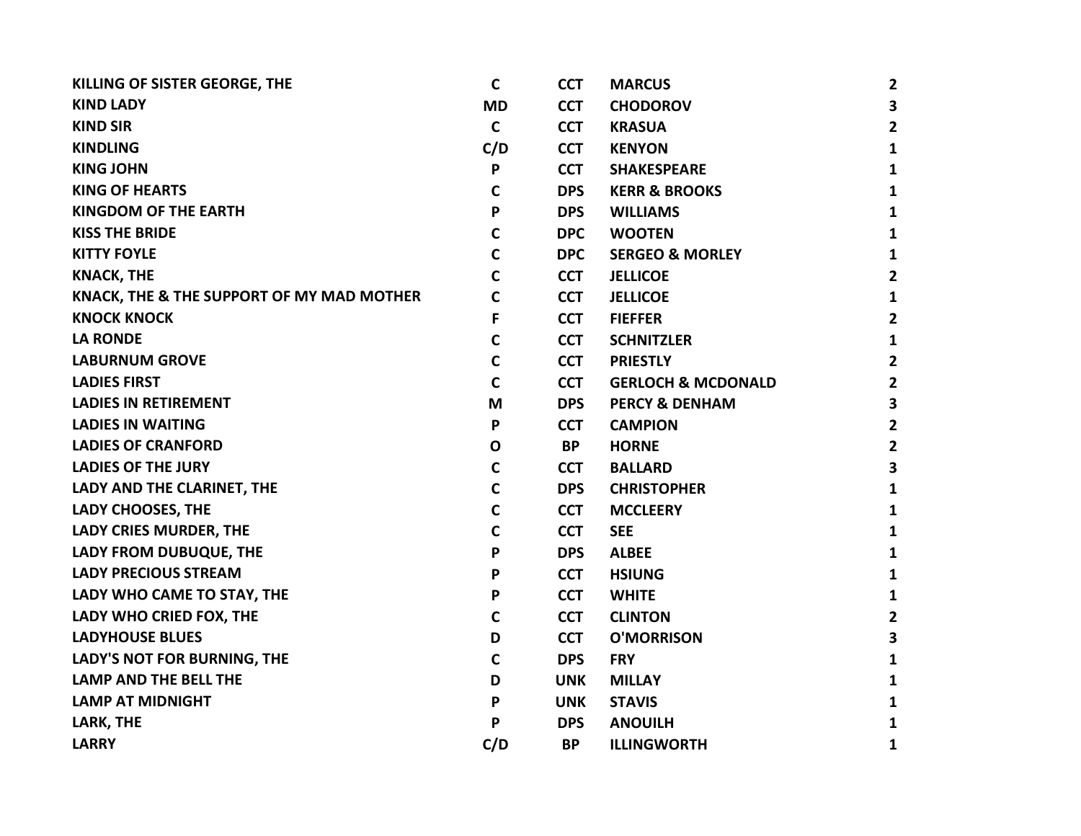| KILLING OF SISTER GEORGE, THE             | C            | <b>CCT</b> | <b>MARCUS</b>                 | 2                       |
|-------------------------------------------|--------------|------------|-------------------------------|-------------------------|
| <b>KIND LADY</b>                          | <b>MD</b>    | <b>CCT</b> | <b>CHODOROV</b>               | 3                       |
| <b>KIND SIR</b>                           | $\mathsf{C}$ | <b>CCT</b> | <b>KRASUA</b>                 | $\mathbf{2}$            |
| <b>KINDLING</b>                           | C/D          | <b>CCT</b> | <b>KENYON</b>                 | $\mathbf{1}$            |
| <b>KING JOHN</b>                          | P            | <b>CCT</b> | <b>SHAKESPEARE</b>            | 1                       |
| <b>KING OF HEARTS</b>                     | С            | <b>DPS</b> | <b>KERR &amp; BROOKS</b>      | 1                       |
| <b>KINGDOM OF THE EARTH</b>               | P            | <b>DPS</b> | <b>WILLIAMS</b>               | 1                       |
| <b>KISS THE BRIDE</b>                     | C            | <b>DPC</b> | <b>WOOTEN</b>                 | $\mathbf{1}$            |
| <b>KITTY FOYLE</b>                        | C            | <b>DPC</b> | <b>SERGEO &amp; MORLEY</b>    | 1                       |
| <b>KNACK, THE</b>                         | C            | <b>CCT</b> | <b>JELLICOE</b>               | $\overline{\mathbf{2}}$ |
| KNACK, THE & THE SUPPORT OF MY MAD MOTHER | C            | <b>CCT</b> | <b>JELLICOE</b>               | 1                       |
| <b>KNOCK KNOCK</b>                        | F            | <b>CCT</b> | <b>FIEFFER</b>                | $\mathbf{2}$            |
| <b>LA RONDE</b>                           | C            | <b>CCT</b> | <b>SCHNITZLER</b>             | 1                       |
| <b>LABURNUM GROVE</b>                     | C            | <b>CCT</b> | <b>PRIESTLY</b>               | $\mathbf{2}$            |
| <b>LADIES FIRST</b>                       | C            | <b>CCT</b> | <b>GERLOCH &amp; MCDONALD</b> | 2                       |
| <b>LADIES IN RETIREMENT</b>               | M            | <b>DPS</b> | <b>PERCY &amp; DENHAM</b>     | 3                       |
| <b>LADIES IN WAITING</b>                  | P            | <b>CCT</b> | <b>CAMPION</b>                | $\mathbf{2}$            |
| <b>LADIES OF CRANFORD</b>                 | $\mathbf o$  | <b>BP</b>  | <b>HORNE</b>                  | $\mathbf{2}$            |
| <b>LADIES OF THE JURY</b>                 | $\mathsf{C}$ | <b>CCT</b> | <b>BALLARD</b>                | 3                       |
| LADY AND THE CLARINET, THE                | C            | <b>DPS</b> | <b>CHRISTOPHER</b>            | 1                       |
| LADY CHOOSES, THE                         | C            | <b>CCT</b> | <b>MCCLEERY</b>               | $\mathbf{1}$            |
| LADY CRIES MURDER, THE                    | C            | <b>CCT</b> | <b>SEE</b>                    | 1                       |
| LADY FROM DUBUQUE, THE                    | P            | <b>DPS</b> | <b>ALBEE</b>                  | $\mathbf{1}$            |
| <b>LADY PRECIOUS STREAM</b>               | P            | <b>CCT</b> | <b>HSIUNG</b>                 | $\mathbf{1}$            |
| LADY WHO CAME TO STAY, THE                | P            | <b>CCT</b> | <b>WHITE</b>                  | 1                       |
| LADY WHO CRIED FOX, THE                   | C            | <b>CCT</b> | <b>CLINTON</b>                | $\mathbf{2}$            |
| <b>LADYHOUSE BLUES</b>                    | D            | <b>CCT</b> | <b>O'MORRISON</b>             | 3                       |
| LADY'S NOT FOR BURNING, THE               | C            | <b>DPS</b> | <b>FRY</b>                    | 1                       |
| <b>LAMP AND THE BELL THE</b>              | D            | <b>UNK</b> | <b>MILLAY</b>                 | 1                       |
| <b>LAMP AT MIDNIGHT</b>                   | P            | <b>UNK</b> | <b>STAVIS</b>                 | 1                       |
| LARK, THE                                 | P            | <b>DPS</b> | <b>ANOUILH</b>                | 1                       |
| <b>LARRY</b>                              | C/D          | <b>BP</b>  | <b>ILLINGWORTH</b>            | 1                       |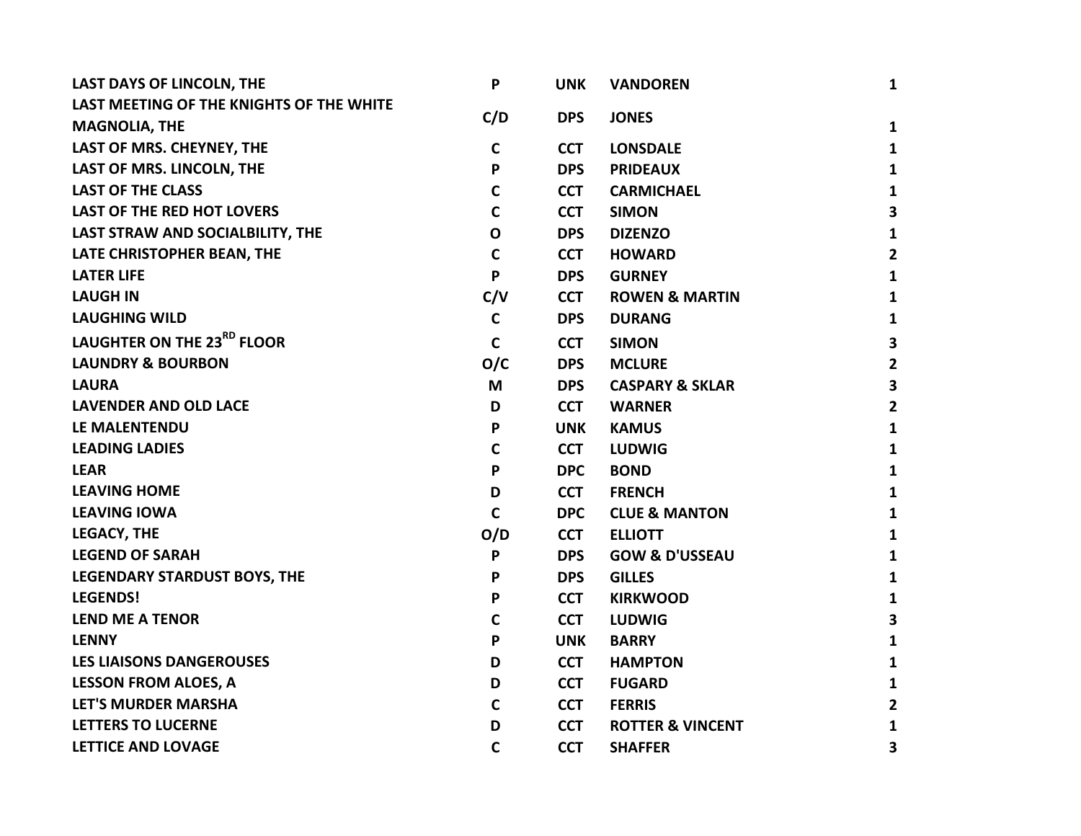| LAST DAYS OF LINCOLN, THE                | P            | <b>UNK</b> | <b>VANDOREN</b>             | $\mathbf{1}$   |
|------------------------------------------|--------------|------------|-----------------------------|----------------|
| LAST MEETING OF THE KNIGHTS OF THE WHITE |              |            |                             |                |
| <b>MAGNOLIA, THE</b>                     | C/D          | <b>DPS</b> | <b>JONES</b>                | 1              |
| LAST OF MRS. CHEYNEY, THE                | $\mathbf c$  | <b>CCT</b> | <b>LONSDALE</b>             | $\mathbf{1}$   |
| LAST OF MRS. LINCOLN, THE                | P            | <b>DPS</b> | <b>PRIDEAUX</b>             | 1              |
| <b>LAST OF THE CLASS</b>                 | $\mathsf{C}$ | <b>CCT</b> | <b>CARMICHAEL</b>           | 1              |
| <b>LAST OF THE RED HOT LOVERS</b>        | $\mathbf c$  | <b>CCT</b> | <b>SIMON</b>                | 3              |
| LAST STRAW AND SOCIALBILITY, THE         | $\mathbf O$  | <b>DPS</b> | <b>DIZENZO</b>              | 1              |
| LATE CHRISTOPHER BEAN, THE               | $\mathsf{C}$ | <b>CCT</b> | <b>HOWARD</b>               | $\overline{2}$ |
| <b>LATER LIFE</b>                        | P            | <b>DPS</b> | <b>GURNEY</b>               | 1              |
| <b>LAUGH IN</b>                          | C/V          | <b>CCT</b> | <b>ROWEN &amp; MARTIN</b>   | 1              |
| <b>LAUGHING WILD</b>                     | $\mathbf c$  | <b>DPS</b> | <b>DURANG</b>               | 1              |
| LAUGHTER ON THE 23RD FLOOR               | $\mathbf C$  | <b>CCT</b> | <b>SIMON</b>                | 3              |
| <b>LAUNDRY &amp; BOURBON</b>             | O/C          | <b>DPS</b> | <b>MCLURE</b>               | $\overline{2}$ |
| <b>LAURA</b>                             | M            | <b>DPS</b> | <b>CASPARY &amp; SKLAR</b>  | 3              |
| <b>LAVENDER AND OLD LACE</b>             | D            | <b>CCT</b> | <b>WARNER</b>               | $\mathbf{2}$   |
| LE MALENTENDU                            | P            | <b>UNK</b> | <b>KAMUS</b>                | $\mathbf{1}$   |
| <b>LEADING LADIES</b>                    | $\mathbf C$  | <b>CCT</b> | <b>LUDWIG</b>               | 1              |
| <b>LEAR</b>                              | P            | <b>DPC</b> | <b>BOND</b>                 | 1              |
| <b>LEAVING HOME</b>                      | D            | <b>CCT</b> | <b>FRENCH</b>               | $\mathbf{1}$   |
| <b>LEAVING IOWA</b>                      | $\mathbf C$  | <b>DPC</b> | <b>CLUE &amp; MANTON</b>    | $\mathbf{1}$   |
| <b>LEGACY, THE</b>                       | O/D          | <b>CCT</b> | <b>ELLIOTT</b>              | 1              |
| <b>LEGEND OF SARAH</b>                   | P            | <b>DPS</b> | <b>GOW &amp; D'USSEAU</b>   | 1              |
| <b>LEGENDARY STARDUST BOYS, THE</b>      | P            | <b>DPS</b> | <b>GILLES</b>               | 1              |
| <b>LEGENDS!</b>                          | P            | <b>CCT</b> | <b>KIRKWOOD</b>             | 1              |
| <b>LEND ME A TENOR</b>                   | $\mathbf c$  | <b>CCT</b> | <b>LUDWIG</b>               | 3              |
| <b>LENNY</b>                             | P            | <b>UNK</b> | <b>BARRY</b>                | $\mathbf{1}$   |
| <b>LES LIAISONS DANGEROUSES</b>          | D            | <b>CCT</b> | <b>HAMPTON</b>              | 1              |
| <b>LESSON FROM ALOES, A</b>              | D            | <b>CCT</b> | <b>FUGARD</b>               | 1              |
| <b>LET'S MURDER MARSHA</b>               | $\mathbf C$  | <b>CCT</b> | <b>FERRIS</b>               | 2              |
| <b>LETTERS TO LUCERNE</b>                | D            | <b>CCT</b> | <b>ROTTER &amp; VINCENT</b> | 1              |
| <b>LETTICE AND LOVAGE</b>                | $\mathbf C$  | <b>CCT</b> | <b>SHAFFER</b>              | 3              |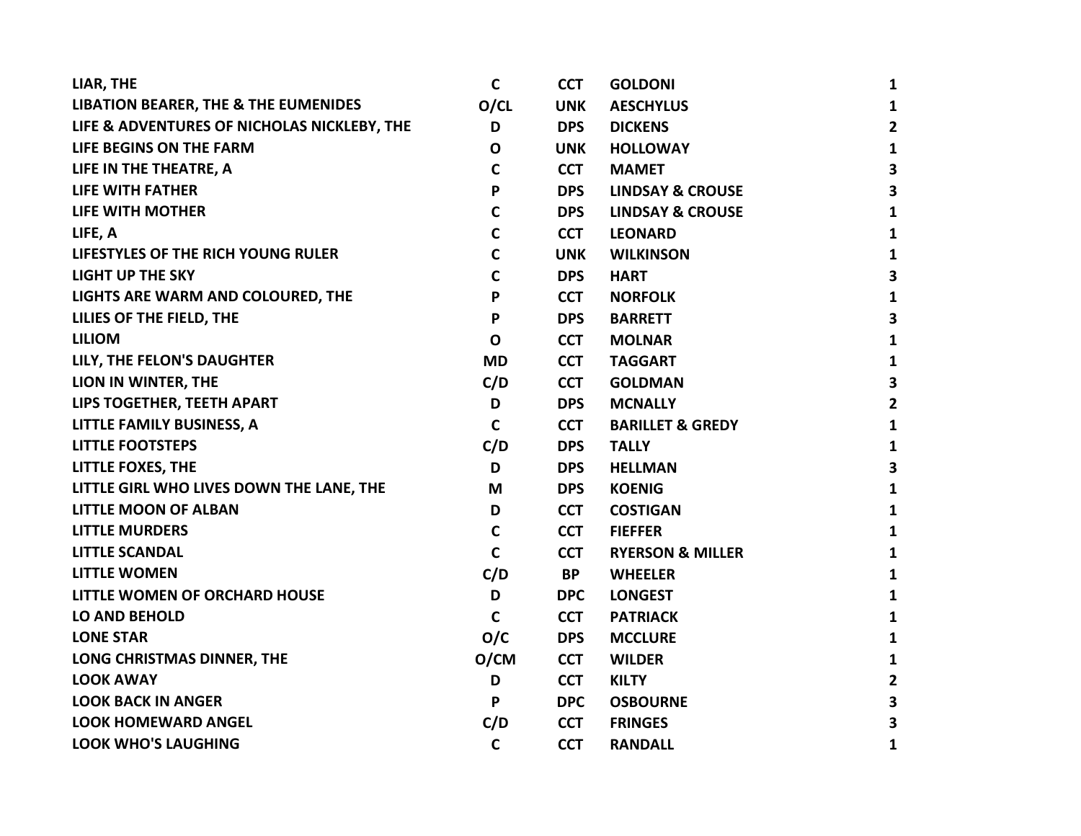| LIAR, THE                                       | C            | <b>CCT</b> | <b>GOLDONI</b>              | $\mathbf{1}$            |
|-------------------------------------------------|--------------|------------|-----------------------------|-------------------------|
| <b>LIBATION BEARER, THE &amp; THE EUMENIDES</b> | O/CL         | <b>UNK</b> | <b>AESCHYLUS</b>            | $\mathbf{1}$            |
| LIFE & ADVENTURES OF NICHOLAS NICKLEBY, THE     | D            | <b>DPS</b> | <b>DICKENS</b>              | $\overline{\mathbf{2}}$ |
| LIFE BEGINS ON THE FARM                         | $\mathbf 0$  | <b>UNK</b> | <b>HOLLOWAY</b>             | $\mathbf{1}$            |
| LIFE IN THE THEATRE, A                          | $\mathbf C$  | <b>CCT</b> | <b>MAMET</b>                | $\overline{\mathbf{3}}$ |
| <b>LIFE WITH FATHER</b>                         | P            | <b>DPS</b> | <b>LINDSAY &amp; CROUSE</b> | 3                       |
| LIFE WITH MOTHER                                | $\mathbf C$  | <b>DPS</b> | <b>LINDSAY &amp; CROUSE</b> | $\mathbf{1}$            |
| LIFE, A                                         | C            | <b>CCT</b> | <b>LEONARD</b>              | $\mathbf{1}$            |
| LIFESTYLES OF THE RICH YOUNG RULER              | $\mathbf C$  | <b>UNK</b> | <b>WILKINSON</b>            | $\mathbf{1}$            |
| <b>LIGHT UP THE SKY</b>                         | $\mathsf{C}$ | <b>DPS</b> | <b>HART</b>                 | $\overline{\mathbf{3}}$ |
| LIGHTS ARE WARM AND COLOURED, THE               | P            | <b>CCT</b> | <b>NORFOLK</b>              | $\mathbf{1}$            |
| LILIES OF THE FIELD, THE                        | P            | <b>DPS</b> | <b>BARRETT</b>              | $\overline{\mathbf{3}}$ |
| <b>LILIOM</b>                                   | $\mathbf O$  | <b>CCT</b> | <b>MOLNAR</b>               | $\mathbf{1}$            |
| LILY, THE FELON'S DAUGHTER                      | <b>MD</b>    | <b>CCT</b> | <b>TAGGART</b>              | $\mathbf{1}$            |
| LION IN WINTER, THE                             | C/D          | <b>CCT</b> | <b>GOLDMAN</b>              | $\mathbf{3}$            |
| LIPS TOGETHER, TEETH APART                      | D            | <b>DPS</b> | <b>MCNALLY</b>              | $\overline{2}$          |
| LITTLE FAMILY BUSINESS, A                       | $\mathsf{C}$ | <b>CCT</b> | <b>BARILLET &amp; GREDY</b> | $\mathbf{1}$            |
| <b>LITTLE FOOTSTEPS</b>                         | C/D          | <b>DPS</b> | <b>TALLY</b>                | $\mathbf{1}$            |
| <b>LITTLE FOXES, THE</b>                        | D            | <b>DPS</b> | <b>HELLMAN</b>              | $\overline{\mathbf{3}}$ |
| LITTLE GIRL WHO LIVES DOWN THE LANE, THE        | M            | <b>DPS</b> | <b>KOENIG</b>               | $\mathbf{1}$            |
| <b>LITTLE MOON OF ALBAN</b>                     | D            | <b>CCT</b> | <b>COSTIGAN</b>             | $\mathbf{1}$            |
| <b>LITTLE MURDERS</b>                           | C            | <b>CCT</b> | <b>FIEFFER</b>              | $\mathbf{1}$            |
| <b>LITTLE SCANDAL</b>                           | $\mathsf{C}$ | <b>CCT</b> | <b>RYERSON &amp; MILLER</b> | $\mathbf{1}$            |
| <b>LITTLE WOMEN</b>                             | C/D          | <b>BP</b>  | <b>WHEELER</b>              | $\mathbf{1}$            |
| LITTLE WOMEN OF ORCHARD HOUSE                   | D            | <b>DPC</b> | <b>LONGEST</b>              | $\mathbf{1}$            |
| <b>LO AND BEHOLD</b>                            | $\mathsf{C}$ | <b>CCT</b> | <b>PATRIACK</b>             | $\mathbf{1}$            |
| <b>LONE STAR</b>                                | O/C          | <b>DPS</b> | <b>MCCLURE</b>              | $\mathbf{1}$            |
| LONG CHRISTMAS DINNER, THE                      | O/CM         | <b>CCT</b> | <b>WILDER</b>               | $\mathbf{1}$            |
| <b>LOOK AWAY</b>                                | D            | <b>CCT</b> | <b>KILTY</b>                | $\mathbf{2}$            |
| <b>LOOK BACK IN ANGER</b>                       | P            | <b>DPC</b> | <b>OSBOURNE</b>             | $\overline{\mathbf{3}}$ |
| <b>LOOK HOMEWARD ANGEL</b>                      | C/D          | <b>CCT</b> | <b>FRINGES</b>              | 3                       |
| <b>LOOK WHO'S LAUGHING</b>                      | $\mathbf C$  | <b>CCT</b> | <b>RANDALL</b>              | $\mathbf{1}$            |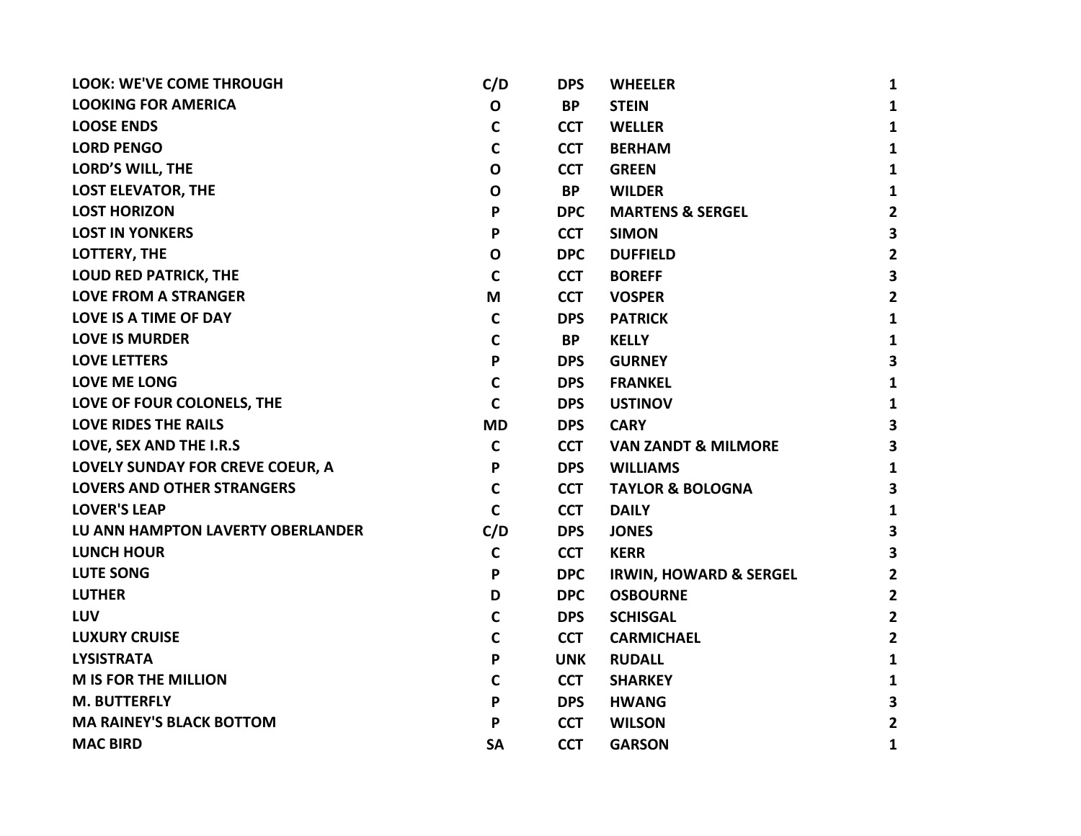| <b>LOOK: WE'VE COME THROUGH</b>   | C/D          | <b>DPS</b> | <b>WHEELER</b>                    | 1                       |
|-----------------------------------|--------------|------------|-----------------------------------|-------------------------|
| <b>LOOKING FOR AMERICA</b>        | $\mathbf 0$  | <b>BP</b>  | <b>STEIN</b>                      | $\mathbf{1}$            |
| <b>LOOSE ENDS</b>                 | C            | <b>CCT</b> | <b>WELLER</b>                     | $\mathbf{1}$            |
| <b>LORD PENGO</b>                 | $\mathbf C$  | <b>CCT</b> | <b>BERHAM</b>                     | $\mathbf{1}$            |
| <b>LORD'S WILL, THE</b>           | $\mathbf 0$  | <b>CCT</b> | <b>GREEN</b>                      | $\mathbf{1}$            |
| <b>LOST ELEVATOR, THE</b>         | O            | <b>BP</b>  | <b>WILDER</b>                     | $\mathbf{1}$            |
| <b>LOST HORIZON</b>               | P            | <b>DPC</b> | <b>MARTENS &amp; SERGEL</b>       | $\overline{2}$          |
| <b>LOST IN YONKERS</b>            | P            | <b>CCT</b> | <b>SIMON</b>                      | 3                       |
| LOTTERY, THE                      | $\mathbf 0$  | <b>DPC</b> | <b>DUFFIELD</b>                   | $\overline{2}$          |
| <b>LOUD RED PATRICK, THE</b>      | $\mathsf{C}$ | <b>CCT</b> | <b>BOREFF</b>                     | 3                       |
| <b>LOVE FROM A STRANGER</b>       | M            | <b>CCT</b> | <b>VOSPER</b>                     | $\overline{\mathbf{2}}$ |
| <b>LOVE IS A TIME OF DAY</b>      | $\mathsf{C}$ | <b>DPS</b> | <b>PATRICK</b>                    | $\mathbf{1}$            |
| <b>LOVE IS MURDER</b>             | $\mathbf C$  | BP.        | <b>KELLY</b>                      | $\mathbf{1}$            |
| <b>LOVE LETTERS</b>               | P            | <b>DPS</b> | <b>GURNEY</b>                     | 3                       |
| <b>LOVE ME LONG</b>               | C            | <b>DPS</b> | <b>FRANKEL</b>                    | $\mathbf{1}$            |
| LOVE OF FOUR COLONELS, THE        | C            | <b>DPS</b> | <b>USTINOV</b>                    | $\mathbf{1}$            |
| <b>LOVE RIDES THE RAILS</b>       | <b>MD</b>    | <b>DPS</b> | <b>CARY</b>                       | 3                       |
| LOVE, SEX AND THE I.R.S           | C            | <b>CCT</b> | <b>VAN ZANDT &amp; MILMORE</b>    | 3                       |
| LOVELY SUNDAY FOR CREVE COEUR, A  | P            | <b>DPS</b> | <b>WILLIAMS</b>                   | $\mathbf{1}$            |
| <b>LOVERS AND OTHER STRANGERS</b> | C            | <b>CCT</b> | <b>TAYLOR &amp; BOLOGNA</b>       | 3                       |
| <b>LOVER'S LEAP</b>               | $\mathsf{C}$ | <b>CCT</b> | <b>DAILY</b>                      | $\mathbf{1}$            |
| LU ANN HAMPTON LAVERTY OBERLANDER | C/D          | <b>DPS</b> | <b>JONES</b>                      | 3                       |
| <b>LUNCH HOUR</b>                 | $\mathbf C$  | <b>CCT</b> | <b>KERR</b>                       | 3                       |
| <b>LUTE SONG</b>                  | P            | <b>DPC</b> | <b>IRWIN, HOWARD &amp; SERGEL</b> | $\overline{2}$          |
| <b>LUTHER</b>                     | D            | <b>DPC</b> | <b>OSBOURNE</b>                   | $\overline{2}$          |
| <b>LUV</b>                        | C            | <b>DPS</b> | <b>SCHISGAL</b>                   | $\overline{2}$          |
| <b>LUXURY CRUISE</b>              | C            | <b>CCT</b> | <b>CARMICHAEL</b>                 | $\overline{2}$          |
| <b>LYSISTRATA</b>                 | P            | <b>UNK</b> | <b>RUDALL</b>                     | $\mathbf{1}$            |
| <b>M IS FOR THE MILLION</b>       | C            | <b>CCT</b> | <b>SHARKEY</b>                    | 1                       |
| <b>M. BUTTERFLY</b>               | P            | <b>DPS</b> | <b>HWANG</b>                      | 3                       |
| <b>MA RAINEY'S BLACK BOTTOM</b>   | P            | <b>CCT</b> | <b>WILSON</b>                     | $\mathbf{2}$            |
| <b>MAC BIRD</b>                   | <b>SA</b>    | <b>CCT</b> | <b>GARSON</b>                     | 1                       |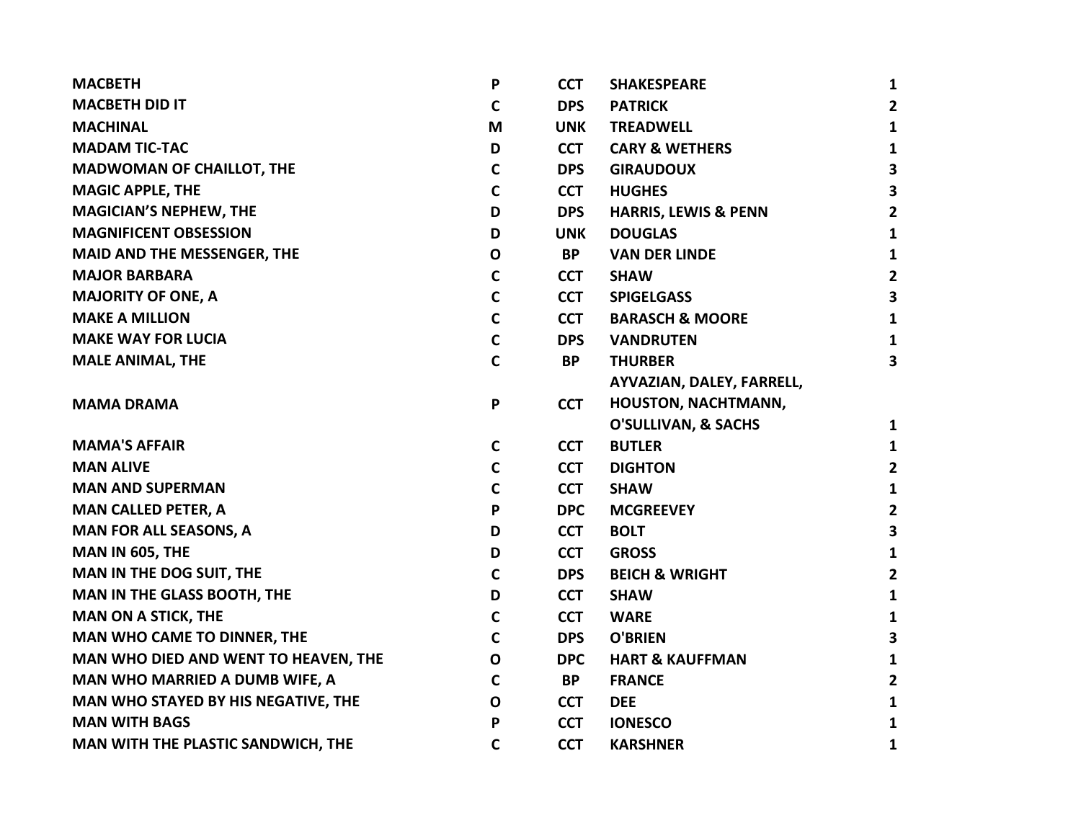| <b>MACBETH</b>                        | P            | <b>CCT</b> | <b>SHAKESPEARE</b>              | $\mathbf{1}$            |
|---------------------------------------|--------------|------------|---------------------------------|-------------------------|
| <b>MACBETH DID IT</b>                 | $\mathbf c$  | <b>DPS</b> | <b>PATRICK</b>                  | $\overline{2}$          |
| <b>MACHINAL</b>                       | M            | <b>UNK</b> | <b>TREADWELL</b>                | $\mathbf{1}$            |
| <b>MADAM TIC-TAC</b>                  | D            | <b>CCT</b> | <b>CARY &amp; WETHERS</b>       | $\mathbf{1}$            |
| <b>MADWOMAN OF CHAILLOT, THE</b>      | C            | <b>DPS</b> | <b>GIRAUDOUX</b>                | $\overline{\mathbf{3}}$ |
| <b>MAGIC APPLE, THE</b>               | $\mathsf{C}$ | <b>CCT</b> | <b>HUGHES</b>                   | $\overline{\mathbf{3}}$ |
| <b>MAGICIAN'S NEPHEW, THE</b>         | D            | <b>DPS</b> | <b>HARRIS, LEWIS &amp; PENN</b> | $\overline{2}$          |
| <b>MAGNIFICENT OBSESSION</b>          | D            | <b>UNK</b> | <b>DOUGLAS</b>                  | $\mathbf{1}$            |
| <b>MAID AND THE MESSENGER, THE</b>    | $\mathbf O$  | <b>BP</b>  | <b>VAN DER LINDE</b>            | $\mathbf{1}$            |
| <b>MAJOR BARBARA</b>                  | $\mathbf C$  | <b>CCT</b> | <b>SHAW</b>                     | $\overline{\mathbf{2}}$ |
| <b>MAJORITY OF ONE, A</b>             | $\mathbf C$  | <b>CCT</b> | <b>SPIGELGASS</b>               | $\overline{\mathbf{3}}$ |
| <b>MAKE A MILLION</b>                 | $\mathbf C$  | <b>CCT</b> | <b>BARASCH &amp; MOORE</b>      | $\mathbf{1}$            |
| <b>MAKE WAY FOR LUCIA</b>             | $\mathbf C$  | <b>DPS</b> | <b>VANDRUTEN</b>                | $\mathbf{1}$            |
| <b>MALE ANIMAL, THE</b>               | $\mathsf{C}$ | <b>BP</b>  | <b>THURBER</b>                  | 3                       |
|                                       |              |            | AYVAZIAN, DALEY, FARRELL,       |                         |
| <b>MAMA DRAMA</b>                     | P            | <b>CCT</b> | HOUSTON, NACHTMANN,             |                         |
|                                       |              |            | <b>O'SULLIVAN, &amp; SACHS</b>  | $\mathbf{1}$            |
| <b>MAMA'S AFFAIR</b>                  | $\mathbf c$  | <b>CCT</b> | <b>BUTLER</b>                   | $\mathbf{1}$            |
| <b>MAN ALIVE</b>                      | $\mathbf C$  | <b>CCT</b> | <b>DIGHTON</b>                  | $\overline{2}$          |
| <b>MAN AND SUPERMAN</b>               | $\mathbf C$  | <b>CCT</b> | <b>SHAW</b>                     | $\mathbf{1}$            |
| <b>MAN CALLED PETER, A</b>            | P            | <b>DPC</b> | <b>MCGREEVEY</b>                | $\overline{2}$          |
| <b>MAN FOR ALL SEASONS, A</b>         | D            | <b>CCT</b> | <b>BOLT</b>                     | $\overline{\mathbf{3}}$ |
| MAN IN 605, THE                       | D            | <b>CCT</b> | <b>GROSS</b>                    | $\mathbf{1}$            |
| MAN IN THE DOG SUIT, THE              | $\mathbf C$  | <b>DPS</b> | <b>BEICH &amp; WRIGHT</b>       | $\overline{\mathbf{2}}$ |
| <b>MAN IN THE GLASS BOOTH, THE</b>    | D            | <b>CCT</b> | <b>SHAW</b>                     | $\mathbf{1}$            |
| <b>MAN ON A STICK, THE</b>            | $\mathbf C$  | <b>CCT</b> | <b>WARE</b>                     | $\mathbf{1}$            |
| MAN WHO CAME TO DINNER, THE           | $\mathsf{C}$ | <b>DPS</b> | <b>O'BRIEN</b>                  | $\mathbf{3}$            |
| MAN WHO DIED AND WENT TO HEAVEN, THE  | $\mathbf O$  | <b>DPC</b> | <b>HART &amp; KAUFFMAN</b>      | $\mathbf{1}$            |
| <b>MAN WHO MARRIED A DUMB WIFE, A</b> | $\mathsf{C}$ | <b>BP</b>  | <b>FRANCE</b>                   | $\overline{2}$          |
| MAN WHO STAYED BY HIS NEGATIVE, THE   | $\mathbf O$  | <b>CCT</b> | <b>DEE</b>                      | $\mathbf{1}$            |
| <b>MAN WITH BAGS</b>                  | P            | <b>CCT</b> | <b>IONESCO</b>                  | $\mathbf{1}$            |
| MAN WITH THE PLASTIC SANDWICH, THE    | $\mathbf C$  | <b>CCT</b> | <b>KARSHNER</b>                 | 1                       |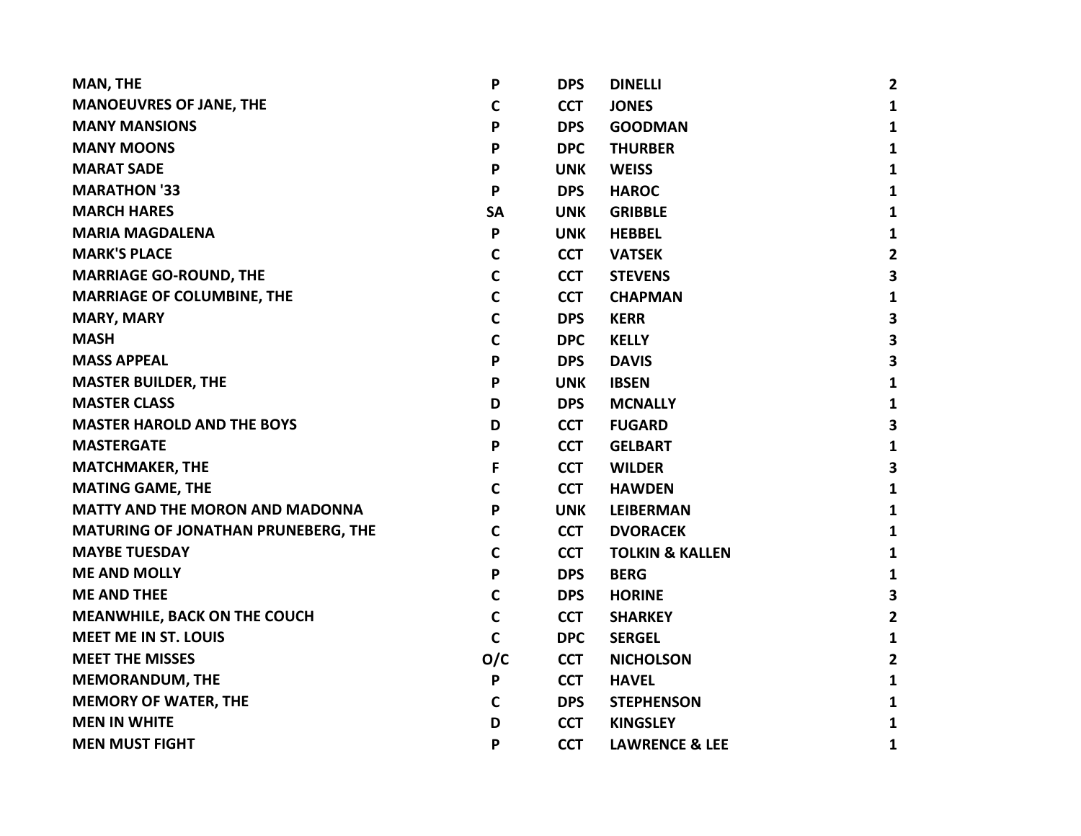| <b>MAN, THE</b>                            | P            | <b>DPS</b> | <b>DINELLI</b>             | $\overline{2}$ |
|--------------------------------------------|--------------|------------|----------------------------|----------------|
| <b>MANOEUVRES OF JANE, THE</b>             | C            | <b>CCT</b> | <b>JONES</b>               | 1              |
| <b>MANY MANSIONS</b>                       | P            | <b>DPS</b> | <b>GOODMAN</b>             | $\mathbf{1}$   |
| <b>MANY MOONS</b>                          | P            | <b>DPC</b> | <b>THURBER</b>             | $\mathbf{1}$   |
| <b>MARAT SADE</b>                          | P            | <b>UNK</b> | <b>WEISS</b>               | 1              |
| <b>MARATHON '33</b>                        | P            | <b>DPS</b> | <b>HAROC</b>               | 1              |
| <b>MARCH HARES</b>                         | <b>SA</b>    | <b>UNK</b> | <b>GRIBBLE</b>             | 1              |
| <b>MARIA MAGDALENA</b>                     | P            | <b>UNK</b> | <b>HEBBEL</b>              | $\mathbf{1}$   |
| <b>MARK'S PLACE</b>                        | C            | <b>CCT</b> | <b>VATSEK</b>              | $\mathbf{2}$   |
| <b>MARRIAGE GO-ROUND, THE</b>              | C            | <b>CCT</b> | <b>STEVENS</b>             | 3              |
| <b>MARRIAGE OF COLUMBINE, THE</b>          | $\mathbf C$  | <b>CCT</b> | <b>CHAPMAN</b>             | 1              |
| <b>MARY, MARY</b>                          | $\mathbf C$  | <b>DPS</b> | <b>KERR</b>                | 3              |
| <b>MASH</b>                                | $\mathbf C$  | <b>DPC</b> | <b>KELLY</b>               | 3              |
| <b>MASS APPEAL</b>                         | P            | <b>DPS</b> | <b>DAVIS</b>               | 3              |
| <b>MASTER BUILDER, THE</b>                 | P            | <b>UNK</b> | <b>IBSEN</b>               | $\mathbf{1}$   |
| <b>MASTER CLASS</b>                        | D            | <b>DPS</b> | <b>MCNALLY</b>             | 1              |
| <b>MASTER HAROLD AND THE BOYS</b>          | D            | <b>CCT</b> | <b>FUGARD</b>              | 3              |
| <b>MASTERGATE</b>                          | P            | <b>CCT</b> | <b>GELBART</b>             | 1              |
| <b>MATCHMAKER, THE</b>                     | F            | <b>CCT</b> | <b>WILDER</b>              | 3              |
| <b>MATING GAME, THE</b>                    | C            | <b>CCT</b> | <b>HAWDEN</b>              | $\mathbf{1}$   |
| <b>MATTY AND THE MORON AND MADONNA</b>     | P            | <b>UNK</b> | <b>LEIBERMAN</b>           | $\mathbf{1}$   |
| <b>MATURING OF JONATHAN PRUNEBERG, THE</b> | C            | <b>CCT</b> | <b>DVORACEK</b>            | $\mathbf{1}$   |
| <b>MAYBE TUESDAY</b>                       | C            | <b>CCT</b> | <b>TOLKIN &amp; KALLEN</b> | $\mathbf{1}$   |
| <b>ME AND MOLLY</b>                        | P            | <b>DPS</b> | <b>BERG</b>                | $\mathbf{1}$   |
| <b>ME AND THEE</b>                         | $\mathsf{C}$ | <b>DPS</b> | <b>HORINE</b>              | 3              |
| <b>MEANWHILE, BACK ON THE COUCH</b>        | C            | <b>CCT</b> | <b>SHARKEY</b>             | $\mathbf{2}$   |
| <b>MEET ME IN ST. LOUIS</b>                | $\mathbf C$  | <b>DPC</b> | <b>SERGEL</b>              | $\mathbf{1}$   |
| <b>MEET THE MISSES</b>                     | O/C          | <b>CCT</b> | <b>NICHOLSON</b>           | $\mathbf{2}$   |
| <b>MEMORANDUM, THE</b>                     | P            | <b>CCT</b> | <b>HAVEL</b>               | 1              |
| <b>MEMORY OF WATER, THE</b>                | C            | <b>DPS</b> | <b>STEPHENSON</b>          | 1              |
| <b>MEN IN WHITE</b>                        | D            | <b>CCT</b> | <b>KINGSLEY</b>            | 1              |
| <b>MEN MUST FIGHT</b>                      | P            | <b>CCT</b> | <b>LAWRENCE &amp; LEE</b>  | 1              |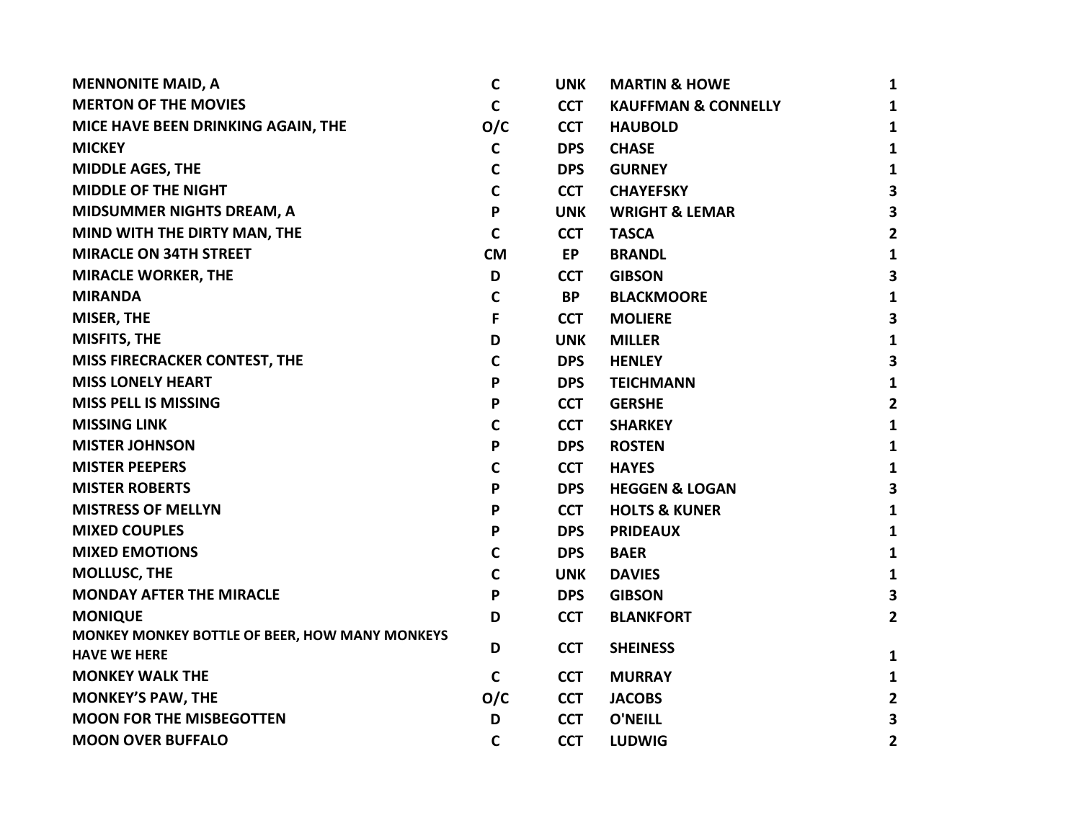| <b>MENNONITE MAID, A</b>                       | $\mathbf c$  | <b>UNK</b> | <b>MARTIN &amp; HOWE</b>       | 1                       |
|------------------------------------------------|--------------|------------|--------------------------------|-------------------------|
| <b>MERTON OF THE MOVIES</b>                    | C            | <b>CCT</b> | <b>KAUFFMAN &amp; CONNELLY</b> | 1                       |
| MICE HAVE BEEN DRINKING AGAIN, THE             | O/C          | <b>CCT</b> | <b>HAUBOLD</b>                 | 1                       |
| <b>MICKEY</b>                                  | C            | <b>DPS</b> | <b>CHASE</b>                   | 1                       |
| <b>MIDDLE AGES, THE</b>                        | C            | <b>DPS</b> | <b>GURNEY</b>                  | 1                       |
| <b>MIDDLE OF THE NIGHT</b>                     | $\mathsf{C}$ | <b>CCT</b> | <b>CHAYEFSKY</b>               | $\overline{\mathbf{3}}$ |
| <b>MIDSUMMER NIGHTS DREAM, A</b>               | P            | <b>UNK</b> | <b>WRIGHT &amp; LEMAR</b>      | $\overline{\mathbf{3}}$ |
| MIND WITH THE DIRTY MAN, THE                   | $\mathsf{C}$ | <b>CCT</b> | <b>TASCA</b>                   | $\mathbf{2}$            |
| <b>MIRACLE ON 34TH STREET</b>                  | <b>CM</b>    | <b>EP</b>  | <b>BRANDL</b>                  | $\mathbf{1}$            |
| <b>MIRACLE WORKER, THE</b>                     | D            | <b>CCT</b> | <b>GIBSON</b>                  | $\overline{\mathbf{3}}$ |
| <b>MIRANDA</b>                                 | $\mathbf C$  | <b>BP</b>  | <b>BLACKMOORE</b>              | 1                       |
| <b>MISER, THE</b>                              | F            | <b>CCT</b> | <b>MOLIERE</b>                 | $\overline{\mathbf{3}}$ |
| <b>MISFITS, THE</b>                            | D            | <b>UNK</b> | <b>MILLER</b>                  | $\mathbf{1}$            |
| <b>MISS FIRECRACKER CONTEST, THE</b>           | $\mathbf C$  | <b>DPS</b> | <b>HENLEY</b>                  | $\overline{\mathbf{3}}$ |
| <b>MISS LONELY HEART</b>                       | P            | <b>DPS</b> | <b>TEICHMANN</b>               | 1                       |
| <b>MISS PELL IS MISSING</b>                    | P            | <b>CCT</b> | <b>GERSHE</b>                  | $\mathbf{2}$            |
| <b>MISSING LINK</b>                            | C            | <b>CCT</b> | <b>SHARKEY</b>                 | $\mathbf{1}$            |
| <b>MISTER JOHNSON</b>                          | P            | <b>DPS</b> | <b>ROSTEN</b>                  | $\mathbf{1}$            |
| <b>MISTER PEEPERS</b>                          | C            | <b>CCT</b> | <b>HAYES</b>                   | $\mathbf{1}$            |
| <b>MISTER ROBERTS</b>                          | P            | <b>DPS</b> | <b>HEGGEN &amp; LOGAN</b>      | $\overline{\mathbf{3}}$ |
| <b>MISTRESS OF MELLYN</b>                      | P            | <b>CCT</b> | <b>HOLTS &amp; KUNER</b>       | $\mathbf{1}$            |
| <b>MIXED COUPLES</b>                           | P            | <b>DPS</b> | <b>PRIDEAUX</b>                | 1                       |
| <b>MIXED EMOTIONS</b>                          | C            | <b>DPS</b> | <b>BAER</b>                    | 1                       |
| <b>MOLLUSC, THE</b>                            | C            | <b>UNK</b> | <b>DAVIES</b>                  | $\mathbf{1}$            |
| <b>MONDAY AFTER THE MIRACLE</b>                | P            | <b>DPS</b> | <b>GIBSON</b>                  | 3                       |
| <b>MONIQUE</b>                                 | D            | <b>CCT</b> | <b>BLANKFORT</b>               | $\mathbf{2}$            |
| MONKEY MONKEY BOTTLE OF BEER, HOW MANY MONKEYS |              |            |                                |                         |
| <b>HAVE WE HERE</b>                            | D            | <b>CCT</b> | <b>SHEINESS</b>                | 1                       |
| <b>MONKEY WALK THE</b>                         | C            | <b>CCT</b> | <b>MURRAY</b>                  | 1                       |
| <b>MONKEY'S PAW, THE</b>                       | O/C          | <b>CCT</b> | <b>JACOBS</b>                  | $\mathbf{2}$            |
| <b>MOON FOR THE MISBEGOTTEN</b>                | D            | <b>CCT</b> | <b>O'NEILL</b>                 | 3                       |
| <b>MOON OVER BUFFALO</b>                       | $\mathbf C$  | <b>CCT</b> | <b>LUDWIG</b>                  | 2                       |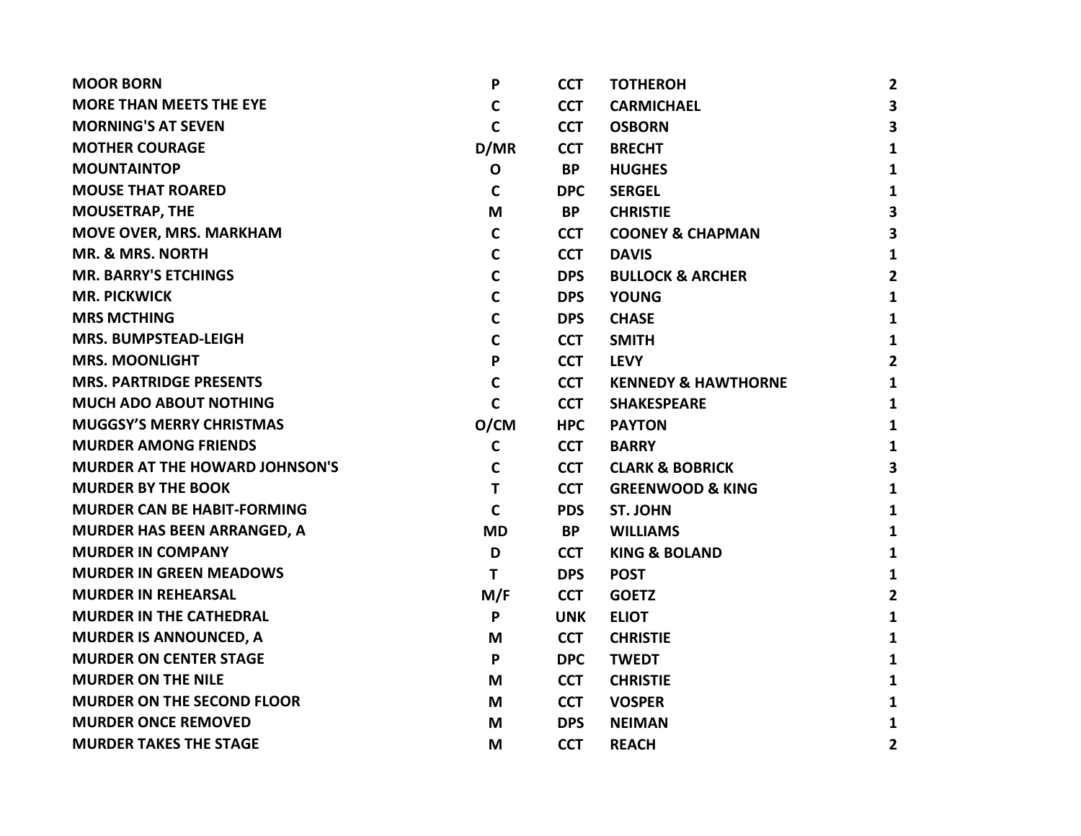| <b>MOOR BORN</b>                      | P            | <b>CCT</b> | <b>TOTHEROH</b>                | $\overline{2}$          |
|---------------------------------------|--------------|------------|--------------------------------|-------------------------|
| <b>MORE THAN MEETS THE EYE</b>        | C            | <b>CCT</b> | <b>CARMICHAEL</b>              | $\overline{\mathbf{3}}$ |
| <b>MORNING'S AT SEVEN</b>             | $\mathsf{C}$ | <b>CCT</b> | <b>OSBORN</b>                  | 3                       |
| <b>MOTHER COURAGE</b>                 | D/MR         | <b>CCT</b> | <b>BRECHT</b>                  | 1                       |
| <b>MOUNTAINTOP</b>                    | $\mathbf 0$  | <b>BP</b>  | <b>HUGHES</b>                  | 1                       |
| <b>MOUSE THAT ROARED</b>              | $\mathbf C$  | <b>DPC</b> | <b>SERGEL</b>                  | 1                       |
| <b>MOUSETRAP, THE</b>                 | M            | <b>BP</b>  | <b>CHRISTIE</b>                | 3                       |
| <b>MOVE OVER, MRS. MARKHAM</b>        | $\mathbf C$  | <b>CCT</b> | <b>COONEY &amp; CHAPMAN</b>    | 3                       |
| <b>MR. &amp; MRS. NORTH</b>           | $\mathbf C$  | <b>CCT</b> | <b>DAVIS</b>                   | 1                       |
| <b>MR. BARRY'S ETCHINGS</b>           | $\mathsf{C}$ | <b>DPS</b> | <b>BULLOCK &amp; ARCHER</b>    | $\overline{2}$          |
| <b>MR. PICKWICK</b>                   | C            | <b>DPS</b> | <b>YOUNG</b>                   | 1                       |
| <b>MRS MCTHING</b>                    | $\mathbf C$  | <b>DPS</b> | <b>CHASE</b>                   | 1                       |
| <b>MRS. BUMPSTEAD-LEIGH</b>           | $\mathbf C$  | <b>CCT</b> | <b>SMITH</b>                   | 1                       |
| <b>MRS. MOONLIGHT</b>                 | P            | <b>CCT</b> | <b>LEVY</b>                    | $\overline{2}$          |
| <b>MRS. PARTRIDGE PRESENTS</b>        | $\mathsf{C}$ | <b>CCT</b> | <b>KENNEDY &amp; HAWTHORNE</b> | 1                       |
| <b>MUCH ADO ABOUT NOTHING</b>         | $\mathsf{C}$ | <b>CCT</b> | <b>SHAKESPEARE</b>             | 1                       |
| <b>MUGGSY'S MERRY CHRISTMAS</b>       | O/CM         | <b>HPC</b> | <b>PAYTON</b>                  | 1                       |
| <b>MURDER AMONG FRIENDS</b>           | $\mathbf C$  | <b>CCT</b> | <b>BARRY</b>                   | 1                       |
| <b>MURDER AT THE HOWARD JOHNSON'S</b> | C            | <b>CCT</b> | <b>CLARK &amp; BOBRICK</b>     | 3                       |
| <b>MURDER BY THE BOOK</b>             | T            | <b>CCT</b> | <b>GREENWOOD &amp; KING</b>    | $\mathbf{1}$            |
| <b>MURDER CAN BE HABIT-FORMING</b>    | $\mathsf{C}$ | <b>PDS</b> | <b>ST. JOHN</b>                | $\mathbf{1}$            |
| <b>MURDER HAS BEEN ARRANGED, A</b>    | <b>MD</b>    | <b>BP</b>  | <b>WILLIAMS</b>                | 1                       |
| <b>MURDER IN COMPANY</b>              | D            | <b>CCT</b> | <b>KING &amp; BOLAND</b>       | 1                       |
| <b>MURDER IN GREEN MEADOWS</b>        | T            | <b>DPS</b> | <b>POST</b>                    | 1                       |
| <b>MURDER IN REHEARSAL</b>            | M/F          | <b>CCT</b> | <b>GOETZ</b>                   | $\overline{2}$          |
| <b>MURDER IN THE CATHEDRAL</b>        | P            | <b>UNK</b> | <b>ELIOT</b>                   | $\mathbf{1}$            |
| <b>MURDER IS ANNOUNCED, A</b>         | M            | <b>CCT</b> | <b>CHRISTIE</b>                | 1                       |
| <b>MURDER ON CENTER STAGE</b>         | P            | <b>DPC</b> | <b>TWEDT</b>                   | 1                       |
| <b>MURDER ON THE NILE</b>             | M            | <b>CCT</b> | <b>CHRISTIE</b>                | 1                       |
| <b>MURDER ON THE SECOND FLOOR</b>     | M            | <b>CCT</b> | <b>VOSPER</b>                  | 1                       |
| <b>MURDER ONCE REMOVED</b>            | M            | <b>DPS</b> | <b>NEIMAN</b>                  | 1                       |
| <b>MURDER TAKES THE STAGE</b>         | M            | <b>CCT</b> | <b>REACH</b>                   | $\overline{2}$          |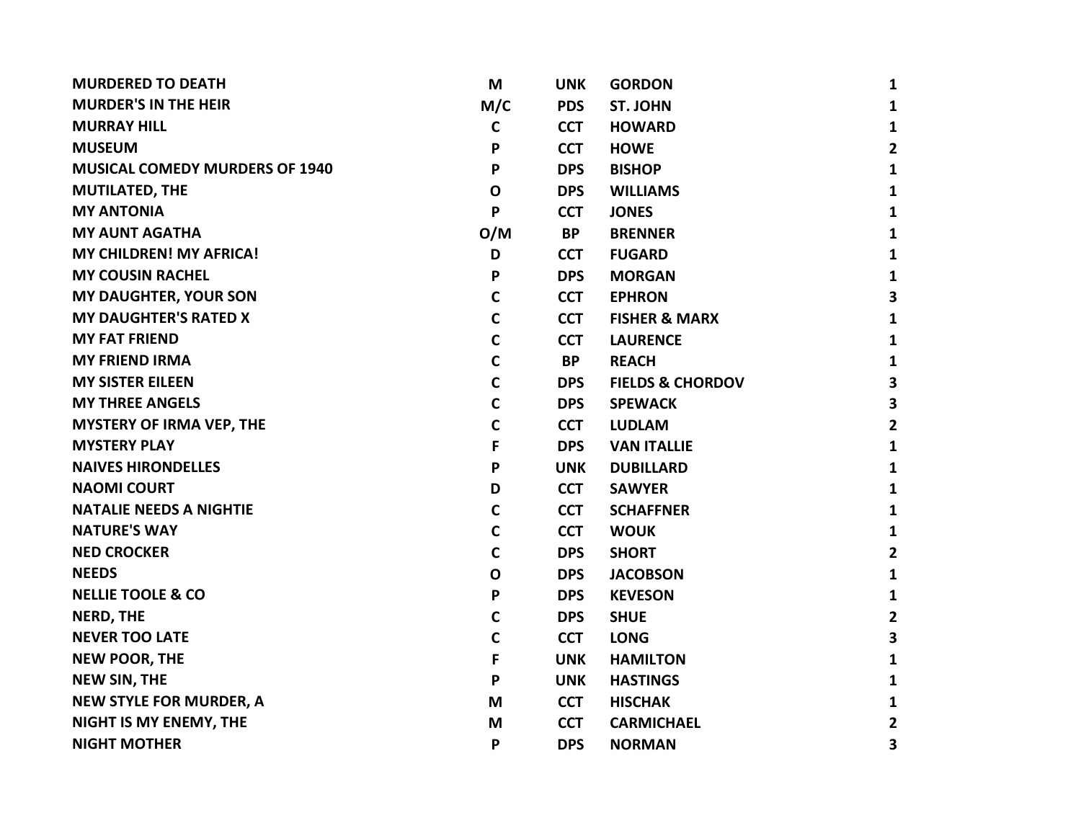| <b>MURDERED TO DEATH</b>              | M            | <b>UNK</b> | <b>GORDON</b>               | 1              |
|---------------------------------------|--------------|------------|-----------------------------|----------------|
| <b>MURDER'S IN THE HEIR</b>           | M/C          | <b>PDS</b> | <b>ST. JOHN</b>             | 1              |
| <b>MURRAY HILL</b>                    | $\mathbf C$  | <b>CCT</b> | <b>HOWARD</b>               | $\mathbf{1}$   |
| <b>MUSEUM</b>                         | P            | <b>CCT</b> | <b>HOWE</b>                 | $\mathbf{2}$   |
| <b>MUSICAL COMEDY MURDERS OF 1940</b> | P            | <b>DPS</b> | <b>BISHOP</b>               | $\mathbf{1}$   |
| <b>MUTILATED, THE</b>                 | $\mathbf{o}$ | <b>DPS</b> | <b>WILLIAMS</b>             | $\mathbf{1}$   |
| <b>MY ANTONIA</b>                     | P            | <b>CCT</b> | <b>JONES</b>                | 1              |
| <b>MY AUNT AGATHA</b>                 | O/M          | <b>BP</b>  | <b>BRENNER</b>              | $\mathbf{1}$   |
| <b>MY CHILDREN! MY AFRICA!</b>        | D            | <b>CCT</b> | <b>FUGARD</b>               | $\mathbf{1}$   |
| <b>MY COUSIN RACHEL</b>               | P            | <b>DPS</b> | <b>MORGAN</b>               | $\mathbf{1}$   |
| <b>MY DAUGHTER, YOUR SON</b>          | $\mathbf C$  | <b>CCT</b> | <b>EPHRON</b>               | 3              |
| <b>MY DAUGHTER'S RATED X</b>          | $\mathbf C$  | <b>CCT</b> | <b>FISHER &amp; MARX</b>    | 1              |
| <b>MY FAT FRIEND</b>                  | $\mathbf C$  | <b>CCT</b> | <b>LAURENCE</b>             | 1              |
| <b>MY FRIEND IRMA</b>                 | $\mathbf C$  | <b>BP</b>  | <b>REACH</b>                | 1              |
| <b>MY SISTER EILEEN</b>               | $\mathbf C$  | <b>DPS</b> | <b>FIELDS &amp; CHORDOV</b> | 3              |
| <b>MY THREE ANGELS</b>                | C            | <b>DPS</b> | <b>SPEWACK</b>              | 3              |
| <b>MYSTERY OF IRMA VEP, THE</b>       | C            | <b>CCT</b> | <b>LUDLAM</b>               | $\overline{2}$ |
| <b>MYSTERY PLAY</b>                   | F            | <b>DPS</b> | <b>VAN ITALLIE</b>          | 1              |
| <b>NAIVES HIRONDELLES</b>             | P            | <b>UNK</b> | <b>DUBILLARD</b>            | 1              |
| <b>NAOMI COURT</b>                    | D            | <b>CCT</b> | <b>SAWYER</b>               | $\mathbf{1}$   |
| <b>NATALIE NEEDS A NIGHTIE</b>        | $\mathbf C$  | <b>CCT</b> | <b>SCHAFFNER</b>            | $\mathbf{1}$   |
| <b>NATURE'S WAY</b>                   | C            | <b>CCT</b> | <b>WOUK</b>                 | 1              |
| <b>NED CROCKER</b>                    | C            | <b>DPS</b> | <b>SHORT</b>                | $\overline{2}$ |
| <b>NEEDS</b>                          | O            | <b>DPS</b> | <b>JACOBSON</b>             | 1              |
| <b>NELLIE TOOLE &amp; CO</b>          | P            | <b>DPS</b> | <b>KEVESON</b>              | $\mathbf{1}$   |
| <b>NERD, THE</b>                      | C            | <b>DPS</b> | <b>SHUE</b>                 | $\mathbf{2}$   |
| <b>NEVER TOO LATE</b>                 | C            | <b>CCT</b> | <b>LONG</b>                 | 3              |
| <b>NEW POOR, THE</b>                  | F            | <b>UNK</b> | <b>HAMILTON</b>             | $\mathbf{1}$   |
| <b>NEW SIN, THE</b>                   | P            | <b>UNK</b> | <b>HASTINGS</b>             | 1              |
| <b>NEW STYLE FOR MURDER, A</b>        | M            | <b>CCT</b> | <b>HISCHAK</b>              | 1              |
| NIGHT IS MY ENEMY, THE                | M            | <b>CCT</b> | <b>CARMICHAEL</b>           | $\overline{2}$ |
| <b>NIGHT MOTHER</b>                   | P            | <b>DPS</b> | <b>NORMAN</b>               | 3              |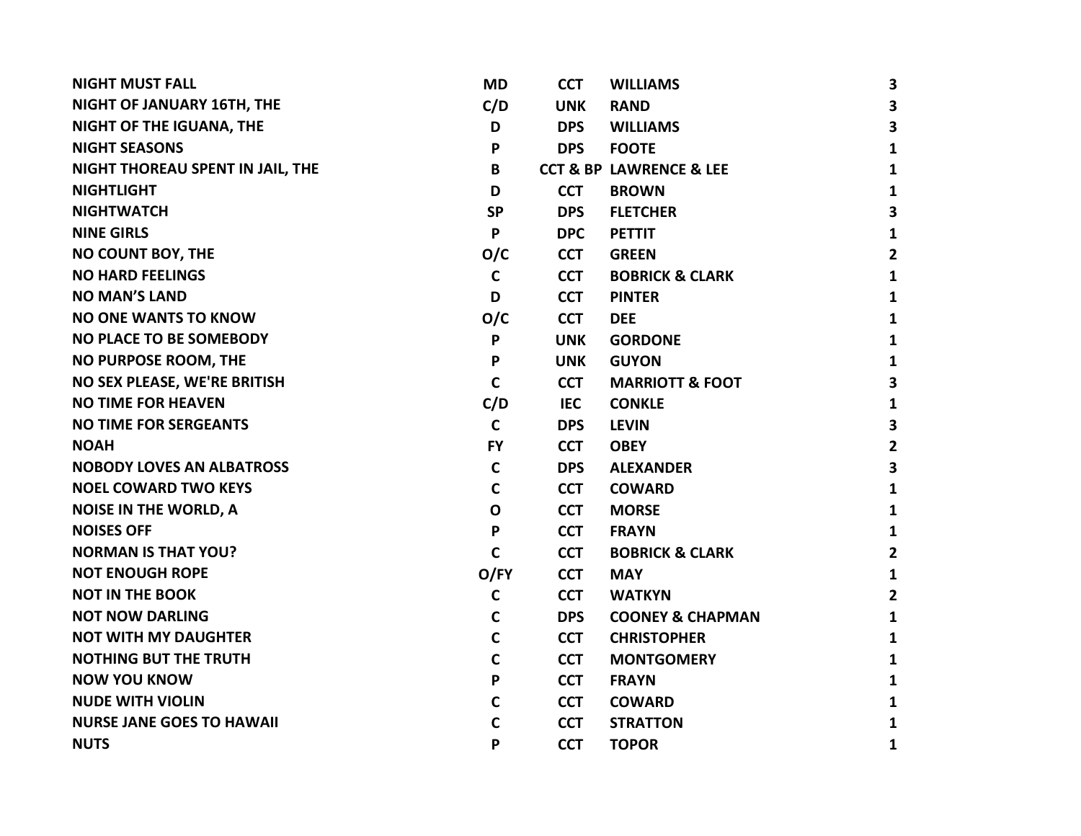| <b>NIGHT MUST FALL</b>            | <b>MD</b>    | <b>CCT</b> | <b>WILLIAMS</b>                        | 3              |
|-----------------------------------|--------------|------------|----------------------------------------|----------------|
| <b>NIGHT OF JANUARY 16TH, THE</b> | C/D          | <b>UNK</b> | <b>RAND</b>                            | 3              |
| NIGHT OF THE IGUANA, THE          | D            | <b>DPS</b> | <b>WILLIAMS</b>                        | 3              |
| <b>NIGHT SEASONS</b>              | P            | <b>DPS</b> | <b>FOOTE</b>                           | 1              |
| NIGHT THOREAU SPENT IN JAIL, THE  | B            |            | <b>CCT &amp; BP LAWRENCE &amp; LEE</b> | 1              |
| <b>NIGHTLIGHT</b>                 | D            | <b>CCT</b> | <b>BROWN</b>                           | 1              |
| <b>NIGHTWATCH</b>                 | <b>SP</b>    | <b>DPS</b> | <b>FLETCHER</b>                        | 3              |
| <b>NINE GIRLS</b>                 | P            | <b>DPC</b> | <b>PETTIT</b>                          | 1              |
| NO COUNT BOY, THE                 | O/C          | <b>CCT</b> | <b>GREEN</b>                           | $\overline{2}$ |
| <b>NO HARD FEELINGS</b>           | $\mathsf{C}$ | <b>CCT</b> | <b>BOBRICK &amp; CLARK</b>             | $\mathbf{1}$   |
| <b>NO MAN'S LAND</b>              | D            | <b>CCT</b> | <b>PINTER</b>                          | 1              |
| <b>NO ONE WANTS TO KNOW</b>       | O/C          | <b>CCT</b> | <b>DEE</b>                             | $\mathbf{1}$   |
| <b>NO PLACE TO BE SOMEBODY</b>    | P            | <b>UNK</b> | <b>GORDONE</b>                         | 1              |
| NO PURPOSE ROOM, THE              | P            | <b>UNK</b> | <b>GUYON</b>                           | 1              |
| NO SEX PLEASE, WE'RE BRITISH      | $\mathsf{C}$ | <b>CCT</b> | <b>MARRIOTT &amp; FOOT</b>             | 3              |
| <b>NO TIME FOR HEAVEN</b>         | C/D          | <b>IEC</b> | <b>CONKLE</b>                          | 1              |
| <b>NO TIME FOR SERGEANTS</b>      | $\mathsf{C}$ | <b>DPS</b> | <b>LEVIN</b>                           | 3              |
| <b>NOAH</b>                       | <b>FY</b>    | <b>CCT</b> | <b>OBEY</b>                            | $\overline{2}$ |
| <b>NOBODY LOVES AN ALBATROSS</b>  | C            | <b>DPS</b> | <b>ALEXANDER</b>                       | 3              |
| <b>NOEL COWARD TWO KEYS</b>       | C            | <b>CCT</b> | <b>COWARD</b>                          | $\mathbf{1}$   |
| <b>NOISE IN THE WORLD, A</b>      | $\mathbf 0$  | <b>CCT</b> | <b>MORSE</b>                           | 1              |
| <b>NOISES OFF</b>                 | P            | <b>CCT</b> | <b>FRAYN</b>                           | 1              |
| <b>NORMAN IS THAT YOU?</b>        | $\mathsf{C}$ | <b>CCT</b> | <b>BOBRICK &amp; CLARK</b>             | $\mathbf{2}$   |
| <b>NOT ENOUGH ROPE</b>            | O/FY         | <b>CCT</b> | <b>MAY</b>                             | 1              |
| <b>NOT IN THE BOOK</b>            | $\mathsf{C}$ | <b>CCT</b> | <b>WATKYN</b>                          | $\overline{2}$ |
| <b>NOT NOW DARLING</b>            | $\mathbf C$  | <b>DPS</b> | <b>COONEY &amp; CHAPMAN</b>            | $\mathbf{1}$   |
| <b>NOT WITH MY DAUGHTER</b>       | $\mathsf{C}$ | <b>CCT</b> | <b>CHRISTOPHER</b>                     | 1              |
| <b>NOTHING BUT THE TRUTH</b>      | $\mathbf C$  | <b>CCT</b> | <b>MONTGOMERY</b>                      | 1              |
| <b>NOW YOU KNOW</b>               | P            | <b>CCT</b> | <b>FRAYN</b>                           | 1              |
| <b>NUDE WITH VIOLIN</b>           | C            | <b>CCT</b> | <b>COWARD</b>                          | 1              |
| <b>NURSE JANE GOES TO HAWAII</b>  | C            | <b>CCT</b> | <b>STRATTON</b>                        | $\mathbf{1}$   |
| <b>NUTS</b>                       | P            | <b>CCT</b> | <b>TOPOR</b>                           | 1              |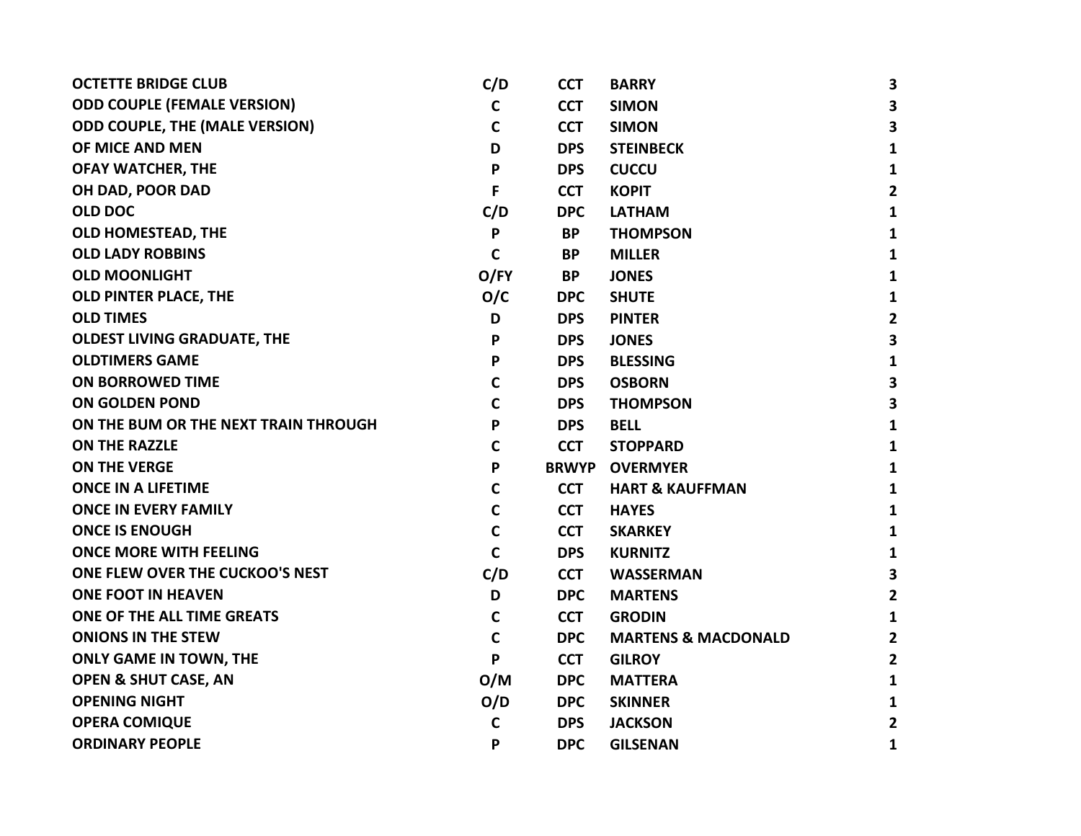| <b>OCTETTE BRIDGE CLUB</b>            | C/D          | <b>CCT</b>   | <b>BARRY</b>                   | $\mathbf{3}$            |
|---------------------------------------|--------------|--------------|--------------------------------|-------------------------|
| <b>ODD COUPLE (FEMALE VERSION)</b>    | $\mathsf{C}$ | <b>CCT</b>   | <b>SIMON</b>                   | 3                       |
| <b>ODD COUPLE, THE (MALE VERSION)</b> | $\mathbf c$  | <b>CCT</b>   | <b>SIMON</b>                   | 3                       |
| OF MICE AND MEN                       | D            | <b>DPS</b>   | <b>STEINBECK</b>               | 1                       |
| <b>OFAY WATCHER, THE</b>              | P            | <b>DPS</b>   | <b>CUCCU</b>                   | 1                       |
| OH DAD, POOR DAD                      | F            | <b>CCT</b>   | <b>KOPIT</b>                   | $\overline{2}$          |
| <b>OLD DOC</b>                        | C/D          | <b>DPC</b>   | <b>LATHAM</b>                  | 1                       |
| <b>OLD HOMESTEAD, THE</b>             | P            | <b>BP</b>    | <b>THOMPSON</b>                | 1                       |
| <b>OLD LADY ROBBINS</b>               | $\mathbf c$  | <b>BP</b>    | <b>MILLER</b>                  | $\mathbf{1}$            |
| <b>OLD MOONLIGHT</b>                  | O/FY         | <b>BP</b>    | <b>JONES</b>                   | $\mathbf{1}$            |
| <b>OLD PINTER PLACE, THE</b>          | O/C          | <b>DPC</b>   | <b>SHUTE</b>                   | 1                       |
| <b>OLD TIMES</b>                      | D            | <b>DPS</b>   | <b>PINTER</b>                  | $\overline{2}$          |
| <b>OLDEST LIVING GRADUATE, THE</b>    | P            | <b>DPS</b>   | <b>JONES</b>                   | $\mathbf{3}$            |
| <b>OLDTIMERS GAME</b>                 | P            | <b>DPS</b>   | <b>BLESSING</b>                | 1                       |
| <b>ON BORROWED TIME</b>               | $\mathbf C$  | <b>DPS</b>   | <b>OSBORN</b>                  | $\overline{\mathbf{3}}$ |
| <b>ON GOLDEN POND</b>                 | $\mathsf{C}$ | <b>DPS</b>   | <b>THOMPSON</b>                | $\overline{\mathbf{3}}$ |
| ON THE BUM OR THE NEXT TRAIN THROUGH  | P            | <b>DPS</b>   | <b>BELL</b>                    | 1                       |
| <b>ON THE RAZZLE</b>                  | $\mathsf{C}$ | <b>CCT</b>   | <b>STOPPARD</b>                | 1                       |
| ON THE VERGE                          | P            | <b>BRWYP</b> | <b>OVERMYER</b>                | 1                       |
| <b>ONCE IN A LIFETIME</b>             | C            | <b>CCT</b>   | <b>HART &amp; KAUFFMAN</b>     | 1                       |
| <b>ONCE IN EVERY FAMILY</b>           | $\mathbf C$  | <b>CCT</b>   | <b>HAYES</b>                   | 1                       |
| <b>ONCE IS ENOUGH</b>                 | $\mathsf{C}$ | <b>CCT</b>   | <b>SKARKEY</b>                 | 1                       |
| <b>ONCE MORE WITH FEELING</b>         | $\mathsf{C}$ | <b>DPS</b>   | <b>KURNITZ</b>                 | 1                       |
| ONE FLEW OVER THE CUCKOO'S NEST       | C/D          | <b>CCT</b>   | <b>WASSERMAN</b>               | $\mathbf{3}$            |
| <b>ONE FOOT IN HEAVEN</b>             | D            | <b>DPC</b>   | <b>MARTENS</b>                 | $\overline{2}$          |
| ONE OF THE ALL TIME GREATS            | $\mathbf C$  | <b>CCT</b>   | <b>GRODIN</b>                  | $\mathbf{1}$            |
| <b>ONIONS IN THE STEW</b>             | $\mathsf{C}$ | <b>DPC</b>   | <b>MARTENS &amp; MACDONALD</b> | $\overline{2}$          |
| <b>ONLY GAME IN TOWN, THE</b>         | P            | <b>CCT</b>   | <b>GILROY</b>                  | $\overline{2}$          |
| <b>OPEN &amp; SHUT CASE, AN</b>       | O/M          | <b>DPC</b>   | <b>MATTERA</b>                 | 1                       |
| <b>OPENING NIGHT</b>                  | O/D          | <b>DPC</b>   | <b>SKINNER</b>                 | 1                       |
| <b>OPERA COMIQUE</b>                  | C            | <b>DPS</b>   | <b>JACKSON</b>                 | $\overline{2}$          |
| <b>ORDINARY PEOPLE</b>                | P            | <b>DPC</b>   | <b>GILSENAN</b>                | 1                       |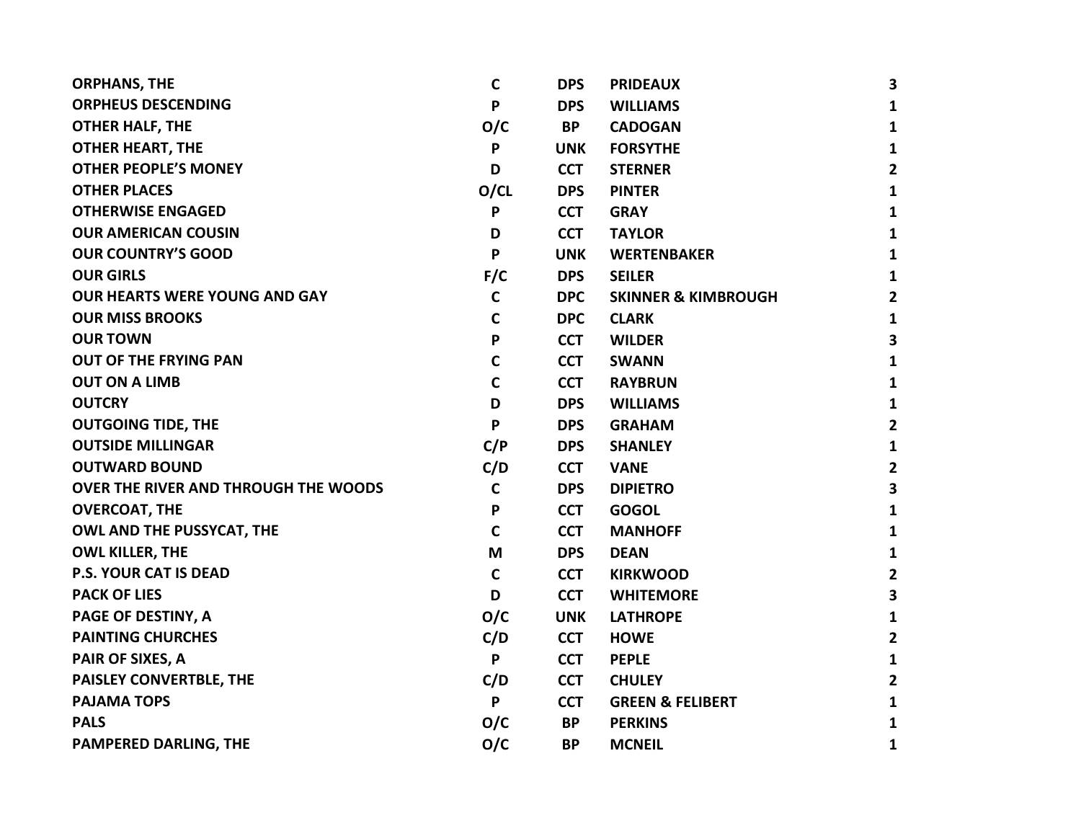| <b>ORPHANS, THE</b>                         | C            | <b>DPS</b> | <b>PRIDEAUX</b>                | 3                       |
|---------------------------------------------|--------------|------------|--------------------------------|-------------------------|
| <b>ORPHEUS DESCENDING</b>                   | P            | <b>DPS</b> | <b>WILLIAMS</b>                | $\mathbf{1}$            |
| <b>OTHER HALF, THE</b>                      | O/C          | <b>BP</b>  | <b>CADOGAN</b>                 | $\mathbf{1}$            |
| <b>OTHER HEART, THE</b>                     | P            | <b>UNK</b> | <b>FORSYTHE</b>                | $\mathbf{1}$            |
| <b>OTHER PEOPLE'S MONEY</b>                 | D            | <b>CCT</b> | <b>STERNER</b>                 | $\mathbf{2}$            |
| <b>OTHER PLACES</b>                         | O/CL         | <b>DPS</b> | <b>PINTER</b>                  | $\mathbf{1}$            |
| <b>OTHERWISE ENGAGED</b>                    | P            | <b>CCT</b> | <b>GRAY</b>                    | $\mathbf{1}$            |
| <b>OUR AMERICAN COUSIN</b>                  | D            | <b>CCT</b> | <b>TAYLOR</b>                  | $\mathbf{1}$            |
| <b>OUR COUNTRY'S GOOD</b>                   | $\mathsf{P}$ | <b>UNK</b> | <b>WERTENBAKER</b>             | $\mathbf{1}$            |
| <b>OUR GIRLS</b>                            | F/C          | <b>DPS</b> | <b>SEILER</b>                  | $\mathbf{1}$            |
| <b>OUR HEARTS WERE YOUNG AND GAY</b>        | $\mathbf C$  | <b>DPC</b> | <b>SKINNER &amp; KIMBROUGH</b> | $\mathbf{2}$            |
| <b>OUR MISS BROOKS</b>                      | $\mathsf{C}$ | <b>DPC</b> | <b>CLARK</b>                   | $\mathbf{1}$            |
| <b>OUR TOWN</b>                             | P            | <b>CCT</b> | <b>WILDER</b>                  | $\overline{\mathbf{3}}$ |
| OUT OF THE FRYING PAN                       | $\mathbf C$  | <b>CCT</b> | <b>SWANN</b>                   | $\mathbf{1}$            |
| <b>OUT ON A LIMB</b>                        | $\mathbf C$  | <b>CCT</b> | <b>RAYBRUN</b>                 | $\mathbf{1}$            |
| <b>OUTCRY</b>                               | D            | <b>DPS</b> | <b>WILLIAMS</b>                | $\mathbf{1}$            |
| <b>OUTGOING TIDE, THE</b>                   | P            | <b>DPS</b> | <b>GRAHAM</b>                  | $\overline{2}$          |
| <b>OUTSIDE MILLINGAR</b>                    | C/P          | <b>DPS</b> | <b>SHANLEY</b>                 | $\mathbf{1}$            |
| <b>OUTWARD BOUND</b>                        | C/D          | <b>CCT</b> | <b>VANE</b>                    | $\overline{2}$          |
| <b>OVER THE RIVER AND THROUGH THE WOODS</b> | $\mathsf C$  | <b>DPS</b> | <b>DIPIETRO</b>                | 3                       |
| <b>OVERCOAT, THE</b>                        | P            | <b>CCT</b> | <b>GOGOL</b>                   | $\mathbf{1}$            |
| <b>OWL AND THE PUSSYCAT, THE</b>            | $\mathsf{C}$ | <b>CCT</b> | <b>MANHOFF</b>                 | $\mathbf{1}$            |
| <b>OWL KILLER, THE</b>                      | M            | <b>DPS</b> | <b>DEAN</b>                    | $\mathbf{1}$            |
| <b>P.S. YOUR CAT IS DEAD</b>                | C            | <b>CCT</b> | <b>KIRKWOOD</b>                | $\overline{2}$          |
| <b>PACK OF LIES</b>                         | D            | <b>CCT</b> | <b>WHITEMORE</b>               | 3                       |
| <b>PAGE OF DESTINY, A</b>                   | O/C          | <b>UNK</b> | <b>LATHROPE</b>                | $\mathbf{1}$            |
| <b>PAINTING CHURCHES</b>                    | C/D          | <b>CCT</b> | <b>HOWE</b>                    | $\overline{2}$          |
| <b>PAIR OF SIXES, A</b>                     | P            | <b>CCT</b> | <b>PEPLE</b>                   | $\mathbf{1}$            |
| PAISLEY CONVERTBLE, THE                     | C/D          | <b>CCT</b> | <b>CHULEY</b>                  | $\overline{\mathbf{2}}$ |
| <b>PAJAMA TOPS</b>                          | P            | <b>CCT</b> | <b>GREEN &amp; FELIBERT</b>    | $\mathbf{1}$            |
| <b>PALS</b>                                 | O/C          | <b>BP</b>  | <b>PERKINS</b>                 | $\mathbf{1}$            |
| <b>PAMPERED DARLING, THE</b>                | O/C          | <b>BP</b>  | <b>MCNEIL</b>                  | 1                       |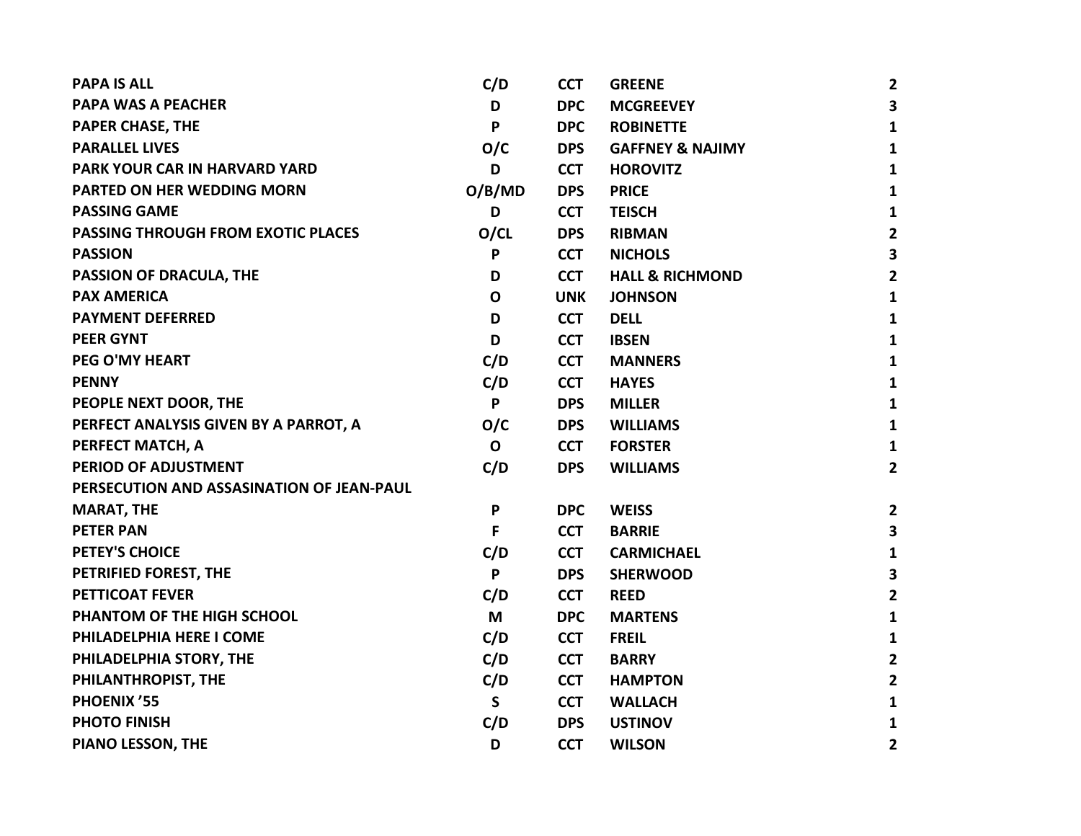| <b>PAPA IS ALL</b>                        | C/D         | <b>CCT</b> | <b>GREENE</b>               | $\overline{2}$          |
|-------------------------------------------|-------------|------------|-----------------------------|-------------------------|
| <b>PAPA WAS A PEACHER</b>                 | D           | <b>DPC</b> | <b>MCGREEVEY</b>            | 3                       |
| <b>PAPER CHASE, THE</b>                   | P           | <b>DPC</b> | <b>ROBINETTE</b>            | $\mathbf{1}$            |
| <b>PARALLEL LIVES</b>                     | O/C         | <b>DPS</b> | <b>GAFFNEY &amp; NAJIMY</b> | 1                       |
| PARK YOUR CAR IN HARVARD YARD             | D           | <b>CCT</b> | <b>HOROVITZ</b>             | 1                       |
| PARTED ON HER WEDDING MORN                | O/B/MD      | <b>DPS</b> | <b>PRICE</b>                | $\mathbf{1}$            |
| <b>PASSING GAME</b>                       | D           | <b>CCT</b> | <b>TEISCH</b>               | 1                       |
| PASSING THROUGH FROM EXOTIC PLACES        | O/CL        | <b>DPS</b> | <b>RIBMAN</b>               | $\overline{2}$          |
| <b>PASSION</b>                            | P           | <b>CCT</b> | <b>NICHOLS</b>              | $\overline{\mathbf{3}}$ |
| <b>PASSION OF DRACULA, THE</b>            | D           | <b>CCT</b> | <b>HALL &amp; RICHMOND</b>  | $\overline{2}$          |
| <b>PAX AMERICA</b>                        | $\mathbf 0$ | <b>UNK</b> | <b>JOHNSON</b>              | 1                       |
| <b>PAYMENT DEFERRED</b>                   | D           | <b>CCT</b> | <b>DELL</b>                 | $\mathbf{1}$            |
| <b>PEER GYNT</b>                          | D           | <b>CCT</b> | <b>IBSEN</b>                | 1                       |
| PEG O'MY HEART                            | C/D         | <b>CCT</b> | <b>MANNERS</b>              | 1                       |
| <b>PENNY</b>                              | C/D         | <b>CCT</b> | <b>HAYES</b>                | 1                       |
| PEOPLE NEXT DOOR, THE                     | P           | <b>DPS</b> | <b>MILLER</b>               | 1                       |
| PERFECT ANALYSIS GIVEN BY A PARROT, A     | O/C         | <b>DPS</b> | <b>WILLIAMS</b>             | 1                       |
| PERFECT MATCH, A                          | $\mathbf 0$ | <b>CCT</b> | <b>FORSTER</b>              | 1                       |
| PERIOD OF ADJUSTMENT                      | C/D         | <b>DPS</b> | <b>WILLIAMS</b>             | $\mathbf{2}$            |
| PERSECUTION AND ASSASINATION OF JEAN-PAUL |             |            |                             |                         |
| <b>MARAT, THE</b>                         | P           | <b>DPC</b> | <b>WEISS</b>                | $\mathbf{2}$            |
| <b>PETER PAN</b>                          | F           | <b>CCT</b> | <b>BARRIE</b>               | 3                       |
| PETEY'S CHOICE                            | C/D         | <b>CCT</b> | <b>CARMICHAEL</b>           | $\mathbf{1}$            |
| PETRIFIED FOREST, THE                     | P           | <b>DPS</b> | <b>SHERWOOD</b>             | 3                       |
| <b>PETTICOAT FEVER</b>                    | C/D         | <b>CCT</b> | <b>REED</b>                 | $\mathbf{2}$            |
| PHANTOM OF THE HIGH SCHOOL                | M           | <b>DPC</b> | <b>MARTENS</b>              | $\mathbf{1}$            |
| PHILADELPHIA HERE I COME                  | C/D         | <b>CCT</b> | <b>FREIL</b>                | 1                       |
| PHILADELPHIA STORY, THE                   | C/D         | <b>CCT</b> | <b>BARRY</b>                | $\overline{2}$          |
| PHILANTHROPIST, THE                       | C/D         | <b>CCT</b> | <b>HAMPTON</b>              | $\overline{2}$          |
| PHOENIX'55                                | S           | <b>CCT</b> | <b>WALLACH</b>              | 1                       |
| <b>PHOTO FINISH</b>                       | C/D         | <b>DPS</b> | <b>USTINOV</b>              | 1                       |
| PIANO LESSON, THE                         | D           | <b>CCT</b> | <b>WILSON</b>               | $\mathbf{2}$            |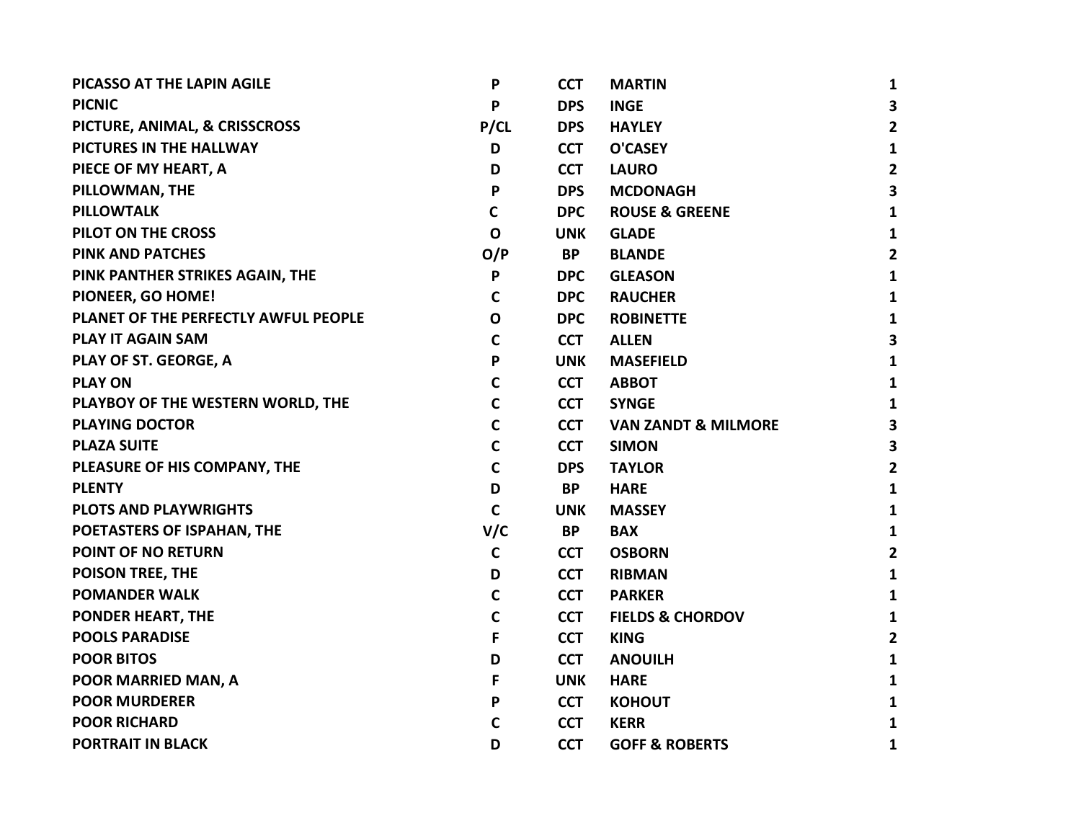| PICASSO AT THE LAPIN AGILE           | P            | <b>CCT</b> | <b>MARTIN</b>                  | 1              |
|--------------------------------------|--------------|------------|--------------------------------|----------------|
| <b>PICNIC</b>                        | P            | <b>DPS</b> | <b>INGE</b>                    | 3              |
| PICTURE, ANIMAL, & CRISSCROSS        | P/CL         | <b>DPS</b> | <b>HAYLEY</b>                  | $\overline{2}$ |
| PICTURES IN THE HALLWAY              | D            | <b>CCT</b> | <b>O'CASEY</b>                 | $\mathbf{1}$   |
| PIECE OF MY HEART, A                 | D            | <b>CCT</b> | <b>LAURO</b>                   | $\mathbf{2}$   |
| PILLOWMAN, THE                       | P            | <b>DPS</b> | <b>MCDONAGH</b>                | 3              |
| <b>PILLOWTALK</b>                    | $\mathsf{C}$ | <b>DPC</b> | <b>ROUSE &amp; GREENE</b>      | $\mathbf{1}$   |
| PILOT ON THE CROSS                   | $\mathbf 0$  | <b>UNK</b> | <b>GLADE</b>                   | 1              |
| <b>PINK AND PATCHES</b>              | O/P          | <b>BP</b>  | <b>BLANDE</b>                  | $\overline{2}$ |
| PINK PANTHER STRIKES AGAIN, THE      | P            | <b>DPC</b> | <b>GLEASON</b>                 | 1              |
| PIONEER, GO HOME!                    | C            | <b>DPC</b> | <b>RAUCHER</b>                 | 1              |
| PLANET OF THE PERFECTLY AWFUL PEOPLE | $\mathbf{o}$ | <b>DPC</b> | <b>ROBINETTE</b>               | $\mathbf{1}$   |
| <b>PLAY IT AGAIN SAM</b>             | $\mathbf C$  | <b>CCT</b> | <b>ALLEN</b>                   | 3              |
| PLAY OF ST. GEORGE, A                | P            | <b>UNK</b> | <b>MASEFIELD</b>               | $\mathbf{1}$   |
| <b>PLAY ON</b>                       | C            | <b>CCT</b> | <b>ABBOT</b>                   | 1              |
| PLAYBOY OF THE WESTERN WORLD, THE    | C            | <b>CCT</b> | <b>SYNGE</b>                   | 1              |
| <b>PLAYING DOCTOR</b>                | C            | <b>CCT</b> | <b>VAN ZANDT &amp; MILMORE</b> | 3              |
| <b>PLAZA SUITE</b>                   | $\mathsf{C}$ | <b>CCT</b> | <b>SIMON</b>                   | 3              |
| PLEASURE OF HIS COMPANY, THE         | $\mathsf{C}$ | <b>DPS</b> | <b>TAYLOR</b>                  | $\overline{2}$ |
| <b>PLENTY</b>                        | D            | <b>BP</b>  | <b>HARE</b>                    | 1              |
| <b>PLOTS AND PLAYWRIGHTS</b>         | $\mathsf{C}$ | <b>UNK</b> | <b>MASSEY</b>                  | $\mathbf{1}$   |
| POETASTERS OF ISPAHAN, THE           | V/C          | <b>BP</b>  | <b>BAX</b>                     | 1              |
| POINT OF NO RETURN                   | $\mathbf C$  | <b>CCT</b> | <b>OSBORN</b>                  | $\mathbf{2}$   |
| <b>POISON TREE, THE</b>              | D            | <b>CCT</b> | <b>RIBMAN</b>                  | $\mathbf{1}$   |
| <b>POMANDER WALK</b>                 | C            | <b>CCT</b> | <b>PARKER</b>                  | 1              |
| <b>PONDER HEART, THE</b>             | C            | <b>CCT</b> | <b>FIELDS &amp; CHORDOV</b>    | 1              |
| <b>POOLS PARADISE</b>                | F            | <b>CCT</b> | <b>KING</b>                    | $\mathbf{2}$   |
| <b>POOR BITOS</b>                    | D            | <b>CCT</b> | <b>ANOUILH</b>                 | 1              |
| POOR MARRIED MAN, A                  | F            | <b>UNK</b> | <b>HARE</b>                    | $\mathbf{1}$   |
| <b>POOR MURDERER</b>                 | P            | <b>CCT</b> | <b>KOHOUT</b>                  | 1              |
| <b>POOR RICHARD</b>                  | С            | <b>CCT</b> | <b>KERR</b>                    | $\mathbf{1}$   |
| <b>PORTRAIT IN BLACK</b>             | D            | <b>CCT</b> | <b>GOFF &amp; ROBERTS</b>      | 1              |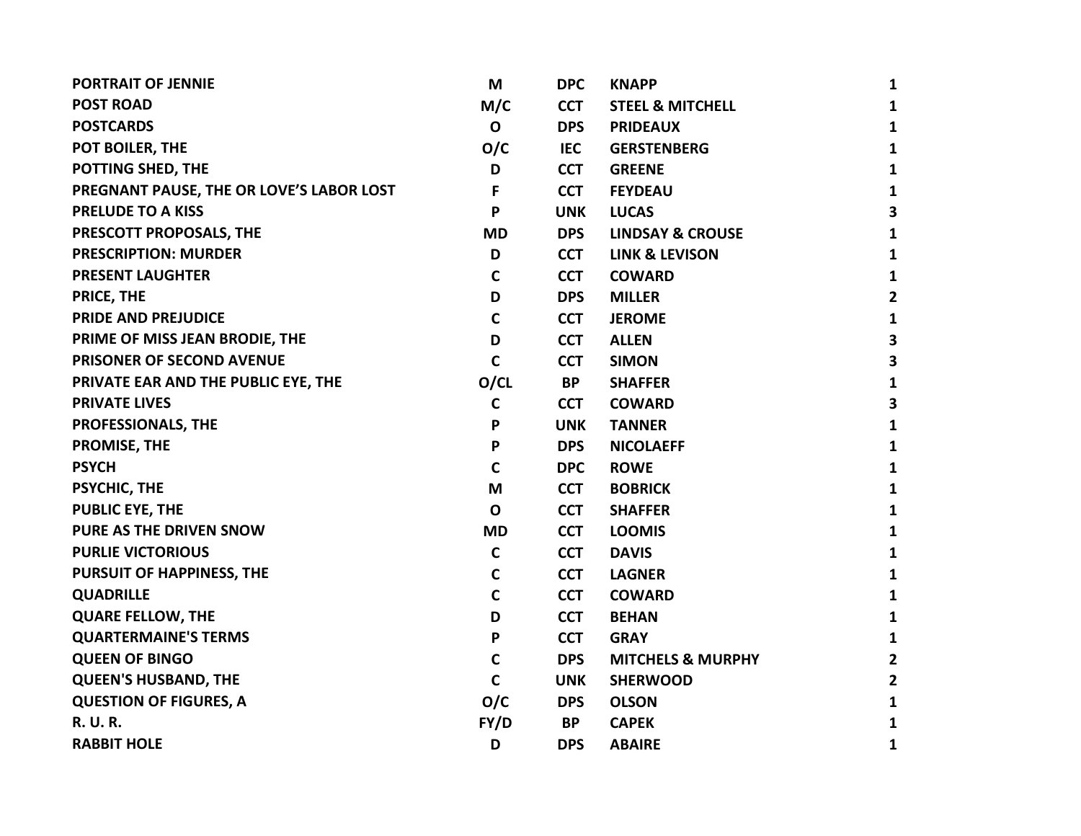| <b>PORTRAIT OF JENNIE</b>                | M            | <b>DPC</b> | <b>KNAPP</b>                 | $\mathbf{1}$            |
|------------------------------------------|--------------|------------|------------------------------|-------------------------|
| <b>POST ROAD</b>                         | M/C          | <b>CCT</b> | <b>STEEL &amp; MITCHELL</b>  | $\mathbf{1}$            |
| <b>POSTCARDS</b>                         | $\mathbf{o}$ | <b>DPS</b> | <b>PRIDEAUX</b>              | $\mathbf{1}$            |
| POT BOILER, THE                          | O/C          | <b>IEC</b> | <b>GERSTENBERG</b>           | $\mathbf{1}$            |
| POTTING SHED, THE                        | D            | <b>CCT</b> | <b>GREENE</b>                | $\mathbf{1}$            |
| PREGNANT PAUSE, THE OR LOVE'S LABOR LOST | F            | <b>CCT</b> | <b>FEYDEAU</b>               | $\mathbf{1}$            |
| <b>PRELUDE TO A KISS</b>                 | P            | <b>UNK</b> | <b>LUCAS</b>                 | $\mathbf{3}$            |
| PRESCOTT PROPOSALS, THE                  | <b>MD</b>    | <b>DPS</b> | <b>LINDSAY &amp; CROUSE</b>  | $\mathbf{1}$            |
| <b>PRESCRIPTION: MURDER</b>              | D            | <b>CCT</b> | <b>LINK &amp; LEVISON</b>    | $\mathbf{1}$            |
| <b>PRESENT LAUGHTER</b>                  | $\mathbf C$  | <b>CCT</b> | <b>COWARD</b>                | $\mathbf{1}$            |
| PRICE, THE                               | D            | <b>DPS</b> | <b>MILLER</b>                | $\mathbf{2}$            |
| <b>PRIDE AND PREJUDICE</b>               | $\mathsf{C}$ | <b>CCT</b> | <b>JEROME</b>                | $\mathbf{1}$            |
| PRIME OF MISS JEAN BRODIE, THE           | D            | <b>CCT</b> | <b>ALLEN</b>                 | $\overline{\mathbf{3}}$ |
| PRISONER OF SECOND AVENUE                | $\mathsf{C}$ | <b>CCT</b> | <b>SIMON</b>                 | 3                       |
| PRIVATE EAR AND THE PUBLIC EYE, THE      | O/CL         | <b>BP</b>  | <b>SHAFFER</b>               | $\mathbf{1}$            |
| <b>PRIVATE LIVES</b>                     | $\mathsf{C}$ | <b>CCT</b> | <b>COWARD</b>                | $\overline{\mathbf{3}}$ |
| PROFESSIONALS, THE                       | P            | <b>UNK</b> | <b>TANNER</b>                | $\mathbf{1}$            |
| <b>PROMISE, THE</b>                      | P            | <b>DPS</b> | <b>NICOLAEFF</b>             | $\mathbf{1}$            |
| <b>PSYCH</b>                             | $\mathsf{C}$ | <b>DPC</b> | <b>ROWE</b>                  | $\mathbf{1}$            |
| PSYCHIC, THE                             | M            | <b>CCT</b> | <b>BOBRICK</b>               | $\mathbf{1}$            |
| <b>PUBLIC EYE, THE</b>                   | $\mathbf 0$  | <b>CCT</b> | <b>SHAFFER</b>               | $\mathbf{1}$            |
| PURE AS THE DRIVEN SNOW                  | <b>MD</b>    | <b>CCT</b> | <b>LOOMIS</b>                | $\mathbf{1}$            |
| <b>PURLIE VICTORIOUS</b>                 | $\mathbf C$  | <b>CCT</b> | <b>DAVIS</b>                 | $\mathbf{1}$            |
| PURSUIT OF HAPPINESS, THE                | $\mathbf C$  | <b>CCT</b> | <b>LAGNER</b>                | $\mathbf{1}$            |
| <b>QUADRILLE</b>                         | $\mathbf C$  | <b>CCT</b> | <b>COWARD</b>                | $\mathbf{1}$            |
| <b>QUARE FELLOW, THE</b>                 | D            | <b>CCT</b> | <b>BEHAN</b>                 | $\mathbf{1}$            |
| <b>QUARTERMAINE'S TERMS</b>              | P            | <b>CCT</b> | <b>GRAY</b>                  | $\mathbf{1}$            |
| <b>QUEEN OF BINGO</b>                    | $\mathbf C$  | <b>DPS</b> | <b>MITCHELS &amp; MURPHY</b> | $\mathbf{2}$            |
| <b>QUEEN'S HUSBAND, THE</b>              | $\mathbf C$  | <b>UNK</b> | <b>SHERWOOD</b>              | $\overline{2}$          |
| <b>QUESTION OF FIGURES, A</b>            | O/C          | <b>DPS</b> | <b>OLSON</b>                 | $\mathbf{1}$            |
| <b>R. U. R.</b>                          | FY/D         | BP         | <b>CAPEK</b>                 | $\mathbf{1}$            |
| <b>RABBIT HOLE</b>                       | D            | <b>DPS</b> | <b>ABAIRE</b>                | 1                       |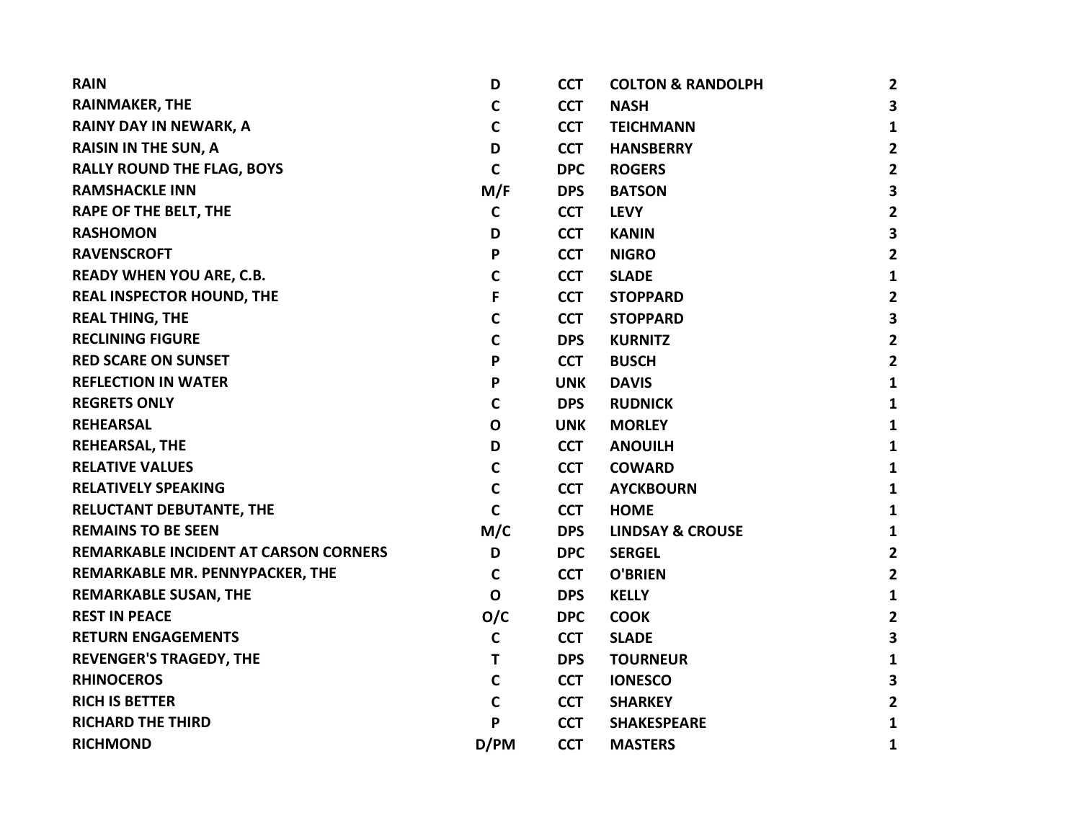| <b>RAIN</b>                                  | D            | <b>CCT</b> | <b>COLTON &amp; RANDOLPH</b> | $\overline{2}$ |
|----------------------------------------------|--------------|------------|------------------------------|----------------|
| <b>RAINMAKER, THE</b>                        | С            | <b>CCT</b> | <b>NASH</b>                  | 3              |
| RAINY DAY IN NEWARK, A                       | C            | <b>CCT</b> | <b>TEICHMANN</b>             | $\mathbf{1}$   |
| <b>RAISIN IN THE SUN, A</b>                  | D            | <b>CCT</b> | <b>HANSBERRY</b>             | $\overline{2}$ |
| <b>RALLY ROUND THE FLAG, BOYS</b>            | $\mathsf{C}$ | <b>DPC</b> | <b>ROGERS</b>                | $\overline{2}$ |
| <b>RAMSHACKLE INN</b>                        | M/F          | <b>DPS</b> | <b>BATSON</b>                | 3              |
| <b>RAPE OF THE BELT, THE</b>                 | $\mathbf C$  | <b>CCT</b> | <b>LEVY</b>                  | $\mathbf{2}$   |
| <b>RASHOMON</b>                              | D            | <b>CCT</b> | <b>KANIN</b>                 | 3              |
| <b>RAVENSCROFT</b>                           | P            | <b>CCT</b> | <b>NIGRO</b>                 | $\overline{2}$ |
| <b>READY WHEN YOU ARE, C.B.</b>              | C            | <b>CCT</b> | <b>SLADE</b>                 | 1              |
| <b>REAL INSPECTOR HOUND, THE</b>             | F            | <b>CCT</b> | <b>STOPPARD</b>              | $\mathbf{2}$   |
| <b>REAL THING, THE</b>                       | C            | <b>CCT</b> | <b>STOPPARD</b>              | 3              |
| <b>RECLINING FIGURE</b>                      | C            | <b>DPS</b> | <b>KURNITZ</b>               | $\overline{2}$ |
| <b>RED SCARE ON SUNSET</b>                   | P            | <b>CCT</b> | <b>BUSCH</b>                 | $\mathbf{2}$   |
| <b>REFLECTION IN WATER</b>                   | P            | <b>UNK</b> | <b>DAVIS</b>                 | $\mathbf{1}$   |
| <b>REGRETS ONLY</b>                          | $\mathbf C$  | <b>DPS</b> | <b>RUDNICK</b>               | $\mathbf{1}$   |
| <b>REHEARSAL</b>                             | O            | <b>UNK</b> | <b>MORLEY</b>                | 1              |
| <b>REHEARSAL, THE</b>                        | D            | <b>CCT</b> | <b>ANOUILH</b>               | 1              |
| <b>RELATIVE VALUES</b>                       | C            | <b>CCT</b> | <b>COWARD</b>                | $\mathbf{1}$   |
| <b>RELATIVELY SPEAKING</b>                   | $\mathbf C$  | <b>CCT</b> | <b>AYCKBOURN</b>             | $\mathbf{1}$   |
| RELUCTANT DEBUTANTE, THE                     | C            | <b>CCT</b> | <b>HOME</b>                  | 1              |
| <b>REMAINS TO BE SEEN</b>                    | M/C          | <b>DPS</b> | <b>LINDSAY &amp; CROUSE</b>  | 1              |
| <b>REMARKABLE INCIDENT AT CARSON CORNERS</b> | D            | <b>DPC</b> | <b>SERGEL</b>                | $\mathbf{2}$   |
| REMARKABLE MR. PENNYPACKER, THE              | $\mathbf C$  | <b>CCT</b> | <b>O'BRIEN</b>               | $\mathbf{2}$   |
| <b>REMARKABLE SUSAN, THE</b>                 | $\mathbf 0$  | <b>DPS</b> | <b>KELLY</b>                 | $\mathbf{1}$   |
| <b>REST IN PEACE</b>                         | O/C          | <b>DPC</b> | <b>COOK</b>                  | $\mathbf{2}$   |
| <b>RETURN ENGAGEMENTS</b>                    | $\mathbf C$  | <b>CCT</b> | <b>SLADE</b>                 | 3              |
| <b>REVENGER'S TRAGEDY, THE</b>               | т            | <b>DPS</b> | <b>TOURNEUR</b>              | $\mathbf{1}$   |
| <b>RHINOCEROS</b>                            | C            | <b>CCT</b> | <b>IONESCO</b>               | 3              |
| <b>RICH IS BETTER</b>                        | C            | <b>CCT</b> | <b>SHARKEY</b>               | $\overline{2}$ |
| <b>RICHARD THE THIRD</b>                     | P            | <b>CCT</b> | <b>SHAKESPEARE</b>           | 1              |
| <b>RICHMOND</b>                              | D/PM         | <b>CCT</b> | <b>MASTERS</b>               | $\mathbf{1}$   |
|                                              |              |            |                              |                |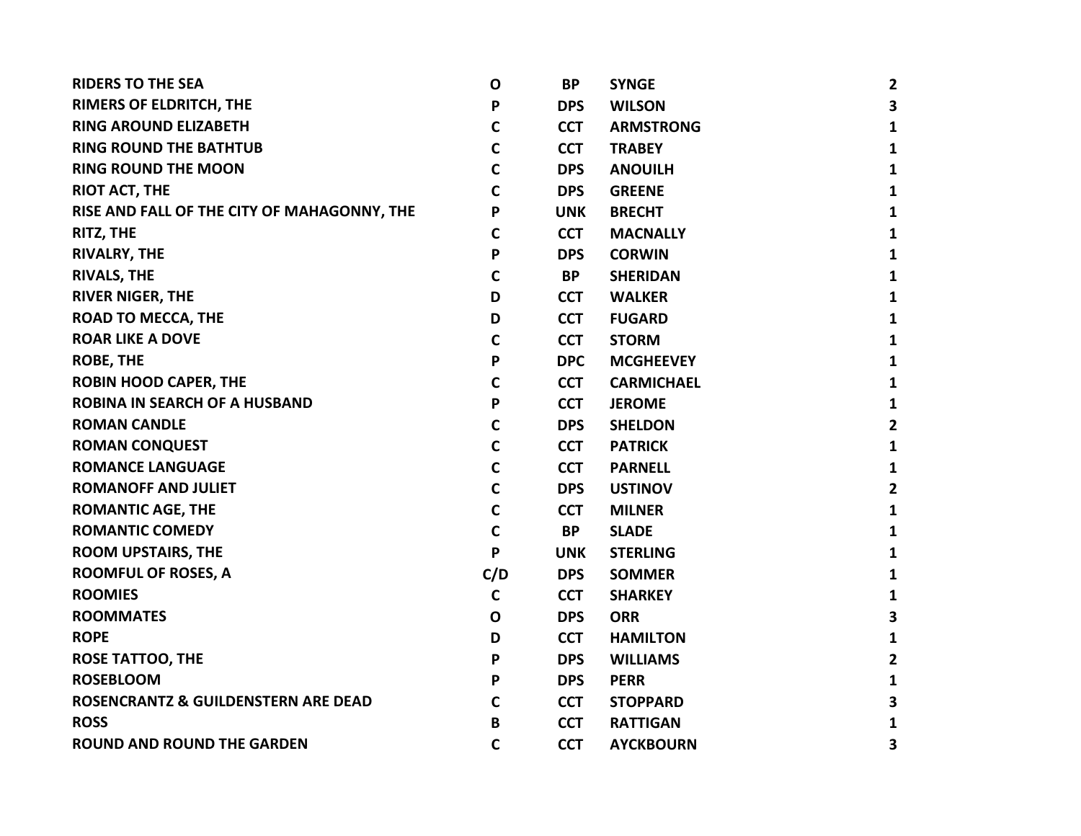| <b>RIDERS TO THE SEA</b>                    | $\mathbf{o}$ | <b>BP</b>  | <b>SYNGE</b>      | $\overline{2}$ |
|---------------------------------------------|--------------|------------|-------------------|----------------|
| RIMERS OF ELDRITCH, THE                     | P            | <b>DPS</b> | <b>WILSON</b>     | 3              |
| <b>RING AROUND ELIZABETH</b>                | C            | <b>CCT</b> | <b>ARMSTRONG</b>  | 1              |
| <b>RING ROUND THE BATHTUB</b>               | $\mathsf{C}$ | <b>CCT</b> | <b>TRABEY</b>     | 1              |
| <b>RING ROUND THE MOON</b>                  | $\mathbf C$  | <b>DPS</b> | <b>ANOUILH</b>    | 1              |
| <b>RIOT ACT, THE</b>                        | $\mathbf c$  | <b>DPS</b> | <b>GREENE</b>     | 1              |
| RISE AND FALL OF THE CITY OF MAHAGONNY, THE | P            | <b>UNK</b> | <b>BRECHT</b>     | 1              |
| RITZ, THE                                   | C            | <b>CCT</b> | <b>MACNALLY</b>   | 1              |
| <b>RIVALRY, THE</b>                         | P            | <b>DPS</b> | <b>CORWIN</b>     | 1              |
| <b>RIVALS, THE</b>                          | $\mathbf C$  | <b>BP</b>  | <b>SHERIDAN</b>   | 1              |
| <b>RIVER NIGER, THE</b>                     | D            | <b>CCT</b> | <b>WALKER</b>     | 1              |
| <b>ROAD TO MECCA, THE</b>                   | D            | <b>CCT</b> | <b>FUGARD</b>     | 1              |
| <b>ROAR LIKE A DOVE</b>                     | $\mathsf{C}$ | <b>CCT</b> | <b>STORM</b>      | 1              |
| <b>ROBE, THE</b>                            | P            | <b>DPC</b> | <b>MCGHEEVEY</b>  | 1              |
| <b>ROBIN HOOD CAPER, THE</b>                | $\mathsf{C}$ | <b>CCT</b> | <b>CARMICHAEL</b> | 1              |
| <b>ROBINA IN SEARCH OF A HUSBAND</b>        | P            | <b>CCT</b> | <b>JEROME</b>     | 1              |
| <b>ROMAN CANDLE</b>                         | $\mathsf{C}$ | <b>DPS</b> | <b>SHELDON</b>    | 2              |
| <b>ROMAN CONQUEST</b>                       | $\mathsf{C}$ | <b>CCT</b> | <b>PATRICK</b>    | 1              |
| <b>ROMANCE LANGUAGE</b>                     | $\mathsf{C}$ | <b>CCT</b> | <b>PARNELL</b>    | 1              |
| <b>ROMANOFF AND JULIET</b>                  | $\mathbf C$  | <b>DPS</b> | <b>USTINOV</b>    | $\overline{2}$ |
| <b>ROMANTIC AGE, THE</b>                    | $\mathbf C$  | <b>CCT</b> | <b>MILNER</b>     | 1              |
| <b>ROMANTIC COMEDY</b>                      | $\mathbf C$  | <b>BP</b>  | <b>SLADE</b>      | 1              |
| <b>ROOM UPSTAIRS, THE</b>                   | P            | <b>UNK</b> | <b>STERLING</b>   | 1              |
| <b>ROOMFUL OF ROSES, A</b>                  | C/D          | <b>DPS</b> | <b>SOMMER</b>     | 1              |
| <b>ROOMIES</b>                              | $\mathsf{C}$ | <b>CCT</b> | <b>SHARKEY</b>    | 1              |
| <b>ROOMMATES</b>                            | $\mathbf{o}$ | <b>DPS</b> | <b>ORR</b>        | 3              |
| <b>ROPE</b>                                 | D            | <b>CCT</b> | <b>HAMILTON</b>   | 1              |
| <b>ROSE TATTOO, THE</b>                     | P            | <b>DPS</b> | <b>WILLIAMS</b>   | 2              |
| <b>ROSEBLOOM</b>                            | P            | <b>DPS</b> | <b>PERR</b>       | 1              |
| ROSENCRANTZ & GUILDENSTERN ARE DEAD         | C            | <b>CCT</b> | <b>STOPPARD</b>   | 3              |
| <b>ROSS</b>                                 | B            | <b>CCT</b> | <b>RATTIGAN</b>   | 1              |
| <b>ROUND AND ROUND THE GARDEN</b>           | $\mathbf C$  | <b>CCT</b> | <b>AYCKBOURN</b>  | 3              |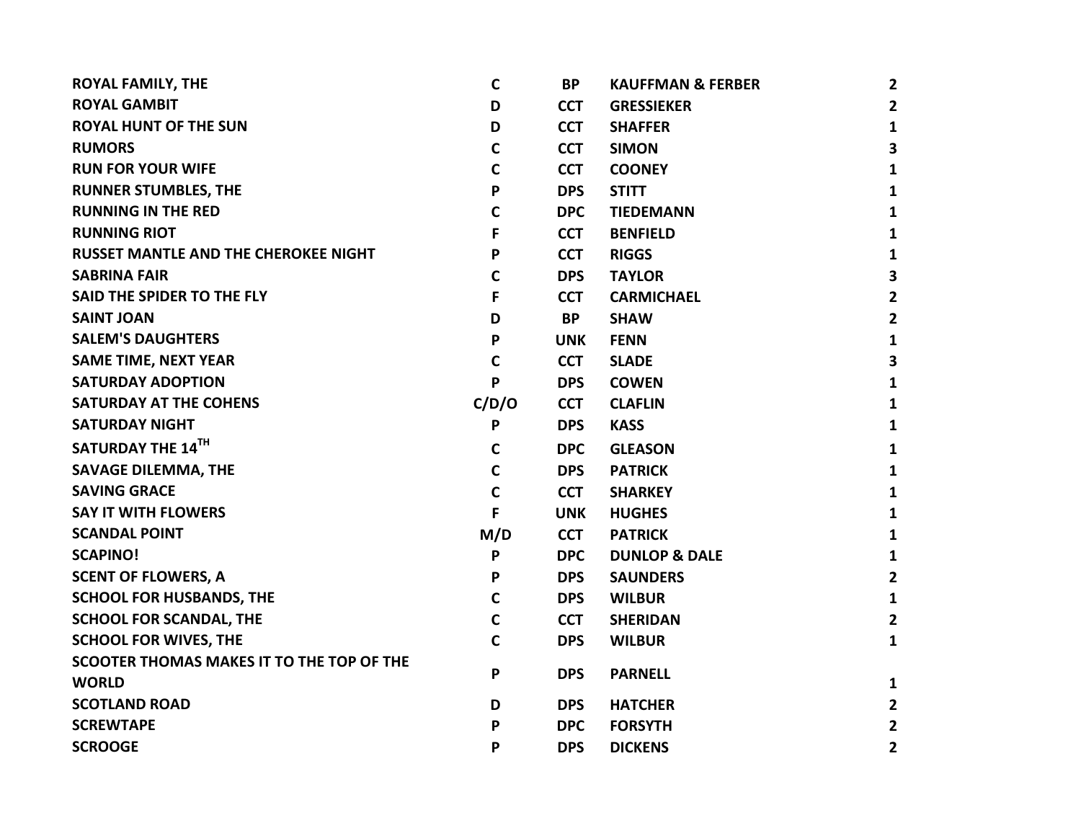| <b>ROYAL FAMILY, THE</b>                    | $\mathbf c$ | <b>BP</b>  | <b>KAUFFMAN &amp; FERBER</b> | $\mathbf{2}$   |
|---------------------------------------------|-------------|------------|------------------------------|----------------|
| <b>ROYAL GAMBIT</b>                         | D           | <b>CCT</b> | <b>GRESSIEKER</b>            | $\overline{2}$ |
| <b>ROYAL HUNT OF THE SUN</b>                | D           | <b>CCT</b> | <b>SHAFFER</b>               | $\mathbf{1}$   |
| <b>RUMORS</b>                               | $\mathbf c$ | <b>CCT</b> | <b>SIMON</b>                 | 3              |
| <b>RUN FOR YOUR WIFE</b>                    | $\mathbf C$ | <b>CCT</b> | <b>COONEY</b>                | 1              |
| <b>RUNNER STUMBLES, THE</b>                 | P           | <b>DPS</b> | <b>STITT</b>                 | 1              |
| <b>RUNNING IN THE RED</b>                   | $\mathbf C$ | <b>DPC</b> | <b>TIEDEMANN</b>             | 1              |
| <b>RUNNING RIOT</b>                         | F           | <b>CCT</b> | <b>BENFIELD</b>              | 1              |
| <b>RUSSET MANTLE AND THE CHEROKEE NIGHT</b> | P           | <b>CCT</b> | <b>RIGGS</b>                 | $\mathbf{1}$   |
| <b>SABRINA FAIR</b>                         | $\mathbf C$ | <b>DPS</b> | <b>TAYLOR</b>                | 3              |
| SAID THE SPIDER TO THE FLY                  | F           | <b>CCT</b> | <b>CARMICHAEL</b>            | $\mathbf{2}$   |
| <b>SAINT JOAN</b>                           | D           | <b>BP</b>  | <b>SHAW</b>                  | $\mathbf{2}$   |
| <b>SALEM'S DAUGHTERS</b>                    | P           | <b>UNK</b> | <b>FENN</b>                  | 1              |
| <b>SAME TIME, NEXT YEAR</b>                 | $\mathbf C$ | <b>CCT</b> | <b>SLADE</b>                 | 3              |
| <b>SATURDAY ADOPTION</b>                    | P           | <b>DPS</b> | <b>COWEN</b>                 | 1              |
| <b>SATURDAY AT THE COHENS</b>               | C/D/O       | <b>CCT</b> | <b>CLAFLIN</b>               | 1              |
| <b>SATURDAY NIGHT</b>                       | P           | <b>DPS</b> | <b>KASS</b>                  | $\mathbf{1}$   |
| SATURDAY THE 14TH                           | $\mathbf c$ | <b>DPC</b> | <b>GLEASON</b>               | 1              |
| <b>SAVAGE DILEMMA, THE</b>                  | $\mathbf C$ | <b>DPS</b> | <b>PATRICK</b>               | $\mathbf{1}$   |
| <b>SAVING GRACE</b>                         | $\mathbf C$ | <b>CCT</b> | <b>SHARKEY</b>               | 1              |
| <b>SAY IT WITH FLOWERS</b>                  | F           | <b>UNK</b> | <b>HUGHES</b>                | 1              |
| <b>SCANDAL POINT</b>                        | M/D         | <b>CCT</b> | <b>PATRICK</b>               | $\mathbf{1}$   |
| <b>SCAPINO!</b>                             | P           | <b>DPC</b> | <b>DUNLOP &amp; DALE</b>     | $\mathbf{1}$   |
| <b>SCENT OF FLOWERS, A</b>                  | P           | <b>DPS</b> | <b>SAUNDERS</b>              | $\overline{2}$ |
| <b>SCHOOL FOR HUSBANDS, THE</b>             | $\mathbf c$ | <b>DPS</b> | <b>WILBUR</b>                | $\mathbf{1}$   |
| <b>SCHOOL FOR SCANDAL, THE</b>              | $\mathbf C$ | <b>CCT</b> | <b>SHERIDAN</b>              | $\overline{2}$ |
| <b>SCHOOL FOR WIVES, THE</b>                | $\mathbf C$ | <b>DPS</b> | <b>WILBUR</b>                | $\mathbf{1}$   |
| SCOOTER THOMAS MAKES IT TO THE TOP OF THE   |             |            |                              |                |
| <b>WORLD</b>                                | P           | <b>DPS</b> | <b>PARNELL</b>               | 1              |
| <b>SCOTLAND ROAD</b>                        | D           | <b>DPS</b> | <b>HATCHER</b>               | $\mathbf{2}$   |
| <b>SCREWTAPE</b>                            | P           | <b>DPC</b> | <b>FORSYTH</b>               | $\mathbf{2}$   |
| <b>SCROOGE</b>                              | P           | <b>DPS</b> | <b>DICKENS</b>               | $\overline{2}$ |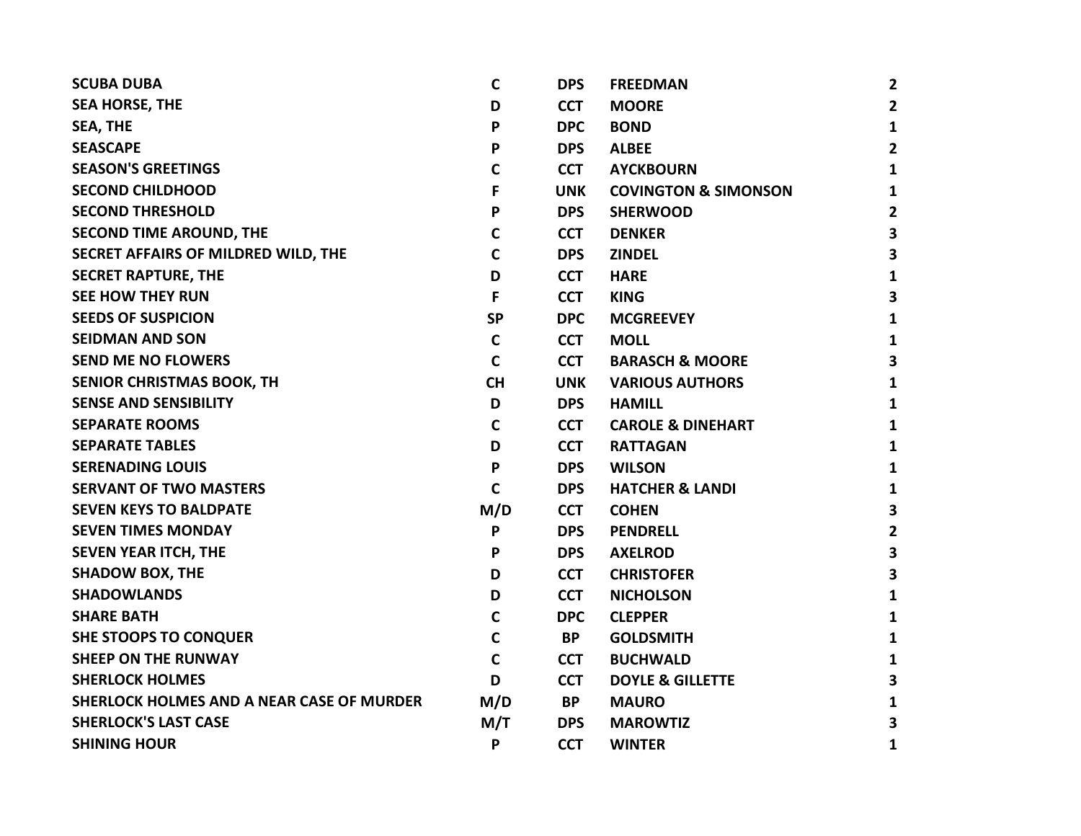| <b>SCUBA DUBA</b>                         | C            | <b>DPS</b> | <b>FREEDMAN</b>                 | $\overline{2}$          |
|-------------------------------------------|--------------|------------|---------------------------------|-------------------------|
| <b>SEA HORSE, THE</b>                     | D            | <b>CCT</b> | <b>MOORE</b>                    | $\overline{2}$          |
| SEA, THE                                  | P            | <b>DPC</b> | <b>BOND</b>                     | $\mathbf{1}$            |
| <b>SEASCAPE</b>                           | P            | <b>DPS</b> | <b>ALBEE</b>                    | $\overline{2}$          |
| <b>SEASON'S GREETINGS</b>                 | C            | <b>CCT</b> | <b>AYCKBOURN</b>                | 1                       |
| <b>SECOND CHILDHOOD</b>                   | F            | <b>UNK</b> | <b>COVINGTON &amp; SIMONSON</b> | 1                       |
| <b>SECOND THRESHOLD</b>                   | P            | <b>DPS</b> | <b>SHERWOOD</b>                 | $\overline{2}$          |
| <b>SECOND TIME AROUND, THE</b>            | C            | <b>CCT</b> | <b>DENKER</b>                   | 3                       |
| SECRET AFFAIRS OF MILDRED WILD, THE       | $\mathsf{C}$ | <b>DPS</b> | <b>ZINDEL</b>                   | $\overline{\mathbf{3}}$ |
| <b>SECRET RAPTURE, THE</b>                | D            | <b>CCT</b> | <b>HARE</b>                     | 1                       |
| <b>SEE HOW THEY RUN</b>                   | F            | <b>CCT</b> | <b>KING</b>                     | $\overline{\mathbf{3}}$ |
| <b>SEEDS OF SUSPICION</b>                 | <b>SP</b>    | <b>DPC</b> | <b>MCGREEVEY</b>                | 1                       |
| <b>SEIDMAN AND SON</b>                    | C            | <b>CCT</b> | <b>MOLL</b>                     | 1                       |
| <b>SEND ME NO FLOWERS</b>                 | C            | <b>CCT</b> | <b>BARASCH &amp; MOORE</b>      | 3                       |
| SENIOR CHRISTMAS BOOK, TH                 | <b>CH</b>    | <b>UNK</b> | <b>VARIOUS AUTHORS</b>          | 1                       |
| <b>SENSE AND SENSIBILITY</b>              | D            | <b>DPS</b> | <b>HAMILL</b>                   | 1                       |
| <b>SEPARATE ROOMS</b>                     | C            | <b>CCT</b> | <b>CAROLE &amp; DINEHART</b>    | $\mathbf{1}$            |
| <b>SEPARATE TABLES</b>                    | D            | <b>CCT</b> | <b>RATTAGAN</b>                 | 1                       |
| <b>SERENADING LOUIS</b>                   | P            | <b>DPS</b> | <b>WILSON</b>                   | 1                       |
| <b>SERVANT OF TWO MASTERS</b>             | $\mathsf{C}$ | <b>DPS</b> | <b>HATCHER &amp; LANDI</b>      | $\mathbf{1}$            |
| <b>SEVEN KEYS TO BALDPATE</b>             | M/D          | <b>CCT</b> | <b>COHEN</b>                    | $\overline{\mathbf{3}}$ |
| <b>SEVEN TIMES MONDAY</b>                 | P            | <b>DPS</b> | <b>PENDRELL</b>                 | $\overline{2}$          |
| <b>SEVEN YEAR ITCH, THE</b>               | P            | <b>DPS</b> | <b>AXELROD</b>                  | 3                       |
| <b>SHADOW BOX, THE</b>                    | D            | <b>CCT</b> | <b>CHRISTOFER</b>               | 3                       |
| <b>SHADOWLANDS</b>                        | D            | <b>CCT</b> | <b>NICHOLSON</b>                | 1                       |
| <b>SHARE BATH</b>                         | $\mathsf{C}$ | <b>DPC</b> | <b>CLEPPER</b>                  | $\mathbf{1}$            |
| <b>SHE STOOPS TO CONQUER</b>              | $\mathbf C$  | <b>BP</b>  | <b>GOLDSMITH</b>                | $\mathbf{1}$            |
| <b>SHEEP ON THE RUNWAY</b>                | $\mathbf C$  | <b>CCT</b> | <b>BUCHWALD</b>                 | 1                       |
| <b>SHERLOCK HOLMES</b>                    | D            | <b>CCT</b> | <b>DOYLE &amp; GILLETTE</b>     | 3                       |
| SHERLOCK HOLMES AND A NEAR CASE OF MURDER | M/D          | <b>BP</b>  | <b>MAURO</b>                    | 1                       |
| <b>SHERLOCK'S LAST CASE</b>               | M/T          | <b>DPS</b> | <b>MAROWTIZ</b>                 | 3                       |
| <b>SHINING HOUR</b>                       | P            | <b>CCT</b> | <b>WINTER</b>                   | 1                       |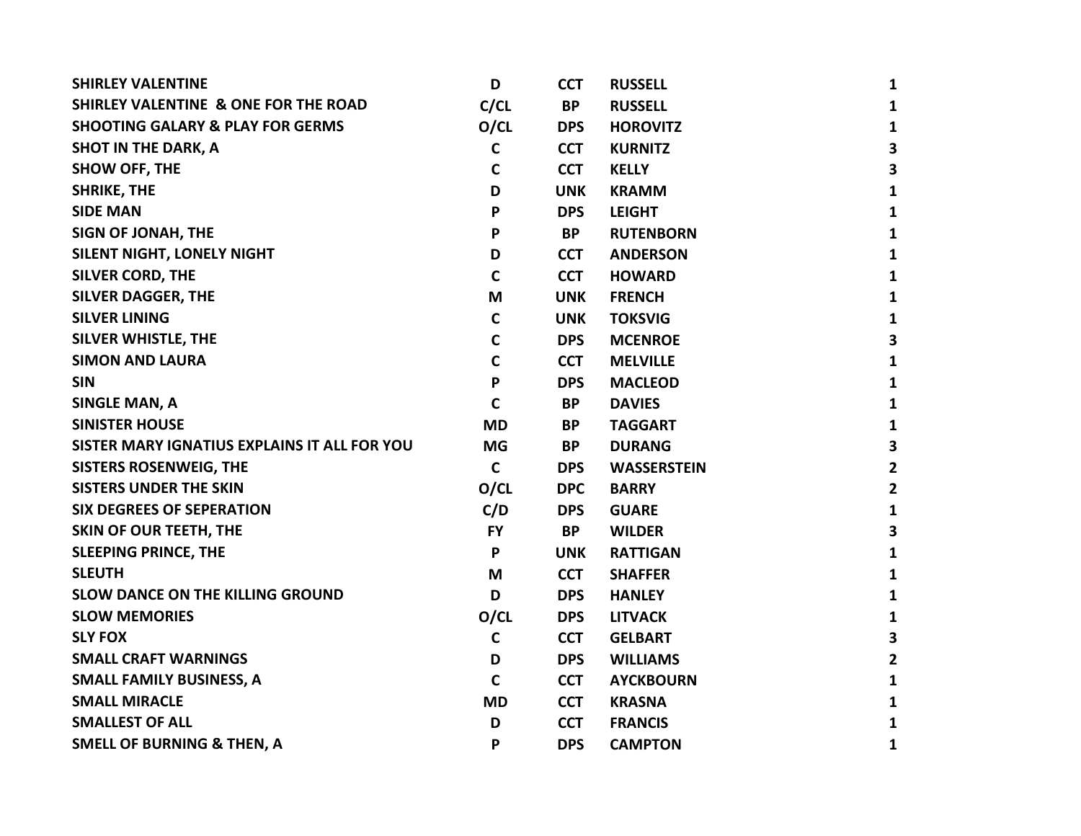| <b>SHIRLEY VALENTINE</b>                        | D            | <b>CCT</b> | <b>RUSSELL</b>     | 1                       |
|-------------------------------------------------|--------------|------------|--------------------|-------------------------|
| <b>SHIRLEY VALENTINE &amp; ONE FOR THE ROAD</b> | C/CL         | <b>BP</b>  | <b>RUSSELL</b>     | $\mathbf{1}$            |
| <b>SHOOTING GALARY &amp; PLAY FOR GERMS</b>     | O/CL         | <b>DPS</b> | <b>HOROVITZ</b>    | $\mathbf{1}$            |
| <b>SHOT IN THE DARK, A</b>                      | $\mathsf{C}$ | <b>CCT</b> | <b>KURNITZ</b>     | $\overline{\mathbf{3}}$ |
| <b>SHOW OFF, THE</b>                            | C            | <b>CCT</b> | <b>KELLY</b>       | 3                       |
| <b>SHRIKE, THE</b>                              | D            | <b>UNK</b> | <b>KRAMM</b>       | 1                       |
| <b>SIDE MAN</b>                                 | P            | <b>DPS</b> | <b>LEIGHT</b>      | 1                       |
| SIGN OF JONAH, THE                              | P            | BP         | <b>RUTENBORN</b>   | 1                       |
| SILENT NIGHT, LONELY NIGHT                      | D            | <b>CCT</b> | <b>ANDERSON</b>    | 1                       |
| <b>SILVER CORD, THE</b>                         | C            | <b>CCT</b> | <b>HOWARD</b>      | 1                       |
| <b>SILVER DAGGER, THE</b>                       | M            | <b>UNK</b> | <b>FRENCH</b>      | 1                       |
| <b>SILVER LINING</b>                            | $\mathsf{C}$ | <b>UNK</b> | <b>TOKSVIG</b>     | $\mathbf{1}$            |
| <b>SILVER WHISTLE, THE</b>                      | C            | <b>DPS</b> | <b>MCENROE</b>     | $\mathbf{3}$            |
| <b>SIMON AND LAURA</b>                          | $\mathbf c$  | <b>CCT</b> | <b>MELVILLE</b>    | $\mathbf{1}$            |
| <b>SIN</b>                                      | P            | <b>DPS</b> | <b>MACLEOD</b>     | $\mathbf{1}$            |
| <b>SINGLE MAN, A</b>                            | $\mathsf{C}$ | <b>BP</b>  | <b>DAVIES</b>      | 1                       |
| <b>SINISTER HOUSE</b>                           | <b>MD</b>    | <b>BP</b>  | <b>TAGGART</b>     | 1                       |
| SISTER MARY IGNATIUS EXPLAINS IT ALL FOR YOU    | <b>MG</b>    | <b>BP</b>  | <b>DURANG</b>      | $\overline{\mathbf{3}}$ |
| <b>SISTERS ROSENWEIG, THE</b>                   | $\mathbf C$  | <b>DPS</b> | <b>WASSERSTEIN</b> | $\overline{2}$          |
| <b>SISTERS UNDER THE SKIN</b>                   | O/CL         | <b>DPC</b> | <b>BARRY</b>       | $\overline{2}$          |
| <b>SIX DEGREES OF SEPERATION</b>                | C/D          | <b>DPS</b> | <b>GUARE</b>       | $\mathbf{1}$            |
| <b>SKIN OF OUR TEETH, THE</b>                   | <b>FY</b>    | <b>BP</b>  | <b>WILDER</b>      | 3                       |
| <b>SLEEPING PRINCE, THE</b>                     | P            | <b>UNK</b> | <b>RATTIGAN</b>    | $\mathbf{1}$            |
| <b>SLEUTH</b>                                   | M            | <b>CCT</b> | <b>SHAFFER</b>     | 1                       |
| <b>SLOW DANCE ON THE KILLING GROUND</b>         | D            | <b>DPS</b> | <b>HANLEY</b>      | 1                       |
| <b>SLOW MEMORIES</b>                            | O/CL         | <b>DPS</b> | <b>LITVACK</b>     | 1                       |
| <b>SLY FOX</b>                                  | C            | <b>CCT</b> | <b>GELBART</b>     | $\overline{\mathbf{3}}$ |
| <b>SMALL CRAFT WARNINGS</b>                     | D            | <b>DPS</b> | <b>WILLIAMS</b>    | $\overline{2}$          |
| <b>SMALL FAMILY BUSINESS, A</b>                 | $\mathbf C$  | <b>CCT</b> | <b>AYCKBOURN</b>   | 1                       |
| <b>SMALL MIRACLE</b>                            | <b>MD</b>    | <b>CCT</b> | <b>KRASNA</b>      | 1                       |
| <b>SMALLEST OF ALL</b>                          | D            | <b>CCT</b> | <b>FRANCIS</b>     | 1                       |
| <b>SMELL OF BURNING &amp; THEN, A</b>           | P            | <b>DPS</b> | <b>CAMPTON</b>     | 1                       |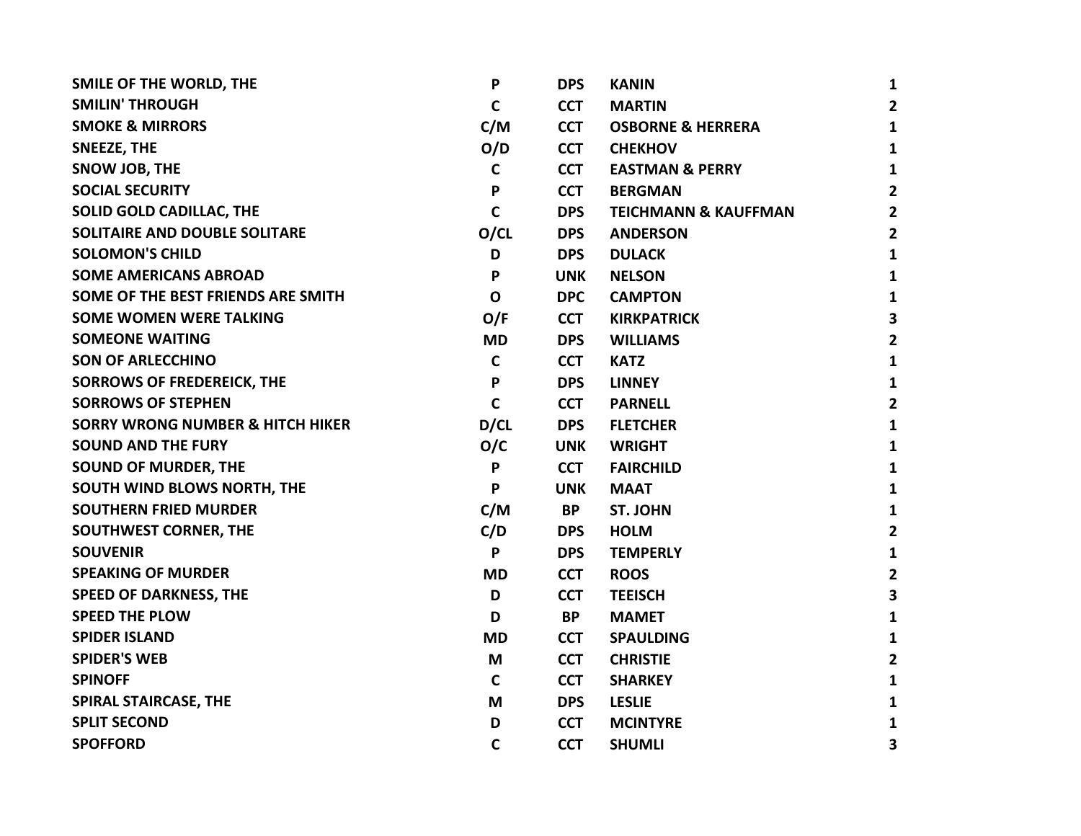| SMILE OF THE WORLD, THE                     | $\mathsf{P}$ | <b>DPS</b> | <b>KANIN</b>                    | $\mathbf{1}$            |
|---------------------------------------------|--------------|------------|---------------------------------|-------------------------|
| <b>SMILIN' THROUGH</b>                      | $\mathbf c$  | <b>CCT</b> | <b>MARTIN</b>                   | $\overline{2}$          |
| <b>SMOKE &amp; MIRRORS</b>                  | C/M          | <b>CCT</b> | <b>OSBORNE &amp; HERRERA</b>    | $\mathbf{1}$            |
| SNEEZE, THE                                 | O/D          | <b>CCT</b> | <b>CHEKHOV</b>                  | $\mathbf{1}$            |
| SNOW JOB, THE                               | $\mathbf c$  | <b>CCT</b> | <b>EASTMAN &amp; PERRY</b>      | $\mathbf{1}$            |
| <b>SOCIAL SECURITY</b>                      | P            | <b>CCT</b> | <b>BERGMAN</b>                  | $\overline{2}$          |
| <b>SOLID GOLD CADILLAC, THE</b>             | $\mathbf C$  | <b>DPS</b> | <b>TEICHMANN &amp; KAUFFMAN</b> | $\overline{2}$          |
| <b>SOLITAIRE AND DOUBLE SOLITARE</b>        | O/CL         | <b>DPS</b> | <b>ANDERSON</b>                 | $\overline{2}$          |
| <b>SOLOMON'S CHILD</b>                      | D            | <b>DPS</b> | <b>DULACK</b>                   | $\mathbf{1}$            |
| <b>SOME AMERICANS ABROAD</b>                | $\mathsf{P}$ | <b>UNK</b> | <b>NELSON</b>                   | $\mathbf{1}$            |
| SOME OF THE BEST FRIENDS ARE SMITH          | $\mathbf{o}$ | <b>DPC</b> | <b>CAMPTON</b>                  | 1                       |
| <b>SOME WOMEN WERE TALKING</b>              | O/F          | <b>CCT</b> | <b>KIRKPATRICK</b>              | $\overline{\mathbf{3}}$ |
| <b>SOMEONE WAITING</b>                      | <b>MD</b>    | <b>DPS</b> | <b>WILLIAMS</b>                 | $\overline{2}$          |
| <b>SON OF ARLECCHINO</b>                    | $\mathbf c$  | <b>CCT</b> | <b>KATZ</b>                     | $\mathbf{1}$            |
| <b>SORROWS OF FREDEREICK, THE</b>           | P            | <b>DPS</b> | <b>LINNEY</b>                   | $\mathbf{1}$            |
| <b>SORROWS OF STEPHEN</b>                   | $\mathbf C$  | <b>CCT</b> | <b>PARNELL</b>                  | $\overline{2}$          |
| <b>SORRY WRONG NUMBER &amp; HITCH HIKER</b> | D/CL         | <b>DPS</b> | <b>FLETCHER</b>                 | $\mathbf{1}$            |
| <b>SOUND AND THE FURY</b>                   | O/C          | <b>UNK</b> | <b>WRIGHT</b>                   | $\mathbf{1}$            |
| <b>SOUND OF MURDER, THE</b>                 | P            | <b>CCT</b> | <b>FAIRCHILD</b>                | $\mathbf{1}$            |
| SOUTH WIND BLOWS NORTH, THE                 | $\mathsf{P}$ | <b>UNK</b> | <b>MAAT</b>                     | $\mathbf{1}$            |
| <b>SOUTHERN FRIED MURDER</b>                | C/M          | <b>BP</b>  | <b>ST. JOHN</b>                 | $\mathbf{1}$            |
| <b>SOUTHWEST CORNER, THE</b>                | C/D          | <b>DPS</b> | <b>HOLM</b>                     | $\overline{2}$          |
| <b>SOUVENIR</b>                             | P            | <b>DPS</b> | <b>TEMPERLY</b>                 | $\mathbf{1}$            |
| <b>SPEAKING OF MURDER</b>                   | <b>MD</b>    | <b>CCT</b> | <b>ROOS</b>                     | $\overline{2}$          |
| <b>SPEED OF DARKNESS, THE</b>               | D            | <b>CCT</b> | <b>TEEISCH</b>                  | 3                       |
| <b>SPEED THE PLOW</b>                       | D            | <b>BP</b>  | <b>MAMET</b>                    | $\mathbf{1}$            |
| <b>SPIDER ISLAND</b>                        | <b>MD</b>    | <b>CCT</b> | <b>SPAULDING</b>                | $\mathbf{1}$            |
| <b>SPIDER'S WEB</b>                         | M            | <b>CCT</b> | <b>CHRISTIE</b>                 | $\overline{2}$          |
| <b>SPINOFF</b>                              | $\mathbf C$  | <b>CCT</b> | <b>SHARKEY</b>                  | $\mathbf{1}$            |
| SPIRAL STAIRCASE, THE                       | M            | <b>DPS</b> | <b>LESLIE</b>                   | 1                       |
| <b>SPLIT SECOND</b>                         | D            | <b>CCT</b> | <b>MCINTYRE</b>                 | 1                       |
| <b>SPOFFORD</b>                             | $\mathbf C$  | <b>CCT</b> | <b>SHUMLI</b>                   | 3                       |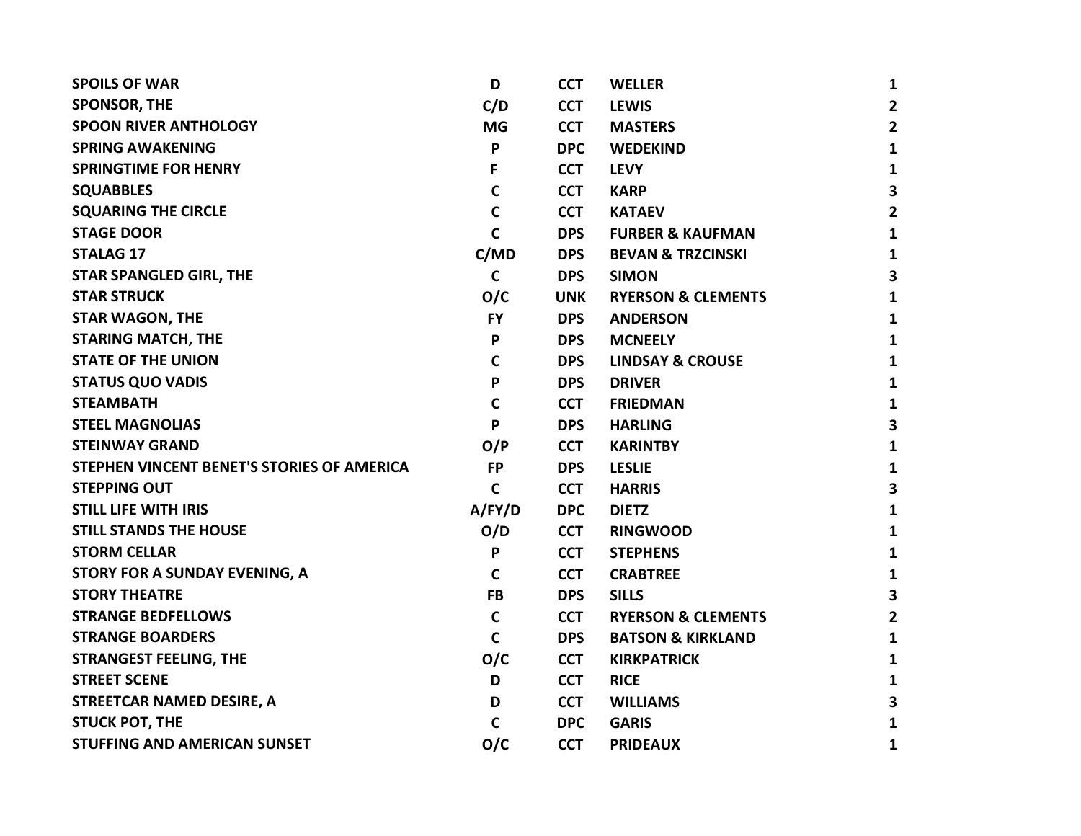| <b>SPOILS OF WAR</b>                       | D           | <b>CCT</b> | <b>WELLER</b>                 | $\mathbf{1}$   |
|--------------------------------------------|-------------|------------|-------------------------------|----------------|
| <b>SPONSOR, THE</b>                        | C/D         | <b>CCT</b> | <b>LEWIS</b>                  | $\overline{2}$ |
| <b>SPOON RIVER ANTHOLOGY</b>               | <b>MG</b>   | <b>CCT</b> | <b>MASTERS</b>                | $\overline{2}$ |
| <b>SPRING AWAKENING</b>                    | P           | <b>DPC</b> | <b>WEDEKIND</b>               | $\mathbf{1}$   |
| <b>SPRINGTIME FOR HENRY</b>                | F           | <b>CCT</b> | <b>LEVY</b>                   | 1              |
| <b>SQUABBLES</b>                           | $\mathbf C$ | <b>CCT</b> | <b>KARP</b>                   | 3              |
| <b>SQUARING THE CIRCLE</b>                 | $\mathbf C$ | <b>CCT</b> | <b>KATAEV</b>                 | $\overline{2}$ |
| <b>STAGE DOOR</b>                          | $\mathbf C$ | <b>DPS</b> | <b>FURBER &amp; KAUFMAN</b>   | $\mathbf{1}$   |
| <b>STALAG 17</b>                           | C/MD        | <b>DPS</b> | <b>BEVAN &amp; TRZCINSKI</b>  | $\mathbf{1}$   |
| <b>STAR SPANGLED GIRL, THE</b>             | $\mathbf C$ | <b>DPS</b> | <b>SIMON</b>                  | 3              |
| <b>STAR STRUCK</b>                         | O/C         | <b>UNK</b> | <b>RYERSON &amp; CLEMENTS</b> | 1              |
| <b>STAR WAGON, THE</b>                     | <b>FY</b>   | <b>DPS</b> | <b>ANDERSON</b>               | $\mathbf{1}$   |
| <b>STARING MATCH, THE</b>                  | P           | <b>DPS</b> | <b>MCNEELY</b>                | $\mathbf{1}$   |
| <b>STATE OF THE UNION</b>                  | $\mathbf c$ | <b>DPS</b> | <b>LINDSAY &amp; CROUSE</b>   | $\mathbf{1}$   |
| <b>STATUS QUO VADIS</b>                    | P           | <b>DPS</b> | <b>DRIVER</b>                 | $\mathbf{1}$   |
| <b>STEAMBATH</b>                           | $\mathbf C$ | <b>CCT</b> | <b>FRIEDMAN</b>               | $\mathbf{1}$   |
| <b>STEEL MAGNOLIAS</b>                     | P           | <b>DPS</b> | <b>HARLING</b>                | 3              |
| <b>STEINWAY GRAND</b>                      | O/P         | <b>CCT</b> | <b>KARINTBY</b>               | 1              |
| STEPHEN VINCENT BENET'S STORIES OF AMERICA | <b>FP</b>   | <b>DPS</b> | <b>LESLIE</b>                 | 1              |
| <b>STEPPING OUT</b>                        | $\mathbf c$ | <b>CCT</b> | <b>HARRIS</b>                 | 3              |
| <b>STILL LIFE WITH IRIS</b>                | A/FY/D      | <b>DPC</b> | <b>DIETZ</b>                  | $\mathbf{1}$   |
| <b>STILL STANDS THE HOUSE</b>              | O/D         | <b>CCT</b> | <b>RINGWOOD</b>               | $\mathbf{1}$   |
| <b>STORM CELLAR</b>                        | P           | <b>CCT</b> | <b>STEPHENS</b>               | $\mathbf{1}$   |
| STORY FOR A SUNDAY EVENING, A              | $\mathbf c$ | <b>CCT</b> | <b>CRABTREE</b>               | 1              |
| <b>STORY THEATRE</b>                       | <b>FB</b>   | <b>DPS</b> | <b>SILLS</b>                  | 3              |
| <b>STRANGE BEDFELLOWS</b>                  | $\mathbf C$ | <b>CCT</b> | <b>RYERSON &amp; CLEMENTS</b> | $\mathbf{2}$   |
| <b>STRANGE BOARDERS</b>                    | $\mathbf C$ | <b>DPS</b> | <b>BATSON &amp; KIRKLAND</b>  | $\mathbf{1}$   |
| <b>STRANGEST FEELING, THE</b>              | O/C         | <b>CCT</b> | <b>KIRKPATRICK</b>            | 1              |
| <b>STREET SCENE</b>                        | D           | <b>CCT</b> | <b>RICE</b>                   | $\mathbf{1}$   |
| STREETCAR NAMED DESIRE, A                  | D           | <b>CCT</b> | <b>WILLIAMS</b>               | 3              |
| <b>STUCK POT, THE</b>                      | C           | <b>DPC</b> | <b>GARIS</b>                  | $\mathbf{1}$   |
| <b>STUFFING AND AMERICAN SUNSET</b>        | O/C         | <b>CCT</b> | <b>PRIDEAUX</b>               | 1              |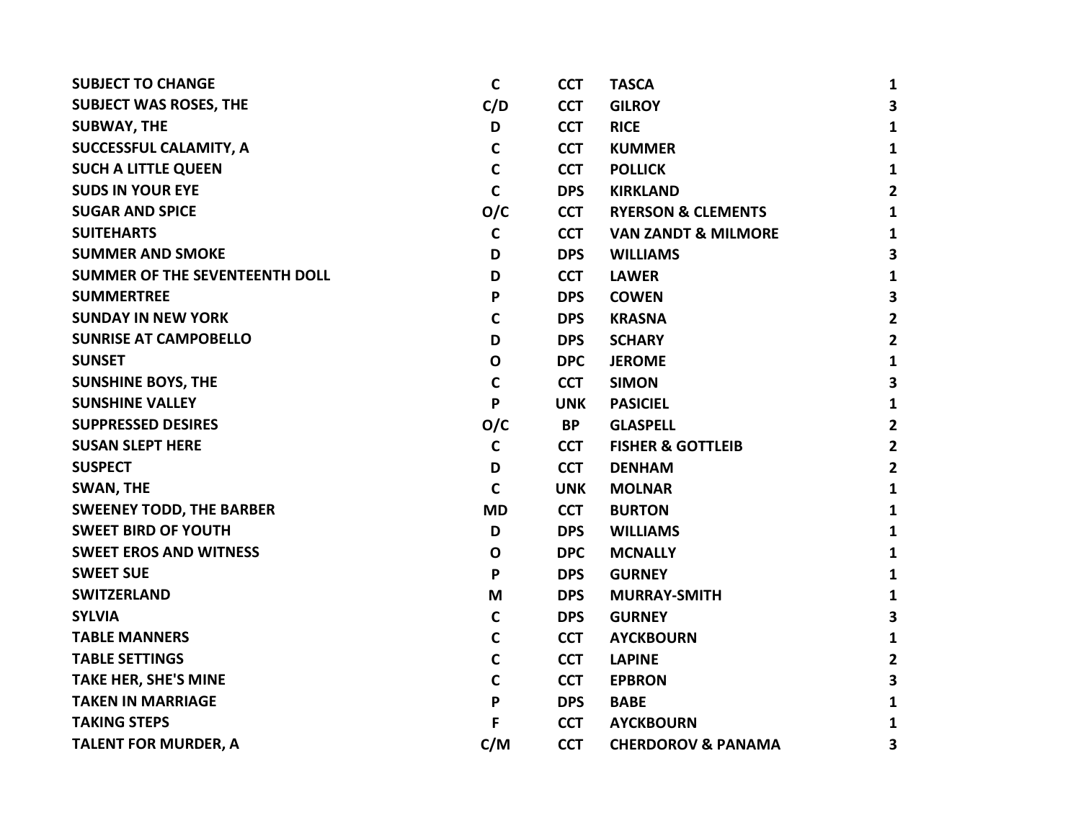| <b>SUBJECT TO CHANGE</b>        | $\mathbf c$  | <b>CCT</b> | <b>TASCA</b>                   | 1              |
|---------------------------------|--------------|------------|--------------------------------|----------------|
| <b>SUBJECT WAS ROSES, THE</b>   | C/D          | <b>CCT</b> | <b>GILROY</b>                  | 3              |
| <b>SUBWAY, THE</b>              | D            | <b>CCT</b> | <b>RICE</b>                    | $\mathbf{1}$   |
| SUCCESSFUL CALAMITY, A          | C            | <b>CCT</b> | <b>KUMMER</b>                  | $\mathbf{1}$   |
| <b>SUCH A LITTLE QUEEN</b>      | $\mathbf C$  | <b>CCT</b> | <b>POLLICK</b>                 | $\mathbf{1}$   |
| <b>SUDS IN YOUR EYE</b>         | $\mathsf{C}$ | <b>DPS</b> | <b>KIRKLAND</b>                | $\overline{2}$ |
| <b>SUGAR AND SPICE</b>          | O/C          | <b>CCT</b> | <b>RYERSON &amp; CLEMENTS</b>  | $\mathbf{1}$   |
| <b>SUITEHARTS</b>               | $\mathbf c$  | <b>CCT</b> | <b>VAN ZANDT &amp; MILMORE</b> | 1              |
| <b>SUMMER AND SMOKE</b>         | D            | <b>DPS</b> | <b>WILLIAMS</b>                | 3              |
| SUMMER OF THE SEVENTEENTH DOLL  | D            | <b>CCT</b> | <b>LAWER</b>                   | $\mathbf{1}$   |
| <b>SUMMERTREE</b>               | P            | <b>DPS</b> | <b>COWEN</b>                   | 3              |
| <b>SUNDAY IN NEW YORK</b>       | C            | <b>DPS</b> | <b>KRASNA</b>                  | $\mathbf{2}$   |
| <b>SUNRISE AT CAMPOBELLO</b>    | D            | <b>DPS</b> | <b>SCHARY</b>                  | $\overline{2}$ |
| <b>SUNSET</b>                   | $\mathbf 0$  | <b>DPC</b> | <b>JEROME</b>                  | $\mathbf{1}$   |
| <b>SUNSHINE BOYS, THE</b>       | $\mathbf C$  | <b>CCT</b> | <b>SIMON</b>                   | $\mathbf{3}$   |
| <b>SUNSHINE VALLEY</b>          | P            | <b>UNK</b> | <b>PASICIEL</b>                | $\mathbf{1}$   |
| <b>SUPPRESSED DESIRES</b>       | O/C          | <b>BP</b>  | <b>GLASPELL</b>                | $\overline{2}$ |
| <b>SUSAN SLEPT HERE</b>         | $\mathbf c$  | <b>CCT</b> | <b>FISHER &amp; GOTTLEIB</b>   | $\overline{2}$ |
| <b>SUSPECT</b>                  | D            | <b>CCT</b> | <b>DENHAM</b>                  | $\overline{2}$ |
| <b>SWAN, THE</b>                | $\mathbf C$  | <b>UNK</b> | <b>MOLNAR</b>                  | $\mathbf{1}$   |
| <b>SWEENEY TODD, THE BARBER</b> | <b>MD</b>    | <b>CCT</b> | <b>BURTON</b>                  | $\mathbf{1}$   |
| <b>SWEET BIRD OF YOUTH</b>      | D            | <b>DPS</b> | <b>WILLIAMS</b>                | $\mathbf{1}$   |
| <b>SWEET EROS AND WITNESS</b>   | $\mathbf o$  | <b>DPC</b> | <b>MCNALLY</b>                 | $\mathbf{1}$   |
| <b>SWEET SUE</b>                | P            | <b>DPS</b> | <b>GURNEY</b>                  | $\mathbf{1}$   |
| <b>SWITZERLAND</b>              | M            | <b>DPS</b> | <b>MURRAY-SMITH</b>            | $\mathbf{1}$   |
| <b>SYLVIA</b>                   | C            | <b>DPS</b> | <b>GURNEY</b>                  | 3              |
| <b>TABLE MANNERS</b>            | C            | <b>CCT</b> | <b>AYCKBOURN</b>               | $\mathbf{1}$   |
| <b>TABLE SETTINGS</b>           | $\mathbf C$  | <b>CCT</b> | <b>LAPINE</b>                  | $\overline{2}$ |
| <b>TAKE HER, SHE'S MINE</b>     | $\mathbf C$  | <b>CCT</b> | <b>EPBRON</b>                  | 3              |
| <b>TAKEN IN MARRIAGE</b>        | P            | <b>DPS</b> | <b>BABE</b>                    | $\mathbf{1}$   |
| <b>TAKING STEPS</b>             | F            | <b>CCT</b> | <b>AYCKBOURN</b>               | 1              |
| <b>TALENT FOR MURDER, A</b>     | C/M          | <b>CCT</b> | <b>CHERDOROV &amp; PANAMA</b>  | 3              |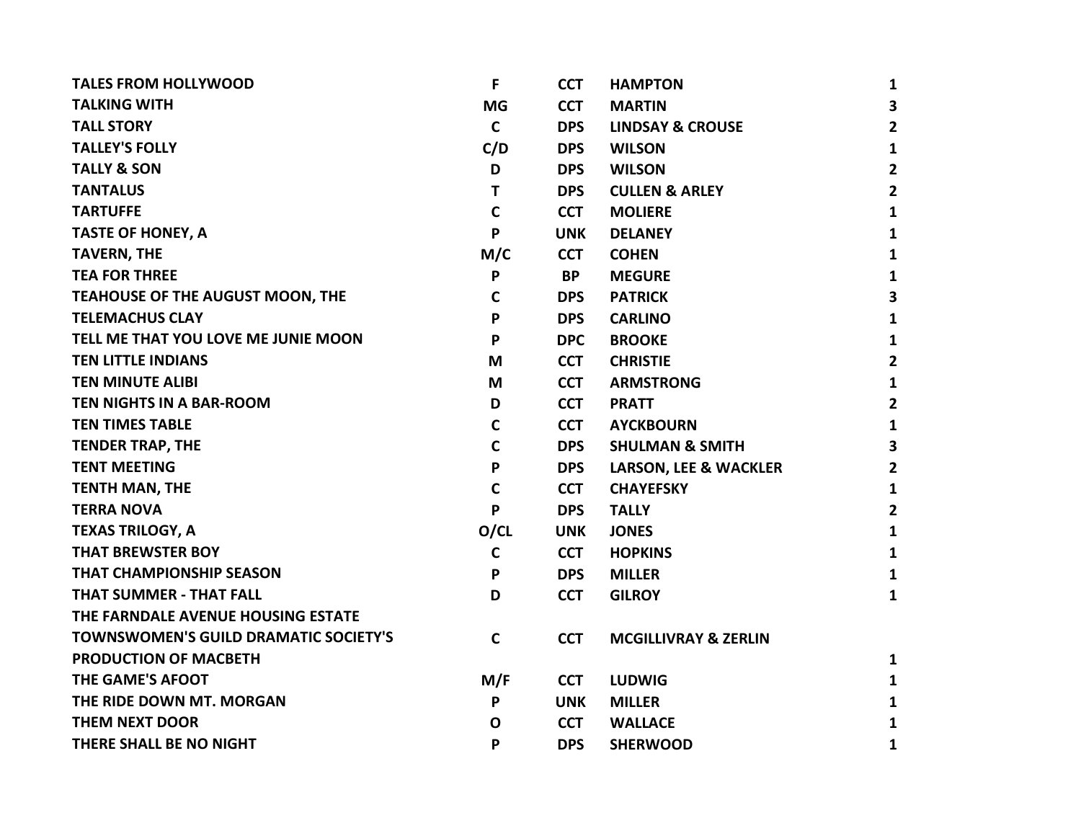| F            | <b>CCT</b> | <b>HAMPTON</b>                   | $\mathbf{1}$            |
|--------------|------------|----------------------------------|-------------------------|
| <b>MG</b>    | <b>CCT</b> | <b>MARTIN</b>                    | $\overline{\mathbf{3}}$ |
| $\mathbf C$  | <b>DPS</b> | <b>LINDSAY &amp; CROUSE</b>      | $\overline{2}$          |
| C/D          | <b>DPS</b> | <b>WILSON</b>                    | $\mathbf{1}$            |
| D            | <b>DPS</b> | <b>WILSON</b>                    | $\overline{2}$          |
| T            | <b>DPS</b> | <b>CULLEN &amp; ARLEY</b>        | $\overline{2}$          |
| $\mathbf C$  | <b>CCT</b> | <b>MOLIERE</b>                   | $\mathbf{1}$            |
| P            | <b>UNK</b> | <b>DELANEY</b>                   | $\mathbf{1}$            |
| M/C          | <b>CCT</b> | <b>COHEN</b>                     | $\mathbf{1}$            |
| P            | <b>BP</b>  | <b>MEGURE</b>                    | $\mathbf{1}$            |
| $\mathbf c$  | <b>DPS</b> | <b>PATRICK</b>                   | $\overline{\mathbf{3}}$ |
| P            | <b>DPS</b> | <b>CARLINO</b>                   | $\mathbf{1}$            |
| P            | <b>DPC</b> | <b>BROOKE</b>                    | $\mathbf{1}$            |
| M            | <b>CCT</b> | <b>CHRISTIE</b>                  | $\overline{2}$          |
| M            | <b>CCT</b> | <b>ARMSTRONG</b>                 | $\mathbf{1}$            |
| D            | <b>CCT</b> | <b>PRATT</b>                     | $\overline{2}$          |
| $\mathbf c$  | <b>CCT</b> | <b>AYCKBOURN</b>                 | $\mathbf{1}$            |
| $\mathbf C$  | <b>DPS</b> | <b>SHULMAN &amp; SMITH</b>       | $\overline{\mathbf{3}}$ |
| P            | <b>DPS</b> | <b>LARSON, LEE &amp; WACKLER</b> | $\overline{2}$          |
| $\mathsf{C}$ | <b>CCT</b> | <b>CHAYEFSKY</b>                 | $\mathbf{1}$            |
| P            | <b>DPS</b> | <b>TALLY</b>                     | $\overline{2}$          |
| O/CL         | <b>UNK</b> | <b>JONES</b>                     | $\mathbf{1}$            |
| $\mathsf{C}$ | <b>CCT</b> | <b>HOPKINS</b>                   | $\mathbf{1}$            |
| P            | <b>DPS</b> | <b>MILLER</b>                    | $\mathbf{1}$            |
| D            | <b>CCT</b> | <b>GILROY</b>                    | $\mathbf{1}$            |
|              |            |                                  |                         |
| $\mathbf C$  | <b>CCT</b> | <b>MCGILLIVRAY &amp; ZERLIN</b>  |                         |
|              |            |                                  | 1                       |
| M/F          | <b>CCT</b> | <b>LUDWIG</b>                    | 1                       |
| P            | <b>UNK</b> | <b>MILLER</b>                    | $\mathbf{1}$            |
| O            | <b>CCT</b> | <b>WALLACE</b>                   | $\mathbf{1}$            |
| P            | <b>DPS</b> | <b>SHERWOOD</b>                  | 1                       |
|              |            |                                  |                         |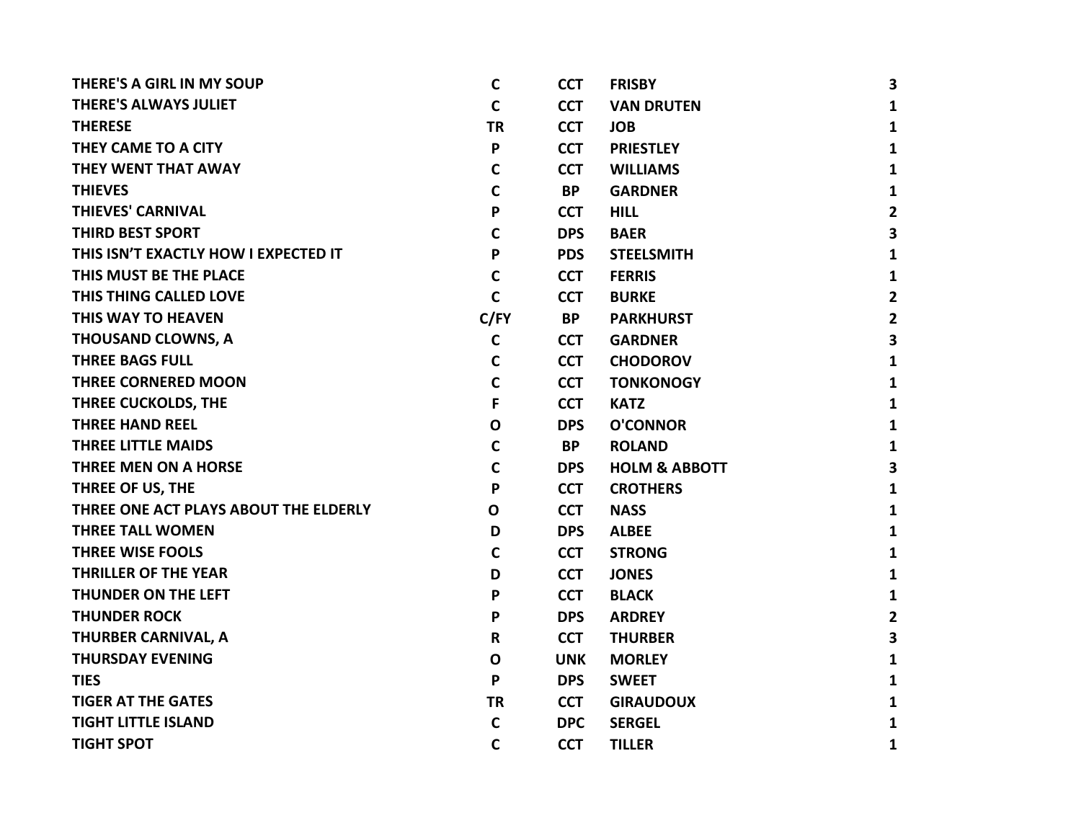| <b>THERE'S A GIRL IN MY SOUP</b>      | $\mathsf{C}$ | <b>CCT</b> | <b>FRISBY</b>            | $\mathbf{3}$            |
|---------------------------------------|--------------|------------|--------------------------|-------------------------|
| <b>THERE'S ALWAYS JULIET</b>          | $\mathsf{C}$ | <b>CCT</b> | <b>VAN DRUTEN</b>        | 1                       |
| <b>THERESE</b>                        | <b>TR</b>    | <b>CCT</b> | <b>JOB</b>               | $\mathbf{1}$            |
| THEY CAME TO A CITY                   | P            | <b>CCT</b> | <b>PRIESTLEY</b>         | $\mathbf{1}$            |
| THEY WENT THAT AWAY                   | $\mathbf C$  | <b>CCT</b> | <b>WILLIAMS</b>          | 1                       |
| <b>THIEVES</b>                        | $\mathsf{C}$ | <b>BP</b>  | <b>GARDNER</b>           | $\mathbf{1}$            |
| <b>THIEVES' CARNIVAL</b>              | P            | <b>CCT</b> | <b>HILL</b>              | $\overline{2}$          |
| <b>THIRD BEST SPORT</b>               | C            | <b>DPS</b> | <b>BAER</b>              | $\overline{\mathbf{3}}$ |
| THIS ISN'T EXACTLY HOW I EXPECTED IT  | P            | <b>PDS</b> | <b>STEELSMITH</b>        | $\mathbf{1}$            |
| THIS MUST BE THE PLACE                | $\mathsf{C}$ | <b>CCT</b> | <b>FERRIS</b>            | $\mathbf{1}$            |
| THIS THING CALLED LOVE                | $\mathsf{C}$ | <b>CCT</b> | <b>BURKE</b>             | $\overline{2}$          |
| THIS WAY TO HEAVEN                    | C/FY         | <b>BP</b>  | <b>PARKHURST</b>         | $\mathbf{2}$            |
| <b>THOUSAND CLOWNS, A</b>             | $\mathsf{C}$ | <b>CCT</b> | <b>GARDNER</b>           | 3                       |
| <b>THREE BAGS FULL</b>                | $\mathbf C$  | <b>CCT</b> | <b>CHODOROV</b>          | $\mathbf{1}$            |
| <b>THREE CORNERED MOON</b>            | $\mathbf C$  | <b>CCT</b> | <b>TONKONOGY</b>         | $\mathbf{1}$            |
| THREE CUCKOLDS, THE                   | F            | <b>CCT</b> | <b>KATZ</b>              | $\mathbf{1}$            |
| <b>THREE HAND REEL</b>                | $\mathbf{o}$ | <b>DPS</b> | <b>O'CONNOR</b>          | $\mathbf{1}$            |
| <b>THREE LITTLE MAIDS</b>             | $\mathbf C$  | BP.        | <b>ROLAND</b>            | $\mathbf{1}$            |
| <b>THREE MEN ON A HORSE</b>           | $\mathsf{C}$ | <b>DPS</b> | <b>HOLM &amp; ABBOTT</b> | 3                       |
| THREE OF US, THE                      | P            | <b>CCT</b> | <b>CROTHERS</b>          | $\mathbf{1}$            |
| THREE ONE ACT PLAYS ABOUT THE ELDERLY | $\mathbf 0$  | <b>CCT</b> | <b>NASS</b>              | $\mathbf{1}$            |
| <b>THREE TALL WOMEN</b>               | D            | <b>DPS</b> | <b>ALBEE</b>             | $\mathbf{1}$            |
| <b>THREE WISE FOOLS</b>               | $\mathsf{C}$ | <b>CCT</b> | <b>STRONG</b>            | $\mathbf{1}$            |
| <b>THRILLER OF THE YEAR</b>           | D            | <b>CCT</b> | <b>JONES</b>             | $\mathbf{1}$            |
| <b>THUNDER ON THE LEFT</b>            | P            | <b>CCT</b> | <b>BLACK</b>             | $\mathbf{1}$            |
| <b>THUNDER ROCK</b>                   | P            | <b>DPS</b> | <b>ARDREY</b>            | $\overline{2}$          |
| THURBER CARNIVAL, A                   | R            | <b>CCT</b> | <b>THURBER</b>           | 3                       |
| <b>THURSDAY EVENING</b>               | $\mathbf 0$  | <b>UNK</b> | <b>MORLEY</b>            | $\mathbf{1}$            |
| <b>TIES</b>                           | P            | <b>DPS</b> | <b>SWEET</b>             | $\mathbf{1}$            |
| <b>TIGER AT THE GATES</b>             | <b>TR</b>    | <b>CCT</b> | <b>GIRAUDOUX</b>         | $\mathbf{1}$            |
| <b>TIGHT LITTLE ISLAND</b>            | $\mathbf C$  | <b>DPC</b> | <b>SERGEL</b>            | $\mathbf{1}$            |
| <b>TIGHT SPOT</b>                     | $\mathbf C$  | <b>CCT</b> | <b>TILLER</b>            | $\mathbf{1}$            |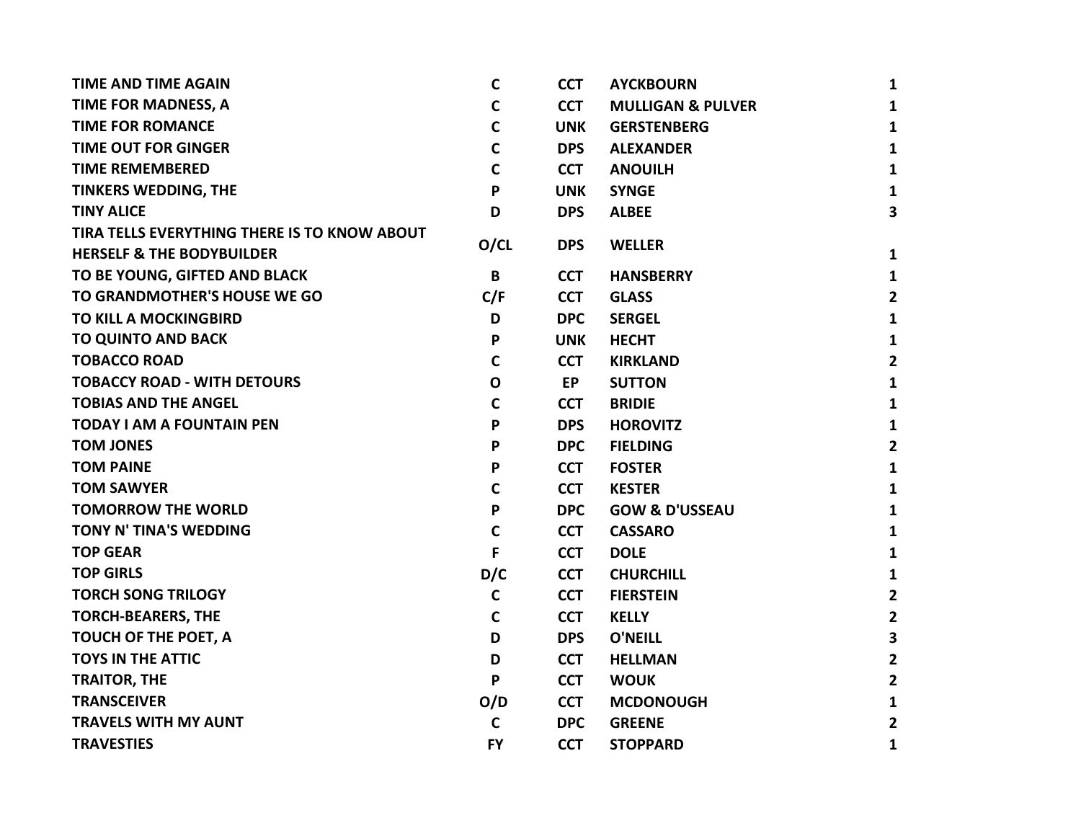| <b>TIME AND TIME AGAIN</b>                   | $\mathbf c$  | <b>CCT</b> | <b>AYCKBOURN</b>             | 1              |
|----------------------------------------------|--------------|------------|------------------------------|----------------|
| TIME FOR MADNESS, A                          | C            | <b>CCT</b> | <b>MULLIGAN &amp; PULVER</b> | 1              |
| <b>TIME FOR ROMANCE</b>                      | $\mathsf{C}$ | <b>UNK</b> | <b>GERSTENBERG</b>           | 1              |
| <b>TIME OUT FOR GINGER</b>                   | $\mathbf c$  | <b>DPS</b> | <b>ALEXANDER</b>             | 1              |
| <b>TIME REMEMBERED</b>                       | C            | <b>CCT</b> | <b>ANOUILH</b>               | 1              |
| <b>TINKERS WEDDING, THE</b>                  | P            | <b>UNK</b> | <b>SYNGE</b>                 | $\mathbf{1}$   |
| <b>TINY ALICE</b>                            | D            | <b>DPS</b> | <b>ALBEE</b>                 | 3              |
| TIRA TELLS EVERYTHING THERE IS TO KNOW ABOUT |              |            |                              |                |
| <b>HERSELF &amp; THE BODYBUILDER</b>         | O/CL         | <b>DPS</b> | <b>WELLER</b>                | $\mathbf{1}$   |
| TO BE YOUNG, GIFTED AND BLACK                | B            | <b>CCT</b> | <b>HANSBERRY</b>             | $\mathbf{1}$   |
| TO GRANDMOTHER'S HOUSE WE GO                 | C/F          | <b>CCT</b> | <b>GLASS</b>                 | $\overline{2}$ |
| <b>TO KILL A MOCKINGBIRD</b>                 | D            | <b>DPC</b> | <b>SERGEL</b>                | 1              |
| <b>TO QUINTO AND BACK</b>                    | P            | <b>UNK</b> | <b>HECHT</b>                 | $\mathbf{1}$   |
| <b>TOBACCO ROAD</b>                          | $\mathbf c$  | <b>CCT</b> | <b>KIRKLAND</b>              | $\mathbf{2}$   |
| <b>TOBACCY ROAD - WITH DETOURS</b>           | $\mathbf 0$  | <b>EP</b>  | <b>SUTTON</b>                | 1              |
| <b>TOBIAS AND THE ANGEL</b>                  | $\mathbf C$  | <b>CCT</b> | <b>BRIDIE</b>                | $\mathbf{1}$   |
| <b>TODAY I AM A FOUNTAIN PEN</b>             | P            | <b>DPS</b> | <b>HOROVITZ</b>              | 1              |
| <b>TOM JONES</b>                             | P            | <b>DPC</b> | <b>FIELDING</b>              | $\mathbf{2}$   |
| <b>TOM PAINE</b>                             | P            | <b>CCT</b> | <b>FOSTER</b>                | $\mathbf{1}$   |
| <b>TOM SAWYER</b>                            | C            | <b>CCT</b> | <b>KESTER</b>                | 1              |
| <b>TOMORROW THE WORLD</b>                    | P            | <b>DPC</b> | <b>GOW &amp; D'USSEAU</b>    | 1              |
| TONY N' TINA'S WEDDING                       | $\mathbf c$  | <b>CCT</b> | <b>CASSARO</b>               | 1              |
| <b>TOP GEAR</b>                              | F            | <b>CCT</b> | <b>DOLE</b>                  | 1              |
| <b>TOP GIRLS</b>                             | D/C          | <b>CCT</b> | <b>CHURCHILL</b>             | 1              |
| <b>TORCH SONG TRILOGY</b>                    | $\mathsf{C}$ | <b>CCT</b> | <b>FIERSTEIN</b>             | $\overline{2}$ |
| <b>TORCH-BEARERS, THE</b>                    | $\mathbf c$  | <b>CCT</b> | <b>KELLY</b>                 | $\mathbf{2}$   |
| TOUCH OF THE POET, A                         | D            | <b>DPS</b> | <b>O'NEILL</b>               | 3              |
| <b>TOYS IN THE ATTIC</b>                     | D            | <b>CCT</b> | <b>HELLMAN</b>               | $\mathbf{2}$   |
| <b>TRAITOR, THE</b>                          | P            | <b>CCT</b> | <b>WOUK</b>                  | $\mathbf{2}$   |
| <b>TRANSCEIVER</b>                           | O/D          | <b>CCT</b> | <b>MCDONOUGH</b>             | $\mathbf{1}$   |
| <b>TRAVELS WITH MY AUNT</b>                  | $\mathbf c$  | <b>DPC</b> | <b>GREENE</b>                | 2              |
| <b>TRAVESTIES</b>                            | <b>FY</b>    | <b>CCT</b> | <b>STOPPARD</b>              | 1              |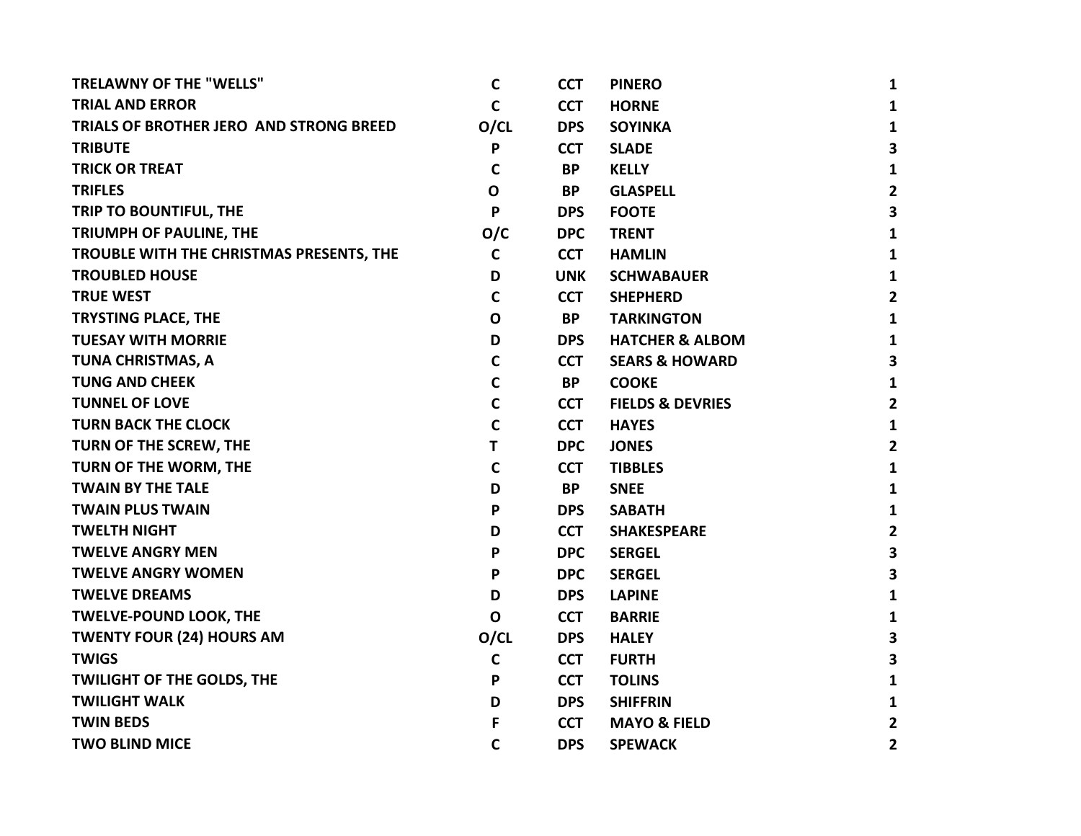| <b>TRELAWNY OF THE "WELLS"</b>           | C            | <b>CCT</b> | <b>PINERO</b>               | $\mathbf{1}$            |
|------------------------------------------|--------------|------------|-----------------------------|-------------------------|
| <b>TRIAL AND ERROR</b>                   | C            | <b>CCT</b> | <b>HORNE</b>                | $\mathbf{1}$            |
| TRIALS OF BROTHER JERO AND STRONG BREED  | O/CL         | <b>DPS</b> | <b>SOYINKA</b>              | $\mathbf{1}$            |
| <b>TRIBUTE</b>                           | P            | <b>CCT</b> | <b>SLADE</b>                | $\overline{\mathbf{3}}$ |
| <b>TRICK OR TREAT</b>                    | C            | <b>BP</b>  | <b>KELLY</b>                | $\mathbf{1}$            |
| <b>TRIFLES</b>                           | O            | <b>BP</b>  | <b>GLASPELL</b>             | $\overline{2}$          |
| TRIP TO BOUNTIFUL, THE                   | P            | <b>DPS</b> | <b>FOOTE</b>                | $\overline{\mathbf{3}}$ |
| TRIUMPH OF PAULINE, THE                  | O/C          | <b>DPC</b> | <b>TRENT</b>                | $\mathbf{1}$            |
| TROUBLE WITH THE CHRISTMAS PRESENTS, THE | $\mathbf C$  | <b>CCT</b> | <b>HAMLIN</b>               | $\mathbf{1}$            |
| <b>TROUBLED HOUSE</b>                    | D            | <b>UNK</b> | <b>SCHWABAUER</b>           | $\mathbf{1}$            |
| <b>TRUE WEST</b>                         | C            | <b>CCT</b> | <b>SHEPHERD</b>             | $\mathbf{2}$            |
| <b>TRYSTING PLACE, THE</b>               | $\mathbf 0$  | <b>BP</b>  | <b>TARKINGTON</b>           | $\mathbf{1}$            |
| <b>TUESAY WITH MORRIE</b>                | D            | <b>DPS</b> | <b>HATCHER &amp; ALBOM</b>  | $\mathbf{1}$            |
| <b>TUNA CHRISTMAS, A</b>                 | C            | <b>CCT</b> | <b>SEARS &amp; HOWARD</b>   | 3                       |
| <b>TUNG AND CHEEK</b>                    | $\mathbf C$  | <b>BP</b>  | <b>COOKE</b>                | $\mathbf{1}$            |
| <b>TUNNEL OF LOVE</b>                    | $\mathbf C$  | <b>CCT</b> | <b>FIELDS &amp; DEVRIES</b> | $\overline{2}$          |
| <b>TURN BACK THE CLOCK</b>               | $\mathbf C$  | <b>CCT</b> | <b>HAYES</b>                | $\mathbf{1}$            |
| TURN OF THE SCREW, THE                   | T            | <b>DPC</b> | <b>JONES</b>                | $\mathbf{2}$            |
| TURN OF THE WORM, THE                    | $\mathsf{C}$ | <b>CCT</b> | <b>TIBBLES</b>              | $\mathbf{1}$            |
| <b>TWAIN BY THE TALE</b>                 | D            | <b>BP</b>  | <b>SNEE</b>                 | $\mathbf{1}$            |
| <b>TWAIN PLUS TWAIN</b>                  | P            | <b>DPS</b> | <b>SABATH</b>               | $\mathbf{1}$            |
| <b>TWELTH NIGHT</b>                      | D            | <b>CCT</b> | <b>SHAKESPEARE</b>          | $\overline{2}$          |
| <b>TWELVE ANGRY MEN</b>                  | P            | <b>DPC</b> | <b>SERGEL</b>               | 3                       |
| <b>TWELVE ANGRY WOMEN</b>                | P            | <b>DPC</b> | <b>SERGEL</b>               | 3                       |
| <b>TWELVE DREAMS</b>                     | D            | <b>DPS</b> | <b>LAPINE</b>               | $\mathbf{1}$            |
| <b>TWELVE-POUND LOOK, THE</b>            | $\mathbf 0$  | <b>CCT</b> | <b>BARRIE</b>               | $\mathbf{1}$            |
| <b>TWENTY FOUR (24) HOURS AM</b>         | O/CL         | <b>DPS</b> | <b>HALEY</b>                | $\mathbf{3}$            |
| <b>TWIGS</b>                             | $\mathsf{C}$ | <b>CCT</b> | <b>FURTH</b>                | 3                       |
| <b>TWILIGHT OF THE GOLDS, THE</b>        | P            | <b>CCT</b> | <b>TOLINS</b>               | 1                       |
| <b>TWILIGHT WALK</b>                     | D            | <b>DPS</b> | <b>SHIFFRIN</b>             | 1                       |
| <b>TWIN BEDS</b>                         | F            | <b>CCT</b> | <b>MAYO &amp; FIELD</b>     | $\mathbf{2}$            |
| <b>TWO BLIND MICE</b>                    | C            | <b>DPS</b> | <b>SPEWACK</b>              | $\overline{\mathbf{2}}$ |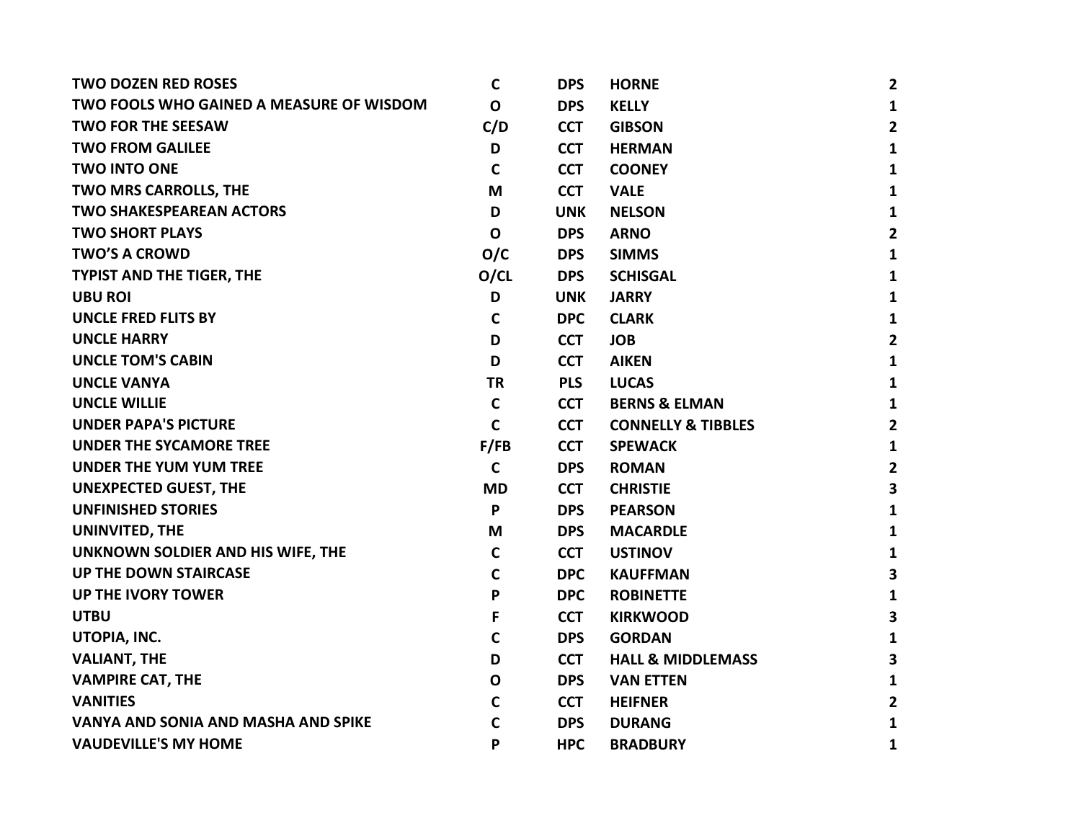| <b>TWO DOZEN RED ROSES</b>               | C            | <b>DPS</b> | <b>HORNE</b>                  | $\overline{2}$          |
|------------------------------------------|--------------|------------|-------------------------------|-------------------------|
| TWO FOOLS WHO GAINED A MEASURE OF WISDOM | $\mathbf 0$  | <b>DPS</b> | <b>KELLY</b>                  | 1                       |
| <b>TWO FOR THE SEESAW</b>                | C/D          | <b>CCT</b> | <b>GIBSON</b>                 | $\overline{2}$          |
| <b>TWO FROM GALILEE</b>                  | D            | <b>CCT</b> | <b>HERMAN</b>                 | $\mathbf{1}$            |
| <b>TWO INTO ONE</b>                      | C            | <b>CCT</b> | <b>COONEY</b>                 | 1                       |
| TWO MRS CARROLLS, THE                    | M            | <b>CCT</b> | <b>VALE</b>                   | 1                       |
| <b>TWO SHAKESPEAREAN ACTORS</b>          | D            | <b>UNK</b> | <b>NELSON</b>                 | 1                       |
| <b>TWO SHORT PLAYS</b>                   | $\mathbf 0$  | <b>DPS</b> | <b>ARNO</b>                   | $\overline{2}$          |
| <b>TWO'S A CROWD</b>                     | O/C          | <b>DPS</b> | <b>SIMMS</b>                  | $\mathbf{1}$            |
| <b>TYPIST AND THE TIGER, THE</b>         | O/CL         | <b>DPS</b> | <b>SCHISGAL</b>               | 1                       |
| <b>UBU ROI</b>                           | D            | <b>UNK</b> | <b>JARRY</b>                  | 1                       |
| <b>UNCLE FRED FLITS BY</b>               | $\mathsf{C}$ | <b>DPC</b> | <b>CLARK</b>                  | 1                       |
| <b>UNCLE HARRY</b>                       | D            | <b>CCT</b> | <b>JOB</b>                    | $\overline{2}$          |
| <b>UNCLE TOM'S CABIN</b>                 | D            | <b>CCT</b> | <b>AIKEN</b>                  | $\mathbf{1}$            |
| <b>UNCLE VANYA</b>                       | <b>TR</b>    | <b>PLS</b> | <b>LUCAS</b>                  | $\mathbf{1}$            |
| <b>UNCLE WILLIE</b>                      | C            | <b>CCT</b> | <b>BERNS &amp; ELMAN</b>      | 1                       |
| <b>UNDER PAPA'S PICTURE</b>              | $\mathsf{C}$ | <b>CCT</b> | <b>CONNELLY &amp; TIBBLES</b> | $\overline{2}$          |
| <b>UNDER THE SYCAMORE TREE</b>           | F/FB         | <b>CCT</b> | <b>SPEWACK</b>                | $\mathbf{1}$            |
| <b>UNDER THE YUM YUM TREE</b>            | $\mathbf C$  | <b>DPS</b> | <b>ROMAN</b>                  | $\overline{2}$          |
| <b>UNEXPECTED GUEST, THE</b>             | <b>MD</b>    | <b>CCT</b> | <b>CHRISTIE</b>               | $\overline{\mathbf{3}}$ |
| <b>UNFINISHED STORIES</b>                | P            | <b>DPS</b> | <b>PEARSON</b>                | 1                       |
| UNINVITED, THE                           | M            | <b>DPS</b> | <b>MACARDLE</b>               | 1                       |
| UNKNOWN SOLDIER AND HIS WIFE, THE        | $\mathbf C$  | <b>CCT</b> | <b>USTINOV</b>                | 1                       |
| <b>UP THE DOWN STAIRCASE</b>             | $\mathsf{C}$ | <b>DPC</b> | <b>KAUFFMAN</b>               | 3                       |
| <b>UP THE IVORY TOWER</b>                | P            | <b>DPC</b> | <b>ROBINETTE</b>              | 1                       |
| <b>UTBU</b>                              | F            | <b>CCT</b> | <b>KIRKWOOD</b>               | 3                       |
| UTOPIA, INC.                             | $\mathsf{C}$ | <b>DPS</b> | <b>GORDAN</b>                 | $\mathbf{1}$            |
| <b>VALIANT, THE</b>                      | D            | <b>CCT</b> | <b>HALL &amp; MIDDLEMASS</b>  | 3                       |
| <b>VAMPIRE CAT, THE</b>                  | $\mathbf O$  | <b>DPS</b> | <b>VAN ETTEN</b>              | $\mathbf{1}$            |
| <b>VANITIES</b>                          | $\mathsf{C}$ | <b>CCT</b> | <b>HEIFNER</b>                | $\overline{2}$          |
| VANYA AND SONIA AND MASHA AND SPIKE      | $\mathbf C$  | <b>DPS</b> | <b>DURANG</b>                 | 1                       |
| <b>VAUDEVILLE'S MY HOME</b>              | P            | <b>HPC</b> | <b>BRADBURY</b>               | 1                       |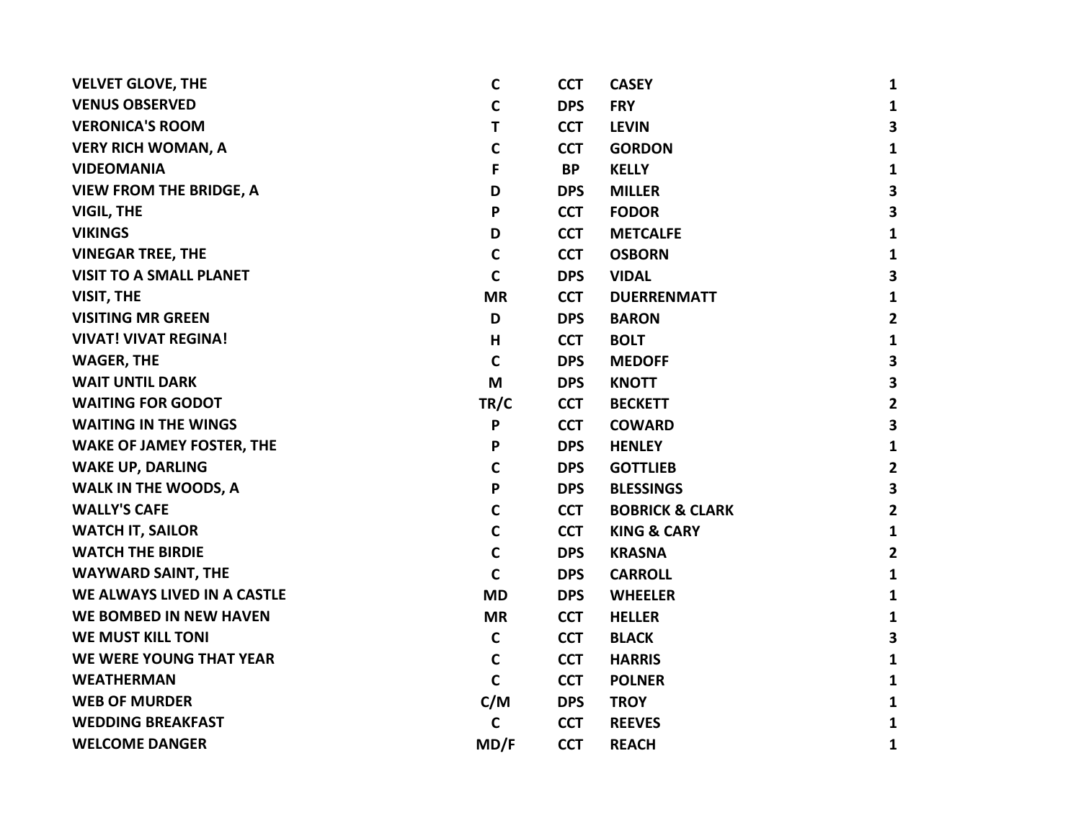| <b>VELVET GLOVE, THE</b>         | $\mathbf c$ | <b>CCT</b> | <b>CASEY</b>               | $\mathbf{1}$            |
|----------------------------------|-------------|------------|----------------------------|-------------------------|
| <b>VENUS OBSERVED</b>            | $\mathbf c$ | <b>DPS</b> | <b>FRY</b>                 | $\mathbf{1}$            |
| <b>VERONICA'S ROOM</b>           | T           | <b>CCT</b> | <b>LEVIN</b>               | 3                       |
| <b>VERY RICH WOMAN, A</b>        | $\mathbf c$ | <b>CCT</b> | <b>GORDON</b>              | $\mathbf{1}$            |
| <b>VIDEOMANIA</b>                | F           | <b>BP</b>  | <b>KELLY</b>               | $\mathbf{1}$            |
| <b>VIEW FROM THE BRIDGE, A</b>   | D           | <b>DPS</b> | <b>MILLER</b>              | 3                       |
| <b>VIGIL, THE</b>                | P           | <b>CCT</b> | <b>FODOR</b>               | $\overline{\mathbf{3}}$ |
| <b>VIKINGS</b>                   | D           | <b>CCT</b> | <b>METCALFE</b>            | $\mathbf{1}$            |
| <b>VINEGAR TREE, THE</b>         | $\mathbf C$ | <b>CCT</b> | <b>OSBORN</b>              | $\mathbf{1}$            |
| <b>VISIT TO A SMALL PLANET</b>   | $\mathbf c$ | <b>DPS</b> | <b>VIDAL</b>               | 3                       |
| VISIT, THE                       | <b>MR</b>   | <b>CCT</b> | <b>DUERRENMATT</b>         | $\mathbf{1}$            |
| <b>VISITING MR GREEN</b>         | D           | <b>DPS</b> | <b>BARON</b>               | $\mathbf{2}$            |
| <b>VIVAT! VIVAT REGINA!</b>      | н           | <b>CCT</b> | <b>BOLT</b>                | $\mathbf{1}$            |
| <b>WAGER, THE</b>                | $\mathbf c$ | <b>DPS</b> | <b>MEDOFF</b>              | 3                       |
| <b>WAIT UNTIL DARK</b>           | M           | <b>DPS</b> | <b>KNOTT</b>               | $\overline{\mathbf{3}}$ |
| <b>WAITING FOR GODOT</b>         | TR/C        | <b>CCT</b> | <b>BECKETT</b>             | $\mathbf{2}$            |
| <b>WAITING IN THE WINGS</b>      | P           | <b>CCT</b> | <b>COWARD</b>              | 3                       |
| <b>WAKE OF JAMEY FOSTER, THE</b> | P           | <b>DPS</b> | <b>HENLEY</b>              | $\mathbf{1}$            |
| <b>WAKE UP, DARLING</b>          | $\mathbf C$ | <b>DPS</b> | <b>GOTTLIEB</b>            | $\overline{2}$          |
| WALK IN THE WOODS, A             | P           | <b>DPS</b> | <b>BLESSINGS</b>           | $\overline{\mathbf{3}}$ |
| <b>WALLY'S CAFE</b>              | $\mathbf C$ | <b>CCT</b> | <b>BOBRICK &amp; CLARK</b> | $\mathbf{2}$            |
| <b>WATCH IT, SAILOR</b>          | $\mathbf C$ | <b>CCT</b> | <b>KING &amp; CARY</b>     | $\mathbf{1}$            |
| <b>WATCH THE BIRDIE</b>          | $\mathbf C$ | <b>DPS</b> | <b>KRASNA</b>              | $\overline{2}$          |
| <b>WAYWARD SAINT, THE</b>        | $\mathbf C$ | <b>DPS</b> | <b>CARROLL</b>             | $\mathbf{1}$            |
| WE ALWAYS LIVED IN A CASTLE      | <b>MD</b>   | <b>DPS</b> | <b>WHEELER</b>             | $\mathbf{1}$            |
| WE BOMBED IN NEW HAVEN           | <b>MR</b>   | <b>CCT</b> | <b>HELLER</b>              | $\mathbf{1}$            |
| <b>WE MUST KILL TONI</b>         | $\mathbf c$ | <b>CCT</b> | <b>BLACK</b>               | 3                       |
| WE WERE YOUNG THAT YEAR          | $\mathbf c$ | <b>CCT</b> | <b>HARRIS</b>              | $\mathbf{1}$            |
| <b>WEATHERMAN</b>                | $\mathbf C$ | <b>CCT</b> | <b>POLNER</b>              | $\mathbf{1}$            |
| <b>WEB OF MURDER</b>             | C/M         | <b>DPS</b> | <b>TROY</b>                | $\mathbf{1}$            |
| <b>WEDDING BREAKFAST</b>         | $\mathbf c$ | <b>CCT</b> | <b>REEVES</b>              | 1                       |
| <b>WELCOME DANGER</b>            | MD/F        | <b>CCT</b> | <b>REACH</b>               | $\mathbf{1}$            |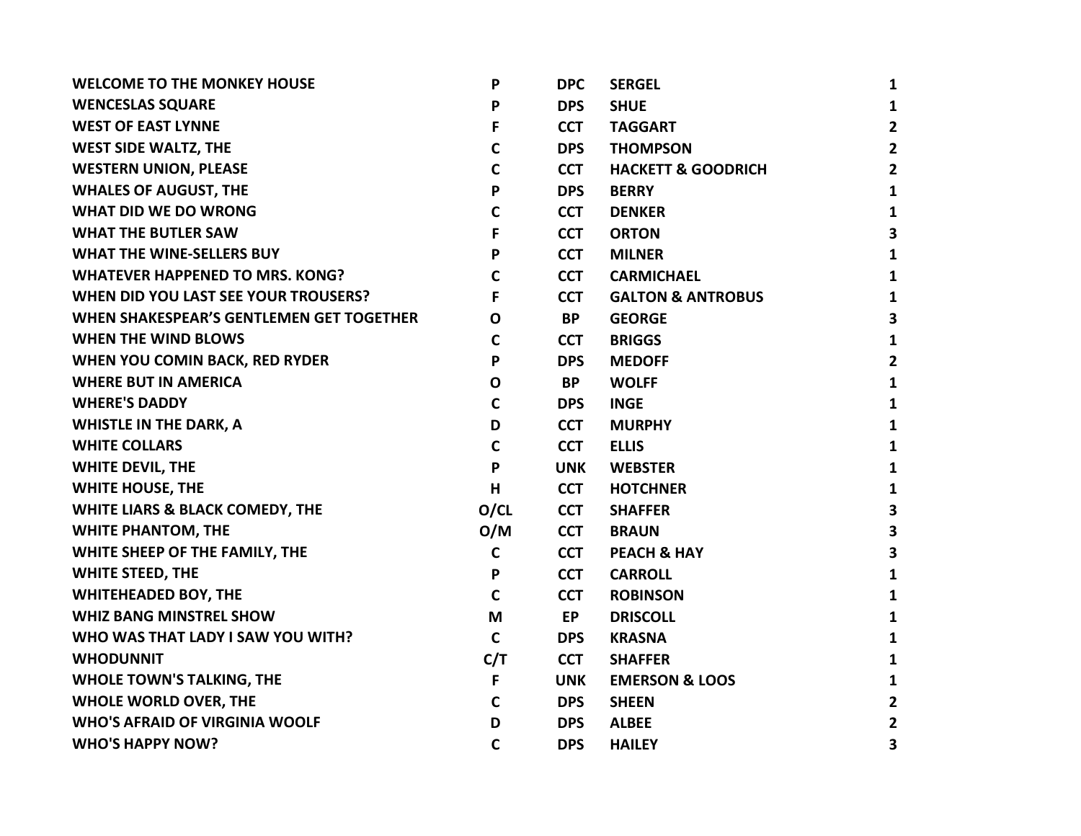| P            | <b>DPC</b> | <b>SERGEL</b>                 | $\mathbf{1}$            |
|--------------|------------|-------------------------------|-------------------------|
| P            | <b>DPS</b> | <b>SHUE</b>                   | $\mathbf{1}$            |
| F            | <b>CCT</b> | <b>TAGGART</b>                | $\overline{2}$          |
| $\mathbf c$  | <b>DPS</b> | <b>THOMPSON</b>               | $\overline{2}$          |
| $\mathbf C$  | <b>CCT</b> | <b>HACKETT &amp; GOODRICH</b> | $\overline{2}$          |
| P            | <b>DPS</b> | <b>BERRY</b>                  | $\mathbf{1}$            |
| $\mathsf{C}$ | <b>CCT</b> | <b>DENKER</b>                 | $\mathbf{1}$            |
| F            | <b>CCT</b> | <b>ORTON</b>                  | $\overline{\mathbf{3}}$ |
| P            | <b>CCT</b> | <b>MILNER</b>                 | $\mathbf{1}$            |
| $\mathsf{C}$ | <b>CCT</b> | <b>CARMICHAEL</b>             | $\mathbf{1}$            |
| F            | <b>CCT</b> | <b>GALTON &amp; ANTROBUS</b>  | $\mathbf{1}$            |
| $\mathbf{o}$ | <b>BP</b>  | <b>GEORGE</b>                 | 3                       |
| $\mathbf c$  | <b>CCT</b> | <b>BRIGGS</b>                 | $\mathbf{1}$            |
| P            | <b>DPS</b> | <b>MEDOFF</b>                 | $\overline{2}$          |
| $\mathbf{o}$ | <b>BP</b>  | <b>WOLFF</b>                  | $\mathbf{1}$            |
| $\mathsf{C}$ | <b>DPS</b> | <b>INGE</b>                   | $\mathbf{1}$            |
| D            | <b>CCT</b> | <b>MURPHY</b>                 | $\mathbf{1}$            |
| $\mathsf{C}$ | <b>CCT</b> | <b>ELLIS</b>                  | $\mathbf{1}$            |
| $\mathsf{P}$ | <b>UNK</b> | <b>WEBSTER</b>                | $\mathbf{1}$            |
| H            | <b>CCT</b> | <b>HOTCHNER</b>               | $\mathbf{1}$            |
| O/CL         | <b>CCT</b> | <b>SHAFFER</b>                | $\mathbf{3}$            |
| O/M          | <b>CCT</b> | <b>BRAUN</b>                  | 3                       |
| $\mathbf C$  | <b>CCT</b> | <b>PEACH &amp; HAY</b>        | $\overline{\mathbf{3}}$ |
| P            | <b>CCT</b> | <b>CARROLL</b>                | $\mathbf{1}$            |
| $\mathbf C$  | <b>CCT</b> | <b>ROBINSON</b>               | $\mathbf{1}$            |
| M            | <b>EP</b>  | <b>DRISCOLL</b>               | $\mathbf{1}$            |
| $\mathbf C$  | <b>DPS</b> | <b>KRASNA</b>                 | $\mathbf{1}$            |
| C/T          | <b>CCT</b> | <b>SHAFFER</b>                | $\mathbf{1}$            |
| F            | <b>UNK</b> | <b>EMERSON &amp; LOOS</b>     | $\mathbf{1}$            |
| $\mathbf c$  | <b>DPS</b> | <b>SHEEN</b>                  | $\overline{2}$          |
| D            | <b>DPS</b> | <b>ALBEE</b>                  | $\mathbf{2}$            |
| $\mathbf C$  | <b>DPS</b> | <b>HAILEY</b>                 | 3                       |
|              |            |                               |                         |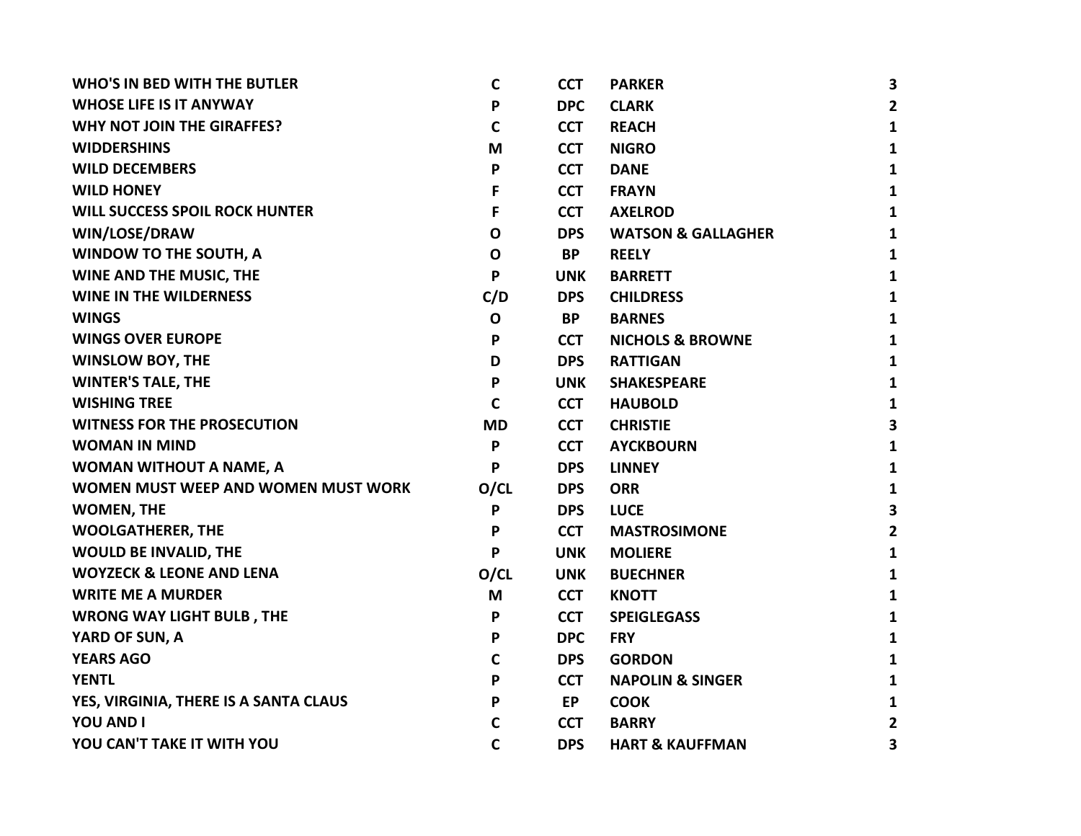| <b>WHO'S IN BED WITH THE BUTLER</b>   | C            | <b>CCT</b> | <b>PARKER</b>                 | 3                       |
|---------------------------------------|--------------|------------|-------------------------------|-------------------------|
| <b>WHOSE LIFE IS IT ANYWAY</b>        | P            | <b>DPC</b> | <b>CLARK</b>                  | $\mathbf{2}$            |
| <b>WHY NOT JOIN THE GIRAFFES?</b>     | $\mathbf C$  | <b>CCT</b> | <b>REACH</b>                  | $\mathbf{1}$            |
| <b>WIDDERSHINS</b>                    | M            | <b>CCT</b> | <b>NIGRO</b>                  | $\mathbf{1}$            |
| <b>WILD DECEMBERS</b>                 | P            | <b>CCT</b> | <b>DANE</b>                   | 1                       |
| <b>WILD HONEY</b>                     | F            | <b>CCT</b> | <b>FRAYN</b>                  | $\mathbf{1}$            |
| <b>WILL SUCCESS SPOIL ROCK HUNTER</b> | F            | <b>CCT</b> | <b>AXELROD</b>                | $\mathbf{1}$            |
| WIN/LOSE/DRAW                         | $\mathbf 0$  | <b>DPS</b> | <b>WATSON &amp; GALLAGHER</b> | 1                       |
| <b>WINDOW TO THE SOUTH, A</b>         | $\mathbf 0$  | <b>BP</b>  | <b>REELY</b>                  | $\mathbf{1}$            |
| WINE AND THE MUSIC, THE               | P            | <b>UNK</b> | <b>BARRETT</b>                | $\mathbf{1}$            |
| <b>WINE IN THE WILDERNESS</b>         | C/D          | <b>DPS</b> | <b>CHILDRESS</b>              | 1                       |
| <b>WINGS</b>                          | $\mathbf 0$  | <b>BP</b>  | <b>BARNES</b>                 | $\mathbf{1}$            |
| <b>WINGS OVER EUROPE</b>              | P            | <b>CCT</b> | <b>NICHOLS &amp; BROWNE</b>   | $\mathbf{1}$            |
| <b>WINSLOW BOY, THE</b>               | D            | <b>DPS</b> | <b>RATTIGAN</b>               | $\mathbf{1}$            |
| <b>WINTER'S TALE, THE</b>             | P            | <b>UNK</b> | <b>SHAKESPEARE</b>            | $\mathbf{1}$            |
| <b>WISHING TREE</b>                   | $\mathbf C$  | <b>CCT</b> | <b>HAUBOLD</b>                | $\mathbf{1}$            |
| <b>WITNESS FOR THE PROSECUTION</b>    | <b>MD</b>    | <b>CCT</b> | <b>CHRISTIE</b>               | 3                       |
| <b>WOMAN IN MIND</b>                  | P            | <b>CCT</b> | <b>AYCKBOURN</b>              | $\mathbf{1}$            |
| <b>WOMAN WITHOUT A NAME, A</b>        | P            | <b>DPS</b> | <b>LINNEY</b>                 | $\mathbf{1}$            |
| WOMEN MUST WEEP AND WOMEN MUST WORK   | O/CL         | <b>DPS</b> | <b>ORR</b>                    | $\mathbf{1}$            |
| <b>WOMEN, THE</b>                     | P            | <b>DPS</b> | <b>LUCE</b>                   | $\overline{\mathbf{3}}$ |
| <b>WOOLGATHERER, THE</b>              | P            | <b>CCT</b> | <b>MASTROSIMONE</b>           | $\overline{2}$          |
| <b>WOULD BE INVALID, THE</b>          | P            | <b>UNK</b> | <b>MOLIERE</b>                | $\mathbf{1}$            |
| <b>WOYZECK &amp; LEONE AND LENA</b>   | O/CL         | <b>UNK</b> | <b>BUECHNER</b>               | 1                       |
| <b>WRITE ME A MURDER</b>              | M            | <b>CCT</b> | <b>KNOTT</b>                  | $\mathbf{1}$            |
| <b>WRONG WAY LIGHT BULB, THE</b>      | P            | <b>CCT</b> | <b>SPEIGLEGASS</b>            | $\mathbf{1}$            |
| YARD OF SUN, A                        | P            | <b>DPC</b> | <b>FRY</b>                    | 1                       |
| <b>YEARS AGO</b>                      | C            | <b>DPS</b> | <b>GORDON</b>                 | 1                       |
| <b>YENTL</b>                          | P            | <b>CCT</b> | <b>NAPOLIN &amp; SINGER</b>   | 1                       |
| YES, VIRGINIA, THERE IS A SANTA CLAUS | P            | <b>EP</b>  | <b>COOK</b>                   | $\mathbf{1}$            |
| <b>YOU AND I</b>                      | C            | <b>CCT</b> | <b>BARRY</b>                  | $\mathbf{2}$            |
| YOU CAN'T TAKE IT WITH YOU            | $\mathsf{C}$ | <b>DPS</b> | <b>HART &amp; KAUFFMAN</b>    | 3                       |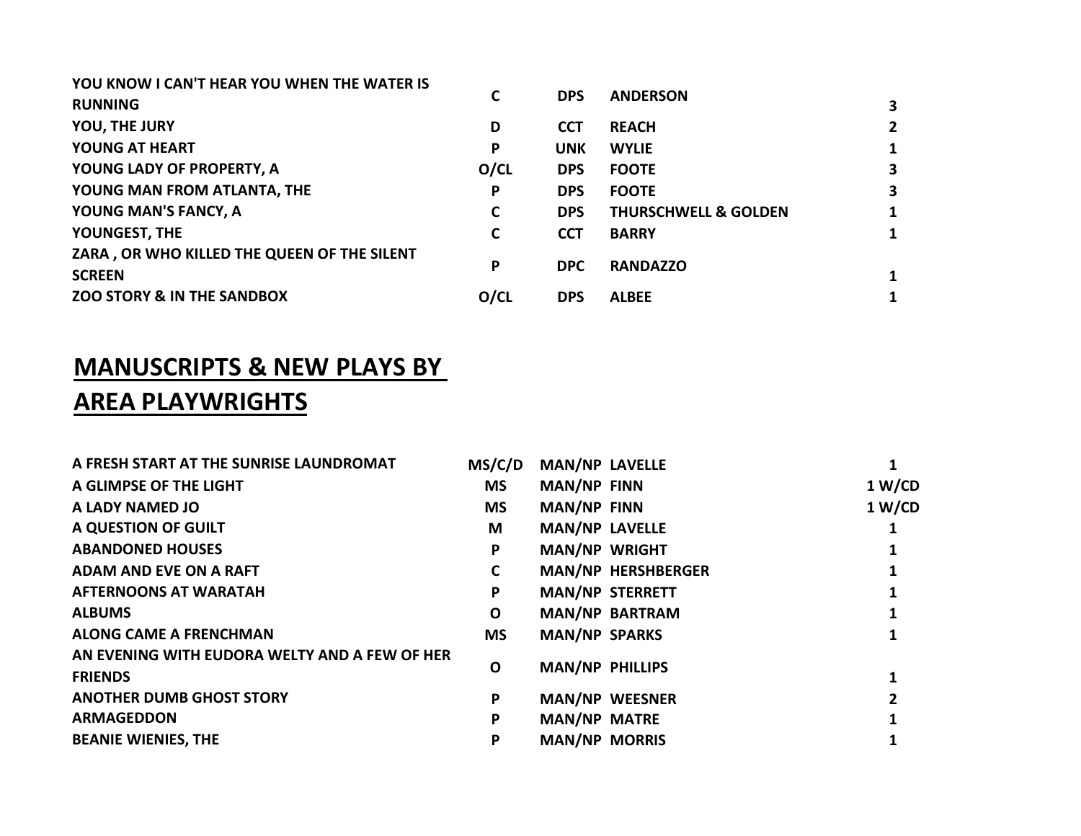| YOU KNOW I CAN'T HEAR YOU WHEN THE WATER IS<br><b>RUNNING</b> | C    | <b>DPS</b> | <b>ANDERSON</b>                 | 3                       |
|---------------------------------------------------------------|------|------------|---------------------------------|-------------------------|
| YOU, THE JURY                                                 | D    | <b>CCT</b> | <b>REACH</b>                    | 2 <sup>1</sup>          |
| YOUNG AT HEART                                                | P    | <b>UNK</b> | <b>WYLIE</b>                    | $\mathbf{1}$            |
| YOUNG LADY OF PROPERTY, A                                     | O/CL | <b>DPS</b> | <b>FOOTE</b>                    | $\overline{\mathbf{3}}$ |
| YOUNG MAN FROM ATLANTA, THE                                   | P    | <b>DPS</b> | <b>FOOTE</b>                    | $\mathbf{3}$            |
| YOUNG MAN'S FANCY, A                                          | C    | <b>DPS</b> | <b>THURSCHWELL &amp; GOLDEN</b> | $\mathbf{1}$            |
| YOUNGEST, THE                                                 | C    | <b>CCT</b> | <b>BARRY</b>                    | $\mathbf{1}$            |
| ZARA, OR WHO KILLED THE QUEEN OF THE SILENT<br><b>SCREEN</b>  | P    | <b>DPC</b> | <b>RANDAZZO</b>                 | 1                       |
| <b>ZOO STORY &amp; IN THE SANDBOX</b>                         | O/CL | <b>DPS</b> | <b>ALBEE</b>                    | 1                       |
|                                                               |      |            |                                 |                         |

## MANUSCRIPTS & NEW PLAYS BY AREA PLAYWRIGHTS

| MS/C/D    |  |                                                                                                                                                                                                                                                                                                                              |
|-----------|--|------------------------------------------------------------------------------------------------------------------------------------------------------------------------------------------------------------------------------------------------------------------------------------------------------------------------------|
| <b>MS</b> |  | 1 W/CD                                                                                                                                                                                                                                                                                                                       |
| <b>MS</b> |  | 1 W/CD                                                                                                                                                                                                                                                                                                                       |
| M         |  |                                                                                                                                                                                                                                                                                                                              |
| P         |  |                                                                                                                                                                                                                                                                                                                              |
| C         |  |                                                                                                                                                                                                                                                                                                                              |
| P         |  |                                                                                                                                                                                                                                                                                                                              |
| O         |  |                                                                                                                                                                                                                                                                                                                              |
| <b>MS</b> |  |                                                                                                                                                                                                                                                                                                                              |
| O         |  |                                                                                                                                                                                                                                                                                                                              |
| P         |  |                                                                                                                                                                                                                                                                                                                              |
| P         |  |                                                                                                                                                                                                                                                                                                                              |
| P         |  |                                                                                                                                                                                                                                                                                                                              |
|           |  | <b>MAN/NP LAVELLE</b><br><b>MAN/NP FINN</b><br><b>MAN/NP FINN</b><br><b>MAN/NP LAVELLE</b><br><b>MAN/NP WRIGHT</b><br><b>MAN/NP HERSHBERGER</b><br><b>MAN/NP STERRETT</b><br><b>MAN/NP BARTRAM</b><br><b>MAN/NP SPARKS</b><br><b>MAN/NP PHILLIPS</b><br><b>MAN/NP WEESNER</b><br><b>MAN/NP MATRE</b><br><b>MAN/NP MORRIS</b> |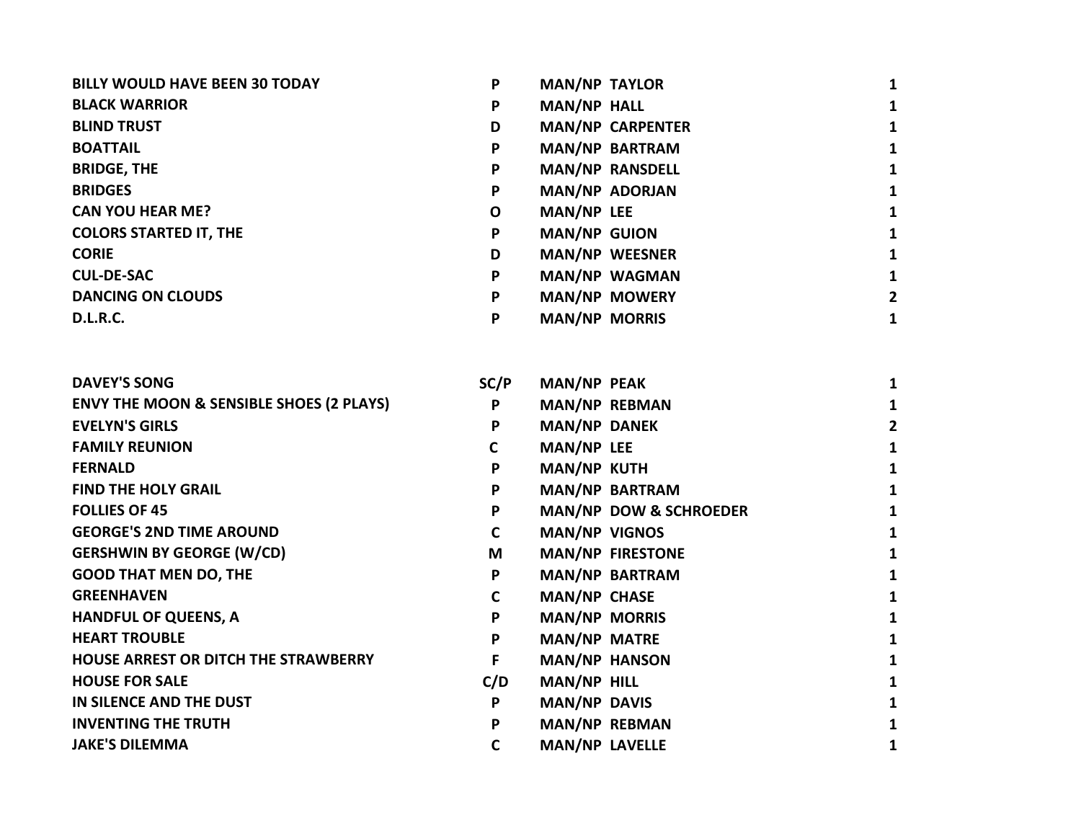| <b>BILLY WOULD HAVE BEEN 30 TODAY</b> | P | <b>MAN/NP TAYLOR</b>    |   |
|---------------------------------------|---|-------------------------|---|
| <b>BLACK WARRIOR</b>                  | P | <b>MAN/NP HALL</b>      |   |
| <b>BLIND TRUST</b>                    | D | <b>MAN/NP CARPENTER</b> |   |
| <b>BOATTAIL</b>                       | P | <b>MAN/NP BARTRAM</b>   |   |
| <b>BRIDGE, THE</b>                    | P | <b>MAN/NP RANSDELL</b>  | 1 |
| <b>BRIDGES</b>                        | P | <b>MAN/NP ADORJAN</b>   | 1 |
| <b>CAN YOU HEAR ME?</b>               | O | <b>MAN/NP LEE</b>       | 1 |
| <b>COLORS STARTED IT, THE</b>         | P | <b>MAN/NP GUION</b>     |   |
| <b>CORIE</b>                          | D | <b>MAN/NP WEESNER</b>   |   |
| <b>CUL-DE-SAC</b>                     | P | <b>MAN/NP WAGMAN</b>    | 1 |
| <b>DANCING ON CLOUDS</b>              | P | <b>MAN/NP MOWERY</b>    | 2 |
| <b>D.L.R.C.</b>                       | P | <b>MAN/NP MORRIS</b>    | 1 |

| <b>DAVEY'S SONG</b>                                 | SC/P | <b>MAN/NP PEAK</b>                |  |
|-----------------------------------------------------|------|-----------------------------------|--|
| <b>ENVY THE MOON &amp; SENSIBLE SHOES (2 PLAYS)</b> | P    | MAN/NP REBMAN                     |  |
| <b>EVELYN'S GIRLS</b>                               | P    | <b>MAN/NP DANEK</b>               |  |
| <b>FAMILY REUNION</b>                               | C    | <b>MAN/NP LEE</b>                 |  |
| <b>FERNALD</b>                                      | P    | <b>MAN/NP KUTH</b>                |  |
| <b>FIND THE HOLY GRAIL</b>                          | P    | <b>MAN/NP BARTRAM</b>             |  |
| <b>FOLLIES OF 45</b>                                | P    | <b>MAN/NP DOW &amp; SCHROEDER</b> |  |
| <b>GEORGE'S 2ND TIME AROUND</b>                     | C    | <b>MAN/NP VIGNOS</b>              |  |
| <b>GERSHWIN BY GEORGE (W/CD)</b>                    | M    | <b>MAN/NP FIRESTONE</b>           |  |
| <b>GOOD THAT MEN DO, THE</b>                        | P    | <b>MAN/NP BARTRAM</b>             |  |
| <b>GREENHAVEN</b>                                   | C    | <b>MAN/NP CHASE</b>               |  |
| <b>HANDFUL OF QUEENS, A</b>                         | P    | <b>MAN/NP MORRIS</b>              |  |
| <b>HEART TROUBLE</b>                                | P    | <b>MAN/NP MATRE</b>               |  |
| HOUSE ARREST OR DITCH THE STRAWBERRY                | F    | <b>MAN/NP HANSON</b>              |  |
| <b>HOUSE FOR SALE</b>                               | C/D  | MAN/NP HILL                       |  |
| IN SILENCE AND THE DUST                             | P    | <b>MAN/NP DAVIS</b>               |  |
| <b>INVENTING THE TRUTH</b>                          | P    | <b>MAN/NP REBMAN</b>              |  |
| <b>JAKE'S DILEMMA</b>                               | C    | <b>MAN/NP LAVELLE</b>             |  |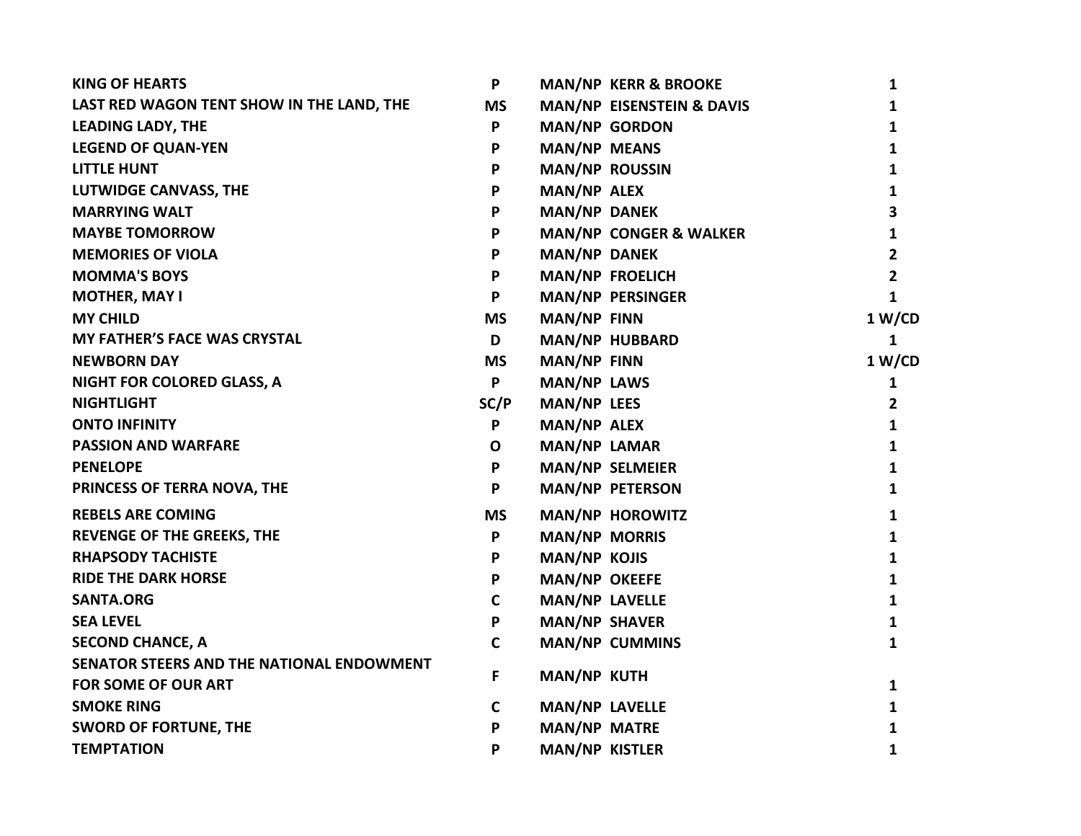| <b>KING OF HEARTS</b>                     | P            |                       | <b>MAN/NP KERR &amp; BROOKE</b>   | 1              |
|-------------------------------------------|--------------|-----------------------|-----------------------------------|----------------|
| LAST RED WAGON TENT SHOW IN THE LAND, THE | <b>MS</b>    |                       | MAN/NP EISENSTEIN & DAVIS         | $\mathbf{1}$   |
| <b>LEADING LADY, THE</b>                  | P            | <b>MAN/NP GORDON</b>  |                                   | 1              |
| <b>LEGEND OF QUAN-YEN</b>                 | P            | <b>MAN/NP MEANS</b>   |                                   | 1              |
| <b>LITTLE HUNT</b>                        | P            | <b>MAN/NP ROUSSIN</b> |                                   | 1              |
| <b>LUTWIDGE CANVASS, THE</b>              | P            | <b>MAN/NP ALEX</b>    |                                   | 1              |
| <b>MARRYING WALT</b>                      | P            | <b>MAN/NP DANEK</b>   |                                   | 3              |
| <b>MAYBE TOMORROW</b>                     | P            |                       | <b>MAN/NP CONGER &amp; WALKER</b> | $\mathbf{1}$   |
| <b>MEMORIES OF VIOLA</b>                  | P            | <b>MAN/NP DANEK</b>   |                                   | $\overline{2}$ |
| <b>MOMMA'S BOYS</b>                       | P            |                       | <b>MAN/NP FROELICH</b>            | $\mathbf{2}$   |
| <b>MOTHER, MAY I</b>                      | P            |                       | <b>MAN/NP PERSINGER</b>           | $\mathbf{1}$   |
| <b>MY CHILD</b>                           | <b>MS</b>    | <b>MAN/NP FINN</b>    |                                   | 1 W/CD         |
| <b>MY FATHER'S FACE WAS CRYSTAL</b>       | D            |                       | MAN/NP HUBBARD                    | 1              |
| <b>NEWBORN DAY</b>                        | <b>MS</b>    | <b>MAN/NP FINN</b>    |                                   | 1 W/CD         |
| <b>NIGHT FOR COLORED GLASS, A</b>         | P            | <b>MAN/NP LAWS</b>    |                                   | $\mathbf{1}$   |
| <b>NIGHTLIGHT</b>                         | SC/P         | <b>MAN/NP LEES</b>    |                                   | $\overline{2}$ |
| <b>ONTO INFINITY</b>                      | P            | <b>MAN/NP ALEX</b>    |                                   | $\mathbf{1}$   |
| <b>PASSION AND WARFARE</b>                | $\mathbf 0$  | <b>MAN/NP LAMAR</b>   |                                   | 1              |
| <b>PENELOPE</b>                           | P            |                       | <b>MAN/NP SELMEIER</b>            | 1              |
| PRINCESS OF TERRA NOVA, THE               | P            |                       | <b>MAN/NP PETERSON</b>            | $\mathbf{1}$   |
| <b>REBELS ARE COMING</b>                  | <b>MS</b>    |                       | <b>MAN/NP HOROWITZ</b>            | 1              |
| <b>REVENGE OF THE GREEKS, THE</b>         | P            | <b>MAN/NP MORRIS</b>  |                                   | 1              |
| <b>RHAPSODY TACHISTE</b>                  | P            | <b>MAN/NP KOJIS</b>   |                                   | $\mathbf{1}$   |
| <b>RIDE THE DARK HORSE</b>                | P            | <b>MAN/NP OKEEFE</b>  |                                   | 1              |
| <b>SANTA.ORG</b>                          | $\mathbf C$  | <b>MAN/NP LAVELLE</b> |                                   | 1              |
| <b>SEA LEVEL</b>                          | P            | <b>MAN/NP SHAVER</b>  |                                   | $\mathbf{1}$   |
| <b>SECOND CHANCE, A</b>                   | $\mathbf C$  |                       | <b>MAN/NP CUMMINS</b>             | 1              |
| SENATOR STEERS AND THE NATIONAL ENDOWMENT |              |                       |                                   |                |
| <b>FOR SOME OF OUR ART</b>                | F            | <b>MAN/NP KUTH</b>    |                                   | 1              |
| <b>SMOKE RING</b>                         | $\mathsf{C}$ | <b>MAN/NP LAVELLE</b> |                                   | 1              |
| <b>SWORD OF FORTUNE, THE</b>              | P            | <b>MAN/NP MATRE</b>   |                                   | 1              |
| <b>TEMPTATION</b>                         | P            | <b>MAN/NP KISTLER</b> |                                   | $\mathbf{1}$   |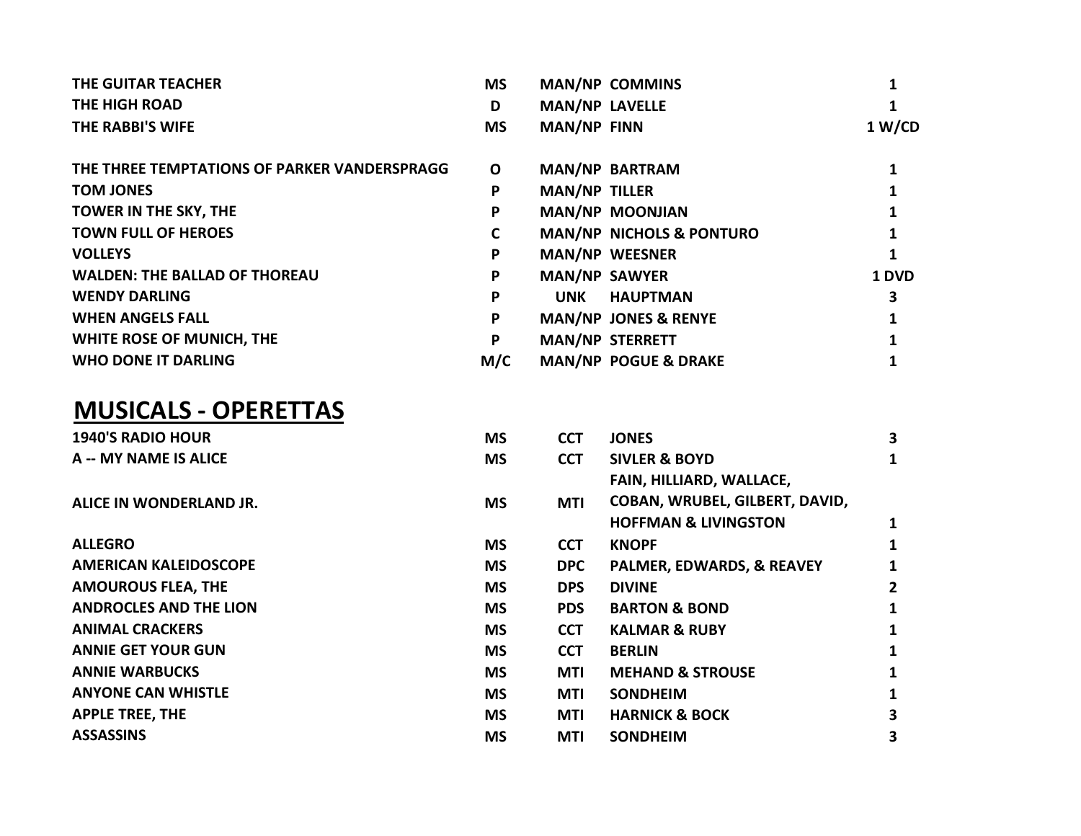| THE GUITAR TEACHER                           | <b>MS</b> |                       | <b>MAN/NP COMMINS</b>               |        |
|----------------------------------------------|-----------|-----------------------|-------------------------------------|--------|
| <b>THE HIGH ROAD</b>                         | D         | <b>MAN/NP LAVELLE</b> |                                     |        |
| THE RABBI'S WIFE                             | <b>MS</b> | <b>MAN/NP FINN</b>    |                                     | 1 W/CD |
| THE THREE TEMPTATIONS OF PARKER VANDERSPRAGG | O         |                       | MAN/NP BARTRAM                      |        |
| <b>TOM JONES</b>                             | P         | <b>MAN/NP TILLER</b>  |                                     |        |
| <b>TOWER IN THE SKY, THE</b>                 | P         |                       | <b>MAN/NP MOONJIAN</b>              |        |
| <b>TOWN FULL OF HEROES</b>                   | C         |                       | <b>MAN/NP NICHOLS &amp; PONTURO</b> |        |
| <b>VOLLEYS</b>                               | P         |                       | <b>MAN/NP WEESNER</b>               |        |
| <b>WALDEN: THE BALLAD OF THOREAU</b>         | P         | <b>MAN/NP SAWYER</b>  |                                     | 1 DVD  |
| <b>WENDY DARLING</b>                         | P         | UNK                   | <b>HAUPTMAN</b>                     | 3      |
| <b>WHEN ANGELS FALL</b>                      | P         |                       | <b>MAN/NP JONES &amp; RENYE</b>     |        |
| WHITE ROSE OF MUNICH, THE                    | P         |                       | <b>MAN/NP STERRETT</b>              |        |
| <b>WHO DONE IT DARLING</b>                   | M/C       |                       | <b>MAN/NP POGUE &amp; DRAKE</b>     |        |

## MUSICALS - OPERETTAS

| <b>1940'S RADIO HOUR</b>      | <b>MS</b> | <b>CCT</b> | <b>JONES</b>                         | 3            |
|-------------------------------|-----------|------------|--------------------------------------|--------------|
| A -- MY NAME IS ALICE         | <b>MS</b> | <b>CCT</b> | <b>SIVLER &amp; BOYD</b>             | 1            |
|                               |           |            | FAIN, HILLIARD, WALLACE,             |              |
| ALICE IN WONDERLAND JR.       | <b>MS</b> | <b>MTI</b> | COBAN, WRUBEL, GILBERT, DAVID,       |              |
|                               |           |            | <b>HOFFMAN &amp; LIVINGSTON</b>      | 1            |
| <b>ALLEGRO</b>                | <b>MS</b> | <b>CCT</b> | <b>KNOPF</b>                         | 1            |
| AMERICAN KALEIDOSCOPE         | <b>MS</b> | <b>DPC</b> | <b>PALMER, EDWARDS, &amp; REAVEY</b> | 1            |
| <b>AMOUROUS FLEA, THE</b>     | <b>MS</b> | <b>DPS</b> | <b>DIVINE</b>                        | $\mathbf{2}$ |
| <b>ANDROCLES AND THE LION</b> | <b>MS</b> | <b>PDS</b> | <b>BARTON &amp; BOND</b>             | 1            |
| <b>ANIMAL CRACKERS</b>        | <b>MS</b> | <b>CCT</b> | <b>KALMAR &amp; RUBY</b>             | 1            |
| <b>ANNIE GET YOUR GUN</b>     | <b>MS</b> | <b>CCT</b> | <b>BERLIN</b>                        | 1            |
| <b>ANNIE WARBUCKS</b>         | <b>MS</b> | MTI        | <b>MEHAND &amp; STROUSE</b>          | 1            |
| <b>ANYONE CAN WHISTLE</b>     | <b>MS</b> | <b>MTI</b> | <b>SONDHEIM</b>                      | 1            |
| <b>APPLE TREE, THE</b>        | <b>MS</b> | MTI        | <b>HARNICK &amp; BOCK</b>            | 3            |
| <b>ASSASSINS</b>              | <b>MS</b> | MTI        | <b>SONDHEIM</b>                      | 3            |
|                               |           |            |                                      |              |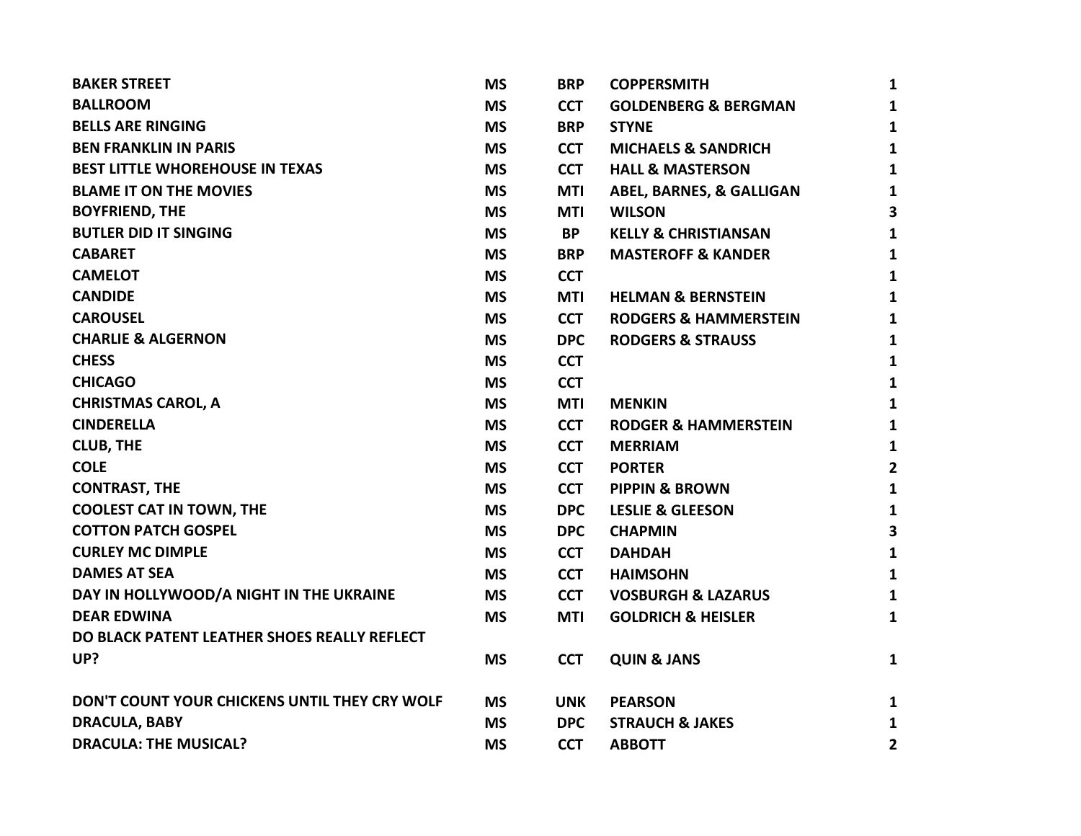| <b>BAKER STREET</b>                           | <b>MS</b> | <b>BRP</b> | <b>COPPERSMITH</b>               | 1              |
|-----------------------------------------------|-----------|------------|----------------------------------|----------------|
| <b>BALLROOM</b>                               | <b>MS</b> | <b>CCT</b> | <b>GOLDENBERG &amp; BERGMAN</b>  | $\mathbf{1}$   |
| <b>BELLS ARE RINGING</b>                      | <b>MS</b> | <b>BRP</b> | <b>STYNE</b>                     | $\mathbf{1}$   |
| <b>BEN FRANKLIN IN PARIS</b>                  | <b>MS</b> | <b>CCT</b> | <b>MICHAELS &amp; SANDRICH</b>   | $\mathbf{1}$   |
| <b>BEST LITTLE WHOREHOUSE IN TEXAS</b>        | <b>MS</b> | <b>CCT</b> | <b>HALL &amp; MASTERSON</b>      | $\mathbf{1}$   |
| <b>BLAME IT ON THE MOVIES</b>                 | <b>MS</b> | <b>MTI</b> | ABEL, BARNES, & GALLIGAN         | $\mathbf{1}$   |
| <b>BOYFRIEND, THE</b>                         | <b>MS</b> | <b>MTI</b> | <b>WILSON</b>                    | 3              |
| <b>BUTLER DID IT SINGING</b>                  | <b>MS</b> | <b>BP</b>  | <b>KELLY &amp; CHRISTIANSAN</b>  | 1              |
| <b>CABARET</b>                                | <b>MS</b> | <b>BRP</b> | <b>MASTEROFF &amp; KANDER</b>    | $\mathbf{1}$   |
| <b>CAMELOT</b>                                | <b>MS</b> | <b>CCT</b> |                                  | $\mathbf{1}$   |
| <b>CANDIDE</b>                                | <b>MS</b> | <b>MTI</b> | <b>HELMAN &amp; BERNSTEIN</b>    | $\mathbf{1}$   |
| <b>CAROUSEL</b>                               | <b>MS</b> | <b>CCT</b> | <b>RODGERS &amp; HAMMERSTEIN</b> | 1              |
| <b>CHARLIE &amp; ALGERNON</b>                 | <b>MS</b> | <b>DPC</b> | <b>RODGERS &amp; STRAUSS</b>     | 1              |
| <b>CHESS</b>                                  | <b>MS</b> | <b>CCT</b> |                                  | 1              |
| <b>CHICAGO</b>                                | <b>MS</b> | <b>CCT</b> |                                  | $\mathbf{1}$   |
| <b>CHRISTMAS CAROL, A</b>                     | <b>MS</b> | <b>MTI</b> | <b>MENKIN</b>                    | $\mathbf{1}$   |
| <b>CINDERELLA</b>                             | <b>MS</b> | <b>CCT</b> | <b>RODGER &amp; HAMMERSTEIN</b>  | 1              |
| <b>CLUB, THE</b>                              | <b>MS</b> | <b>CCT</b> | <b>MERRIAM</b>                   | $\mathbf{1}$   |
| <b>COLE</b>                                   | <b>MS</b> | <b>CCT</b> | <b>PORTER</b>                    | $\overline{2}$ |
| <b>CONTRAST, THE</b>                          | <b>MS</b> | <b>CCT</b> | <b>PIPPIN &amp; BROWN</b>        | $\mathbf{1}$   |
| <b>COOLEST CAT IN TOWN, THE</b>               | <b>MS</b> | <b>DPC</b> | <b>LESLIE &amp; GLEESON</b>      | $\mathbf{1}$   |
| <b>COTTON PATCH GOSPEL</b>                    | <b>MS</b> | <b>DPC</b> | <b>CHAPMIN</b>                   | 3              |
| <b>CURLEY MC DIMPLE</b>                       | <b>MS</b> | <b>CCT</b> | <b>DAHDAH</b>                    | $\mathbf{1}$   |
| <b>DAMES AT SEA</b>                           | <b>MS</b> | <b>CCT</b> | <b>HAIMSOHN</b>                  | $\mathbf{1}$   |
| DAY IN HOLLYWOOD/A NIGHT IN THE UKRAINE       | <b>MS</b> | <b>CCT</b> | <b>VOSBURGH &amp; LAZARUS</b>    | $\mathbf{1}$   |
| <b>DEAR EDWINA</b>                            | <b>MS</b> | <b>MTI</b> | <b>GOLDRICH &amp; HEISLER</b>    | $\mathbf{1}$   |
| DO BLACK PATENT LEATHER SHOES REALLY REFLECT  |           |            |                                  |                |
| UP?                                           | <b>MS</b> | <b>CCT</b> | <b>QUIN &amp; JANS</b>           | $\mathbf{1}$   |
| DON'T COUNT YOUR CHICKENS UNTIL THEY CRY WOLF | <b>MS</b> | <b>UNK</b> | <b>PEARSON</b>                   | $\mathbf{1}$   |
| <b>DRACULA, BABY</b>                          | <b>MS</b> | <b>DPC</b> | <b>STRAUCH &amp; JAKES</b>       | $\mathbf{1}$   |
| <b>DRACULA: THE MUSICAL?</b>                  | <b>MS</b> | <b>CCT</b> | <b>ABBOTT</b>                    | $\overline{2}$ |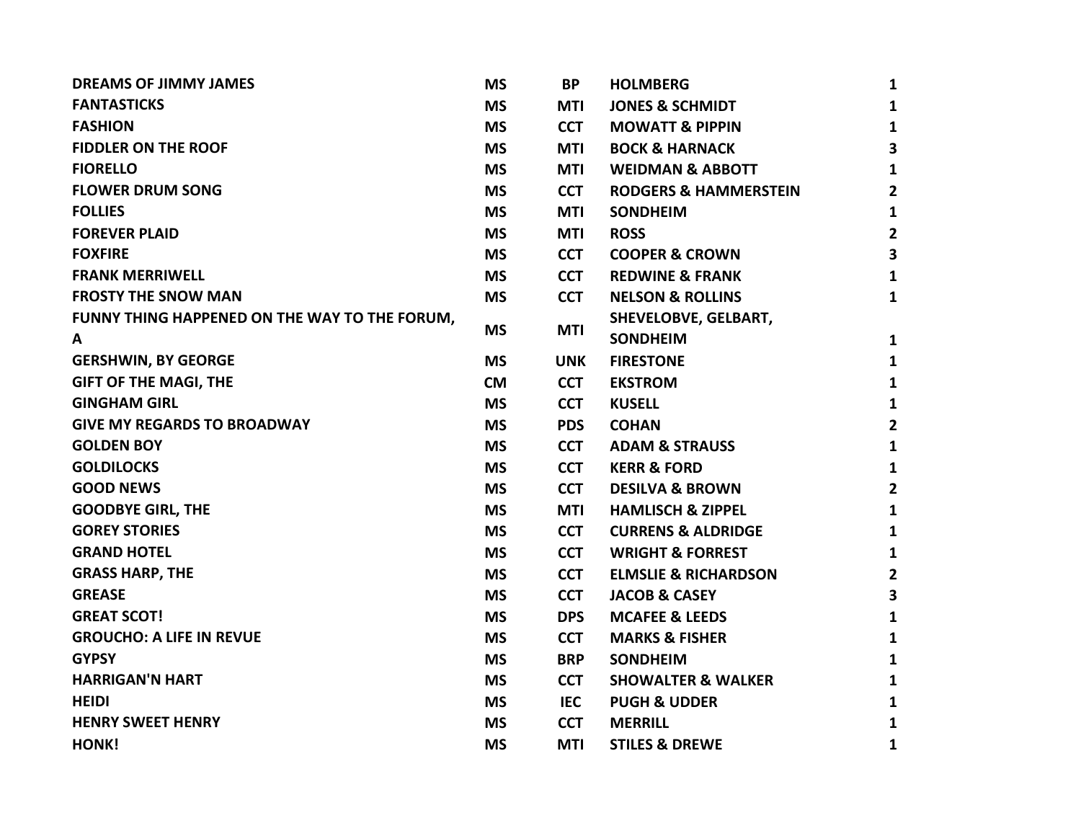| <b>DREAMS OF JIMMY JAMES</b>                  | <b>MS</b> | <b>BP</b>  | <b>HOLMBERG</b>                  | 1                       |
|-----------------------------------------------|-----------|------------|----------------------------------|-------------------------|
| <b>FANTASTICKS</b>                            | <b>MS</b> | <b>MTI</b> | <b>JONES &amp; SCHMIDT</b>       | 1                       |
| <b>FASHION</b>                                | <b>MS</b> | <b>CCT</b> | <b>MOWATT &amp; PIPPIN</b>       | $\mathbf{1}$            |
| <b>FIDDLER ON THE ROOF</b>                    | <b>MS</b> | <b>MTI</b> | <b>BOCK &amp; HARNACK</b>        | 3                       |
| <b>FIORELLO</b>                               | <b>MS</b> | <b>MTI</b> | <b>WEIDMAN &amp; ABBOTT</b>      | 1                       |
| <b>FLOWER DRUM SONG</b>                       | <b>MS</b> | <b>CCT</b> | <b>RODGERS &amp; HAMMERSTEIN</b> | 2                       |
| <b>FOLLIES</b>                                | <b>MS</b> | MTI        | <b>SONDHEIM</b>                  | 1                       |
| <b>FOREVER PLAID</b>                          | <b>MS</b> | <b>MTI</b> | <b>ROSS</b>                      | $\mathbf{2}$            |
| <b>FOXFIRE</b>                                | <b>MS</b> | <b>CCT</b> | <b>COOPER &amp; CROWN</b>        | $\overline{\mathbf{3}}$ |
| <b>FRANK MERRIWELL</b>                        | <b>MS</b> | <b>CCT</b> | <b>REDWINE &amp; FRANK</b>       | 1                       |
| <b>FROSTY THE SNOW MAN</b>                    | <b>MS</b> | <b>CCT</b> | <b>NELSON &amp; ROLLINS</b>      | 1                       |
| FUNNY THING HAPPENED ON THE WAY TO THE FORUM, |           |            | <b>SHEVELOBVE, GELBART,</b>      |                         |
| A                                             | <b>MS</b> | <b>MTI</b> | <b>SONDHEIM</b>                  | 1                       |
| <b>GERSHWIN, BY GEORGE</b>                    | <b>MS</b> | <b>UNK</b> | <b>FIRESTONE</b>                 | 1                       |
| <b>GIFT OF THE MAGI, THE</b>                  | <b>CM</b> | <b>CCT</b> | <b>EKSTROM</b>                   | 1                       |
| <b>GINGHAM GIRL</b>                           | <b>MS</b> | <b>CCT</b> | <b>KUSELL</b>                    | 1                       |
| <b>GIVE MY REGARDS TO BROADWAY</b>            | <b>MS</b> | <b>PDS</b> | <b>COHAN</b>                     | $\mathbf{2}$            |
| <b>GOLDEN BOY</b>                             | <b>MS</b> | <b>CCT</b> | <b>ADAM &amp; STRAUSS</b>        | $\mathbf{1}$            |
| <b>GOLDILOCKS</b>                             | <b>MS</b> | <b>CCT</b> | <b>KERR &amp; FORD</b>           | 1                       |
| <b>GOOD NEWS</b>                              | <b>MS</b> | <b>CCT</b> | <b>DESILVA &amp; BROWN</b>       | $\mathbf{2}$            |
| <b>GOODBYE GIRL, THE</b>                      | <b>MS</b> | <b>MTI</b> | <b>HAMLISCH &amp; ZIPPEL</b>     | 1                       |
| <b>GOREY STORIES</b>                          | <b>MS</b> | <b>CCT</b> | <b>CURRENS &amp; ALDRIDGE</b>    | 1                       |
| <b>GRAND HOTEL</b>                            | <b>MS</b> | <b>CCT</b> | <b>WRIGHT &amp; FORREST</b>      | 1                       |
| <b>GRASS HARP, THE</b>                        | <b>MS</b> | <b>CCT</b> | <b>ELMSLIE &amp; RICHARDSON</b>  | $\mathbf{2}$            |
| <b>GREASE</b>                                 | <b>MS</b> | <b>CCT</b> | <b>JACOB &amp; CASEY</b>         | $\overline{\mathbf{3}}$ |
| <b>GREAT SCOT!</b>                            | <b>MS</b> | <b>DPS</b> | <b>MCAFEE &amp; LEEDS</b>        | 1                       |
| <b>GROUCHO: A LIFE IN REVUE</b>               | <b>MS</b> | <b>CCT</b> | <b>MARKS &amp; FISHER</b>        | $\mathbf{1}$            |
| <b>GYPSY</b>                                  | <b>MS</b> | <b>BRP</b> | <b>SONDHEIM</b>                  | $\mathbf{1}$            |
| <b>HARRIGAN'N HART</b>                        | <b>MS</b> | <b>CCT</b> | <b>SHOWALTER &amp; WALKER</b>    | 1                       |
| HEIDI                                         | <b>MS</b> | <b>IEC</b> | <b>PUGH &amp; UDDER</b>          | 1                       |
| <b>HENRY SWEET HENRY</b>                      | <b>MS</b> | <b>CCT</b> | <b>MERRILL</b>                   | 1                       |
| HONK!                                         | <b>MS</b> | MTI        | <b>STILES &amp; DREWE</b>        | 1                       |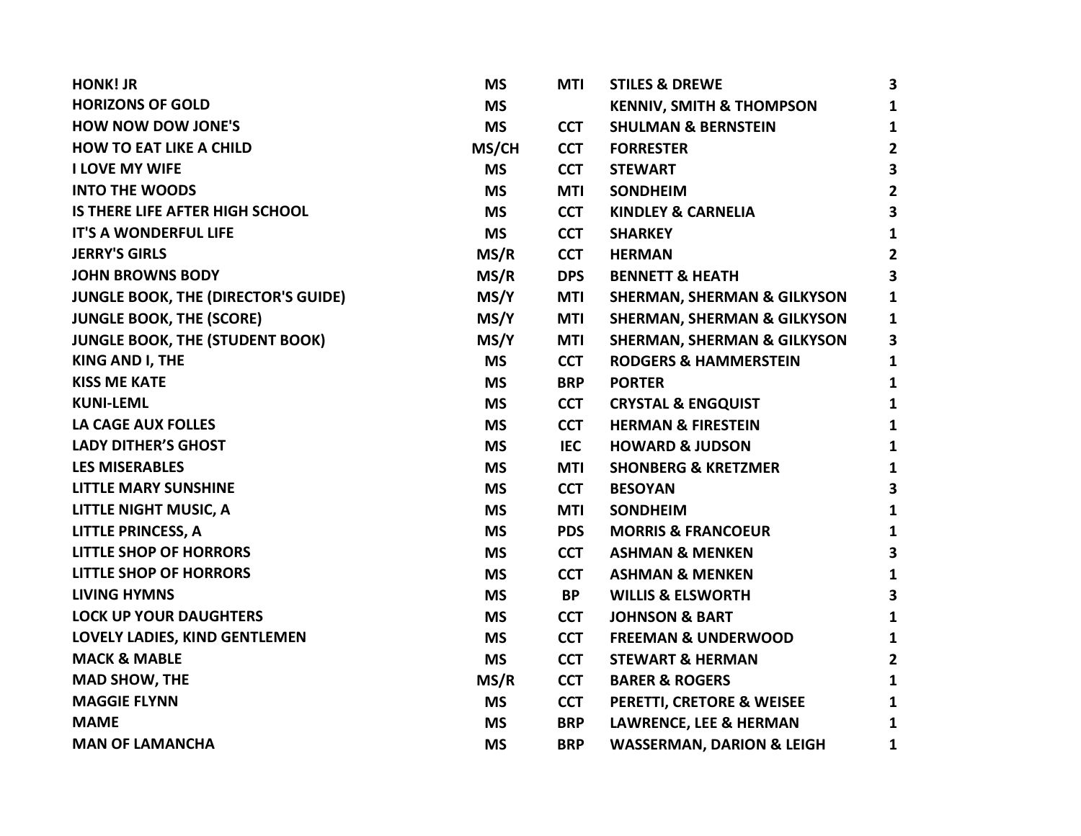| <b>HONK! JR</b>                            | <b>MS</b> | <b>MTI</b> | <b>STILES &amp; DREWE</b>              | 3            |
|--------------------------------------------|-----------|------------|----------------------------------------|--------------|
| <b>HORIZONS OF GOLD</b>                    | <b>MS</b> |            | <b>KENNIV, SMITH &amp; THOMPSON</b>    | $\mathbf{1}$ |
| <b>HOW NOW DOW JONE'S</b>                  | <b>MS</b> | <b>CCT</b> | <b>SHULMAN &amp; BERNSTEIN</b>         | 1            |
| <b>HOW TO EAT LIKE A CHILD</b>             | MS/CH     | <b>CCT</b> | <b>FORRESTER</b>                       | $\mathbf{2}$ |
| <b>I LOVE MY WIFE</b>                      | <b>MS</b> | <b>CCT</b> | <b>STEWART</b>                         | 3            |
| <b>INTO THE WOODS</b>                      | <b>MS</b> | MTI        | <b>SONDHEIM</b>                        | 2            |
| IS THERE LIFE AFTER HIGH SCHOOL            | <b>MS</b> | <b>CCT</b> | <b>KINDLEY &amp; CARNELIA</b>          | 3            |
| <b>IT'S A WONDERFUL LIFE</b>               | <b>MS</b> | <b>CCT</b> | <b>SHARKEY</b>                         | 1            |
| <b>JERRY'S GIRLS</b>                       | MS/R      | <b>CCT</b> | <b>HERMAN</b>                          | $\mathbf{2}$ |
| <b>JOHN BROWNS BODY</b>                    | MS/R      | <b>DPS</b> | <b>BENNETT &amp; HEATH</b>             | 3            |
| <b>JUNGLE BOOK, THE (DIRECTOR'S GUIDE)</b> | MS/Y      | <b>MTI</b> | <b>SHERMAN, SHERMAN &amp; GILKYSON</b> | 1            |
| <b>JUNGLE BOOK, THE (SCORE)</b>            | MS/Y      | <b>MTI</b> | <b>SHERMAN, SHERMAN &amp; GILKYSON</b> | 1            |
| <b>JUNGLE BOOK, THE (STUDENT BOOK)</b>     | MS/Y      | <b>MTI</b> | <b>SHERMAN, SHERMAN &amp; GILKYSON</b> | 3            |
| KING AND I, THE                            | <b>MS</b> | <b>CCT</b> | <b>RODGERS &amp; HAMMERSTEIN</b>       | 1            |
| <b>KISS ME KATE</b>                        | <b>MS</b> | <b>BRP</b> | <b>PORTER</b>                          | 1            |
| <b>KUNI-LEML</b>                           | <b>MS</b> | <b>CCT</b> | <b>CRYSTAL &amp; ENGQUIST</b>          | 1            |
| <b>LA CAGE AUX FOLLES</b>                  | <b>MS</b> | <b>CCT</b> | <b>HERMAN &amp; FIRESTEIN</b>          | 1            |
| <b>LADY DITHER'S GHOST</b>                 | <b>MS</b> | <b>IEC</b> | <b>HOWARD &amp; JUDSON</b>             | 1            |
| <b>LES MISERABLES</b>                      | <b>MS</b> | <b>MTI</b> | <b>SHONBERG &amp; KRETZMER</b>         | 1            |
| <b>LITTLE MARY SUNSHINE</b>                | <b>MS</b> | <b>CCT</b> | <b>BESOYAN</b>                         | 3            |
| LITTLE NIGHT MUSIC, A                      | <b>MS</b> | <b>MTI</b> | <b>SONDHEIM</b>                        | 1            |
| <b>LITTLE PRINCESS, A</b>                  | <b>MS</b> | <b>PDS</b> | <b>MORRIS &amp; FRANCOEUR</b>          | 1            |
| <b>LITTLE SHOP OF HORRORS</b>              | <b>MS</b> | <b>CCT</b> | <b>ASHMAN &amp; MENKEN</b>             | 3            |
| <b>LITTLE SHOP OF HORRORS</b>              | <b>MS</b> | <b>CCT</b> | <b>ASHMAN &amp; MENKEN</b>             | 1            |
| <b>LIVING HYMNS</b>                        | <b>MS</b> | <b>BP</b>  | <b>WILLIS &amp; ELSWORTH</b>           | 3            |
| <b>LOCK UP YOUR DAUGHTERS</b>              | <b>MS</b> | <b>CCT</b> | <b>JOHNSON &amp; BART</b>              | 1            |
| LOVELY LADIES, KIND GENTLEMEN              | <b>MS</b> | <b>CCT</b> | <b>FREEMAN &amp; UNDERWOOD</b>         | 1            |
| <b>MACK &amp; MABLE</b>                    | <b>MS</b> | <b>CCT</b> | <b>STEWART &amp; HERMAN</b>            | 2            |
| <b>MAD SHOW, THE</b>                       | MS/R      | <b>CCT</b> | <b>BARER &amp; ROGERS</b>              | 1            |
| <b>MAGGIE FLYNN</b>                        | <b>MS</b> | <b>CCT</b> | PERETTI, CRETORE & WEISEE              | 1            |
| <b>MAME</b>                                | <b>MS</b> | <b>BRP</b> | <b>LAWRENCE, LEE &amp; HERMAN</b>      | 1            |
| <b>MAN OF LAMANCHA</b>                     | <b>MS</b> | <b>BRP</b> | <b>WASSERMAN, DARION &amp; LEIGH</b>   | 1            |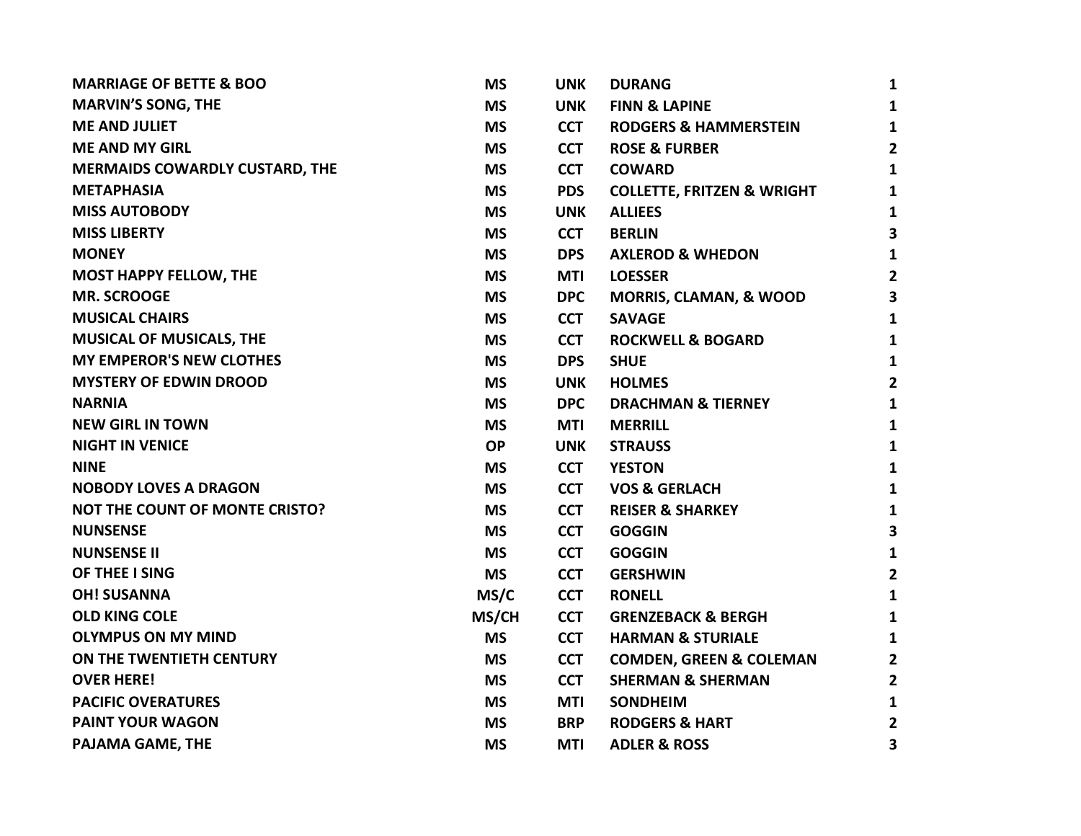| <b>MARRIAGE OF BETTE &amp; BOO</b>    | <b>MS</b> | <b>UNK</b> | <b>DURANG</b>                         | $\mathbf{1}$            |
|---------------------------------------|-----------|------------|---------------------------------------|-------------------------|
| <b>MARVIN'S SONG, THE</b>             | <b>MS</b> | <b>UNK</b> | <b>FINN &amp; LAPINE</b>              | $\mathbf{1}$            |
| <b>ME AND JULIET</b>                  | <b>MS</b> | <b>CCT</b> | <b>RODGERS &amp; HAMMERSTEIN</b>      | $\mathbf{1}$            |
| <b>ME AND MY GIRL</b>                 | <b>MS</b> | <b>CCT</b> | <b>ROSE &amp; FURBER</b>              | $\overline{2}$          |
| <b>MERMAIDS COWARDLY CUSTARD, THE</b> | <b>MS</b> | <b>CCT</b> | <b>COWARD</b>                         | $\mathbf{1}$            |
| <b>METAPHASIA</b>                     | <b>MS</b> | <b>PDS</b> | <b>COLLETTE, FRITZEN &amp; WRIGHT</b> | $\mathbf{1}$            |
| <b>MISS AUTOBODY</b>                  | <b>MS</b> | <b>UNK</b> | <b>ALLIEES</b>                        | $\mathbf{1}$            |
| <b>MISS LIBERTY</b>                   | <b>MS</b> | <b>CCT</b> | <b>BERLIN</b>                         | 3                       |
| <b>MONEY</b>                          | <b>MS</b> | <b>DPS</b> | <b>AXLEROD &amp; WHEDON</b>           | $\mathbf{1}$            |
| <b>MOST HAPPY FELLOW, THE</b>         | <b>MS</b> | MTI        | <b>LOESSER</b>                        | $\overline{\mathbf{2}}$ |
| <b>MR. SCROOGE</b>                    | <b>MS</b> | <b>DPC</b> | <b>MORRIS, CLAMAN, &amp; WOOD</b>     | 3                       |
| <b>MUSICAL CHAIRS</b>                 | <b>MS</b> | <b>CCT</b> | <b>SAVAGE</b>                         | 1                       |
| <b>MUSICAL OF MUSICALS, THE</b>       | <b>MS</b> | <b>CCT</b> | <b>ROCKWELL &amp; BOGARD</b>          | $\mathbf{1}$            |
| <b>MY EMPEROR'S NEW CLOTHES</b>       | <b>MS</b> | <b>DPS</b> | <b>SHUE</b>                           | $\mathbf{1}$            |
| <b>MYSTERY OF EDWIN DROOD</b>         | <b>MS</b> | <b>UNK</b> | <b>HOLMES</b>                         | $\overline{2}$          |
| <b>NARNIA</b>                         | <b>MS</b> | <b>DPC</b> | <b>DRACHMAN &amp; TIERNEY</b>         | $\mathbf{1}$            |
| <b>NEW GIRL IN TOWN</b>               | <b>MS</b> | <b>MTI</b> | <b>MERRILL</b>                        | $\mathbf{1}$            |
| <b>NIGHT IN VENICE</b>                | <b>OP</b> | <b>UNK</b> | <b>STRAUSS</b>                        | $\mathbf{1}$            |
| <b>NINE</b>                           | <b>MS</b> | <b>CCT</b> | <b>YESTON</b>                         | $\mathbf{1}$            |
| <b>NOBODY LOVES A DRAGON</b>          | <b>MS</b> | <b>CCT</b> | <b>VOS &amp; GERLACH</b>              | $\mathbf{1}$            |
| <b>NOT THE COUNT OF MONTE CRISTO?</b> | <b>MS</b> | <b>CCT</b> | <b>REISER &amp; SHARKEY</b>           | $\mathbf{1}$            |
| <b>NUNSENSE</b>                       | <b>MS</b> | <b>CCT</b> | <b>GOGGIN</b>                         | 3                       |
| <b>NUNSENSE II</b>                    | <b>MS</b> | <b>CCT</b> | <b>GOGGIN</b>                         | $\mathbf{1}$            |
| OF THEE I SING                        | <b>MS</b> | <b>CCT</b> | <b>GERSHWIN</b>                       | $\overline{2}$          |
| <b>OH! SUSANNA</b>                    | MS/C      | <b>CCT</b> | <b>RONELL</b>                         | $\mathbf{1}$            |
| <b>OLD KING COLE</b>                  | MS/CH     | <b>CCT</b> | <b>GRENZEBACK &amp; BERGH</b>         | $\mathbf{1}$            |
| <b>OLYMPUS ON MY MIND</b>             | <b>MS</b> | <b>CCT</b> | <b>HARMAN &amp; STURIALE</b>          | $\mathbf{1}$            |
| ON THE TWENTIETH CENTURY              | <b>MS</b> | <b>CCT</b> | <b>COMDEN, GREEN &amp; COLEMAN</b>    | $\overline{2}$          |
| <b>OVER HERE!</b>                     | <b>MS</b> | <b>CCT</b> | <b>SHERMAN &amp; SHERMAN</b>          | $\overline{\mathbf{2}}$ |
| <b>PACIFIC OVERATURES</b>             | <b>MS</b> | MTI        | <b>SONDHEIM</b>                       | $\mathbf{1}$            |
| <b>PAINT YOUR WAGON</b>               | <b>MS</b> | <b>BRP</b> | <b>RODGERS &amp; HART</b>             | $\mathbf{2}$            |
| PAJAMA GAME, THE                      | <b>MS</b> | MTI        | <b>ADLER &amp; ROSS</b>               | 3                       |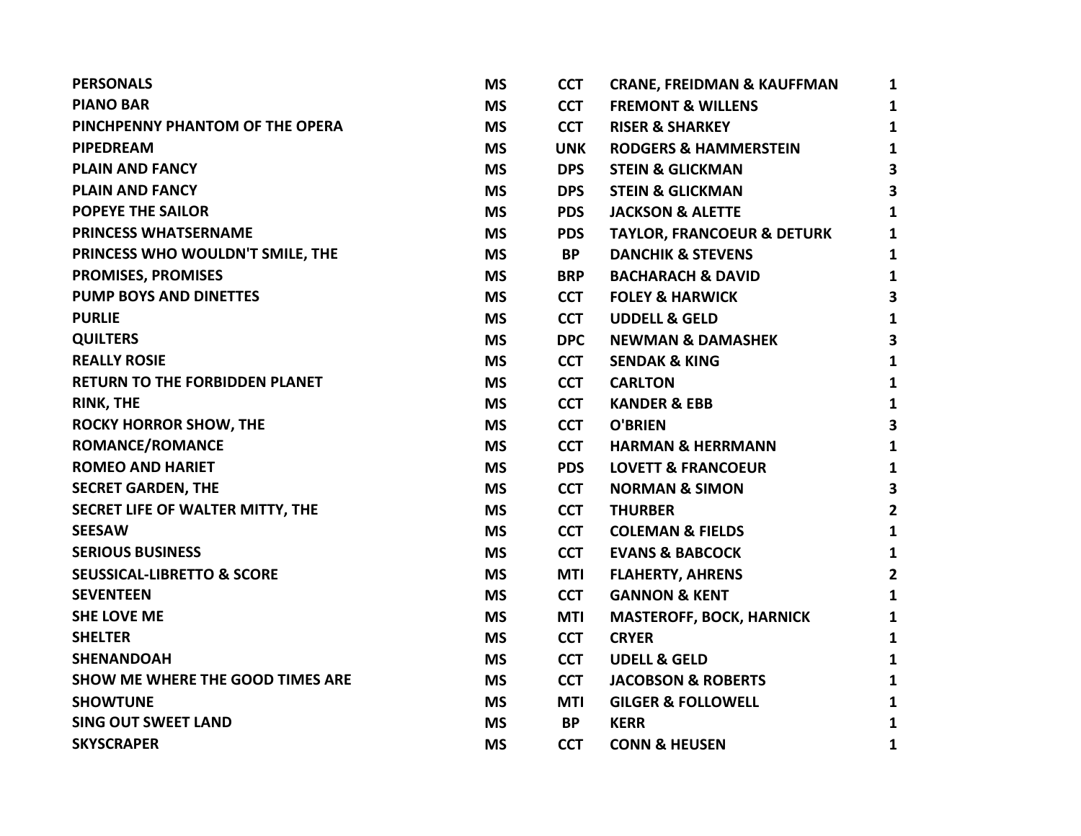| <b>PERSONALS</b>                        | <b>MS</b> | <b>CCT</b> | <b>CRANE, FREIDMAN &amp; KAUFFMAN</b> | 1                       |
|-----------------------------------------|-----------|------------|---------------------------------------|-------------------------|
| <b>PIANO BAR</b>                        | <b>MS</b> | <b>CCT</b> | <b>FREMONT &amp; WILLENS</b>          | 1                       |
| PINCHPENNY PHANTOM OF THE OPERA         | <b>MS</b> | <b>CCT</b> | <b>RISER &amp; SHARKEY</b>            | 1                       |
| <b>PIPEDREAM</b>                        | <b>MS</b> | <b>UNK</b> | <b>RODGERS &amp; HAMMERSTEIN</b>      | $\mathbf{1}$            |
| <b>PLAIN AND FANCY</b>                  | <b>MS</b> | <b>DPS</b> | <b>STEIN &amp; GLICKMAN</b>           | 3                       |
| <b>PLAIN AND FANCY</b>                  | <b>MS</b> | <b>DPS</b> | <b>STEIN &amp; GLICKMAN</b>           | 3                       |
| <b>POPEYE THE SAILOR</b>                | <b>MS</b> | <b>PDS</b> | <b>JACKSON &amp; ALETTE</b>           | 1                       |
| <b>PRINCESS WHATSERNAME</b>             | <b>MS</b> | <b>PDS</b> | <b>TAYLOR, FRANCOEUR &amp; DETURK</b> | $\mathbf{1}$            |
| PRINCESS WHO WOULDN'T SMILE, THE        | <b>MS</b> | <b>BP</b>  | <b>DANCHIK &amp; STEVENS</b>          | $\mathbf{1}$            |
| <b>PROMISES, PROMISES</b>               | <b>MS</b> | <b>BRP</b> | <b>BACHARACH &amp; DAVID</b>          | 1                       |
| <b>PUMP BOYS AND DINETTES</b>           | <b>MS</b> | <b>CCT</b> | <b>FOLEY &amp; HARWICK</b>            | 3                       |
| <b>PURLIE</b>                           | <b>MS</b> | <b>CCT</b> | <b>UDDELL &amp; GELD</b>              | $\mathbf{1}$            |
| <b>QUILTERS</b>                         | <b>MS</b> | <b>DPC</b> | <b>NEWMAN &amp; DAMASHEK</b>          | 3                       |
| <b>REALLY ROSIE</b>                     | <b>MS</b> | <b>CCT</b> | <b>SENDAK &amp; KING</b>              | $\mathbf{1}$            |
| <b>RETURN TO THE FORBIDDEN PLANET</b>   | <b>MS</b> | <b>CCT</b> | <b>CARLTON</b>                        | $\mathbf{1}$            |
| <b>RINK, THE</b>                        | <b>MS</b> | <b>CCT</b> | <b>KANDER &amp; EBB</b>               | $\mathbf{1}$            |
| <b>ROCKY HORROR SHOW, THE</b>           | <b>MS</b> | <b>CCT</b> | <b>O'BRIEN</b>                        | 3                       |
| <b>ROMANCE/ROMANCE</b>                  | <b>MS</b> | <b>CCT</b> | <b>HARMAN &amp; HERRMANN</b>          | $\mathbf{1}$            |
| <b>ROMEO AND HARIET</b>                 | <b>MS</b> | <b>PDS</b> | <b>LOVETT &amp; FRANCOEUR</b>         | $\mathbf{1}$            |
| <b>SECRET GARDEN, THE</b>               | <b>MS</b> | <b>CCT</b> | <b>NORMAN &amp; SIMON</b>             | 3                       |
| SECRET LIFE OF WALTER MITTY, THE        | <b>MS</b> | <b>CCT</b> | <b>THURBER</b>                        | $\overline{\mathbf{2}}$ |
| <b>SEESAW</b>                           | <b>MS</b> | <b>CCT</b> | <b>COLEMAN &amp; FIELDS</b>           | $\mathbf{1}$            |
| <b>SERIOUS BUSINESS</b>                 | <b>MS</b> | <b>CCT</b> | <b>EVANS &amp; BABCOCK</b>            | 1                       |
| <b>SEUSSICAL-LIBRETTO &amp; SCORE</b>   | <b>MS</b> | MTI        | <b>FLAHERTY, AHRENS</b>               | $\overline{2}$          |
| <b>SEVENTEEN</b>                        | <b>MS</b> | <b>CCT</b> | <b>GANNON &amp; KENT</b>              | 1                       |
| <b>SHE LOVE ME</b>                      | <b>MS</b> | MTI        | <b>MASTEROFF, BOCK, HARNICK</b>       | 1                       |
| <b>SHELTER</b>                          | <b>MS</b> | <b>CCT</b> | <b>CRYER</b>                          | 1                       |
| <b>SHENANDOAH</b>                       | <b>MS</b> | <b>CCT</b> | <b>UDELL &amp; GELD</b>               | 1                       |
| <b>SHOW ME WHERE THE GOOD TIMES ARE</b> | <b>MS</b> | <b>CCT</b> | <b>JACOBSON &amp; ROBERTS</b>         | 1                       |
| <b>SHOWTUNE</b>                         | <b>MS</b> | MTI        | <b>GILGER &amp; FOLLOWELL</b>         | 1                       |
| <b>SING OUT SWEET LAND</b>              | <b>MS</b> | <b>BP</b>  | <b>KERR</b>                           | 1                       |
| <b>SKYSCRAPER</b>                       | <b>MS</b> | <b>CCT</b> | <b>CONN &amp; HEUSEN</b>              | 1                       |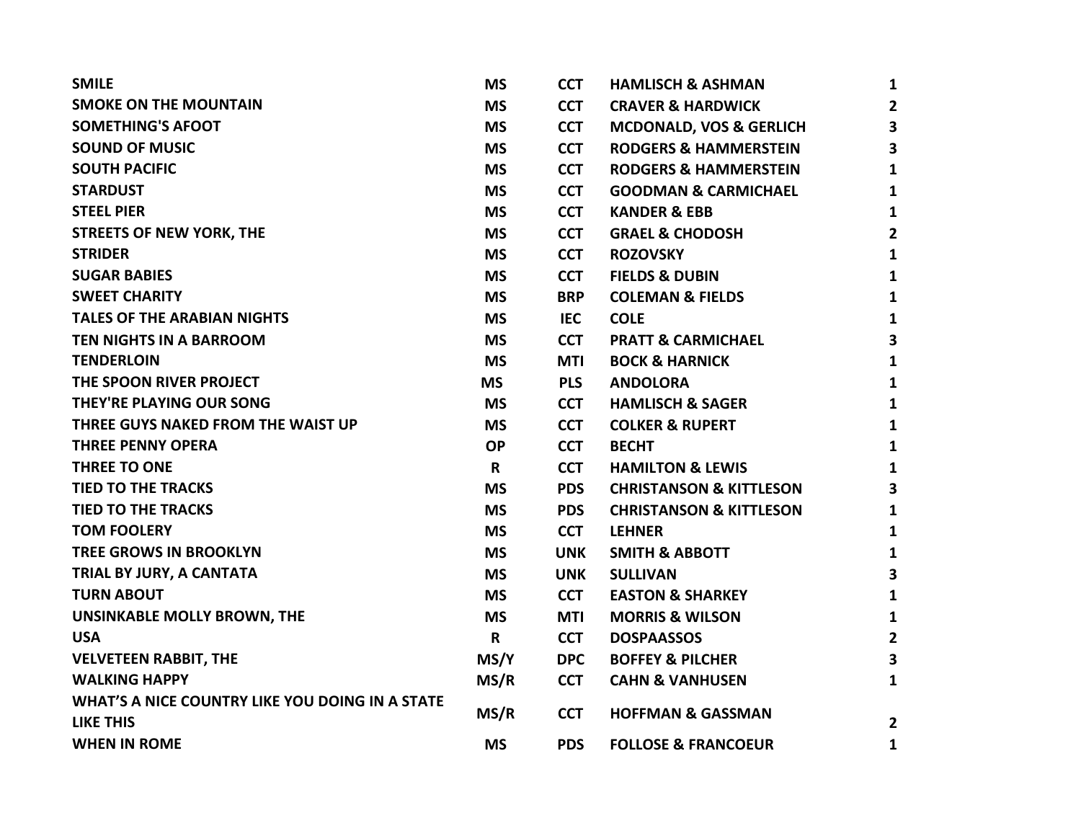| <b>SMILE</b>                                    | <b>MS</b> | <b>CCT</b> | <b>HAMLISCH &amp; ASHMAN</b>       | 1                       |
|-------------------------------------------------|-----------|------------|------------------------------------|-------------------------|
| <b>SMOKE ON THE MOUNTAIN</b>                    | <b>MS</b> | <b>CCT</b> | <b>CRAVER &amp; HARDWICK</b>       | $\overline{2}$          |
| <b>SOMETHING'S AFOOT</b>                        | <b>MS</b> | <b>CCT</b> | <b>MCDONALD, VOS &amp; GERLICH</b> | $\overline{\mathbf{3}}$ |
| <b>SOUND OF MUSIC</b>                           | <b>MS</b> | <b>CCT</b> | <b>RODGERS &amp; HAMMERSTEIN</b>   | 3                       |
| <b>SOUTH PACIFIC</b>                            | <b>MS</b> | <b>CCT</b> | <b>RODGERS &amp; HAMMERSTEIN</b>   | 1                       |
| <b>STARDUST</b>                                 | <b>MS</b> | <b>CCT</b> | <b>GOODMAN &amp; CARMICHAEL</b>    | 1                       |
| <b>STEEL PIER</b>                               | <b>MS</b> | <b>CCT</b> | <b>KANDER &amp; EBB</b>            | 1                       |
| <b>STREETS OF NEW YORK, THE</b>                 | <b>MS</b> | <b>CCT</b> | <b>GRAEL &amp; CHODOSH</b>         | 2                       |
| <b>STRIDER</b>                                  | <b>MS</b> | <b>CCT</b> | <b>ROZOVSKY</b>                    | $\mathbf{1}$            |
| <b>SUGAR BABIES</b>                             | <b>MS</b> | <b>CCT</b> | <b>FIELDS &amp; DUBIN</b>          | 1                       |
| <b>SWEET CHARITY</b>                            | <b>MS</b> | <b>BRP</b> | <b>COLEMAN &amp; FIELDS</b>        | 1                       |
| <b>TALES OF THE ARABIAN NIGHTS</b>              | <b>MS</b> | <b>IEC</b> | <b>COLE</b>                        | 1                       |
| <b>TEN NIGHTS IN A BARROOM</b>                  | <b>MS</b> | <b>CCT</b> | <b>PRATT &amp; CARMICHAEL</b>      | 3                       |
| <b>TENDERLOIN</b>                               | <b>MS</b> | <b>MTI</b> | <b>BOCK &amp; HARNICK</b>          | 1                       |
| THE SPOON RIVER PROJECT                         | <b>MS</b> | <b>PLS</b> | <b>ANDOLORA</b>                    | $\mathbf{1}$            |
| <b>THEY'RE PLAYING OUR SONG</b>                 | <b>MS</b> | <b>CCT</b> | <b>HAMLISCH &amp; SAGER</b>        | $\mathbf{1}$            |
| THREE GUYS NAKED FROM THE WAIST UP              | <b>MS</b> | <b>CCT</b> | <b>COLKER &amp; RUPERT</b>         | 1                       |
| <b>THREE PENNY OPERA</b>                        | <b>OP</b> | <b>CCT</b> | <b>BECHT</b>                       | 1                       |
| <b>THREE TO ONE</b>                             | R         | <b>CCT</b> | <b>HAMILTON &amp; LEWIS</b>        | 1                       |
| <b>TIED TO THE TRACKS</b>                       | <b>MS</b> | <b>PDS</b> | <b>CHRISTANSON &amp; KITTLESON</b> | 3                       |
| <b>TIED TO THE TRACKS</b>                       | <b>MS</b> | <b>PDS</b> | <b>CHRISTANSON &amp; KITTLESON</b> | $\mathbf{1}$            |
| <b>TOM FOOLERY</b>                              | <b>MS</b> | <b>CCT</b> | <b>LEHNER</b>                      | $\mathbf{1}$            |
| <b>TREE GROWS IN BROOKLYN</b>                   | <b>MS</b> | <b>UNK</b> | <b>SMITH &amp; ABBOTT</b>          | 1                       |
| TRIAL BY JURY, A CANTATA                        | <b>MS</b> | <b>UNK</b> | <b>SULLIVAN</b>                    | 3                       |
| <b>TURN ABOUT</b>                               | <b>MS</b> | <b>CCT</b> | <b>EASTON &amp; SHARKEY</b>        | 1                       |
| UNSINKABLE MOLLY BROWN, THE                     | <b>MS</b> | MTI        | <b>MORRIS &amp; WILSON</b>         | 1                       |
| <b>USA</b>                                      | R         | <b>CCT</b> | <b>DOSPAASSOS</b>                  | $\overline{\mathbf{2}}$ |
| <b>VELVETEEN RABBIT, THE</b>                    | MS/Y      | <b>DPC</b> | <b>BOFFEY &amp; PILCHER</b>        | 3                       |
| <b>WALKING HAPPY</b>                            | MS/R      | <b>CCT</b> | <b>CAHN &amp; VANHUSEN</b>         | 1                       |
| WHAT'S A NICE COUNTRY LIKE YOU DOING IN A STATE |           |            |                                    |                         |
| <b>LIKE THIS</b>                                | MS/R      | <b>CCT</b> | <b>HOFFMAN &amp; GASSMAN</b>       | $\overline{2}$          |
| <b>WHEN IN ROME</b>                             | <b>MS</b> | <b>PDS</b> | <b>FOLLOSE &amp; FRANCOEUR</b>     | 1                       |
|                                                 |           |            |                                    |                         |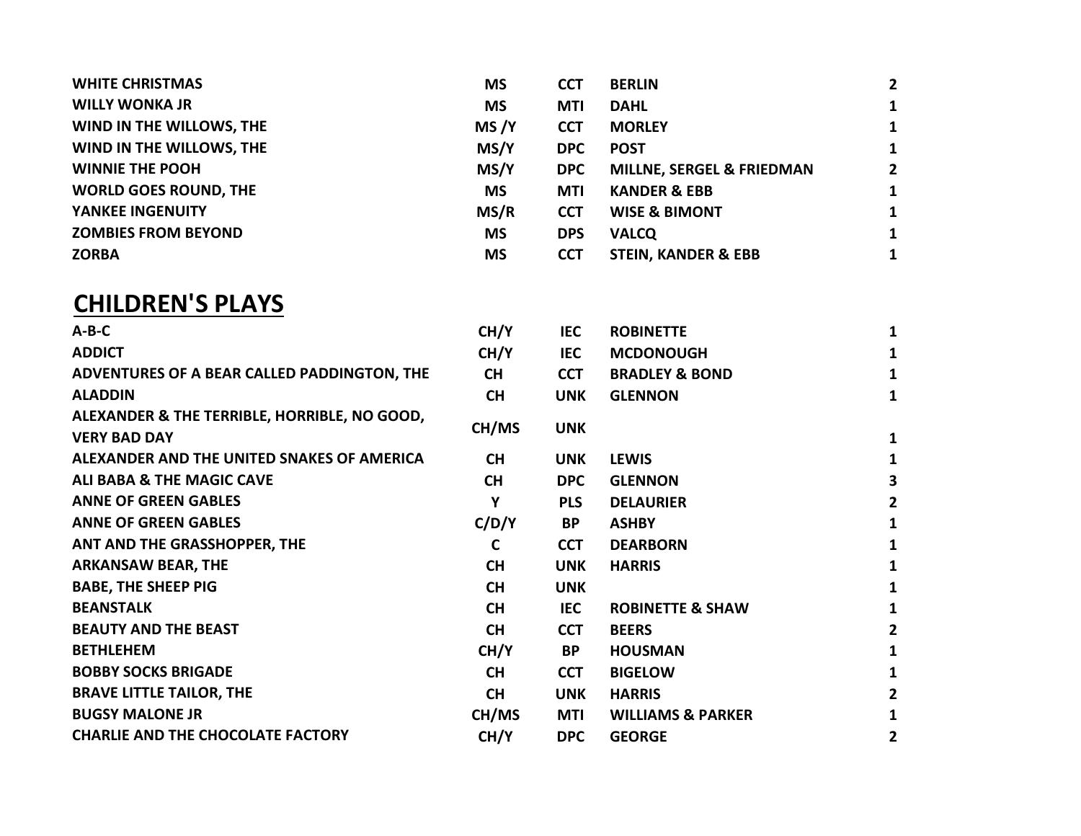| 1              |
|----------------|
| 1              |
| 1              |
| $\overline{2}$ |
| 1              |
| 1              |
| 1              |
| 1              |
|                |

## CHILDREN'S PLAYS

| $A-B-C$                                      | CH/Y        | <b>IEC</b> | <b>ROBINETTE</b>             | 1              |
|----------------------------------------------|-------------|------------|------------------------------|----------------|
| <b>ADDICT</b>                                | CH/Y        | <b>IEC</b> | <b>MCDONOUGH</b>             | 1              |
| ADVENTURES OF A BEAR CALLED PADDINGTON, THE  | <b>CH</b>   | <b>CCT</b> | <b>BRADLEY &amp; BOND</b>    | 1              |
| <b>ALADDIN</b>                               | <b>CH</b>   | <b>UNK</b> | <b>GLENNON</b>               | $\mathbf{1}$   |
| ALEXANDER & THE TERRIBLE, HORRIBLE, NO GOOD, |             |            |                              |                |
| <b>VERY BAD DAY</b>                          | CH/MS       | <b>UNK</b> |                              | 1              |
| ALEXANDER AND THE UNITED SNAKES OF AMERICA   | <b>CH</b>   | <b>UNK</b> | <b>LEWIS</b>                 | 1              |
| <b>ALI BABA &amp; THE MAGIC CAVE</b>         | <b>CH</b>   | <b>DPC</b> | <b>GLENNON</b>               | 3              |
| <b>ANNE OF GREEN GABLES</b>                  | Υ           | <b>PLS</b> | <b>DELAURIER</b>             | $\overline{2}$ |
| <b>ANNE OF GREEN GABLES</b>                  | C/D/Y       | <b>BP</b>  | <b>ASHBY</b>                 | $\mathbf{1}$   |
| ANT AND THE GRASSHOPPER, THE                 | $\mathbf C$ | <b>CCT</b> | <b>DEARBORN</b>              | 1              |
| <b>ARKANSAW BEAR, THE</b>                    | <b>CH</b>   | <b>UNK</b> | <b>HARRIS</b>                | 1              |
| <b>BABE, THE SHEEP PIG</b>                   | <b>CH</b>   | <b>UNK</b> |                              | 1              |
| <b>BEANSTALK</b>                             | <b>CH</b>   | <b>IEC</b> | <b>ROBINETTE &amp; SHAW</b>  | 1              |
| <b>BEAUTY AND THE BEAST</b>                  | <b>CH</b>   | <b>CCT</b> | <b>BEERS</b>                 | $\overline{2}$ |
| <b>BETHLEHEM</b>                             | CH/Y        | BP         | <b>HOUSMAN</b>               | 1              |
| <b>BOBBY SOCKS BRIGADE</b>                   | <b>CH</b>   | <b>CCT</b> | <b>BIGELOW</b>               | 1              |
| <b>BRAVE LITTLE TAILOR, THE</b>              | <b>CH</b>   | <b>UNK</b> | <b>HARRIS</b>                | $\overline{2}$ |
| <b>BUGSY MALONE JR</b>                       | CH/MS       | MTI        | <b>WILLIAMS &amp; PARKER</b> | 1              |
| <b>CHARLIE AND THE CHOCOLATE FACTORY</b>     | CH/Y        | <b>DPC</b> | <b>GEORGE</b>                | 2              |
|                                              |             |            |                              |                |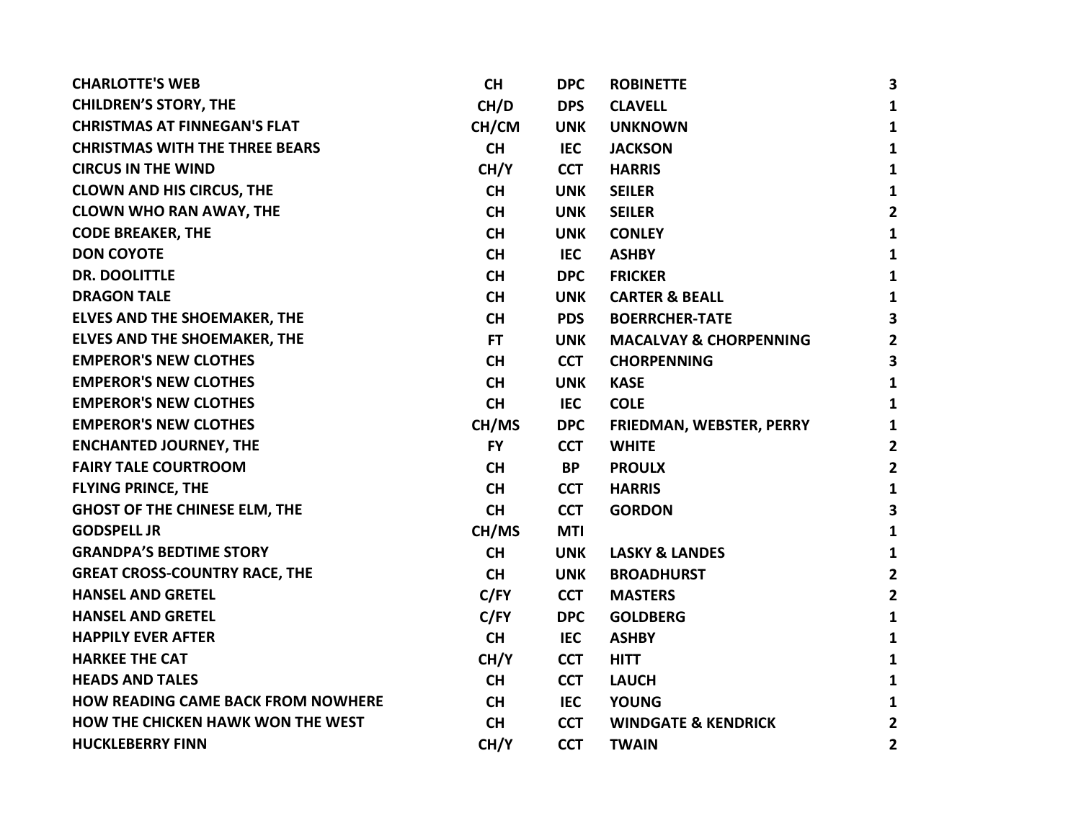| <b>CHARLOTTE'S WEB</b>                    | <b>CH</b> | <b>DPC</b> | <b>ROBINETTE</b>                  | $\mathbf{3}$            |
|-------------------------------------------|-----------|------------|-----------------------------------|-------------------------|
| <b>CHILDREN'S STORY, THE</b>              | CH/D      | <b>DPS</b> | <b>CLAVELL</b>                    | $\mathbf{1}$            |
| <b>CHRISTMAS AT FINNEGAN'S FLAT</b>       | CH/CM     | <b>UNK</b> | <b>UNKNOWN</b>                    | $\mathbf{1}$            |
| <b>CHRISTMAS WITH THE THREE BEARS</b>     | <b>CH</b> | <b>IEC</b> | <b>JACKSON</b>                    | $\mathbf{1}$            |
| <b>CIRCUS IN THE WIND</b>                 | CH/Y      | <b>CCT</b> | <b>HARRIS</b>                     | $\mathbf{1}$            |
| <b>CLOWN AND HIS CIRCUS, THE</b>          | <b>CH</b> | <b>UNK</b> | <b>SEILER</b>                     | $\mathbf{1}$            |
| <b>CLOWN WHO RAN AWAY, THE</b>            | <b>CH</b> | <b>UNK</b> | <b>SEILER</b>                     | $\overline{2}$          |
| <b>CODE BREAKER, THE</b>                  | <b>CH</b> | <b>UNK</b> | <b>CONLEY</b>                     | $\mathbf{1}$            |
| <b>DON COYOTE</b>                         | <b>CH</b> | <b>IEC</b> | <b>ASHBY</b>                      | $\mathbf{1}$            |
| <b>DR. DOOLITTLE</b>                      | <b>CH</b> | <b>DPC</b> | <b>FRICKER</b>                    | $\mathbf{1}$            |
| <b>DRAGON TALE</b>                        | <b>CH</b> | <b>UNK</b> | <b>CARTER &amp; BEALL</b>         | $\mathbf{1}$            |
| <b>ELVES AND THE SHOEMAKER, THE</b>       | <b>CH</b> | <b>PDS</b> | <b>BOERRCHER-TATE</b>             | $\overline{\mathbf{3}}$ |
| <b>ELVES AND THE SHOEMAKER, THE</b>       | FT.       | <b>UNK</b> | <b>MACALVAY &amp; CHORPENNING</b> | $\overline{2}$          |
| <b>EMPEROR'S NEW CLOTHES</b>              | <b>CH</b> | <b>CCT</b> | <b>CHORPENNING</b>                | $\overline{\mathbf{3}}$ |
| <b>EMPEROR'S NEW CLOTHES</b>              | <b>CH</b> | <b>UNK</b> | <b>KASE</b>                       | $\mathbf{1}$            |
| <b>EMPEROR'S NEW CLOTHES</b>              | <b>CH</b> | <b>IEC</b> | <b>COLE</b>                       | $\mathbf{1}$            |
| <b>EMPEROR'S NEW CLOTHES</b>              | CH/MS     | <b>DPC</b> | FRIEDMAN, WEBSTER, PERRY          | $\mathbf{1}$            |
| <b>ENCHANTED JOURNEY, THE</b>             | <b>FY</b> | <b>CCT</b> | <b>WHITE</b>                      | $\overline{2}$          |
| <b>FAIRY TALE COURTROOM</b>               | <b>CH</b> | <b>BP</b>  | <b>PROULX</b>                     | $\overline{2}$          |
| <b>FLYING PRINCE, THE</b>                 | <b>CH</b> | <b>CCT</b> | <b>HARRIS</b>                     | $\mathbf{1}$            |
| <b>GHOST OF THE CHINESE ELM, THE</b>      | <b>CH</b> | <b>CCT</b> | <b>GORDON</b>                     | $\overline{\mathbf{3}}$ |
| <b>GODSPELL JR</b>                        | CH/MS     | <b>MTI</b> |                                   | $\mathbf{1}$            |
| <b>GRANDPA'S BEDTIME STORY</b>            | <b>CH</b> | <b>UNK</b> | <b>LASKY &amp; LANDES</b>         | $\mathbf{1}$            |
| <b>GREAT CROSS-COUNTRY RACE, THE</b>      | <b>CH</b> | <b>UNK</b> | <b>BROADHURST</b>                 | $\overline{2}$          |
| <b>HANSEL AND GRETEL</b>                  | C/FY      | <b>CCT</b> | <b>MASTERS</b>                    | $\overline{2}$          |
| <b>HANSEL AND GRETEL</b>                  | C/FY      | <b>DPC</b> | <b>GOLDBERG</b>                   | $\mathbf{1}$            |
| <b>HAPPILY EVER AFTER</b>                 | <b>CH</b> | IEC        | <b>ASHBY</b>                      | $\mathbf{1}$            |
| <b>HARKEE THE CAT</b>                     | CH/Y      | <b>CCT</b> | <b>HITT</b>                       | $\mathbf{1}$            |
| <b>HEADS AND TALES</b>                    | <b>CH</b> | <b>CCT</b> | <b>LAUCH</b>                      | $\mathbf{1}$            |
| <b>HOW READING CAME BACK FROM NOWHERE</b> | <b>CH</b> | IEC        | <b>YOUNG</b>                      | $\mathbf{1}$            |
| <b>HOW THE CHICKEN HAWK WON THE WEST</b>  | <b>CH</b> | <b>CCT</b> | <b>WINDGATE &amp; KENDRICK</b>    | $\overline{2}$          |
| <b>HUCKLEBERRY FINN</b>                   | CH/Y      | <b>CCT</b> | <b>TWAIN</b>                      | $\mathbf{2}$            |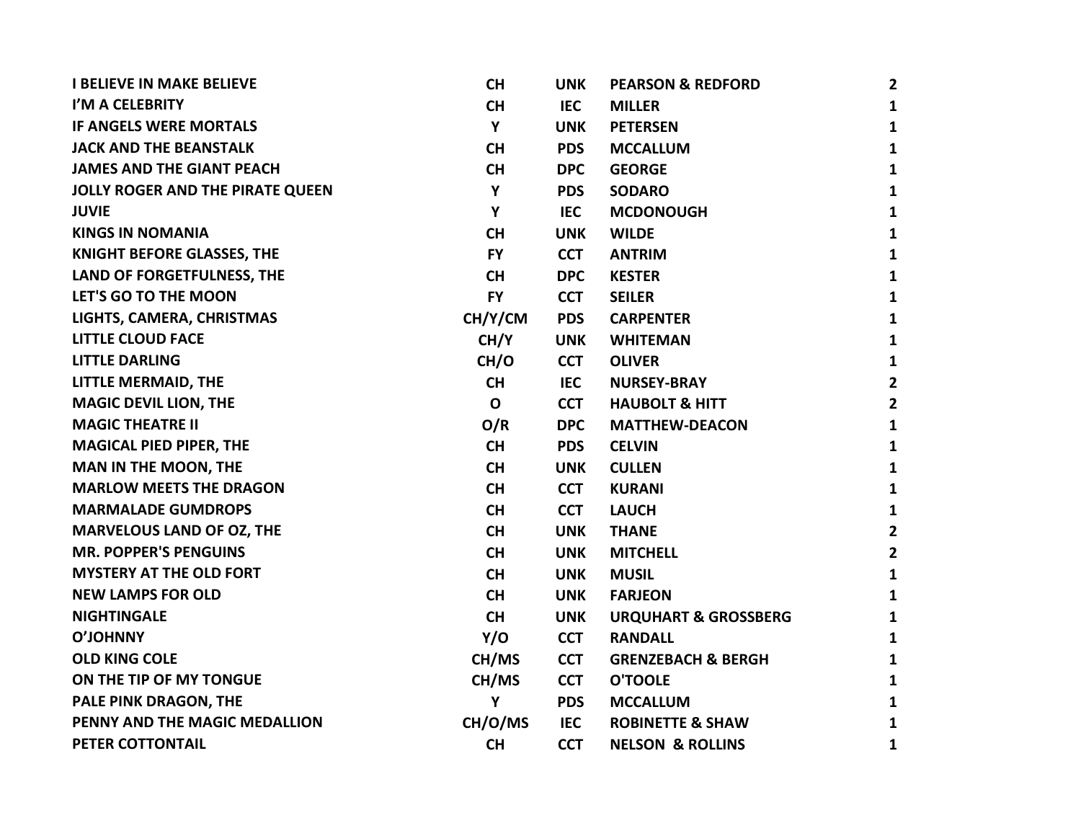| <b>I BELIEVE IN MAKE BELIEVE</b>        | <b>CH</b>   | <b>UNK</b> | <b>PEARSON &amp; REDFORD</b>    | $\mathbf{2}$   |
|-----------------------------------------|-------------|------------|---------------------------------|----------------|
| I'M A CELEBRITY                         | <b>CH</b>   | <b>IEC</b> | <b>MILLER</b>                   | $\mathbf{1}$   |
| IF ANGELS WERE MORTALS                  | Y           | <b>UNK</b> | <b>PETERSEN</b>                 | $\mathbf{1}$   |
| <b>JACK AND THE BEANSTALK</b>           | <b>CH</b>   | <b>PDS</b> | <b>MCCALLUM</b>                 | $\mathbf{1}$   |
| <b>JAMES AND THE GIANT PEACH</b>        | <b>CH</b>   | <b>DPC</b> | <b>GEORGE</b>                   | $\mathbf{1}$   |
| <b>JOLLY ROGER AND THE PIRATE QUEEN</b> | Y           | <b>PDS</b> | <b>SODARO</b>                   | $\mathbf{1}$   |
| <b>JUVIE</b>                            | Y           | <b>IEC</b> | <b>MCDONOUGH</b>                | $\mathbf{1}$   |
| <b>KINGS IN NOMANIA</b>                 | <b>CH</b>   | <b>UNK</b> | <b>WILDE</b>                    | $\mathbf{1}$   |
| <b>KNIGHT BEFORE GLASSES, THE</b>       | <b>FY</b>   | <b>CCT</b> | <b>ANTRIM</b>                   | $\mathbf{1}$   |
| LAND OF FORGETFULNESS, THE              | <b>CH</b>   | <b>DPC</b> | <b>KESTER</b>                   | $\mathbf{1}$   |
| LET'S GO TO THE MOON                    | <b>FY</b>   | <b>CCT</b> | <b>SEILER</b>                   | $\mathbf{1}$   |
| LIGHTS, CAMERA, CHRISTMAS               | CH/Y/CM     | <b>PDS</b> | <b>CARPENTER</b>                | $\mathbf{1}$   |
| <b>LITTLE CLOUD FACE</b>                | CH/Y        | <b>UNK</b> | <b>WHITEMAN</b>                 | $\mathbf{1}$   |
| <b>LITTLE DARLING</b>                   | CH/O        | <b>CCT</b> | <b>OLIVER</b>                   | $\mathbf{1}$   |
| <b>LITTLE MERMAID, THE</b>              | <b>CH</b>   | <b>IEC</b> | <b>NURSEY-BRAY</b>              | $\mathbf{2}$   |
| <b>MAGIC DEVIL LION, THE</b>            | $\mathbf 0$ | <b>CCT</b> | <b>HAUBOLT &amp; HITT</b>       | $\overline{2}$ |
| <b>MAGIC THEATRE II</b>                 | O/R         | <b>DPC</b> | <b>MATTHEW-DEACON</b>           | $\mathbf{1}$   |
| <b>MAGICAL PIED PIPER, THE</b>          | <b>CH</b>   | <b>PDS</b> | <b>CELVIN</b>                   | $\mathbf{1}$   |
| <b>MAN IN THE MOON, THE</b>             | <b>CH</b>   | <b>UNK</b> | <b>CULLEN</b>                   | $\mathbf{1}$   |
| <b>MARLOW MEETS THE DRAGON</b>          | <b>CH</b>   | <b>CCT</b> | <b>KURANI</b>                   | $\mathbf{1}$   |
| <b>MARMALADE GUMDROPS</b>               | <b>CH</b>   | <b>CCT</b> | <b>LAUCH</b>                    | $\mathbf{1}$   |
| <b>MARVELOUS LAND OF OZ, THE</b>        | <b>CH</b>   | <b>UNK</b> | <b>THANE</b>                    | $\overline{2}$ |
| <b>MR. POPPER'S PENGUINS</b>            | <b>CH</b>   | <b>UNK</b> | <b>MITCHELL</b>                 | $\overline{2}$ |
| <b>MYSTERY AT THE OLD FORT</b>          | <b>CH</b>   | <b>UNK</b> | <b>MUSIL</b>                    | $\mathbf{1}$   |
| <b>NEW LAMPS FOR OLD</b>                | <b>CH</b>   | <b>UNK</b> | <b>FARJEON</b>                  | $\mathbf{1}$   |
| <b>NIGHTINGALE</b>                      | <b>CH</b>   | <b>UNK</b> | <b>URQUHART &amp; GROSSBERG</b> | $\mathbf{1}$   |
| <b>O'JOHNNY</b>                         | Y/O         | <b>CCT</b> | <b>RANDALL</b>                  | $\mathbf{1}$   |
| <b>OLD KING COLE</b>                    | CH/MS       | <b>CCT</b> | <b>GRENZEBACH &amp; BERGH</b>   | $\mathbf{1}$   |
| ON THE TIP OF MY TONGUE                 | CH/MS       | <b>CCT</b> | <b>O'TOOLE</b>                  | $\mathbf{1}$   |
| PALE PINK DRAGON, THE                   | Y           | <b>PDS</b> | <b>MCCALLUM</b>                 | $\mathbf{1}$   |
| PENNY AND THE MAGIC MEDALLION           | CH/O/MS     | <b>IEC</b> | <b>ROBINETTE &amp; SHAW</b>     | $\mathbf{1}$   |
| PETER COTTONTAIL                        | <b>CH</b>   | <b>CCT</b> | <b>NELSON &amp; ROLLINS</b>     | $\mathbf{1}$   |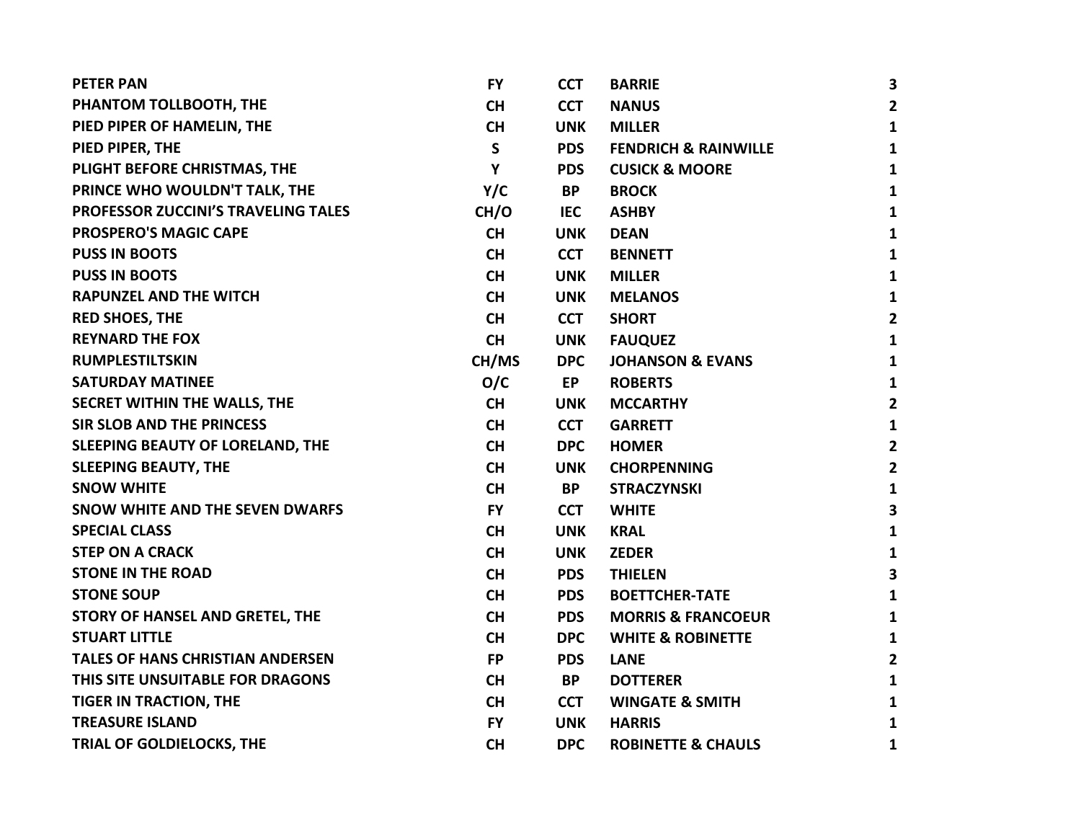| <b>PETER PAN</b>                        | <b>FY</b> | <b>CCT</b> | <b>BARRIE</b>                   | 3                       |
|-----------------------------------------|-----------|------------|---------------------------------|-------------------------|
| PHANTOM TOLLBOOTH, THE                  | <b>CH</b> | <b>CCT</b> | <b>NANUS</b>                    | $\overline{2}$          |
| PIED PIPER OF HAMELIN, THE              | <b>CH</b> | <b>UNK</b> | <b>MILLER</b>                   | $\mathbf{1}$            |
| PIED PIPER, THE                         | S         | <b>PDS</b> | <b>FENDRICH &amp; RAINWILLE</b> | $\mathbf{1}$            |
| PLIGHT BEFORE CHRISTMAS, THE            | Y         | <b>PDS</b> | <b>CUSICK &amp; MOORE</b>       | $\mathbf{1}$            |
| PRINCE WHO WOULDN'T TALK, THE           | Y/C       | <b>BP</b>  | <b>BROCK</b>                    | $\mathbf{1}$            |
| PROFESSOR ZUCCINI'S TRAVELING TALES     | CH/O      | IEC        | <b>ASHBY</b>                    | $\mathbf{1}$            |
| <b>PROSPERO'S MAGIC CAPE</b>            | <b>CH</b> | <b>UNK</b> | <b>DEAN</b>                     | $\mathbf{1}$            |
| <b>PUSS IN BOOTS</b>                    | <b>CH</b> | <b>CCT</b> | <b>BENNETT</b>                  | $\mathbf{1}$            |
| <b>PUSS IN BOOTS</b>                    | <b>CH</b> | <b>UNK</b> | <b>MILLER</b>                   | $\mathbf{1}$            |
| <b>RAPUNZEL AND THE WITCH</b>           | <b>CH</b> | <b>UNK</b> | <b>MELANOS</b>                  | $\mathbf{1}$            |
| <b>RED SHOES, THE</b>                   | <b>CH</b> | <b>CCT</b> | <b>SHORT</b>                    | $\overline{2}$          |
| <b>REYNARD THE FOX</b>                  | <b>CH</b> | <b>UNK</b> | <b>FAUQUEZ</b>                  | $\mathbf{1}$            |
| <b>RUMPLESTILTSKIN</b>                  | CH/MS     | <b>DPC</b> | <b>JOHANSON &amp; EVANS</b>     | $\mathbf{1}$            |
| <b>SATURDAY MATINEE</b>                 | O/C       | EP         | <b>ROBERTS</b>                  | $\mathbf{1}$            |
| SECRET WITHIN THE WALLS, THE            | <b>CH</b> | <b>UNK</b> | <b>MCCARTHY</b>                 | $\overline{2}$          |
| SIR SLOB AND THE PRINCESS               | <b>CH</b> | <b>CCT</b> | <b>GARRETT</b>                  | $\mathbf{1}$            |
| SLEEPING BEAUTY OF LORELAND, THE        | <b>CH</b> | <b>DPC</b> | <b>HOMER</b>                    | $\overline{2}$          |
| <b>SLEEPING BEAUTY, THE</b>             | <b>CH</b> | <b>UNK</b> | <b>CHORPENNING</b>              | $\overline{2}$          |
| <b>SNOW WHITE</b>                       | <b>CH</b> | <b>BP</b>  | <b>STRACZYNSKI</b>              | $\mathbf{1}$            |
| SNOW WHITE AND THE SEVEN DWARFS         | <b>FY</b> | <b>CCT</b> | <b>WHITE</b>                    | $\overline{\mathbf{3}}$ |
| <b>SPECIAL CLASS</b>                    | <b>CH</b> | <b>UNK</b> | <b>KRAL</b>                     | $\mathbf{1}$            |
| <b>STEP ON A CRACK</b>                  | <b>CH</b> | <b>UNK</b> | <b>ZEDER</b>                    | $\mathbf{1}$            |
| <b>STONE IN THE ROAD</b>                | <b>CH</b> | <b>PDS</b> | <b>THIELEN</b>                  | $\overline{\mathbf{3}}$ |
| <b>STONE SOUP</b>                       | <b>CH</b> | <b>PDS</b> | <b>BOETTCHER-TATE</b>           | $\mathbf{1}$            |
| STORY OF HANSEL AND GRETEL, THE         | <b>CH</b> | <b>PDS</b> | <b>MORRIS &amp; FRANCOEUR</b>   | $\mathbf{1}$            |
| <b>STUART LITTLE</b>                    | <b>CH</b> | <b>DPC</b> | <b>WHITE &amp; ROBINETTE</b>    | $\mathbf{1}$            |
| <b>TALES OF HANS CHRISTIAN ANDERSEN</b> | <b>FP</b> | <b>PDS</b> | <b>LANE</b>                     | $\overline{\mathbf{2}}$ |
| THIS SITE UNSUITABLE FOR DRAGONS        | <b>CH</b> | <b>BP</b>  | <b>DOTTERER</b>                 | $\mathbf{1}$            |
| <b>TIGER IN TRACTION, THE</b>           | <b>CH</b> | <b>CCT</b> | <b>WINGATE &amp; SMITH</b>      | $\mathbf{1}$            |
| <b>TREASURE ISLAND</b>                  | <b>FY</b> | <b>UNK</b> | <b>HARRIS</b>                   | $\mathbf{1}$            |
| TRIAL OF GOLDIELOCKS, THE               | <b>CH</b> | <b>DPC</b> | <b>ROBINETTE &amp; CHAULS</b>   | $\mathbf{1}$            |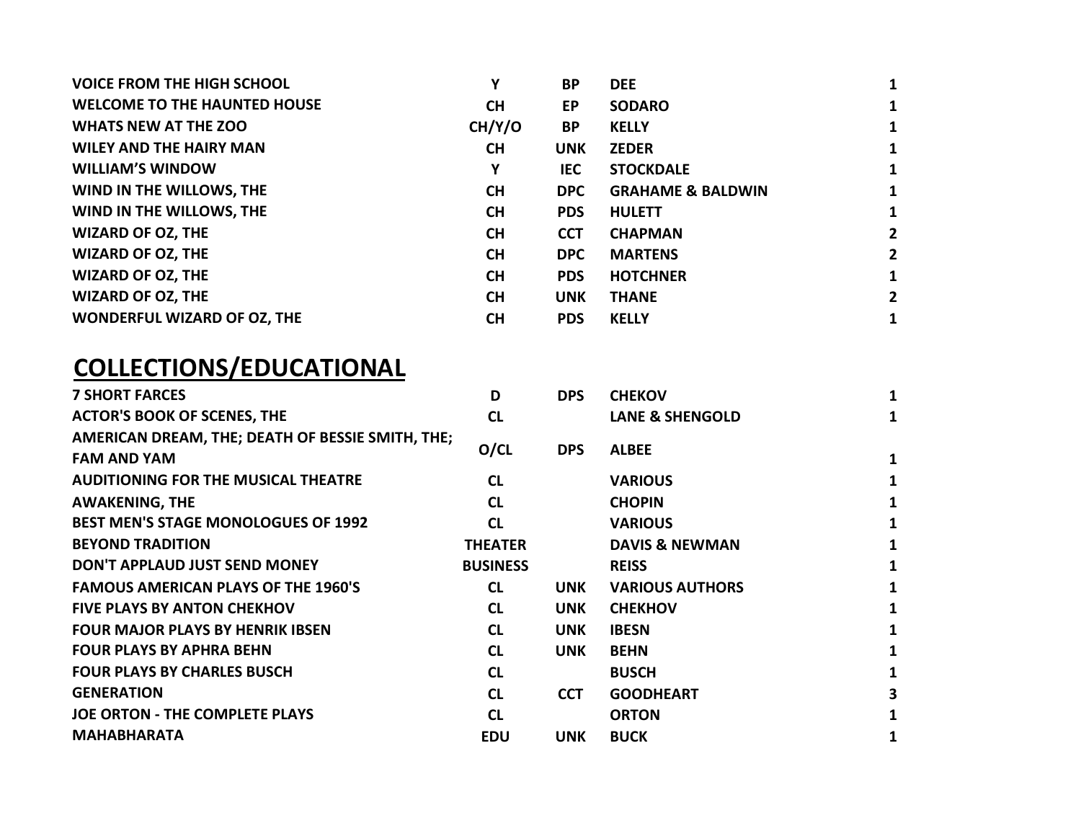| <b>VOICE FROM THE HIGH SCHOOL</b>   | Υ         | <b>BP</b>  | <b>DEE</b>                   |              |
|-------------------------------------|-----------|------------|------------------------------|--------------|
| <b>WELCOME TO THE HAUNTED HOUSE</b> | <b>CH</b> | EP.        | <b>SODARO</b>                | 1            |
| <b>WHATS NEW AT THE ZOO</b>         | CH/Y/O    | <b>BP</b>  | <b>KELLY</b>                 | 1            |
| <b>WILEY AND THE HAIRY MAN</b>      | <b>CH</b> | <b>UNK</b> | <b>ZEDER</b>                 | 1            |
| <b>WILLIAM'S WINDOW</b>             | Υ         | IEC.       | <b>STOCKDALE</b>             | 1            |
| WIND IN THE WILLOWS, THE            | <b>CH</b> | <b>DPC</b> | <b>GRAHAME &amp; BALDWIN</b> | 1            |
| WIND IN THE WILLOWS, THE            | <b>CH</b> | <b>PDS</b> | <b>HULETT</b>                | 1            |
| <b>WIZARD OF OZ, THE</b>            | <b>CH</b> | <b>CCT</b> | <b>CHAPMAN</b>               | $\mathbf{2}$ |
| <b>WIZARD OF OZ, THE</b>            | <b>CH</b> | <b>DPC</b> | <b>MARTENS</b>               | $\mathbf{2}$ |
| <b>WIZARD OF OZ, THE</b>            | <b>CH</b> | <b>PDS</b> | <b>HOTCHNER</b>              | 1            |
| <b>WIZARD OF OZ, THE</b>            | <b>CH</b> | <b>UNK</b> | <b>THANE</b>                 | $\mathbf{2}$ |
| WONDERFUL WIZARD OF OZ, THE         | <b>CH</b> | <b>PDS</b> | <b>KELLY</b>                 | 1            |

## COLLECTIONS/EDUCATIONAL

| <b>7 SHORT FARCES</b>                            | D               | <b>DPS</b> | <b>CHEKOV</b>              | 1                       |
|--------------------------------------------------|-----------------|------------|----------------------------|-------------------------|
| <b>ACTOR'S BOOK OF SCENES, THE</b>               | <b>CL</b>       |            | <b>LANE &amp; SHENGOLD</b> | 1                       |
| AMERICAN DREAM, THE; DEATH OF BESSIE SMITH, THE; |                 |            |                            |                         |
| <b>FAM AND YAM</b>                               | O/CL            | <b>DPS</b> | <b>ALBEE</b>               | 1                       |
| <b>AUDITIONING FOR THE MUSICAL THEATRE</b>       | <b>CL</b>       |            | <b>VARIOUS</b>             | 1                       |
| <b>AWAKENING, THE</b>                            | <b>CL</b>       |            | <b>CHOPIN</b>              | 1                       |
| <b>BEST MEN'S STAGE MONOLOGUES OF 1992</b>       | <b>CL</b>       |            | <b>VARIOUS</b>             | 1                       |
| <b>BEYOND TRADITION</b>                          | <b>THEATER</b>  |            | <b>DAVIS &amp; NEWMAN</b>  | 1                       |
| DON'T APPLAUD JUST SEND MONEY                    | <b>BUSINESS</b> |            | <b>REISS</b>               | 1                       |
| <b>FAMOUS AMERICAN PLAYS OF THE 1960'S</b>       | <b>CL</b>       | <b>UNK</b> | <b>VARIOUS AUTHORS</b>     | 1                       |
| <b>FIVE PLAYS BY ANTON CHEKHOV</b>               | <b>CL</b>       | <b>UNK</b> | <b>CHEKHOV</b>             | 1                       |
| <b>FOUR MAJOR PLAYS BY HENRIK IBSEN</b>          | <b>CL</b>       | <b>UNK</b> | <b>IBESN</b>               | 1                       |
| <b>FOUR PLAYS BY APHRA BEHN</b>                  | <b>CL</b>       | <b>UNK</b> | <b>BEHN</b>                | 1                       |
| <b>FOUR PLAYS BY CHARLES BUSCH</b>               | CL              |            | <b>BUSCH</b>               | 1                       |
| <b>GENERATION</b>                                | <b>CL</b>       | <b>CCT</b> | <b>GOODHEART</b>           | $\overline{\mathbf{3}}$ |
| <b>JOE ORTON - THE COMPLETE PLAYS</b>            | <b>CL</b>       |            | <b>ORTON</b>               | 1                       |
| <b>MAHABHARATA</b>                               | <b>EDU</b>      | <b>UNK</b> | <b>BUCK</b>                | 1                       |